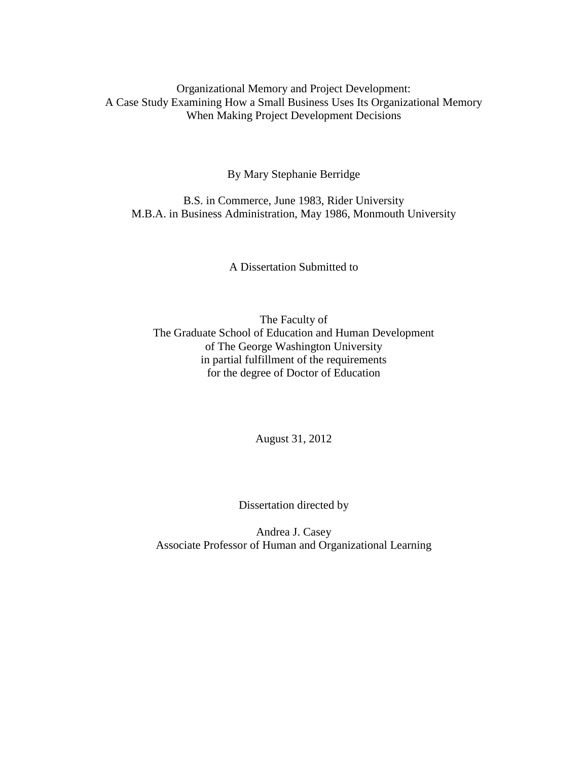Organizational Memory and Project Development: A Case Study Examining How a Small Business Uses Its Organizational Memory When Making Project Development Decisions

By Mary Stephanie Berridge

B.S. in Commerce, June 1983, Rider University M.B.A. in Business Administration, May 1986, Monmouth University

A Dissertation Submitted to

The Faculty of The Graduate School of Education and Human Development of The George Washington University in partial fulfillment of the requirements for the degree of Doctor of Education

August 31, 2012

Dissertation directed by

Andrea J. Casey Associate Professor of Human and Organizational Learning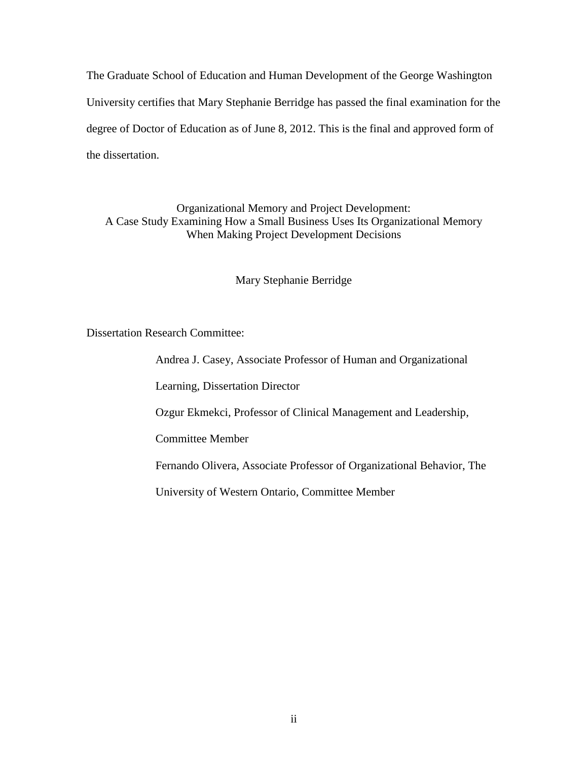The Graduate School of Education and Human Development of the George Washington University certifies that Mary Stephanie Berridge has passed the final examination for the degree of Doctor of Education as of June 8, 2012. This is the final and approved form of the dissertation.

Organizational Memory and Project Development: A Case Study Examining How a Small Business Uses Its Organizational Memory When Making Project Development Decisions

Mary Stephanie Berridge

Dissertation Research Committee:

Andrea J. Casey, Associate Professor of Human and Organizational Learning, Dissertation Director Ozgur Ekmekci, Professor of Clinical Management and Leadership, Committee Member Fernando Olivera, Associate Professor of Organizational Behavior, The University of Western Ontario, Committee Member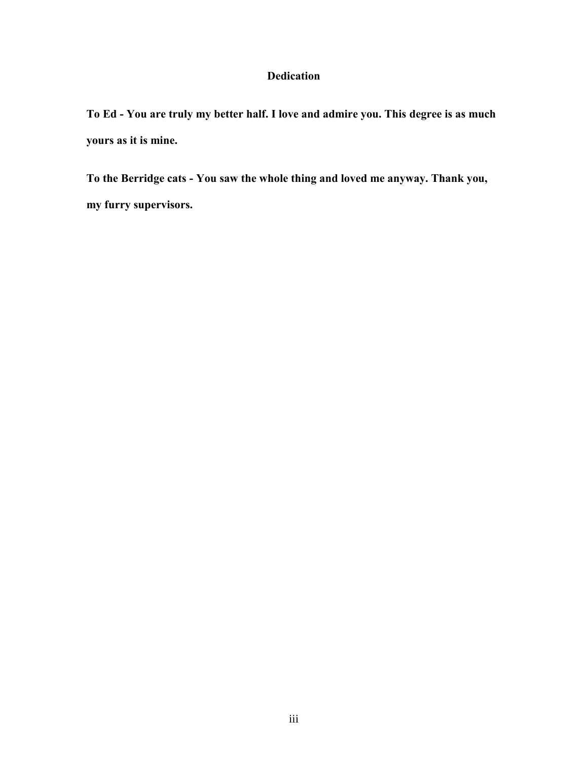# **Dedication**

<span id="page-2-0"></span>**To Ed - You are truly my better half. I love and admire you. This degree is as much yours as it is mine.** 

**To the Berridge cats - You saw the whole thing and loved me anyway. Thank you, my furry supervisors.**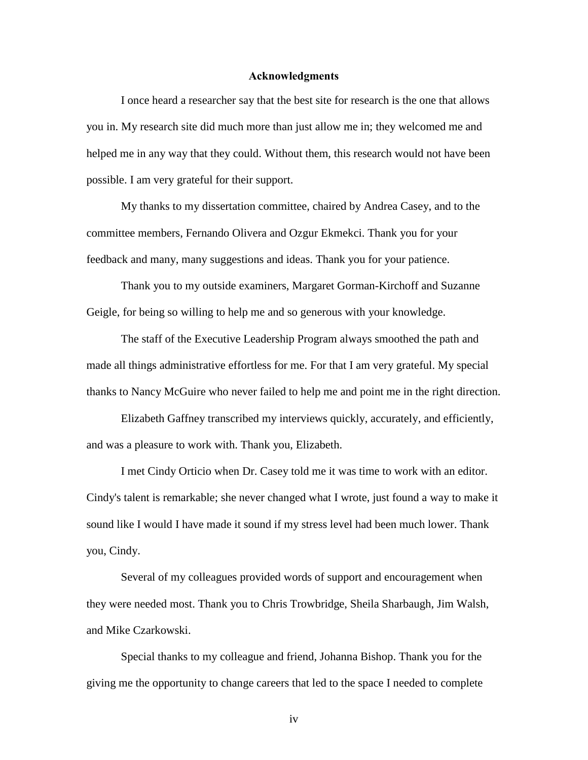## **Acknowledgments**

<span id="page-3-0"></span>I once heard a researcher say that the best site for research is the one that allows you in. My research site did much more than just allow me in; they welcomed me and helped me in any way that they could. Without them, this research would not have been possible. I am very grateful for their support.

My thanks to my dissertation committee, chaired by Andrea Casey, and to the committee members, Fernando Olivera and Ozgur Ekmekci. Thank you for your feedback and many, many suggestions and ideas. Thank you for your patience.

Thank you to my outside examiners, Margaret Gorman-Kirchoff and Suzanne Geigle, for being so willing to help me and so generous with your knowledge.

The staff of the Executive Leadership Program always smoothed the path and made all things administrative effortless for me. For that I am very grateful. My special thanks to Nancy McGuire who never failed to help me and point me in the right direction.

Elizabeth Gaffney transcribed my interviews quickly, accurately, and efficiently, and was a pleasure to work with. Thank you, Elizabeth.

I met Cindy Orticio when Dr. Casey told me it was time to work with an editor. Cindy's talent is remarkable; she never changed what I wrote, just found a way to make it sound like I would I have made it sound if my stress level had been much lower. Thank you, Cindy.

Several of my colleagues provided words of support and encouragement when they were needed most. Thank you to Chris Trowbridge, Sheila Sharbaugh, Jim Walsh, and Mike Czarkowski.

Special thanks to my colleague and friend, Johanna Bishop. Thank you for the giving me the opportunity to change careers that led to the space I needed to complete

iv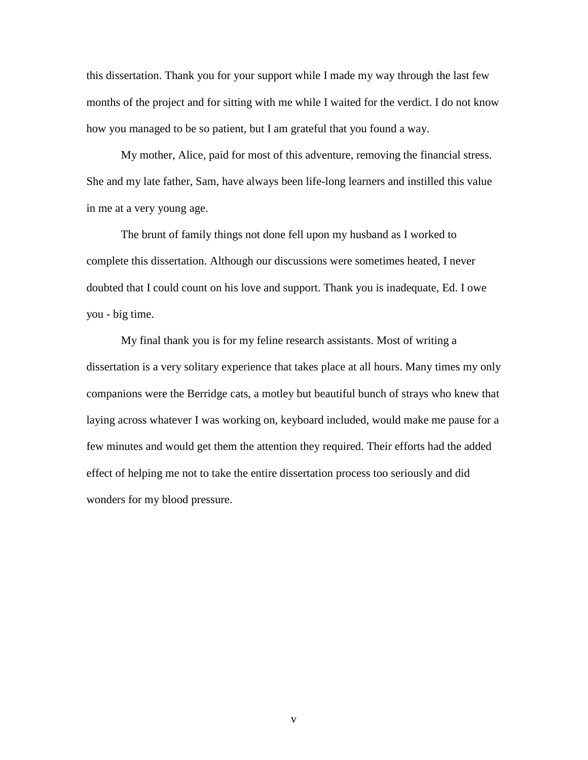this dissertation. Thank you for your support while I made my way through the last few months of the project and for sitting with me while I waited for the verdict. I do not know how you managed to be so patient, but I am grateful that you found a way.

My mother, Alice, paid for most of this adventure, removing the financial stress. She and my late father, Sam, have always been life-long learners and instilled this value in me at a very young age.

The brunt of family things not done fell upon my husband as I worked to complete this dissertation. Although our discussions were sometimes heated, I never doubted that I could count on his love and support. Thank you is inadequate, Ed. I owe you - big time.

My final thank you is for my feline research assistants. Most of writing a dissertation is a very solitary experience that takes place at all hours. Many times my only companions were the Berridge cats, a motley but beautiful bunch of strays who knew that laying across whatever I was working on, keyboard included, would make me pause for a few minutes and would get them the attention they required. Their efforts had the added effect of helping me not to take the entire dissertation process too seriously and did wonders for my blood pressure.

v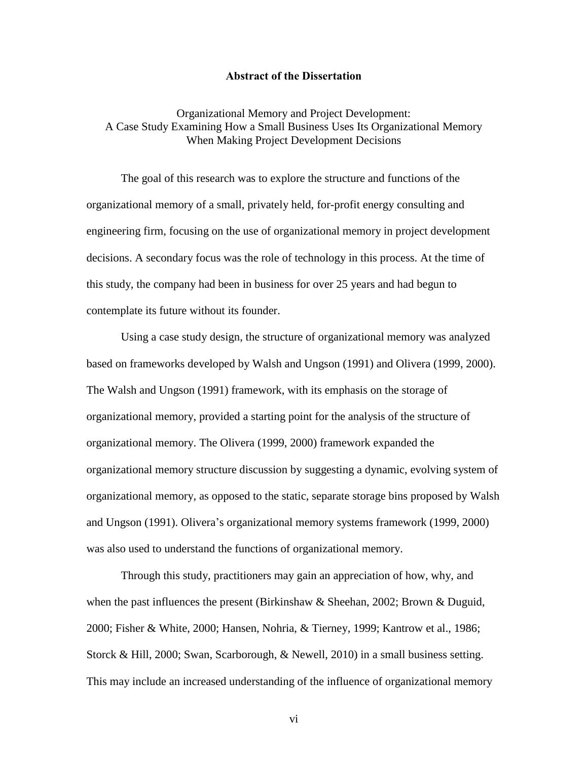## **Abstract of the Dissertation**

<span id="page-5-0"></span>Organizational Memory and Project Development: A Case Study Examining How a Small Business Uses Its Organizational Memory When Making Project Development Decisions

The goal of this research was to explore the structure and functions of the organizational memory of a small, privately held, for-profit energy consulting and engineering firm, focusing on the use of organizational memory in project development decisions. A secondary focus was the role of technology in this process. At the time of this study, the company had been in business for over 25 years and had begun to contemplate its future without its founder.

Using a case study design, the structure of organizational memory was analyzed based on frameworks developed by Walsh and Ungson (1991) and Olivera (1999, 2000). The Walsh and Ungson (1991) framework, with its emphasis on the storage of organizational memory, provided a starting point for the analysis of the structure of organizational memory. The Olivera (1999, 2000) framework expanded the organizational memory structure discussion by suggesting a dynamic, evolving system of organizational memory, as opposed to the static, separate storage bins proposed by Walsh and Ungson (1991). Olivera's organizational memory systems framework (1999, 2000) was also used to understand the functions of organizational memory.

Through this study, practitioners may gain an appreciation of how, why, and when the past influences the present (Birkinshaw & Sheehan, 2002; Brown & Duguid, 2000; Fisher & White, 2000; Hansen, Nohria, & Tierney, 1999; Kantrow et al., 1986; Storck & Hill, 2000; Swan, Scarborough, & Newell, 2010) in a small business setting. This may include an increased understanding of the influence of organizational memory

vi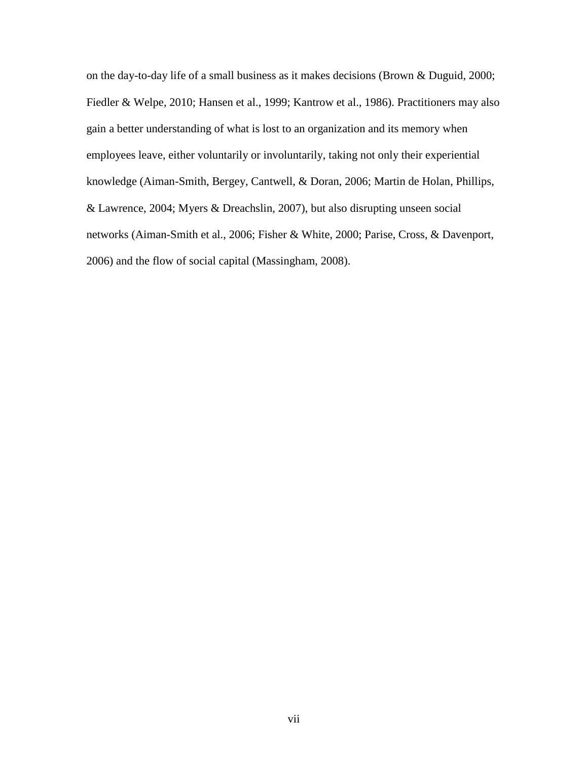on the day-to-day life of a small business as it makes decisions (Brown & Duguid, 2000; Fiedler & Welpe, 2010; Hansen et al., 1999; Kantrow et al., 1986). Practitioners may also gain a better understanding of what is lost to an organization and its memory when employees leave, either voluntarily or involuntarily, taking not only their experiential knowledge (Aiman-Smith, Bergey, Cantwell, & Doran, 2006; Martin de Holan, Phillips, & Lawrence, 2004; Myers & Dreachslin, 2007), but also disrupting unseen social networks (Aiman-Smith et al., 2006; Fisher & White, 2000; Parise, Cross, & Davenport, 2006) and the flow of social capital (Massingham, 2008).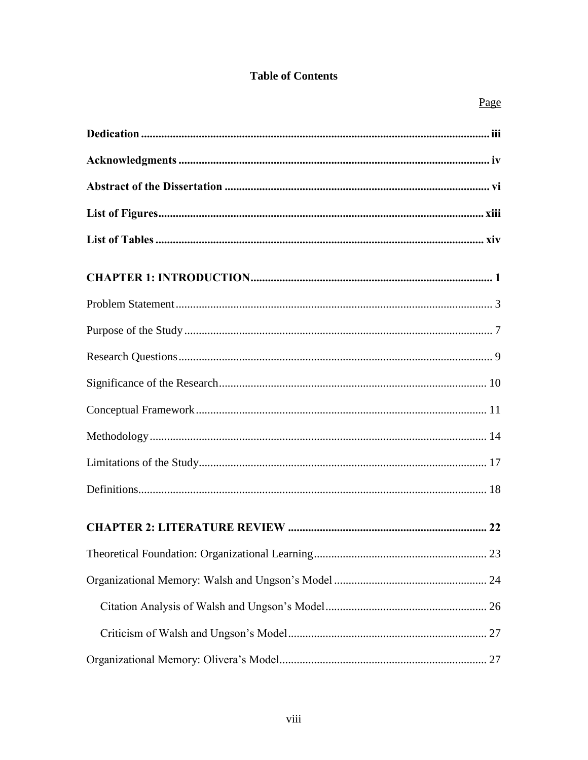# **Table of Contents**

| Page |
|------|
|      |
|      |
|      |
|      |
|      |
|      |
|      |
|      |
|      |
|      |
|      |
|      |
|      |
|      |
|      |
|      |
|      |
|      |
|      |
|      |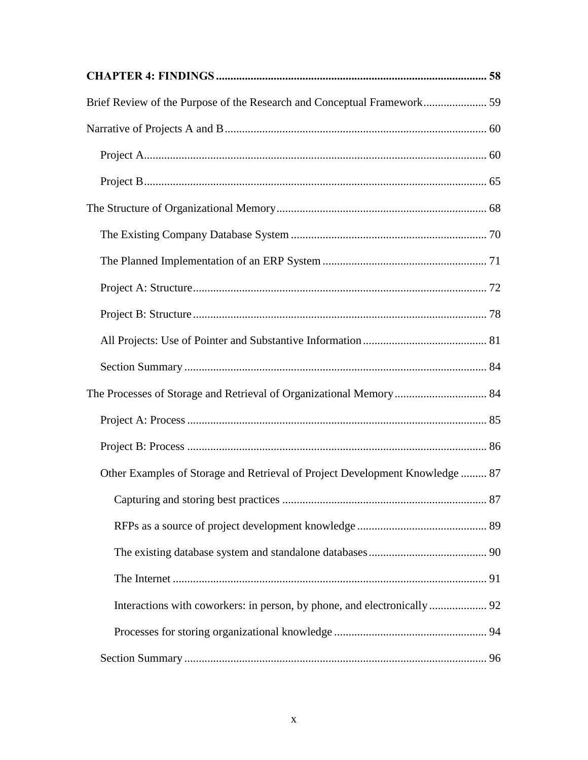| Brief Review of the Purpose of the Research and Conceptual Framework 59      |  |
|------------------------------------------------------------------------------|--|
|                                                                              |  |
|                                                                              |  |
|                                                                              |  |
|                                                                              |  |
|                                                                              |  |
|                                                                              |  |
|                                                                              |  |
|                                                                              |  |
|                                                                              |  |
|                                                                              |  |
|                                                                              |  |
|                                                                              |  |
|                                                                              |  |
| Other Examples of Storage and Retrieval of Project Development Knowledge  87 |  |
|                                                                              |  |
|                                                                              |  |
|                                                                              |  |
|                                                                              |  |
|                                                                              |  |
|                                                                              |  |
|                                                                              |  |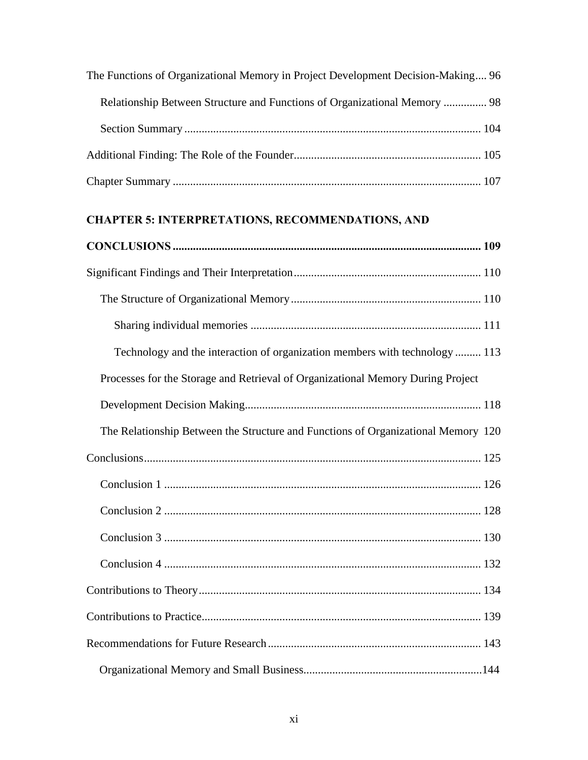| The Functions of Organizational Memory in Project Development Decision-Making 96 |  |
|----------------------------------------------------------------------------------|--|
| Relationship Between Structure and Functions of Organizational Memory  98        |  |
|                                                                                  |  |
|                                                                                  |  |
|                                                                                  |  |

# **[CHAPTER 5: INTERPRETATIONS, RECOMMENDATIONS, AND](#page-122-0)**

| Technology and the interaction of organization members with technology  113       |
|-----------------------------------------------------------------------------------|
| Processes for the Storage and Retrieval of Organizational Memory During Project   |
|                                                                                   |
| The Relationship Between the Structure and Functions of Organizational Memory 120 |
|                                                                                   |
|                                                                                   |
|                                                                                   |
|                                                                                   |
|                                                                                   |
|                                                                                   |
|                                                                                   |
|                                                                                   |
|                                                                                   |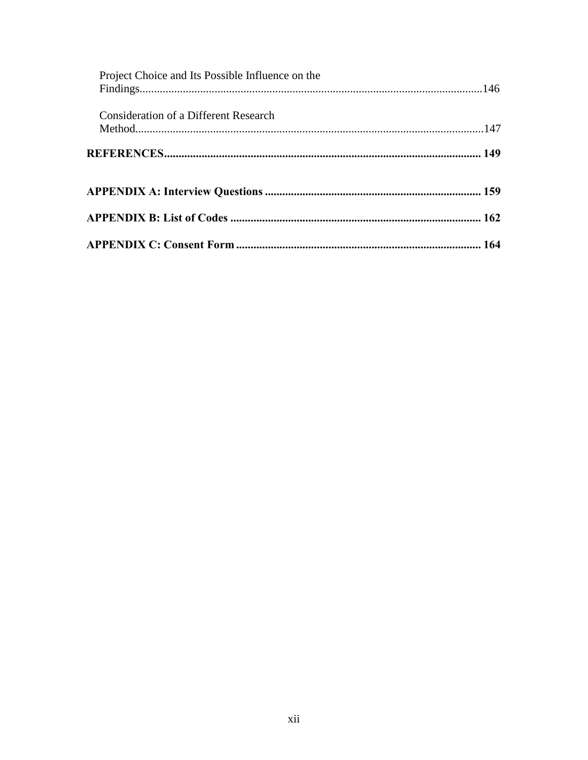| Project Choice and Its Possible Influence on the |  |
|--------------------------------------------------|--|
| <b>Consideration of a Different Research</b>     |  |
|                                                  |  |
|                                                  |  |
|                                                  |  |
|                                                  |  |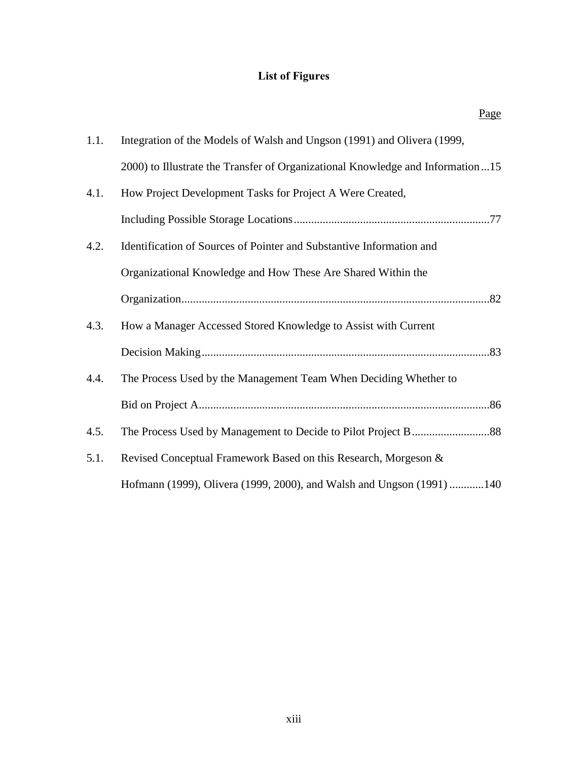# **List of Figures**

<span id="page-12-0"></span>

| Page                                                                            |
|---------------------------------------------------------------------------------|
| Integration of the Models of Walsh and Ungson (1991) and Olivera (1999,<br>1.1. |
| 2000) to Illustrate the Transfer of Organizational Knowledge and Information15  |
| How Project Development Tasks for Project A Were Created,<br>4.1.               |
|                                                                                 |
| 4.2.<br>Identification of Sources of Pointer and Substantive Information and    |
| Organizational Knowledge and How These Are Shared Within the                    |
|                                                                                 |
| 4.3.<br>How a Manager Accessed Stored Knowledge to Assist with Current          |
|                                                                                 |
| 4.4.<br>The Process Used by the Management Team When Deciding Whether to        |
|                                                                                 |
| 4.5.                                                                            |
| Revised Conceptual Framework Based on this Research, Morgeson &<br>5.1.         |
| Hofmann (1999), Olivera (1999, 2000), and Walsh and Ungson (1991) 140           |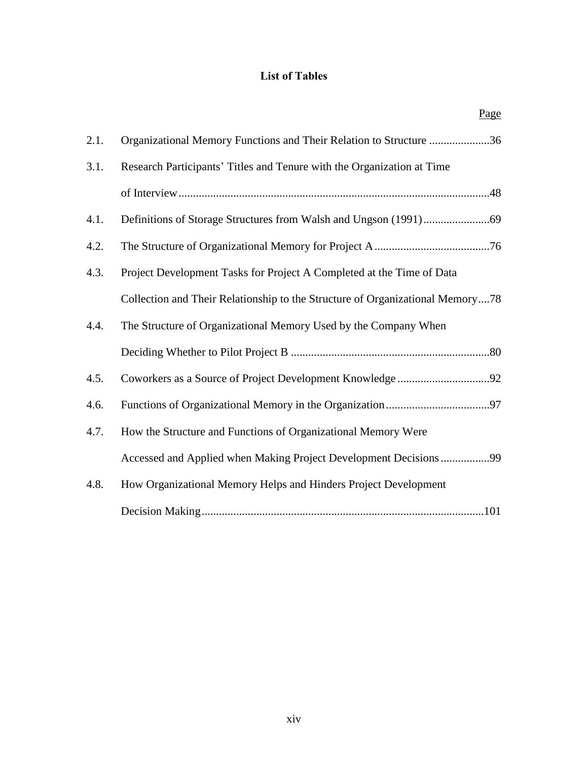# **List of Tables**

<span id="page-13-0"></span>

|      | Page                                                                          |
|------|-------------------------------------------------------------------------------|
| 2.1. | Organizational Memory Functions and Their Relation to Structure 36            |
| 3.1. | Research Participants' Titles and Tenure with the Organization at Time        |
|      |                                                                               |
| 4.1. |                                                                               |
| 4.2. |                                                                               |
| 4.3. | Project Development Tasks for Project A Completed at the Time of Data         |
|      | Collection and Their Relationship to the Structure of Organizational Memory78 |
| 4.4. | The Structure of Organizational Memory Used by the Company When               |
|      |                                                                               |
| 4.5. |                                                                               |
| 4.6. |                                                                               |
| 4.7. | How the Structure and Functions of Organizational Memory Were                 |
|      | Accessed and Applied when Making Project Development Decisions99              |
| 4.8. | How Organizational Memory Helps and Hinders Project Development               |
|      |                                                                               |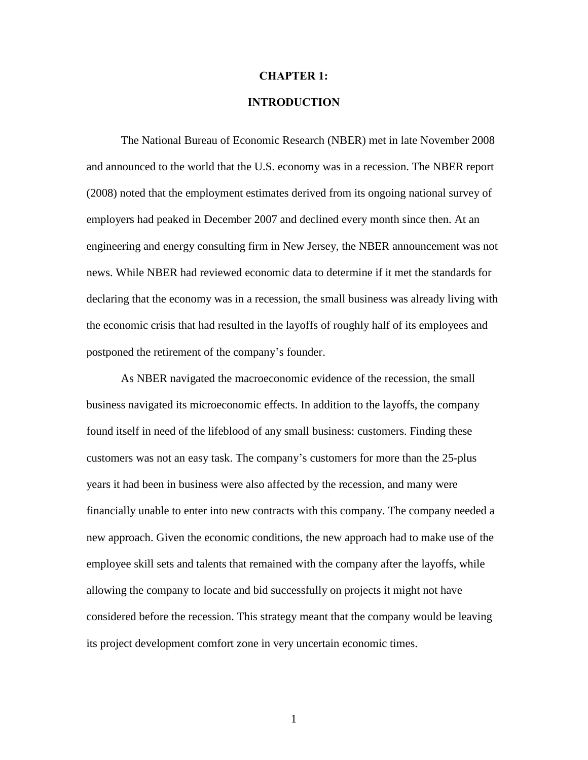#### **CHAPTER 1:**

## **INTRODUCTION**

<span id="page-14-0"></span>The National Bureau of Economic Research (NBER) met in late November 2008 and announced to the world that the U.S. economy was in a recession. The NBER report (2008) noted that the employment estimates derived from its ongoing national survey of employers had peaked in December 2007 and declined every month since then. At an engineering and energy consulting firm in New Jersey, the NBER announcement was not news. While NBER had reviewed economic data to determine if it met the standards for declaring that the economy was in a recession, the small business was already living with the economic crisis that had resulted in the layoffs of roughly half of its employees and postponed the retirement of the company's founder.

As NBER navigated the macroeconomic evidence of the recession, the small business navigated its microeconomic effects. In addition to the layoffs, the company found itself in need of the lifeblood of any small business: customers. Finding these customers was not an easy task. The company's customers for more than the 25-plus years it had been in business were also affected by the recession, and many were financially unable to enter into new contracts with this company. The company needed a new approach. Given the economic conditions, the new approach had to make use of the employee skill sets and talents that remained with the company after the layoffs, while allowing the company to locate and bid successfully on projects it might not have considered before the recession. This strategy meant that the company would be leaving its project development comfort zone in very uncertain economic times.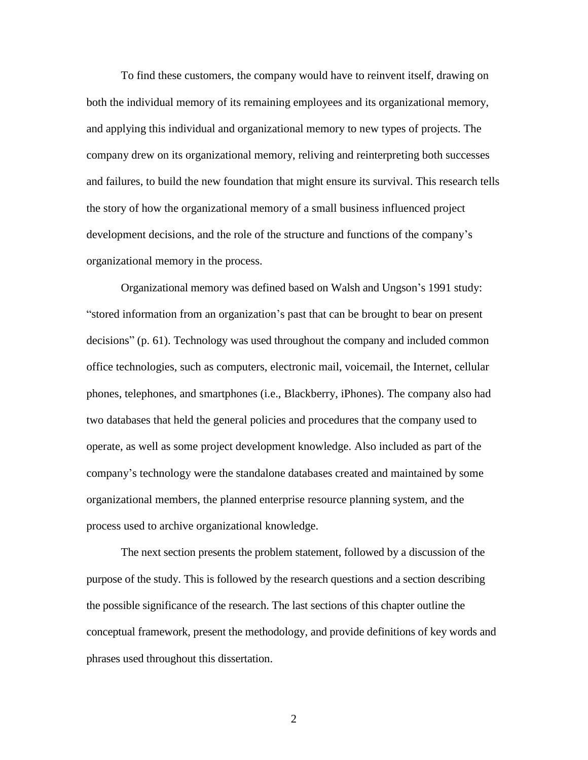To find these customers, the company would have to reinvent itself, drawing on both the individual memory of its remaining employees and its organizational memory, and applying this individual and organizational memory to new types of projects. The company drew on its organizational memory, reliving and reinterpreting both successes and failures, to build the new foundation that might ensure its survival. This research tells the story of how the organizational memory of a small business influenced project development decisions, and the role of the structure and functions of the company's organizational memory in the process.

Organizational memory was defined based on Walsh and Ungson's 1991 study: "stored information from an organization's past that can be brought to bear on present decisions" (p. 61). Technology was used throughout the company and included common office technologies, such as computers, electronic mail, voicemail, the Internet, cellular phones, telephones, and smartphones (i.e., Blackberry, iPhones). The company also had two databases that held the general policies and procedures that the company used to operate, as well as some project development knowledge. Also included as part of the company's technology were the standalone databases created and maintained by some organizational members, the planned enterprise resource planning system, and the process used to archive organizational knowledge.

The next section presents the problem statement, followed by a discussion of the purpose of the study. This is followed by the research questions and a section describing the possible significance of the research. The last sections of this chapter outline the conceptual framework, present the methodology, and provide definitions of key words and phrases used throughout this dissertation.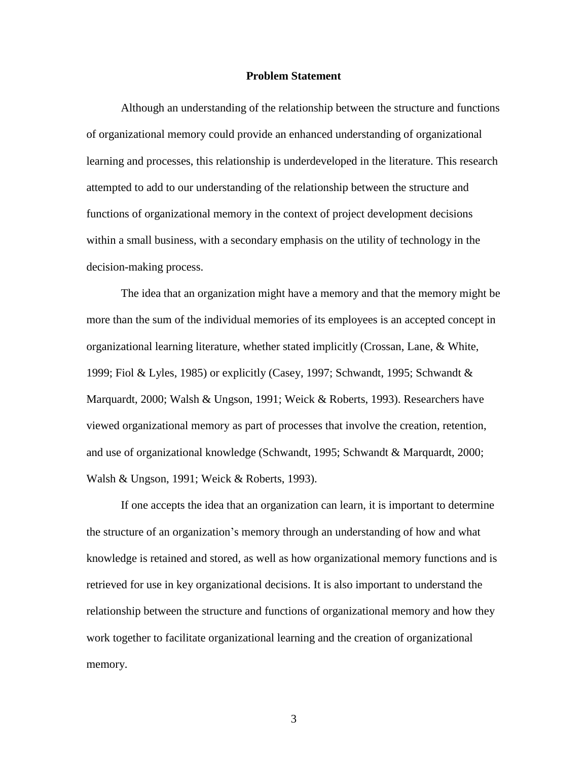## **Problem Statement**

<span id="page-16-0"></span>Although an understanding of the relationship between the structure and functions of organizational memory could provide an enhanced understanding of organizational learning and processes, this relationship is underdeveloped in the literature. This research attempted to add to our understanding of the relationship between the structure and functions of organizational memory in the context of project development decisions within a small business, with a secondary emphasis on the utility of technology in the decision-making process.

The idea that an organization might have a memory and that the memory might be more than the sum of the individual memories of its employees is an accepted concept in organizational learning literature, whether stated implicitly (Crossan, Lane, & White, 1999; Fiol & Lyles, 1985) or explicitly (Casey, 1997; Schwandt, 1995; Schwandt & Marquardt, 2000; Walsh & Ungson, 1991; Weick & Roberts, 1993). Researchers have viewed organizational memory as part of processes that involve the creation, retention, and use of organizational knowledge (Schwandt, 1995; Schwandt & Marquardt, 2000; Walsh & Ungson, 1991; Weick & Roberts, 1993).

If one accepts the idea that an organization can learn, it is important to determine the structure of an organization's memory through an understanding of how and what knowledge is retained and stored, as well as how organizational memory functions and is retrieved for use in key organizational decisions. It is also important to understand the relationship between the structure and functions of organizational memory and how they work together to facilitate organizational learning and the creation of organizational memory.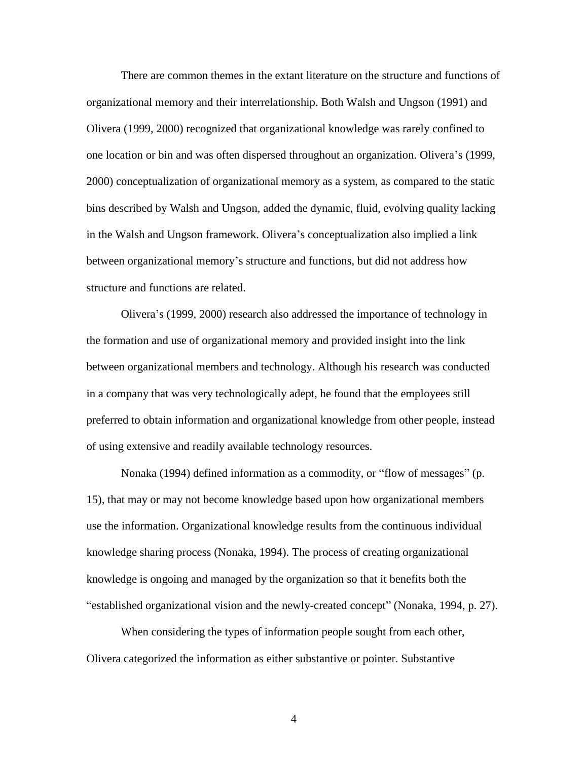There are common themes in the extant literature on the structure and functions of organizational memory and their interrelationship. Both Walsh and Ungson (1991) and Olivera (1999, 2000) recognized that organizational knowledge was rarely confined to one location or bin and was often dispersed throughout an organization. Olivera's (1999, 2000) conceptualization of organizational memory as a system, as compared to the static bins described by Walsh and Ungson, added the dynamic, fluid, evolving quality lacking in the Walsh and Ungson framework. Olivera's conceptualization also implied a link between organizational memory's structure and functions, but did not address how structure and functions are related.

Olivera's (1999, 2000) research also addressed the importance of technology in the formation and use of organizational memory and provided insight into the link between organizational members and technology. Although his research was conducted in a company that was very technologically adept, he found that the employees still preferred to obtain information and organizational knowledge from other people, instead of using extensive and readily available technology resources.

Nonaka (1994) defined information as a commodity, or "flow of messages" (p. 15), that may or may not become knowledge based upon how organizational members use the information. Organizational knowledge results from the continuous individual knowledge sharing process (Nonaka, 1994). The process of creating organizational knowledge is ongoing and managed by the organization so that it benefits both the "established organizational vision and the newly-created concept" (Nonaka, 1994, p. 27).

When considering the types of information people sought from each other, Olivera categorized the information as either substantive or pointer. Substantive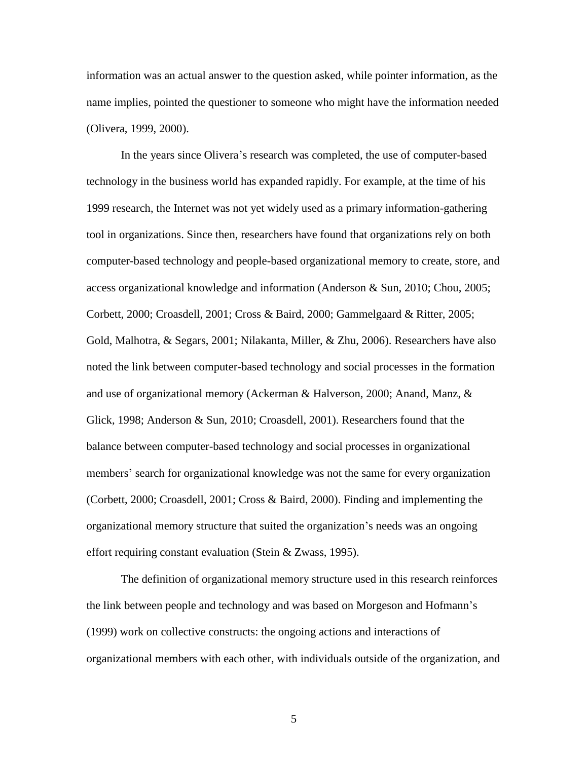information was an actual answer to the question asked, while pointer information, as the name implies, pointed the questioner to someone who might have the information needed (Olivera, 1999, 2000).

In the years since Olivera's research was completed, the use of computer-based technology in the business world has expanded rapidly. For example, at the time of his 1999 research, the Internet was not yet widely used as a primary information-gathering tool in organizations. Since then, researchers have found that organizations rely on both computer-based technology and people-based organizational memory to create, store, and access organizational knowledge and information (Anderson & Sun, 2010; Chou, 2005; Corbett, 2000; Croasdell, 2001; Cross & Baird, 2000; Gammelgaard & Ritter, 2005; Gold, Malhotra, & Segars, 2001; Nilakanta, Miller, & Zhu, 2006). Researchers have also noted the link between computer-based technology and social processes in the formation and use of organizational memory (Ackerman & Halverson, 2000; Anand, Manz, & Glick, 1998; Anderson & Sun, 2010; Croasdell, 2001). Researchers found that the balance between computer-based technology and social processes in organizational members' search for organizational knowledge was not the same for every organization (Corbett, 2000; Croasdell, 2001; Cross & Baird, 2000). Finding and implementing the organizational memory structure that suited the organization's needs was an ongoing effort requiring constant evaluation (Stein & Zwass, 1995).

The definition of organizational memory structure used in this research reinforces the link between people and technology and was based on Morgeson and Hofmann's (1999) work on collective constructs: the ongoing actions and interactions of organizational members with each other, with individuals outside of the organization, and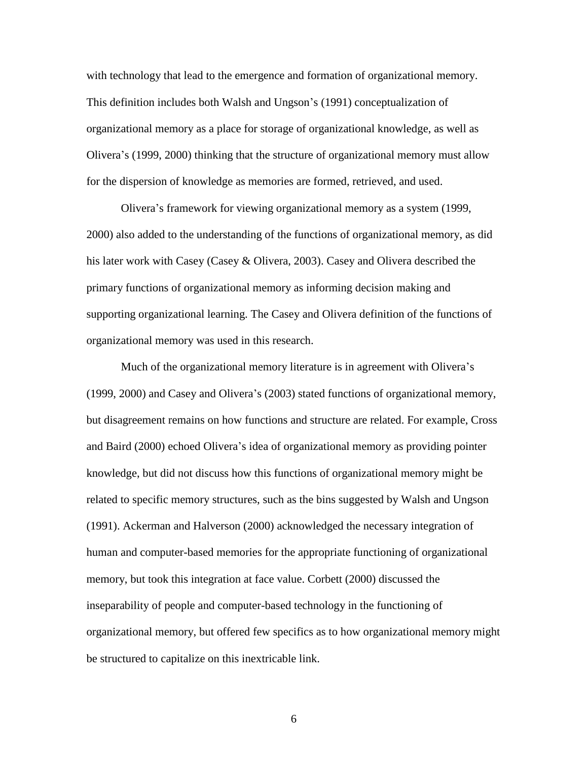with technology that lead to the emergence and formation of organizational memory. This definition includes both Walsh and Ungson's (1991) conceptualization of organizational memory as a place for storage of organizational knowledge, as well as Olivera's (1999, 2000) thinking that the structure of organizational memory must allow for the dispersion of knowledge as memories are formed, retrieved, and used.

Olivera's framework for viewing organizational memory as a system (1999, 2000) also added to the understanding of the functions of organizational memory, as did his later work with Casey (Casey & Olivera, 2003). Casey and Olivera described the primary functions of organizational memory as informing decision making and supporting organizational learning. The Casey and Olivera definition of the functions of organizational memory was used in this research.

Much of the organizational memory literature is in agreement with Olivera's (1999, 2000) and Casey and Olivera's (2003) stated functions of organizational memory, but disagreement remains on how functions and structure are related. For example, Cross and Baird (2000) echoed Olivera's idea of organizational memory as providing pointer knowledge, but did not discuss how this functions of organizational memory might be related to specific memory structures, such as the bins suggested by Walsh and Ungson (1991). Ackerman and Halverson (2000) acknowledged the necessary integration of human and computer-based memories for the appropriate functioning of organizational memory, but took this integration at face value. Corbett (2000) discussed the inseparability of people and computer-based technology in the functioning of organizational memory, but offered few specifics as to how organizational memory might be structured to capitalize on this inextricable link.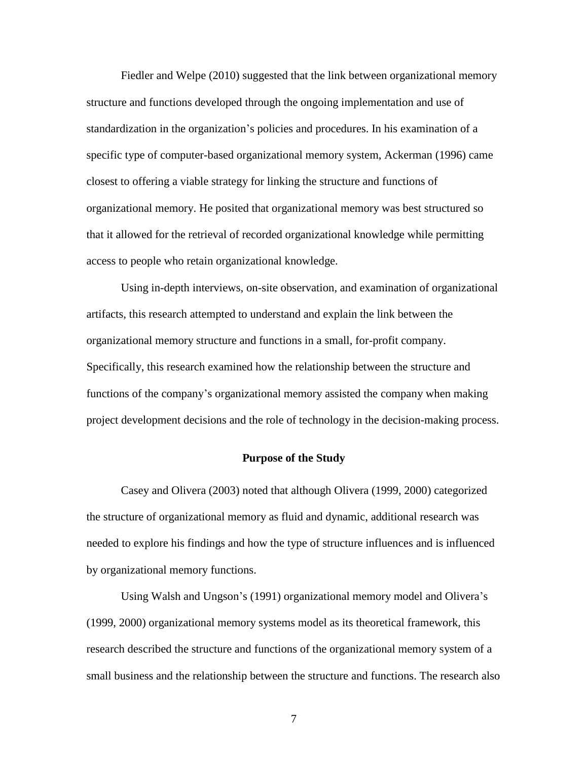Fiedler and Welpe (2010) suggested that the link between organizational memory structure and functions developed through the ongoing implementation and use of standardization in the organization's policies and procedures. In his examination of a specific type of computer-based organizational memory system, Ackerman (1996) came closest to offering a viable strategy for linking the structure and functions of organizational memory. He posited that organizational memory was best structured so that it allowed for the retrieval of recorded organizational knowledge while permitting access to people who retain organizational knowledge.

Using in-depth interviews, on-site observation, and examination of organizational artifacts, this research attempted to understand and explain the link between the organizational memory structure and functions in a small, for-profit company. Specifically, this research examined how the relationship between the structure and functions of the company's organizational memory assisted the company when making project development decisions and the role of technology in the decision-making process.

## **Purpose of the Study**

<span id="page-20-0"></span>Casey and Olivera (2003) noted that although Olivera (1999, 2000) categorized the structure of organizational memory as fluid and dynamic, additional research was needed to explore his findings and how the type of structure influences and is influenced by organizational memory functions.

Using Walsh and Ungson's (1991) organizational memory model and Olivera's (1999, 2000) organizational memory systems model as its theoretical framework, this research described the structure and functions of the organizational memory system of a small business and the relationship between the structure and functions. The research also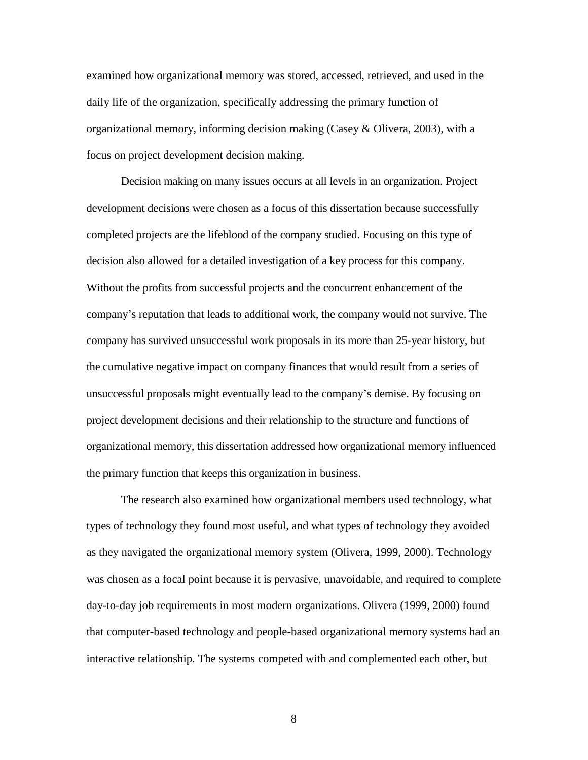examined how organizational memory was stored, accessed, retrieved, and used in the daily life of the organization, specifically addressing the primary function of organizational memory, informing decision making (Casey & Olivera, 2003), with a focus on project development decision making.

Decision making on many issues occurs at all levels in an organization. Project development decisions were chosen as a focus of this dissertation because successfully completed projects are the lifeblood of the company studied. Focusing on this type of decision also allowed for a detailed investigation of a key process for this company. Without the profits from successful projects and the concurrent enhancement of the company's reputation that leads to additional work, the company would not survive. The company has survived unsuccessful work proposals in its more than 25-year history, but the cumulative negative impact on company finances that would result from a series of unsuccessful proposals might eventually lead to the company's demise. By focusing on project development decisions and their relationship to the structure and functions of organizational memory, this dissertation addressed how organizational memory influenced the primary function that keeps this organization in business.

The research also examined how organizational members used technology, what types of technology they found most useful, and what types of technology they avoided as they navigated the organizational memory system (Olivera, 1999, 2000). Technology was chosen as a focal point because it is pervasive, unavoidable, and required to complete day-to-day job requirements in most modern organizations. Olivera (1999, 2000) found that computer-based technology and people-based organizational memory systems had an interactive relationship. The systems competed with and complemented each other, but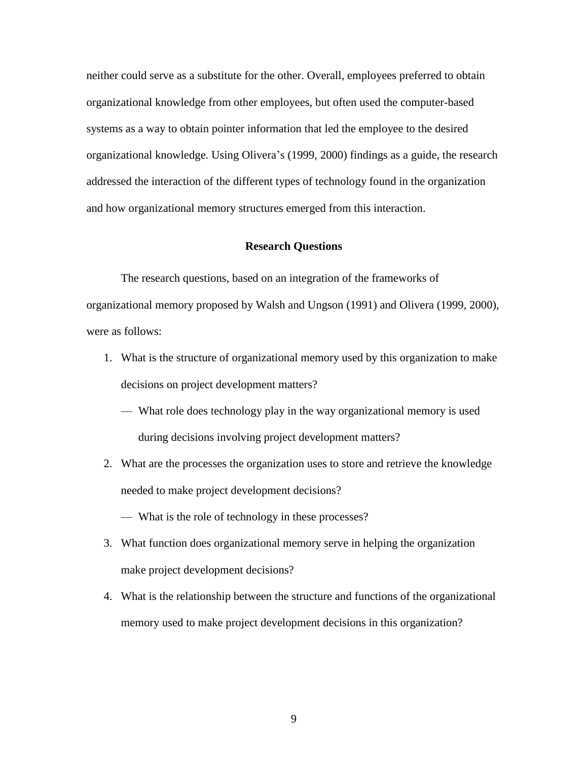neither could serve as a substitute for the other. Overall, employees preferred to obtain organizational knowledge from other employees, but often used the computer-based systems as a way to obtain pointer information that led the employee to the desired organizational knowledge. Using Olivera's (1999, 2000) findings as a guide, the research addressed the interaction of the different types of technology found in the organization and how organizational memory structures emerged from this interaction.

## **Research Questions**

<span id="page-22-0"></span>The research questions, based on an integration of the frameworks of organizational memory proposed by Walsh and Ungson (1991) and Olivera (1999, 2000), were as follows:

- 1. What is the structure of organizational memory used by this organization to make decisions on project development matters?
	- What role does technology play in the way organizational memory is used during decisions involving project development matters?
- 2. What are the processes the organization uses to store and retrieve the knowledge needed to make project development decisions?
	- What is the role of technology in these processes?
- 3. What function does organizational memory serve in helping the organization make project development decisions?
- 4. What is the relationship between the structure and functions of the organizational memory used to make project development decisions in this organization?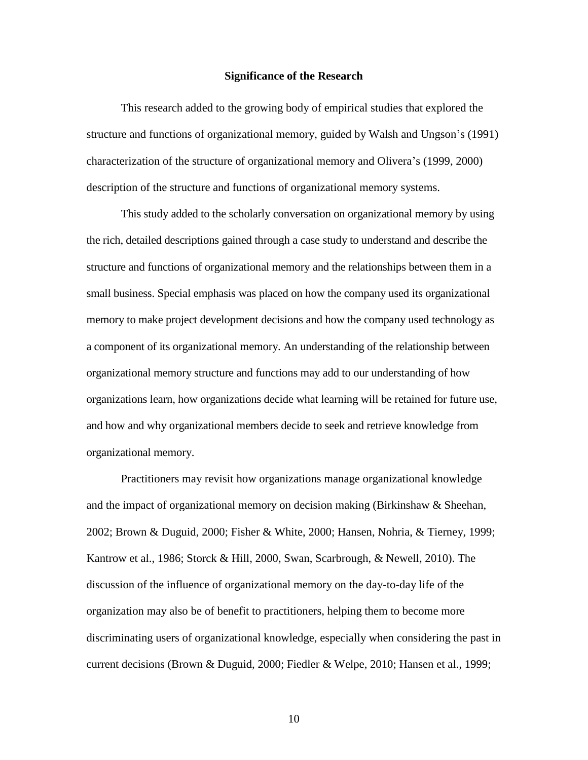#### **Significance of the Research**

<span id="page-23-0"></span>This research added to the growing body of empirical studies that explored the structure and functions of organizational memory, guided by Walsh and Ungson's (1991) characterization of the structure of organizational memory and Olivera's (1999, 2000) description of the structure and functions of organizational memory systems.

This study added to the scholarly conversation on organizational memory by using the rich, detailed descriptions gained through a case study to understand and describe the structure and functions of organizational memory and the relationships between them in a small business. Special emphasis was placed on how the company used its organizational memory to make project development decisions and how the company used technology as a component of its organizational memory. An understanding of the relationship between organizational memory structure and functions may add to our understanding of how organizations learn, how organizations decide what learning will be retained for future use, and how and why organizational members decide to seek and retrieve knowledge from organizational memory.

Practitioners may revisit how organizations manage organizational knowledge and the impact of organizational memory on decision making (Birkinshaw & Sheehan, 2002; Brown & Duguid, 2000; Fisher & White, 2000; Hansen, Nohria, & Tierney, 1999; Kantrow et al., 1986; Storck & Hill, 2000, Swan, Scarbrough, & Newell, 2010). The discussion of the influence of organizational memory on the day-to-day life of the organization may also be of benefit to practitioners, helping them to become more discriminating users of organizational knowledge, especially when considering the past in current decisions (Brown & Duguid, 2000; Fiedler & Welpe, 2010; Hansen et al., 1999;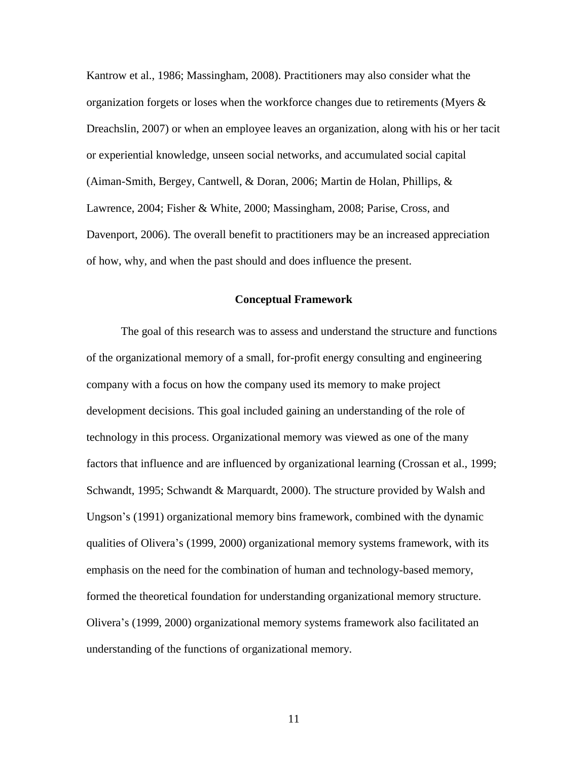Kantrow et al., 1986; Massingham, 2008). Practitioners may also consider what the organization forgets or loses when the workforce changes due to retirements (Myers & Dreachslin, 2007) or when an employee leaves an organization, along with his or her tacit or experiential knowledge, unseen social networks, and accumulated social capital (Aiman-Smith, Bergey, Cantwell, & Doran, 2006; Martin de Holan, Phillips, & Lawrence, 2004; Fisher & White, 2000; Massingham, 2008; Parise, Cross, and Davenport, 2006). The overall benefit to practitioners may be an increased appreciation of how, why, and when the past should and does influence the present.

#### **Conceptual Framework**

<span id="page-24-0"></span>The goal of this research was to assess and understand the structure and functions of the organizational memory of a small, for-profit energy consulting and engineering company with a focus on how the company used its memory to make project development decisions. This goal included gaining an understanding of the role of technology in this process. Organizational memory was viewed as one of the many factors that influence and are influenced by organizational learning (Crossan et al., 1999; Schwandt, 1995; Schwandt & Marquardt, 2000). The structure provided by Walsh and Ungson's (1991) organizational memory bins framework, combined with the dynamic qualities of Olivera's (1999, 2000) organizational memory systems framework, with its emphasis on the need for the combination of human and technology-based memory, formed the theoretical foundation for understanding organizational memory structure. Olivera's (1999, 2000) organizational memory systems framework also facilitated an understanding of the functions of organizational memory.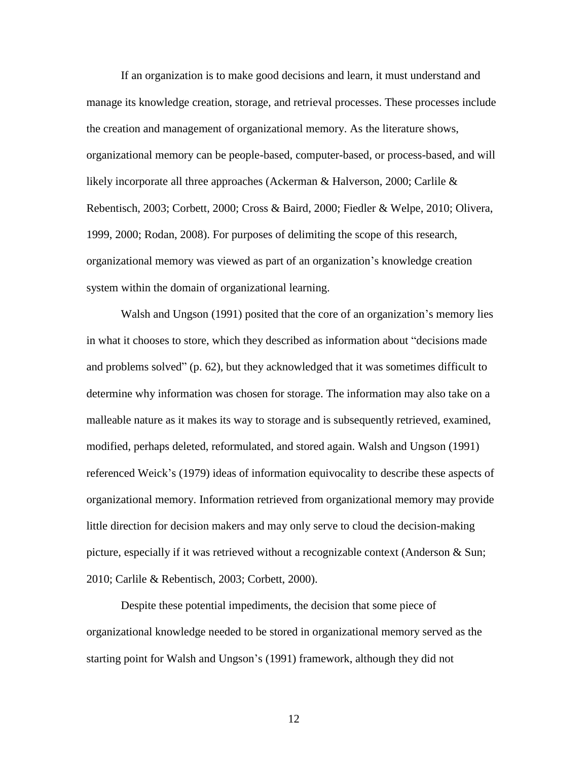If an organization is to make good decisions and learn, it must understand and manage its knowledge creation, storage, and retrieval processes. These processes include the creation and management of organizational memory. As the literature shows, organizational memory can be people-based, computer-based, or process-based, and will likely incorporate all three approaches (Ackerman & Halverson, 2000; Carlile & Rebentisch, 2003; Corbett, 2000; Cross & Baird, 2000; Fiedler & Welpe, 2010; Olivera, 1999, 2000; Rodan, 2008). For purposes of delimiting the scope of this research, organizational memory was viewed as part of an organization's knowledge creation system within the domain of organizational learning.

Walsh and Ungson (1991) posited that the core of an organization's memory lies in what it chooses to store, which they described as information about "decisions made and problems solved" (p. 62), but they acknowledged that it was sometimes difficult to determine why information was chosen for storage. The information may also take on a malleable nature as it makes its way to storage and is subsequently retrieved, examined, modified, perhaps deleted, reformulated, and stored again. Walsh and Ungson (1991) referenced Weick's (1979) ideas of information equivocality to describe these aspects of organizational memory. Information retrieved from organizational memory may provide little direction for decision makers and may only serve to cloud the decision-making picture, especially if it was retrieved without a recognizable context (Anderson & Sun; 2010; Carlile & Rebentisch, 2003; Corbett, 2000).

Despite these potential impediments, the decision that some piece of organizational knowledge needed to be stored in organizational memory served as the starting point for Walsh and Ungson's (1991) framework, although they did not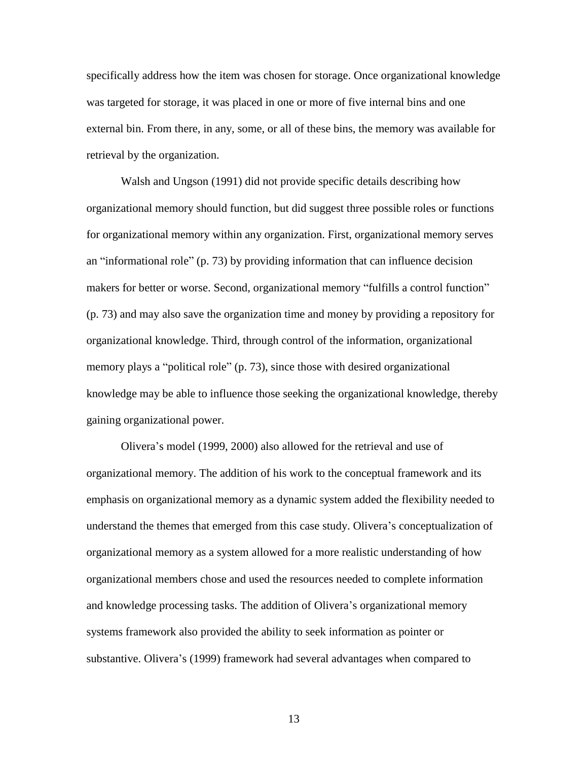specifically address how the item was chosen for storage. Once organizational knowledge was targeted for storage, it was placed in one or more of five internal bins and one external bin. From there, in any, some, or all of these bins, the memory was available for retrieval by the organization.

Walsh and Ungson (1991) did not provide specific details describing how organizational memory should function, but did suggest three possible roles or functions for organizational memory within any organization. First, organizational memory serves an "informational role" (p. 73) by providing information that can influence decision makers for better or worse. Second, organizational memory "fulfills a control function" (p. 73) and may also save the organization time and money by providing a repository for organizational knowledge. Third, through control of the information, organizational memory plays a "political role" (p. 73), since those with desired organizational knowledge may be able to influence those seeking the organizational knowledge, thereby gaining organizational power.

Olivera's model (1999, 2000) also allowed for the retrieval and use of organizational memory. The addition of his work to the conceptual framework and its emphasis on organizational memory as a dynamic system added the flexibility needed to understand the themes that emerged from this case study. Olivera's conceptualization of organizational memory as a system allowed for a more realistic understanding of how organizational members chose and used the resources needed to complete information and knowledge processing tasks. The addition of Olivera's organizational memory systems framework also provided the ability to seek information as pointer or substantive. Olivera's (1999) framework had several advantages when compared to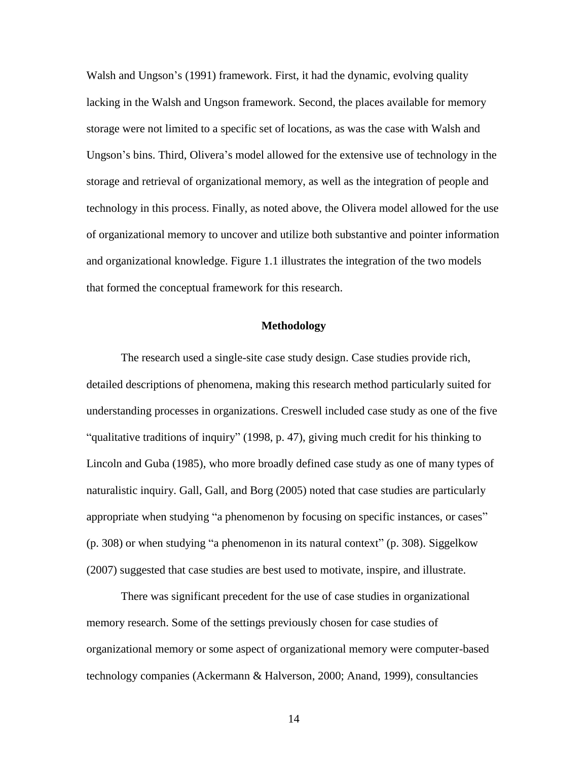Walsh and Ungson's (1991) framework. First, it had the dynamic, evolving quality lacking in the Walsh and Ungson framework. Second, the places available for memory storage were not limited to a specific set of locations, as was the case with Walsh and Ungson's bins. Third, Olivera's model allowed for the extensive use of technology in the storage and retrieval of organizational memory, as well as the integration of people and technology in this process. Finally, as noted above, the Olivera model allowed for the use of organizational memory to uncover and utilize both substantive and pointer information and organizational knowledge. Figure 1.1 illustrates the integration of the two models that formed the conceptual framework for this research.

#### **Methodology**

<span id="page-27-0"></span>The research used a single-site case study design. Case studies provide rich, detailed descriptions of phenomena, making this research method particularly suited for understanding processes in organizations. Creswell included case study as one of the five "qualitative traditions of inquiry" (1998, p. 47), giving much credit for his thinking to Lincoln and Guba (1985), who more broadly defined case study as one of many types of naturalistic inquiry. Gall, Gall, and Borg (2005) noted that case studies are particularly appropriate when studying "a phenomenon by focusing on specific instances, or cases" (p. 308) or when studying "a phenomenon in its natural context" (p. 308). Siggelkow (2007) suggested that case studies are best used to motivate, inspire, and illustrate.

There was significant precedent for the use of case studies in organizational memory research. Some of the settings previously chosen for case studies of organizational memory or some aspect of organizational memory were computer-based technology companies (Ackermann & Halverson, 2000; Anand, 1999), consultancies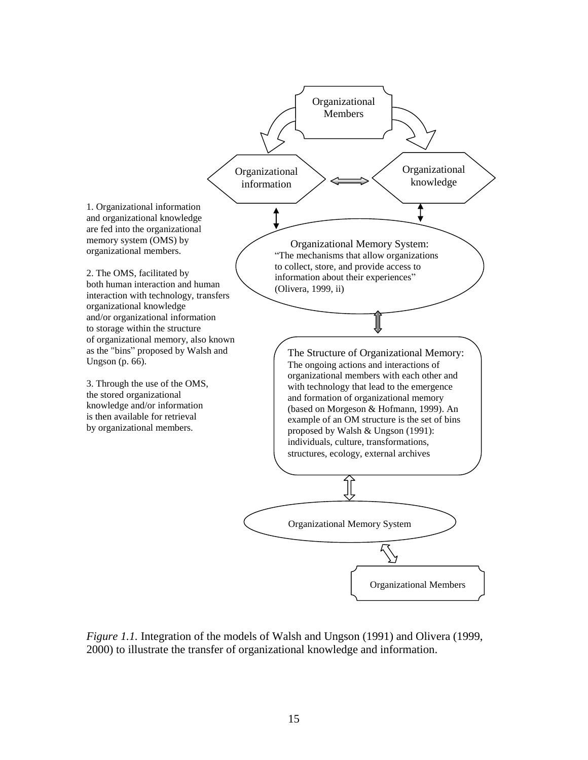

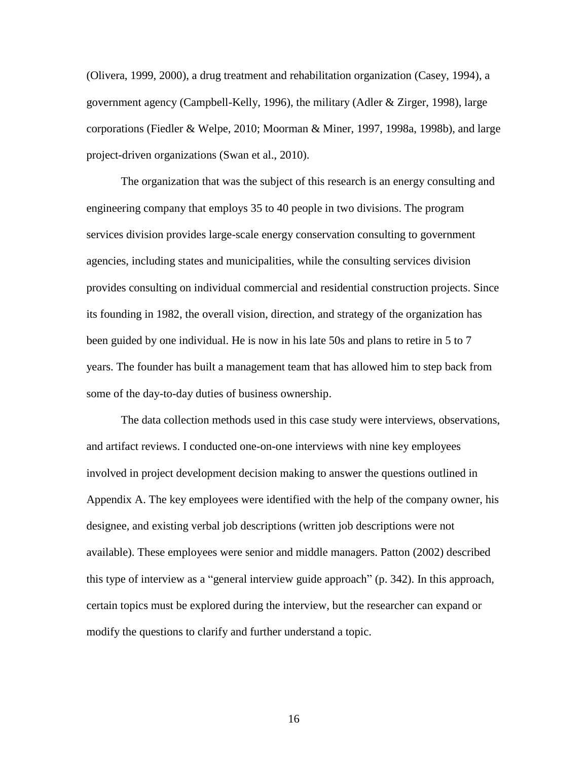(Olivera, 1999, 2000), a drug treatment and rehabilitation organization (Casey, 1994), a government agency (Campbell-Kelly, 1996), the military (Adler & Zirger, 1998), large corporations (Fiedler & Welpe, 2010; Moorman & Miner, 1997, 1998a, 1998b), and large project-driven organizations (Swan et al., 2010).

The organization that was the subject of this research is an energy consulting and engineering company that employs 35 to 40 people in two divisions. The program services division provides large-scale energy conservation consulting to government agencies, including states and municipalities, while the consulting services division provides consulting on individual commercial and residential construction projects. Since its founding in 1982, the overall vision, direction, and strategy of the organization has been guided by one individual. He is now in his late 50s and plans to retire in 5 to 7 years. The founder has built a management team that has allowed him to step back from some of the day-to-day duties of business ownership.

The data collection methods used in this case study were interviews, observations, and artifact reviews. I conducted one-on-one interviews with nine key employees involved in project development decision making to answer the questions outlined in Appendix A. The key employees were identified with the help of the company owner, his designee, and existing verbal job descriptions (written job descriptions were not available). These employees were senior and middle managers. Patton (2002) described this type of interview as a "general interview guide approach" (p. 342). In this approach, certain topics must be explored during the interview, but the researcher can expand or modify the questions to clarify and further understand a topic.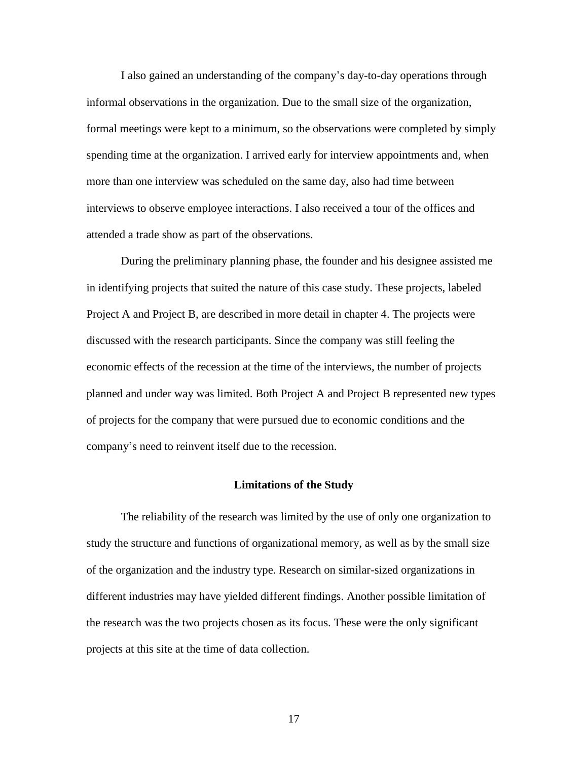I also gained an understanding of the company's day-to-day operations through informal observations in the organization. Due to the small size of the organization, formal meetings were kept to a minimum, so the observations were completed by simply spending time at the organization. I arrived early for interview appointments and, when more than one interview was scheduled on the same day, also had time between interviews to observe employee interactions. I also received a tour of the offices and attended a trade show as part of the observations.

During the preliminary planning phase, the founder and his designee assisted me in identifying projects that suited the nature of this case study. These projects, labeled Project A and Project B, are described in more detail in chapter 4. The projects were discussed with the research participants. Since the company was still feeling the economic effects of the recession at the time of the interviews, the number of projects planned and under way was limited. Both Project A and Project B represented new types of projects for the company that were pursued due to economic conditions and the company's need to reinvent itself due to the recession.

## **Limitations of the Study**

<span id="page-30-0"></span>The reliability of the research was limited by the use of only one organization to study the structure and functions of organizational memory, as well as by the small size of the organization and the industry type. Research on similar-sized organizations in different industries may have yielded different findings. Another possible limitation of the research was the two projects chosen as its focus. These were the only significant projects at this site at the time of data collection.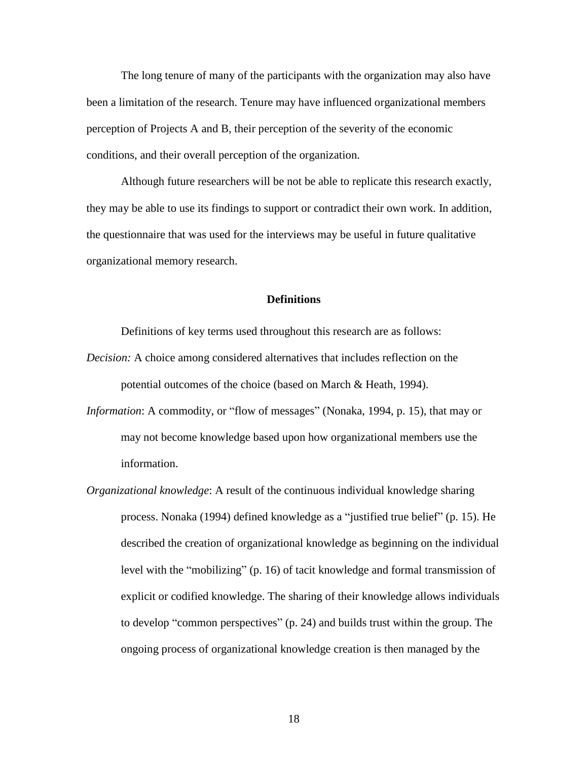The long tenure of many of the participants with the organization may also have been a limitation of the research. Tenure may have influenced organizational members perception of Projects A and B, their perception of the severity of the economic conditions, and their overall perception of the organization.

Although future researchers will be not be able to replicate this research exactly, they may be able to use its findings to support or contradict their own work. In addition, the questionnaire that was used for the interviews may be useful in future qualitative organizational memory research.

#### **Definitions**

<span id="page-31-0"></span>Definitions of key terms used throughout this research are as follows:

- *Decision:* A choice among considered alternatives that includes reflection on the potential outcomes of the choice (based on March & Heath, 1994).
- *Information*: A commodity, or "flow of messages" (Nonaka, 1994, p. 15), that may or may not become knowledge based upon how organizational members use the information.
- *Organizational knowledge*: A result of the continuous individual knowledge sharing process. Nonaka (1994) defined knowledge as a "justified true belief" (p. 15). He described the creation of organizational knowledge as beginning on the individual level with the "mobilizing" (p. 16) of tacit knowledge and formal transmission of explicit or codified knowledge. The sharing of their knowledge allows individuals to develop "common perspectives" (p. 24) and builds trust within the group. The ongoing process of organizational knowledge creation is then managed by the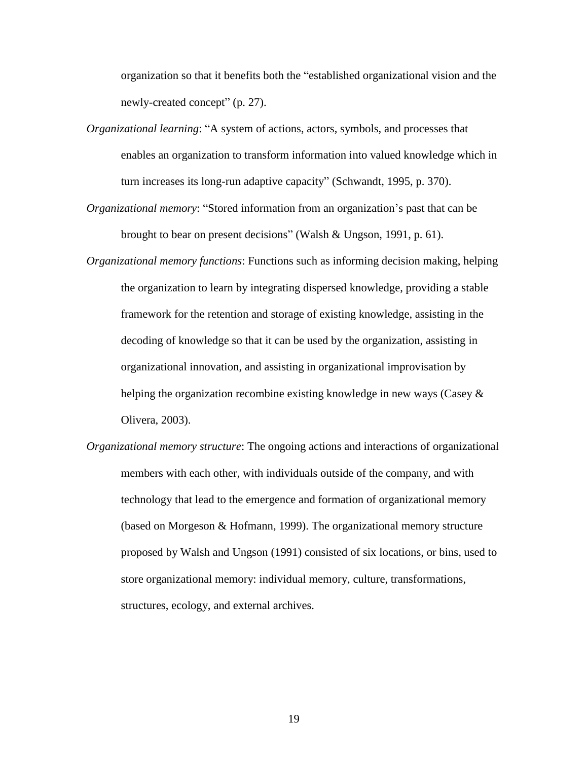organization so that it benefits both the "established organizational vision and the newly-created concept" (p. 27).

- *Organizational learning*: "A system of actions, actors, symbols, and processes that enables an organization to transform information into valued knowledge which in turn increases its long-run adaptive capacity" (Schwandt, 1995, p. 370).
- *Organizational memory*: "Stored information from an organization's past that can be brought to bear on present decisions" (Walsh & Ungson, 1991, p. 61).
- *Organizational memory functions*: Functions such as informing decision making, helping the organization to learn by integrating dispersed knowledge, providing a stable framework for the retention and storage of existing knowledge, assisting in the decoding of knowledge so that it can be used by the organization, assisting in organizational innovation, and assisting in organizational improvisation by helping the organization recombine existing knowledge in new ways (Casey  $\&$ Olivera, 2003).
- *Organizational memory structure*: The ongoing actions and interactions of organizational members with each other, with individuals outside of the company, and with technology that lead to the emergence and formation of organizational memory (based on Morgeson & Hofmann, 1999). The organizational memory structure proposed by Walsh and Ungson (1991) consisted of six locations, or bins, used to store organizational memory: individual memory, culture, transformations, structures, ecology, and external archives.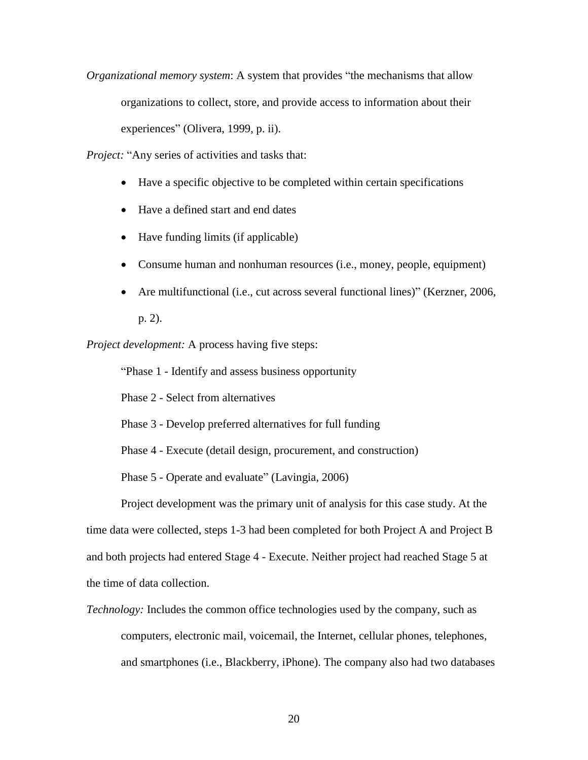*Organizational memory system*: A system that provides "the mechanisms that allow organizations to collect, store, and provide access to information about their experiences" (Olivera, 1999, p. ii).

*Project:* "Any series of activities and tasks that:

- Have a specific objective to be completed within certain specifications
- Have a defined start and end dates
- Have funding limits (if applicable)
- Consume human and nonhuman resources (i.e., money, people, equipment)
- Are multifunctional (i.e., cut across several functional lines)" (Kerzner, 2006,

p. 2).

*Project development:* A process having five steps:

"Phase 1 - Identify and assess business opportunity

Phase 2 - Select from alternatives

Phase 3 - Develop preferred alternatives for full funding

Phase 4 - Execute (detail design, procurement, and construction)

Phase 5 - Operate and evaluate" (Lavingia, 2006)

Project development was the primary unit of analysis for this case study. At the time data were collected, steps 1-3 had been completed for both Project A and Project B and both projects had entered Stage 4 - Execute. Neither project had reached Stage 5 at the time of data collection.

*Technology:* Includes the common office technologies used by the company, such as computers, electronic mail, voicemail, the Internet, cellular phones, telephones, and smartphones (i.e., Blackberry, iPhone). The company also had two databases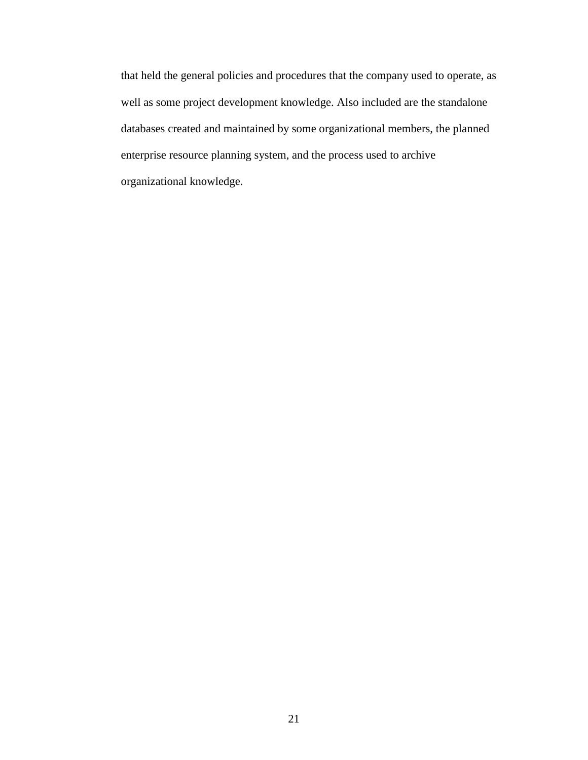that held the general policies and procedures that the company used to operate, as well as some project development knowledge. Also included are the standalone databases created and maintained by some organizational members, the planned enterprise resource planning system, and the process used to archive organizational knowledge.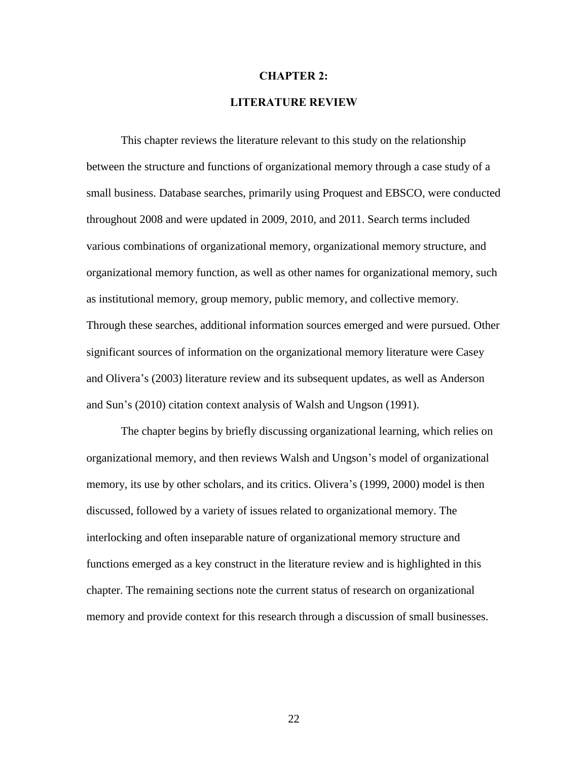#### **CHAPTER 2:**

# **LITERATURE REVIEW**

<span id="page-35-0"></span>This chapter reviews the literature relevant to this study on the relationship between the structure and functions of organizational memory through a case study of a small business. Database searches, primarily using Proquest and EBSCO, were conducted throughout 2008 and were updated in 2009, 2010, and 2011. Search terms included various combinations of organizational memory, organizational memory structure, and organizational memory function, as well as other names for organizational memory, such as institutional memory, group memory, public memory, and collective memory. Through these searches, additional information sources emerged and were pursued. Other significant sources of information on the organizational memory literature were Casey and Olivera's (2003) literature review and its subsequent updates, as well as Anderson and Sun's (2010) citation context analysis of Walsh and Ungson (1991).

The chapter begins by briefly discussing organizational learning, which relies on organizational memory, and then reviews Walsh and Ungson's model of organizational memory, its use by other scholars, and its critics. Olivera's (1999, 2000) model is then discussed, followed by a variety of issues related to organizational memory. The interlocking and often inseparable nature of organizational memory structure and functions emerged as a key construct in the literature review and is highlighted in this chapter. The remaining sections note the current status of research on organizational memory and provide context for this research through a discussion of small businesses.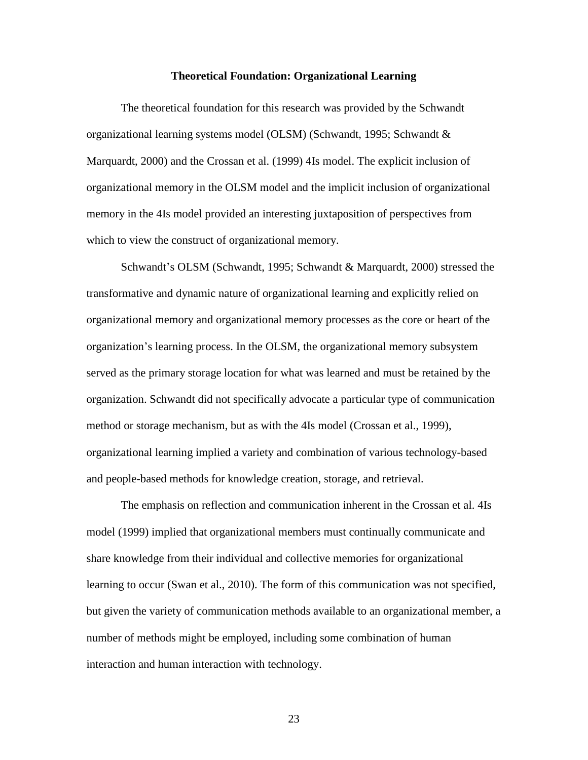#### **Theoretical Foundation: Organizational Learning**

The theoretical foundation for this research was provided by the Schwandt organizational learning systems model (OLSM) (Schwandt, 1995; Schwandt & Marquardt, 2000) and the Crossan et al. (1999) 4Is model. The explicit inclusion of organizational memory in the OLSM model and the implicit inclusion of organizational memory in the 4Is model provided an interesting juxtaposition of perspectives from which to view the construct of organizational memory.

Schwandt's OLSM (Schwandt, 1995; Schwandt & Marquardt, 2000) stressed the transformative and dynamic nature of organizational learning and explicitly relied on organizational memory and organizational memory processes as the core or heart of the organization's learning process. In the OLSM, the organizational memory subsystem served as the primary storage location for what was learned and must be retained by the organization. Schwandt did not specifically advocate a particular type of communication method or storage mechanism, but as with the 4Is model (Crossan et al., 1999), organizational learning implied a variety and combination of various technology-based and people-based methods for knowledge creation, storage, and retrieval.

The emphasis on reflection and communication inherent in the Crossan et al. 4Is model (1999) implied that organizational members must continually communicate and share knowledge from their individual and collective memories for organizational learning to occur (Swan et al., 2010). The form of this communication was not specified, but given the variety of communication methods available to an organizational member, a number of methods might be employed, including some combination of human interaction and human interaction with technology.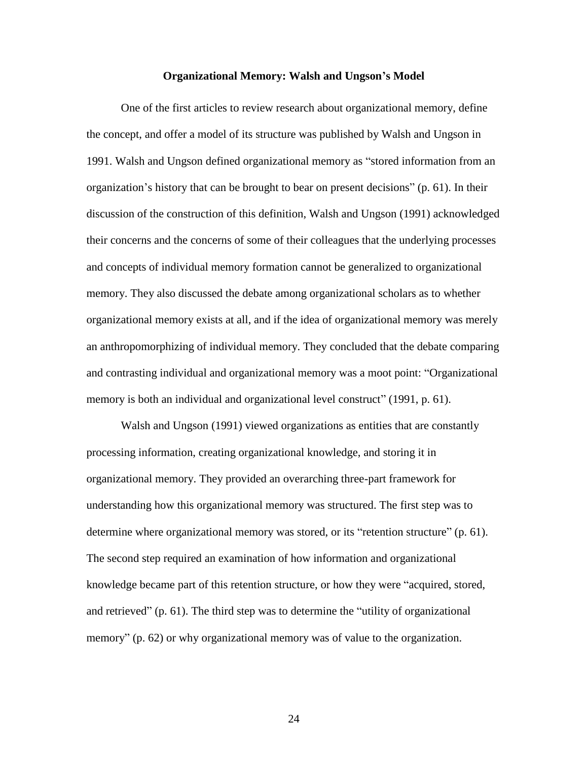#### **Organizational Memory: Walsh and Ungson's Model**

One of the first articles to review research about organizational memory, define the concept, and offer a model of its structure was published by Walsh and Ungson in 1991. Walsh and Ungson defined organizational memory as "stored information from an organization's history that can be brought to bear on present decisions" (p. 61). In their discussion of the construction of this definition, Walsh and Ungson (1991) acknowledged their concerns and the concerns of some of their colleagues that the underlying processes and concepts of individual memory formation cannot be generalized to organizational memory. They also discussed the debate among organizational scholars as to whether organizational memory exists at all, and if the idea of organizational memory was merely an anthropomorphizing of individual memory. They concluded that the debate comparing and contrasting individual and organizational memory was a moot point: "Organizational memory is both an individual and organizational level construct" (1991, p. 61).

Walsh and Ungson (1991) viewed organizations as entities that are constantly processing information, creating organizational knowledge, and storing it in organizational memory. They provided an overarching three-part framework for understanding how this organizational memory was structured. The first step was to determine where organizational memory was stored, or its "retention structure" (p. 61). The second step required an examination of how information and organizational knowledge became part of this retention structure, or how they were "acquired, stored, and retrieved" (p. 61). The third step was to determine the "utility of organizational memory" (p. 62) or why organizational memory was of value to the organization.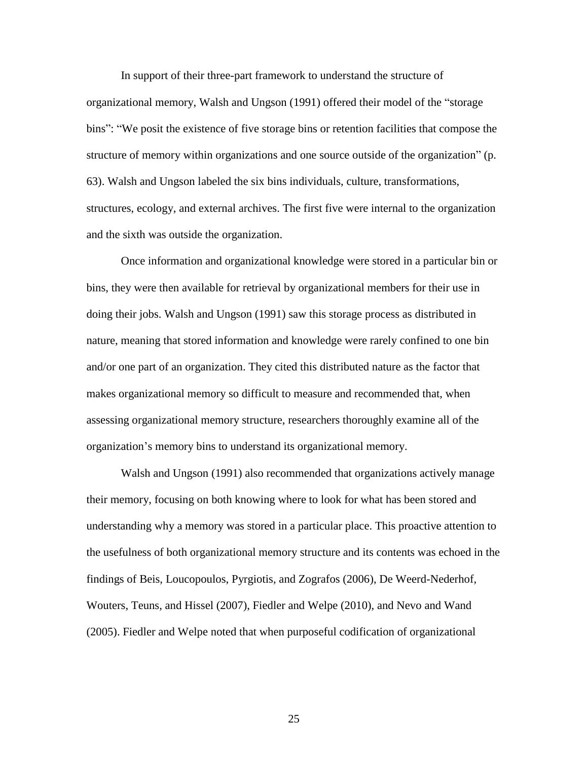In support of their three-part framework to understand the structure of organizational memory, Walsh and Ungson (1991) offered their model of the "storage bins": "We posit the existence of five storage bins or retention facilities that compose the structure of memory within organizations and one source outside of the organization" (p. 63). Walsh and Ungson labeled the six bins individuals, culture, transformations, structures, ecology, and external archives. The first five were internal to the organization and the sixth was outside the organization.

Once information and organizational knowledge were stored in a particular bin or bins, they were then available for retrieval by organizational members for their use in doing their jobs. Walsh and Ungson (1991) saw this storage process as distributed in nature, meaning that stored information and knowledge were rarely confined to one bin and/or one part of an organization. They cited this distributed nature as the factor that makes organizational memory so difficult to measure and recommended that, when assessing organizational memory structure, researchers thoroughly examine all of the organization's memory bins to understand its organizational memory.

Walsh and Ungson (1991) also recommended that organizations actively manage their memory, focusing on both knowing where to look for what has been stored and understanding why a memory was stored in a particular place. This proactive attention to the usefulness of both organizational memory structure and its contents was echoed in the findings of Beis, Loucopoulos, Pyrgiotis, and Zografos (2006), De Weerd-Nederhof, Wouters, Teuns, and Hissel (2007), Fiedler and Welpe (2010), and Nevo and Wand (2005). Fiedler and Welpe noted that when purposeful codification of organizational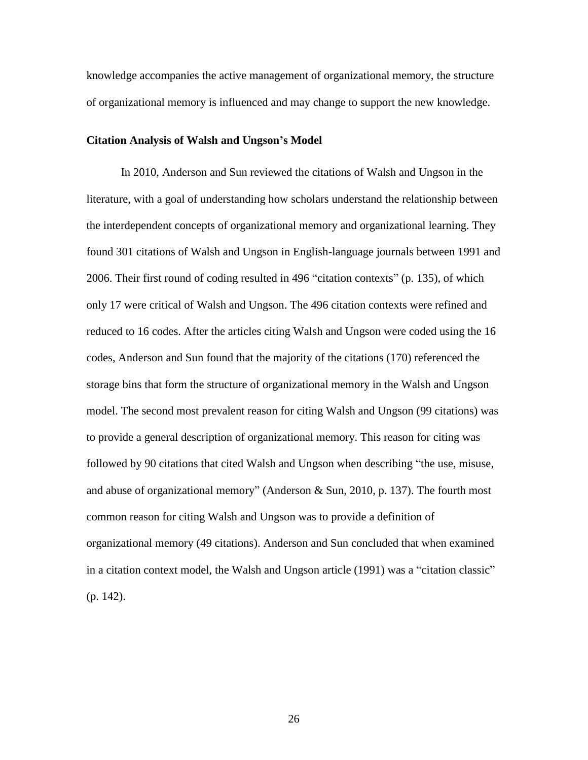knowledge accompanies the active management of organizational memory, the structure of organizational memory is influenced and may change to support the new knowledge.

# **Citation Analysis of Walsh and Ungson's Model**

In 2010, Anderson and Sun reviewed the citations of Walsh and Ungson in the literature, with a goal of understanding how scholars understand the relationship between the interdependent concepts of organizational memory and organizational learning. They found 301 citations of Walsh and Ungson in English-language journals between 1991 and 2006. Their first round of coding resulted in 496 "citation contexts" (p. 135), of which only 17 were critical of Walsh and Ungson. The 496 citation contexts were refined and reduced to 16 codes. After the articles citing Walsh and Ungson were coded using the 16 codes, Anderson and Sun found that the majority of the citations (170) referenced the storage bins that form the structure of organizational memory in the Walsh and Ungson model. The second most prevalent reason for citing Walsh and Ungson (99 citations) was to provide a general description of organizational memory. This reason for citing was followed by 90 citations that cited Walsh and Ungson when describing "the use, misuse, and abuse of organizational memory" (Anderson & Sun, 2010, p. 137). The fourth most common reason for citing Walsh and Ungson was to provide a definition of organizational memory (49 citations). Anderson and Sun concluded that when examined in a citation context model, the Walsh and Ungson article (1991) was a "citation classic" (p. 142).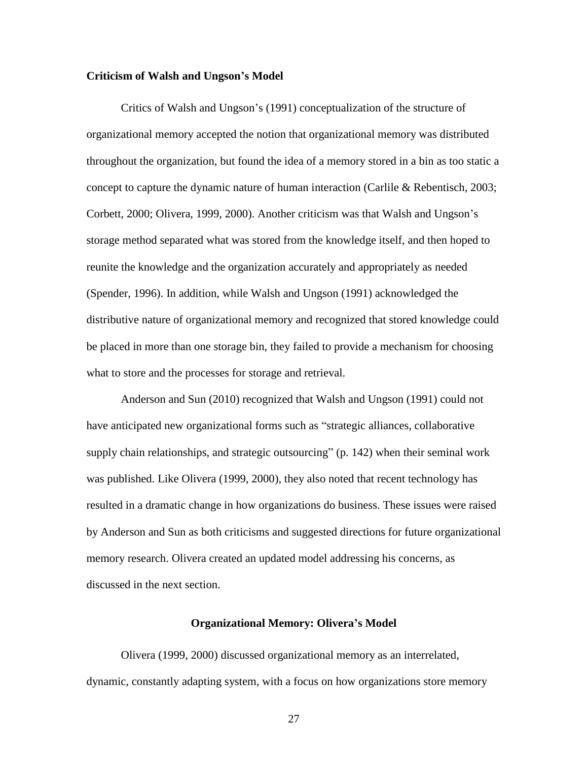#### **Criticism of Walsh and Ungson's Model**

Critics of Walsh and Ungson's (1991) conceptualization of the structure of organizational memory accepted the notion that organizational memory was distributed throughout the organization, but found the idea of a memory stored in a bin as too static a concept to capture the dynamic nature of human interaction (Carlile & Rebentisch, 2003; Corbett, 2000; Olivera, 1999, 2000). Another criticism was that Walsh and Ungson's storage method separated what was stored from the knowledge itself, and then hoped to reunite the knowledge and the organization accurately and appropriately as needed (Spender, 1996). In addition, while Walsh and Ungson (1991) acknowledged the distributive nature of organizational memory and recognized that stored knowledge could be placed in more than one storage bin, they failed to provide a mechanism for choosing what to store and the processes for storage and retrieval.

Anderson and Sun (2010) recognized that Walsh and Ungson (1991) could not have anticipated new organizational forms such as "strategic alliances, collaborative supply chain relationships, and strategic outsourcing" (p. 142) when their seminal work was published. Like Olivera (1999, 2000), they also noted that recent technology has resulted in a dramatic change in how organizations do business. These issues were raised by Anderson and Sun as both criticisms and suggested directions for future organizational memory research. Olivera created an updated model addressing his concerns, as discussed in the next section.

### **Organizational Memory: Olivera's Model**

Olivera (1999, 2000) discussed organizational memory as an interrelated, dynamic, constantly adapting system, with a focus on how organizations store memory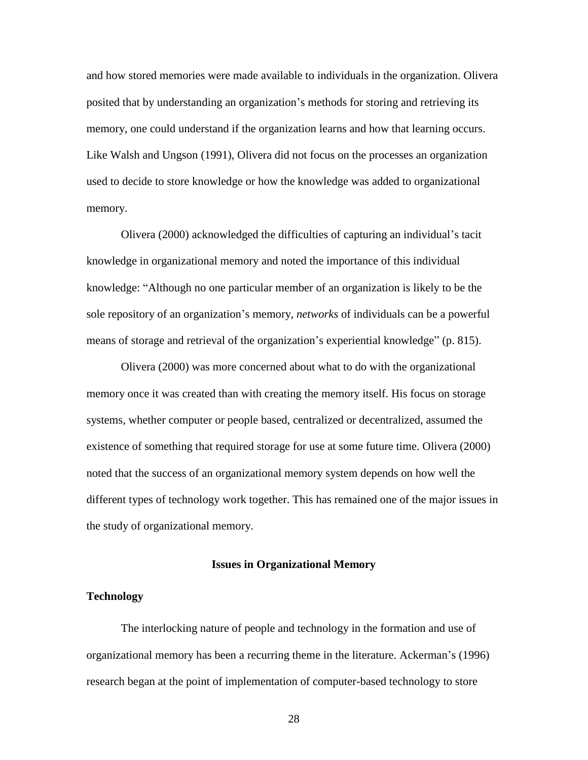and how stored memories were made available to individuals in the organization. Olivera posited that by understanding an organization's methods for storing and retrieving its memory, one could understand if the organization learns and how that learning occurs. Like Walsh and Ungson (1991), Olivera did not focus on the processes an organization used to decide to store knowledge or how the knowledge was added to organizational memory.

Olivera (2000) acknowledged the difficulties of capturing an individual's tacit knowledge in organizational memory and noted the importance of this individual knowledge: "Although no one particular member of an organization is likely to be the sole repository of an organization's memory, *networks* of individuals can be a powerful means of storage and retrieval of the organization's experiential knowledge" (p. 815).

Olivera (2000) was more concerned about what to do with the organizational memory once it was created than with creating the memory itself. His focus on storage systems, whether computer or people based, centralized or decentralized, assumed the existence of something that required storage for use at some future time. Olivera (2000) noted that the success of an organizational memory system depends on how well the different types of technology work together. This has remained one of the major issues in the study of organizational memory.

# **Issues in Organizational Memory**

# **Technology**

The interlocking nature of people and technology in the formation and use of organizational memory has been a recurring theme in the literature. Ackerman's (1996) research began at the point of implementation of computer-based technology to store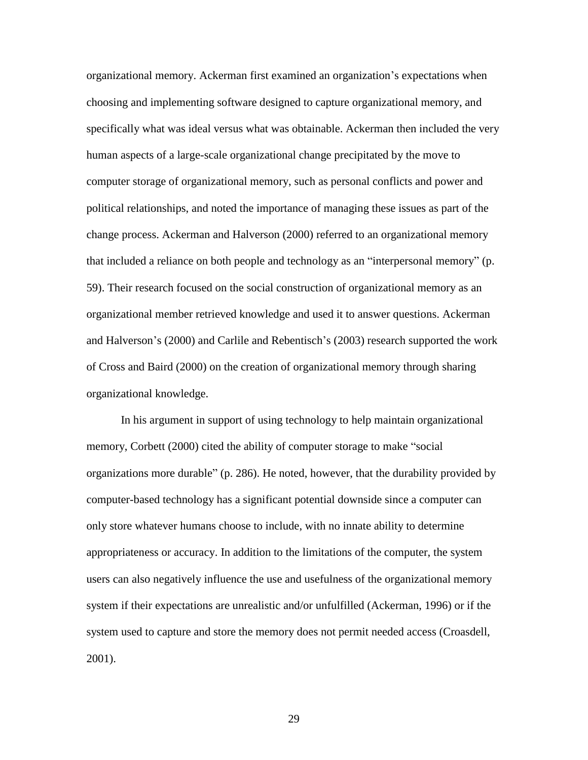organizational memory. Ackerman first examined an organization's expectations when choosing and implementing software designed to capture organizational memory, and specifically what was ideal versus what was obtainable. Ackerman then included the very human aspects of a large-scale organizational change precipitated by the move to computer storage of organizational memory, such as personal conflicts and power and political relationships, and noted the importance of managing these issues as part of the change process. Ackerman and Halverson (2000) referred to an organizational memory that included a reliance on both people and technology as an "interpersonal memory" (p. 59). Their research focused on the social construction of organizational memory as an organizational member retrieved knowledge and used it to answer questions. Ackerman and Halverson's (2000) and Carlile and Rebentisch's (2003) research supported the work of Cross and Baird (2000) on the creation of organizational memory through sharing organizational knowledge.

In his argument in support of using technology to help maintain organizational memory, Corbett (2000) cited the ability of computer storage to make "social organizations more durable" (p. 286). He noted, however, that the durability provided by computer-based technology has a significant potential downside since a computer can only store whatever humans choose to include, with no innate ability to determine appropriateness or accuracy. In addition to the limitations of the computer, the system users can also negatively influence the use and usefulness of the organizational memory system if their expectations are unrealistic and/or unfulfilled (Ackerman, 1996) or if the system used to capture and store the memory does not permit needed access (Croasdell, 2001).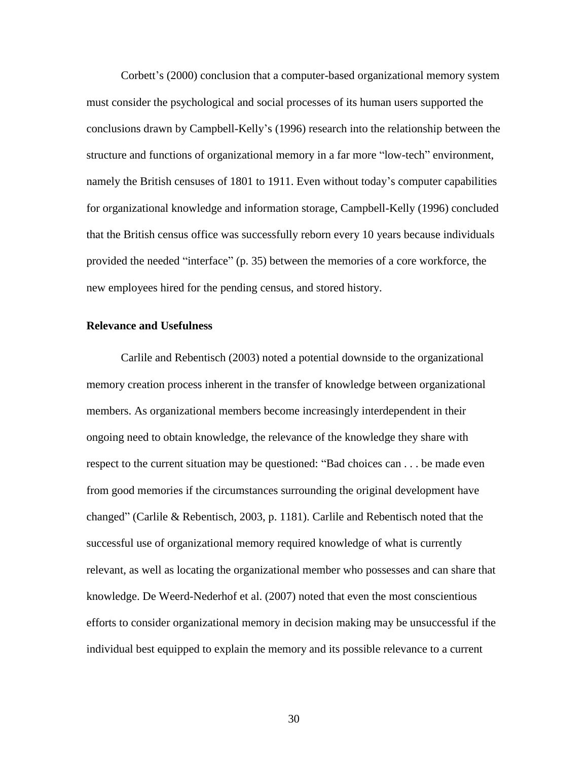Corbett's (2000) conclusion that a computer-based organizational memory system must consider the psychological and social processes of its human users supported the conclusions drawn by Campbell-Kelly's (1996) research into the relationship between the structure and functions of organizational memory in a far more "low-tech" environment, namely the British censuses of 1801 to 1911. Even without today's computer capabilities for organizational knowledge and information storage, Campbell-Kelly (1996) concluded that the British census office was successfully reborn every 10 years because individuals provided the needed "interface" (p. 35) between the memories of a core workforce, the new employees hired for the pending census, and stored history.

#### **Relevance and Usefulness**

Carlile and Rebentisch (2003) noted a potential downside to the organizational memory creation process inherent in the transfer of knowledge between organizational members. As organizational members become increasingly interdependent in their ongoing need to obtain knowledge, the relevance of the knowledge they share with respect to the current situation may be questioned: "Bad choices can . . . be made even from good memories if the circumstances surrounding the original development have changed" (Carlile & Rebentisch, 2003, p. 1181). Carlile and Rebentisch noted that the successful use of organizational memory required knowledge of what is currently relevant, as well as locating the organizational member who possesses and can share that knowledge. De Weerd-Nederhof et al. (2007) noted that even the most conscientious efforts to consider organizational memory in decision making may be unsuccessful if the individual best equipped to explain the memory and its possible relevance to a current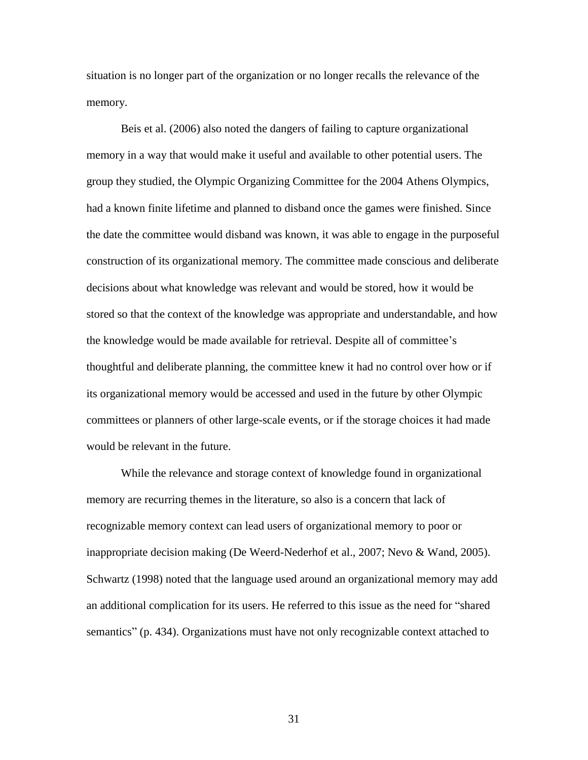situation is no longer part of the organization or no longer recalls the relevance of the memory.

Beis et al. (2006) also noted the dangers of failing to capture organizational memory in a way that would make it useful and available to other potential users. The group they studied, the Olympic Organizing Committee for the 2004 Athens Olympics, had a known finite lifetime and planned to disband once the games were finished. Since the date the committee would disband was known, it was able to engage in the purposeful construction of its organizational memory. The committee made conscious and deliberate decisions about what knowledge was relevant and would be stored, how it would be stored so that the context of the knowledge was appropriate and understandable, and how the knowledge would be made available for retrieval. Despite all of committee's thoughtful and deliberate planning, the committee knew it had no control over how or if its organizational memory would be accessed and used in the future by other Olympic committees or planners of other large-scale events, or if the storage choices it had made would be relevant in the future.

While the relevance and storage context of knowledge found in organizational memory are recurring themes in the literature, so also is a concern that lack of recognizable memory context can lead users of organizational memory to poor or inappropriate decision making (De Weerd-Nederhof et al., 2007; Nevo & Wand, 2005). Schwartz (1998) noted that the language used around an organizational memory may add an additional complication for its users. He referred to this issue as the need for "shared semantics" (p. 434). Organizations must have not only recognizable context attached to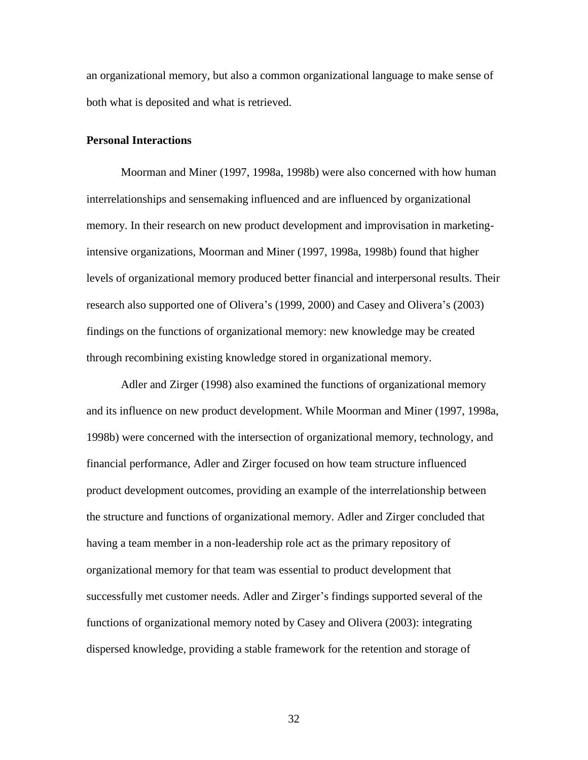an organizational memory, but also a common organizational language to make sense of both what is deposited and what is retrieved.

# **Personal Interactions**

Moorman and Miner (1997, 1998a, 1998b) were also concerned with how human interrelationships and sensemaking influenced and are influenced by organizational memory. In their research on new product development and improvisation in marketingintensive organizations, Moorman and Miner (1997, 1998a, 1998b) found that higher levels of organizational memory produced better financial and interpersonal results. Their research also supported one of Olivera's (1999, 2000) and Casey and Olivera's (2003) findings on the functions of organizational memory: new knowledge may be created through recombining existing knowledge stored in organizational memory.

Adler and Zirger (1998) also examined the functions of organizational memory and its influence on new product development. While Moorman and Miner (1997, 1998a, 1998b) were concerned with the intersection of organizational memory, technology, and financial performance, Adler and Zirger focused on how team structure influenced product development outcomes, providing an example of the interrelationship between the structure and functions of organizational memory. Adler and Zirger concluded that having a team member in a non-leadership role act as the primary repository of organizational memory for that team was essential to product development that successfully met customer needs. Adler and Zirger's findings supported several of the functions of organizational memory noted by Casey and Olivera (2003): integrating dispersed knowledge, providing a stable framework for the retention and storage of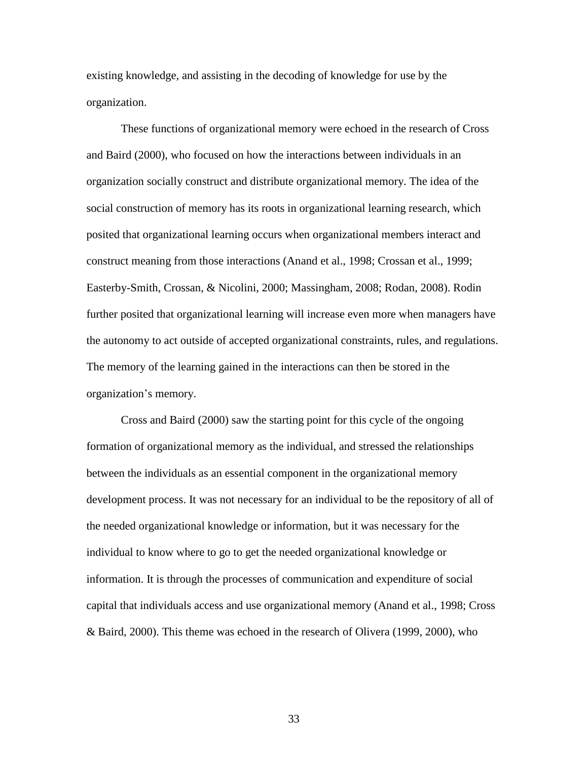existing knowledge, and assisting in the decoding of knowledge for use by the organization.

These functions of organizational memory were echoed in the research of Cross and Baird (2000), who focused on how the interactions between individuals in an organization socially construct and distribute organizational memory. The idea of the social construction of memory has its roots in organizational learning research, which posited that organizational learning occurs when organizational members interact and construct meaning from those interactions (Anand et al., 1998; Crossan et al., 1999; Easterby-Smith, Crossan, & Nicolini, 2000; Massingham, 2008; Rodan, 2008). Rodin further posited that organizational learning will increase even more when managers have the autonomy to act outside of accepted organizational constraints, rules, and regulations. The memory of the learning gained in the interactions can then be stored in the organization's memory.

Cross and Baird (2000) saw the starting point for this cycle of the ongoing formation of organizational memory as the individual, and stressed the relationships between the individuals as an essential component in the organizational memory development process. It was not necessary for an individual to be the repository of all of the needed organizational knowledge or information, but it was necessary for the individual to know where to go to get the needed organizational knowledge or information. It is through the processes of communication and expenditure of social capital that individuals access and use organizational memory (Anand et al., 1998; Cross & Baird, 2000). This theme was echoed in the research of Olivera (1999, 2000), who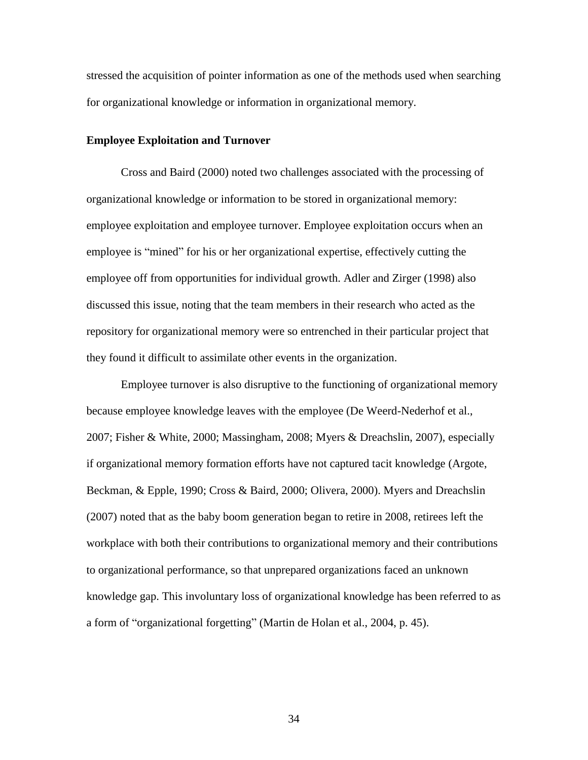stressed the acquisition of pointer information as one of the methods used when searching for organizational knowledge or information in organizational memory.

# **Employee Exploitation and Turnover**

Cross and Baird (2000) noted two challenges associated with the processing of organizational knowledge or information to be stored in organizational memory: employee exploitation and employee turnover. Employee exploitation occurs when an employee is "mined" for his or her organizational expertise, effectively cutting the employee off from opportunities for individual growth. Adler and Zirger (1998) also discussed this issue, noting that the team members in their research who acted as the repository for organizational memory were so entrenched in their particular project that they found it difficult to assimilate other events in the organization.

Employee turnover is also disruptive to the functioning of organizational memory because employee knowledge leaves with the employee (De Weerd-Nederhof et al., 2007; Fisher & White, 2000; Massingham, 2008; Myers & Dreachslin, 2007), especially if organizational memory formation efforts have not captured tacit knowledge (Argote, Beckman, & Epple, 1990; Cross & Baird, 2000; Olivera, 2000). Myers and Dreachslin (2007) noted that as the baby boom generation began to retire in 2008, retirees left the workplace with both their contributions to organizational memory and their contributions to organizational performance, so that unprepared organizations faced an unknown knowledge gap. This involuntary loss of organizational knowledge has been referred to as a form of "organizational forgetting" (Martin de Holan et al., 2004, p. 45).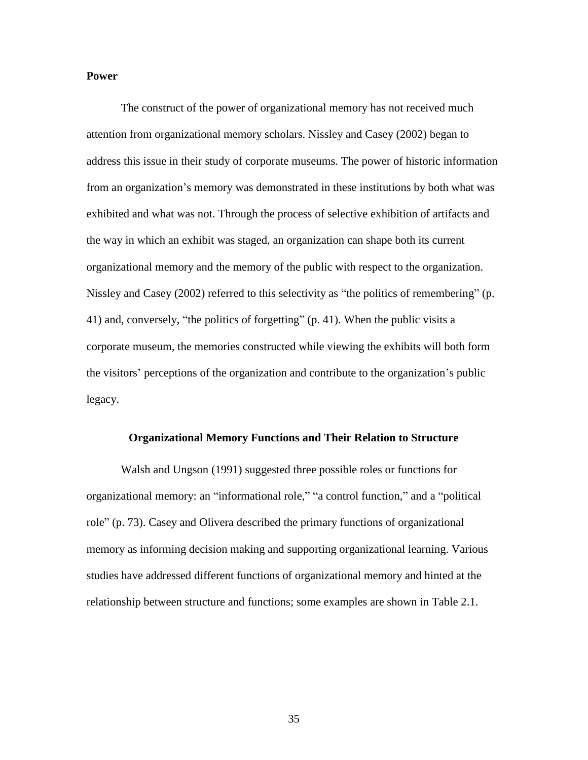# **Power**

The construct of the power of organizational memory has not received much attention from organizational memory scholars. Nissley and Casey (2002) began to address this issue in their study of corporate museums. The power of historic information from an organization's memory was demonstrated in these institutions by both what was exhibited and what was not. Through the process of selective exhibition of artifacts and the way in which an exhibit was staged, an organization can shape both its current organizational memory and the memory of the public with respect to the organization. Nissley and Casey (2002) referred to this selectivity as "the politics of remembering" (p. 41) and, conversely, "the politics of forgetting" (p. 41). When the public visits a corporate museum, the memories constructed while viewing the exhibits will both form the visitors' perceptions of the organization and contribute to the organization's public legacy.

#### **Organizational Memory Functions and Their Relation to Structure**

Walsh and Ungson (1991) suggested three possible roles or functions for organizational memory: an "informational role," "a control function," and a "political role" (p. 73). Casey and Olivera described the primary functions of organizational memory as informing decision making and supporting organizational learning. Various studies have addressed different functions of organizational memory and hinted at the relationship between structure and functions; some examples are shown in Table 2.1.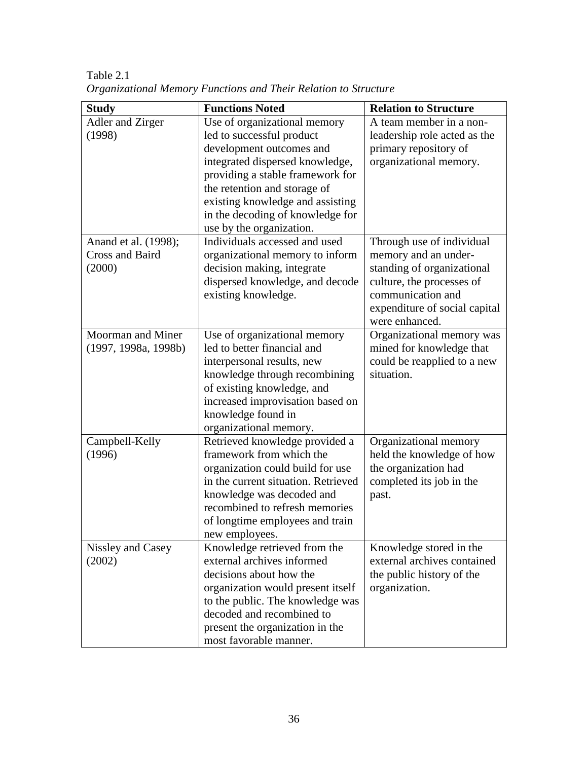| <b>Study</b>           | <b>Functions Noted</b>              | <b>Relation to Structure</b>  |
|------------------------|-------------------------------------|-------------------------------|
| Adler and Zirger       | Use of organizational memory        | A team member in a non-       |
| (1998)                 | led to successful product           | leadership role acted as the  |
|                        | development outcomes and            | primary repository of         |
|                        | integrated dispersed knowledge,     | organizational memory.        |
|                        | providing a stable framework for    |                               |
|                        | the retention and storage of        |                               |
|                        | existing knowledge and assisting    |                               |
|                        | in the decoding of knowledge for    |                               |
|                        | use by the organization.            |                               |
| Anand et al. (1998);   | Individuals accessed and used       | Through use of individual     |
| <b>Cross and Baird</b> | organizational memory to inform     | memory and an under-          |
| (2000)                 | decision making, integrate          | standing of organizational    |
|                        | dispersed knowledge, and decode     | culture, the processes of     |
|                        | existing knowledge.                 | communication and             |
|                        |                                     | expenditure of social capital |
|                        |                                     | were enhanced.                |
| Moorman and Miner      | Use of organizational memory        | Organizational memory was     |
| (1997, 1998a, 1998b)   | led to better financial and         | mined for knowledge that      |
|                        | interpersonal results, new          | could be reapplied to a new   |
|                        | knowledge through recombining       | situation.                    |
|                        | of existing knowledge, and          |                               |
|                        | increased improvisation based on    |                               |
|                        | knowledge found in                  |                               |
|                        | organizational memory.              |                               |
| Campbell-Kelly         | Retrieved knowledge provided a      | Organizational memory         |
| (1996)                 | framework from which the            | held the knowledge of how     |
|                        | organization could build for use    | the organization had          |
|                        | in the current situation. Retrieved | completed its job in the      |
|                        | knowledge was decoded and           | past.                         |
|                        | recombined to refresh memories      |                               |
|                        | of longtime employees and train     |                               |
|                        | new employees.                      |                               |
| Nissley and Casey      | Knowledge retrieved from the        | Knowledge stored in the       |
| (2002)                 | external archives informed          | external archives contained   |
|                        | decisions about how the             | the public history of the     |
|                        | organization would present itself   | organization.                 |
|                        | to the public. The knowledge was    |                               |
|                        | decoded and recombined to           |                               |
|                        | present the organization in the     |                               |
|                        | most favorable manner.              |                               |

Table 2.1 *Organizational Memory Functions and Their Relation to Structure*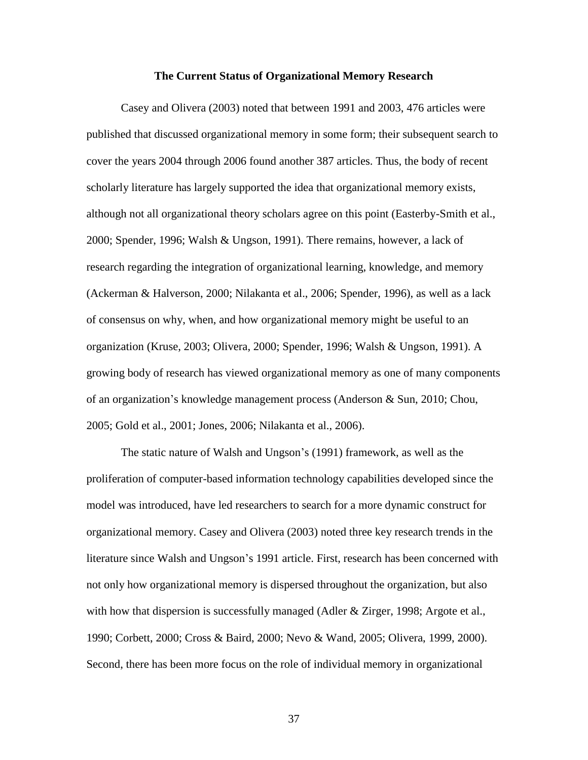#### **The Current Status of Organizational Memory Research**

Casey and Olivera (2003) noted that between 1991 and 2003, 476 articles were published that discussed organizational memory in some form; their subsequent search to cover the years 2004 through 2006 found another 387 articles. Thus, the body of recent scholarly literature has largely supported the idea that organizational memory exists, although not all organizational theory scholars agree on this point (Easterby-Smith et al., 2000; Spender, 1996; Walsh & Ungson, 1991). There remains, however, a lack of research regarding the integration of organizational learning, knowledge, and memory (Ackerman & Halverson, 2000; Nilakanta et al., 2006; Spender, 1996), as well as a lack of consensus on why, when, and how organizational memory might be useful to an organization (Kruse, 2003; Olivera, 2000; Spender, 1996; Walsh & Ungson, 1991). A growing body of research has viewed organizational memory as one of many components of an organization's knowledge management process (Anderson & Sun, 2010; Chou, 2005; Gold et al., 2001; Jones, 2006; Nilakanta et al., 2006).

The static nature of Walsh and Ungson's (1991) framework, as well as the proliferation of computer-based information technology capabilities developed since the model was introduced, have led researchers to search for a more dynamic construct for organizational memory. Casey and Olivera (2003) noted three key research trends in the literature since Walsh and Ungson's 1991 article. First, research has been concerned with not only how organizational memory is dispersed throughout the organization, but also with how that dispersion is successfully managed (Adler & Zirger, 1998; Argote et al., 1990; Corbett, 2000; Cross & Baird, 2000; Nevo & Wand, 2005; Olivera, 1999, 2000). Second, there has been more focus on the role of individual memory in organizational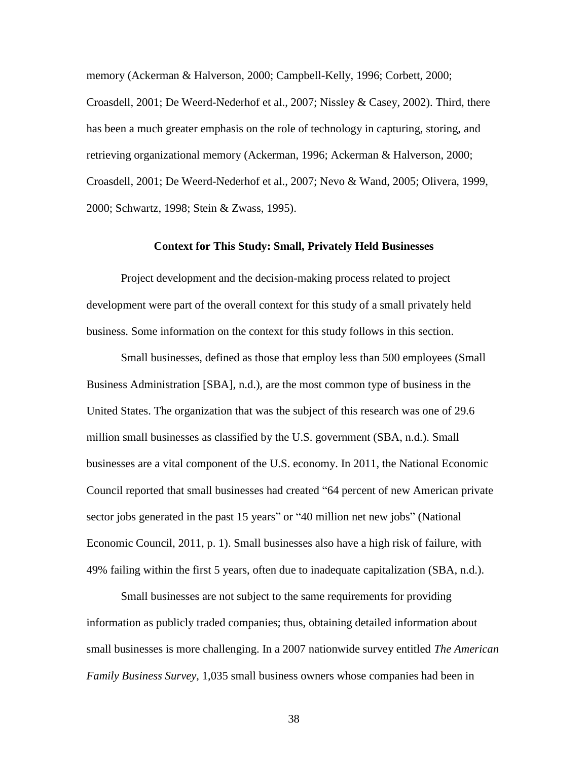memory (Ackerman & Halverson, 2000; Campbell-Kelly, 1996; Corbett, 2000; Croasdell, 2001; De Weerd-Nederhof et al., 2007; Nissley & Casey, 2002). Third, there has been a much greater emphasis on the role of technology in capturing, storing, and retrieving organizational memory (Ackerman, 1996; Ackerman & Halverson, 2000; Croasdell, 2001; De Weerd-Nederhof et al., 2007; Nevo & Wand, 2005; Olivera, 1999, 2000; Schwartz, 1998; Stein & Zwass, 1995).

### **Context for This Study: Small, Privately Held Businesses**

Project development and the decision-making process related to project development were part of the overall context for this study of a small privately held business. Some information on the context for this study follows in this section.

Small businesses, defined as those that employ less than 500 employees (Small Business Administration [SBA], n.d.), are the most common type of business in the United States. The organization that was the subject of this research was one of 29.6 million small businesses as classified by the U.S. government (SBA, n.d.). Small businesses are a vital component of the U.S. economy. In 2011, the National Economic Council reported that small businesses had created "64 percent of new American private sector jobs generated in the past 15 years" or "40 million net new jobs" (National Economic Council, 2011, p. 1). Small businesses also have a high risk of failure, with 49% failing within the first 5 years, often due to inadequate capitalization (SBA, n.d.).

Small businesses are not subject to the same requirements for providing information as publicly traded companies; thus, obtaining detailed information about small businesses is more challenging. In a 2007 nationwide survey entitled *The American Family Business Survey*, 1,035 small business owners whose companies had been in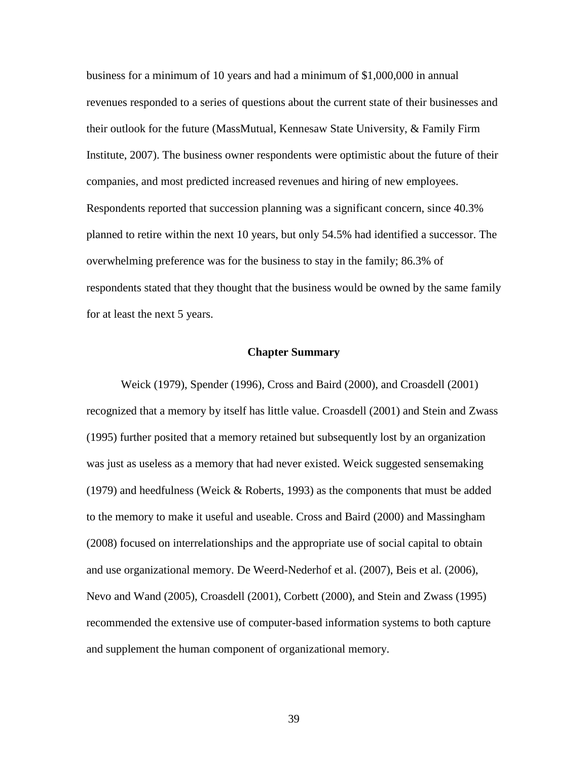business for a minimum of 10 years and had a minimum of \$1,000,000 in annual revenues responded to a series of questions about the current state of their businesses and their outlook for the future (MassMutual, Kennesaw State University, & Family Firm Institute, 2007). The business owner respondents were optimistic about the future of their companies, and most predicted increased revenues and hiring of new employees. Respondents reported that succession planning was a significant concern, since 40.3% planned to retire within the next 10 years, but only 54.5% had identified a successor. The overwhelming preference was for the business to stay in the family; 86.3% of respondents stated that they thought that the business would be owned by the same family for at least the next 5 years.

#### **Chapter Summary**

Weick (1979), Spender (1996), Cross and Baird (2000), and Croasdell (2001) recognized that a memory by itself has little value. Croasdell (2001) and Stein and Zwass (1995) further posited that a memory retained but subsequently lost by an organization was just as useless as a memory that had never existed. Weick suggested sensemaking (1979) and heedfulness (Weick & Roberts, 1993) as the components that must be added to the memory to make it useful and useable. Cross and Baird (2000) and Massingham (2008) focused on interrelationships and the appropriate use of social capital to obtain and use organizational memory. De Weerd-Nederhof et al. (2007), Beis et al. (2006), Nevo and Wand (2005), Croasdell (2001), Corbett (2000), and Stein and Zwass (1995) recommended the extensive use of computer-based information systems to both capture and supplement the human component of organizational memory.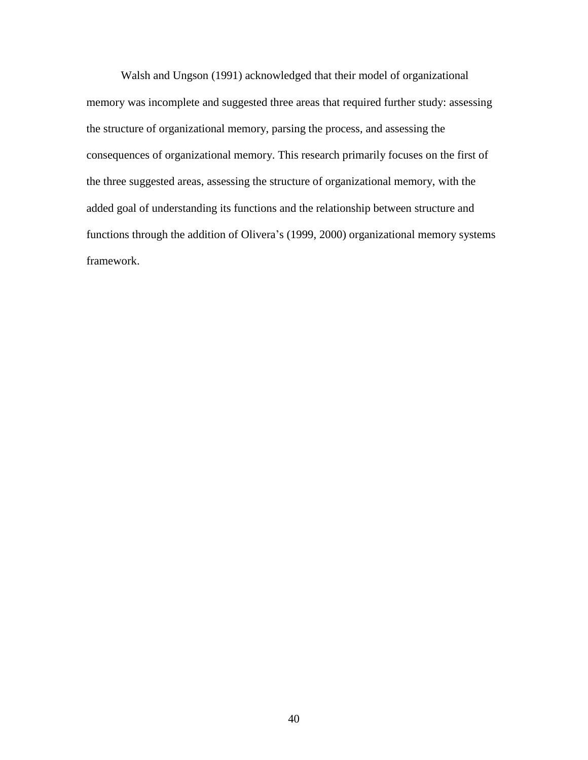Walsh and Ungson (1991) acknowledged that their model of organizational memory was incomplete and suggested three areas that required further study: assessing the structure of organizational memory, parsing the process, and assessing the consequences of organizational memory. This research primarily focuses on the first of the three suggested areas, assessing the structure of organizational memory, with the added goal of understanding its functions and the relationship between structure and functions through the addition of Olivera's (1999, 2000) organizational memory systems framework.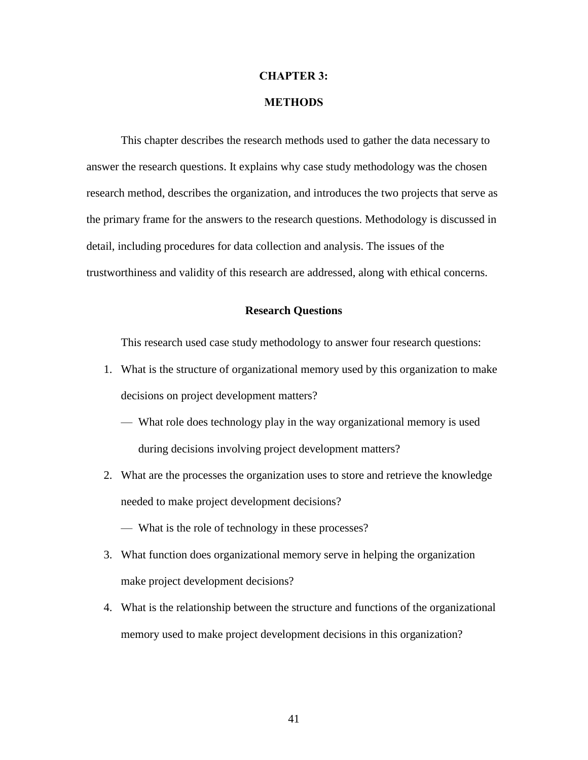### **CHAPTER 3:**

# **METHODS**

This chapter describes the research methods used to gather the data necessary to answer the research questions. It explains why case study methodology was the chosen research method, describes the organization, and introduces the two projects that serve as the primary frame for the answers to the research questions. Methodology is discussed in detail, including procedures for data collection and analysis. The issues of the trustworthiness and validity of this research are addressed, along with ethical concerns.

# **Research Questions**

This research used case study methodology to answer four research questions:

- 1. What is the structure of organizational memory used by this organization to make decisions on project development matters?
	- What role does technology play in the way organizational memory is used during decisions involving project development matters?
- 2. What are the processes the organization uses to store and retrieve the knowledge needed to make project development decisions?
	- What is the role of technology in these processes?
- 3. What function does organizational memory serve in helping the organization make project development decisions?
- 4. What is the relationship between the structure and functions of the organizational memory used to make project development decisions in this organization?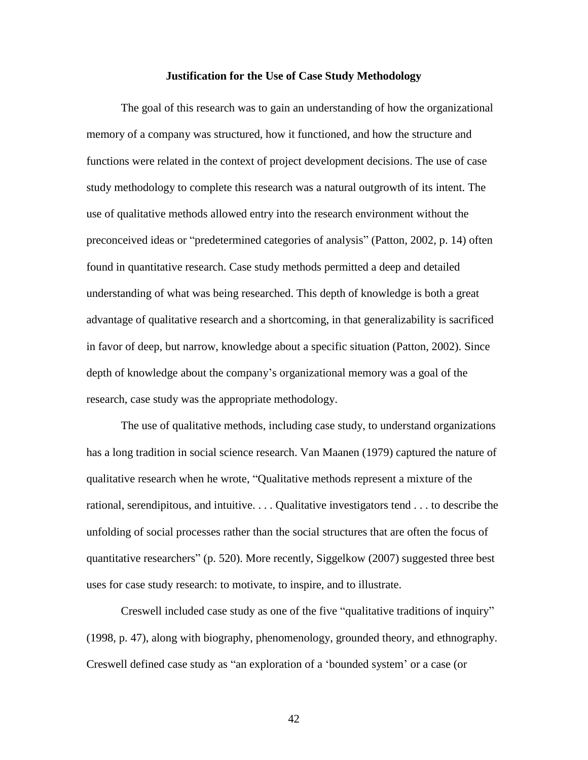#### **Justification for the Use of Case Study Methodology**

The goal of this research was to gain an understanding of how the organizational memory of a company was structured, how it functioned, and how the structure and functions were related in the context of project development decisions. The use of case study methodology to complete this research was a natural outgrowth of its intent. The use of qualitative methods allowed entry into the research environment without the preconceived ideas or "predetermined categories of analysis" (Patton, 2002, p. 14) often found in quantitative research. Case study methods permitted a deep and detailed understanding of what was being researched. This depth of knowledge is both a great advantage of qualitative research and a shortcoming, in that generalizability is sacrificed in favor of deep, but narrow, knowledge about a specific situation (Patton, 2002). Since depth of knowledge about the company's organizational memory was a goal of the research, case study was the appropriate methodology.

The use of qualitative methods, including case study, to understand organizations has a long tradition in social science research. Van Maanen (1979) captured the nature of qualitative research when he wrote, "Qualitative methods represent a mixture of the rational, serendipitous, and intuitive. . . . Qualitative investigators tend . . . to describe the unfolding of social processes rather than the social structures that are often the focus of quantitative researchers" (p. 520). More recently, Siggelkow (2007) suggested three best uses for case study research: to motivate, to inspire, and to illustrate.

Creswell included case study as one of the five "qualitative traditions of inquiry" (1998, p. 47), along with biography, phenomenology, grounded theory, and ethnography. Creswell defined case study as "an exploration of a 'bounded system' or a case (or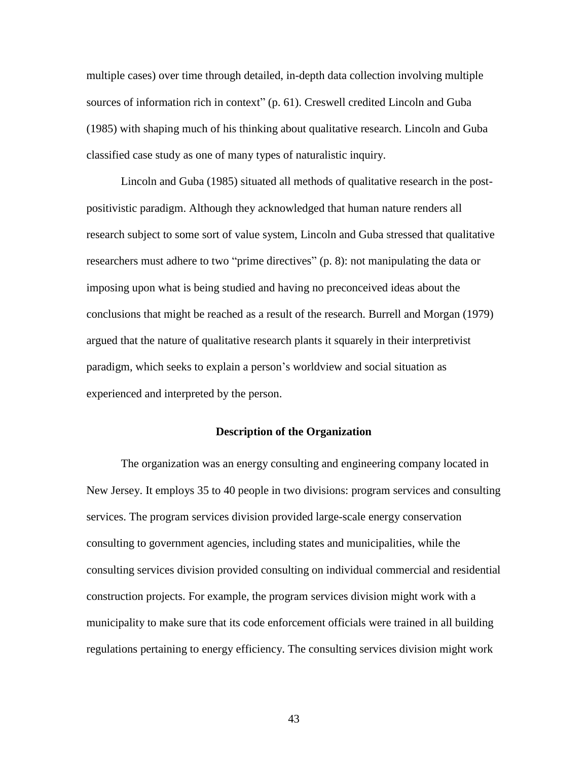multiple cases) over time through detailed, in-depth data collection involving multiple sources of information rich in context" (p. 61). Creswell credited Lincoln and Guba (1985) with shaping much of his thinking about qualitative research. Lincoln and Guba classified case study as one of many types of naturalistic inquiry.

Lincoln and Guba (1985) situated all methods of qualitative research in the postpositivistic paradigm. Although they acknowledged that human nature renders all research subject to some sort of value system, Lincoln and Guba stressed that qualitative researchers must adhere to two "prime directives" (p. 8): not manipulating the data or imposing upon what is being studied and having no preconceived ideas about the conclusions that might be reached as a result of the research. Burrell and Morgan (1979) argued that the nature of qualitative research plants it squarely in their interpretivist paradigm, which seeks to explain a person's worldview and social situation as experienced and interpreted by the person.

# **Description of the Organization**

The organization was an energy consulting and engineering company located in New Jersey. It employs 35 to 40 people in two divisions: program services and consulting services. The program services division provided large-scale energy conservation consulting to government agencies, including states and municipalities, while the consulting services division provided consulting on individual commercial and residential construction projects. For example, the program services division might work with a municipality to make sure that its code enforcement officials were trained in all building regulations pertaining to energy efficiency. The consulting services division might work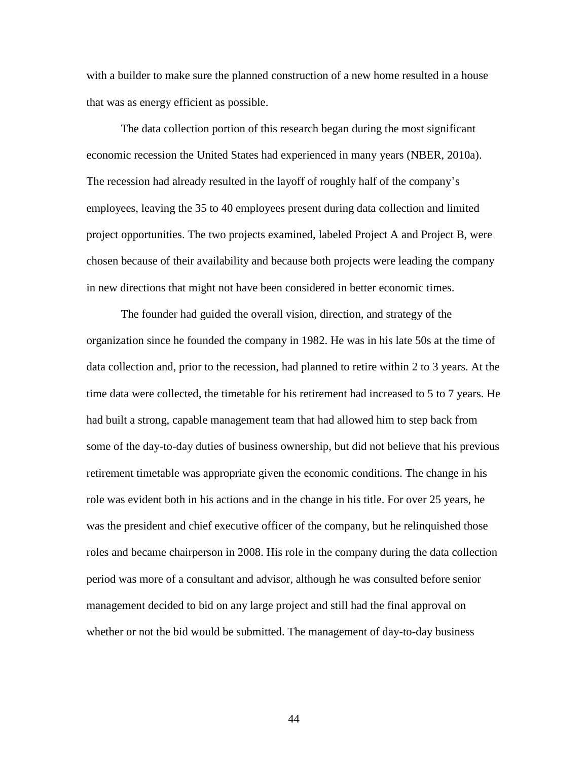with a builder to make sure the planned construction of a new home resulted in a house that was as energy efficient as possible.

The data collection portion of this research began during the most significant economic recession the United States had experienced in many years (NBER, 2010a). The recession had already resulted in the layoff of roughly half of the company's employees, leaving the 35 to 40 employees present during data collection and limited project opportunities. The two projects examined, labeled Project A and Project B, were chosen because of their availability and because both projects were leading the company in new directions that might not have been considered in better economic times.

The founder had guided the overall vision, direction, and strategy of the organization since he founded the company in 1982. He was in his late 50s at the time of data collection and, prior to the recession, had planned to retire within 2 to 3 years. At the time data were collected, the timetable for his retirement had increased to 5 to 7 years. He had built a strong, capable management team that had allowed him to step back from some of the day-to-day duties of business ownership, but did not believe that his previous retirement timetable was appropriate given the economic conditions. The change in his role was evident both in his actions and in the change in his title. For over 25 years, he was the president and chief executive officer of the company, but he relinquished those roles and became chairperson in 2008. His role in the company during the data collection period was more of a consultant and advisor, although he was consulted before senior management decided to bid on any large project and still had the final approval on whether or not the bid would be submitted. The management of day-to-day business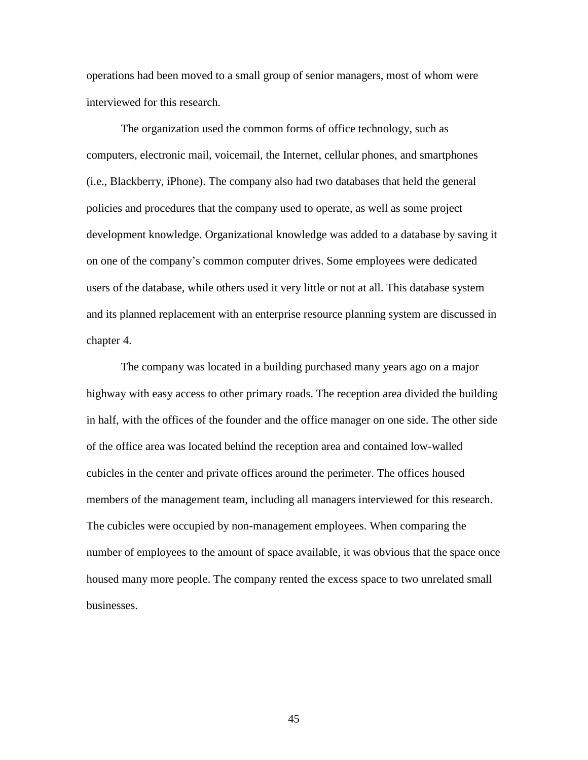operations had been moved to a small group of senior managers, most of whom were interviewed for this research.

The organization used the common forms of office technology, such as computers, electronic mail, voicemail, the Internet, cellular phones, and smartphones (i.e., Blackberry, iPhone). The company also had two databases that held the general policies and procedures that the company used to operate, as well as some project development knowledge. Organizational knowledge was added to a database by saving it on one of the company's common computer drives. Some employees were dedicated users of the database, while others used it very little or not at all. This database system and its planned replacement with an enterprise resource planning system are discussed in chapter 4.

The company was located in a building purchased many years ago on a major highway with easy access to other primary roads. The reception area divided the building in half, with the offices of the founder and the office manager on one side. The other side of the office area was located behind the reception area and contained low-walled cubicles in the center and private offices around the perimeter. The offices housed members of the management team, including all managers interviewed for this research. The cubicles were occupied by non-management employees. When comparing the number of employees to the amount of space available, it was obvious that the space once housed many more people. The company rented the excess space to two unrelated small businesses.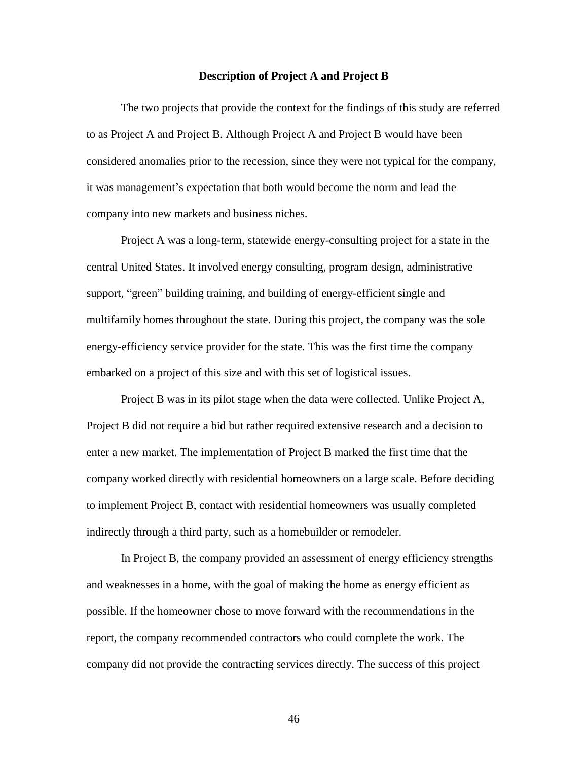#### **Description of Project A and Project B**

The two projects that provide the context for the findings of this study are referred to as Project A and Project B. Although Project A and Project B would have been considered anomalies prior to the recession, since they were not typical for the company, it was management's expectation that both would become the norm and lead the company into new markets and business niches.

Project A was a long-term, statewide energy-consulting project for a state in the central United States. It involved energy consulting, program design, administrative support, "green" building training, and building of energy-efficient single and multifamily homes throughout the state. During this project, the company was the sole energy-efficiency service provider for the state. This was the first time the company embarked on a project of this size and with this set of logistical issues.

Project B was in its pilot stage when the data were collected. Unlike Project A, Project B did not require a bid but rather required extensive research and a decision to enter a new market. The implementation of Project B marked the first time that the company worked directly with residential homeowners on a large scale. Before deciding to implement Project B, contact with residential homeowners was usually completed indirectly through a third party, such as a homebuilder or remodeler.

In Project B, the company provided an assessment of energy efficiency strengths and weaknesses in a home, with the goal of making the home as energy efficient as possible. If the homeowner chose to move forward with the recommendations in the report, the company recommended contractors who could complete the work. The company did not provide the contracting services directly. The success of this project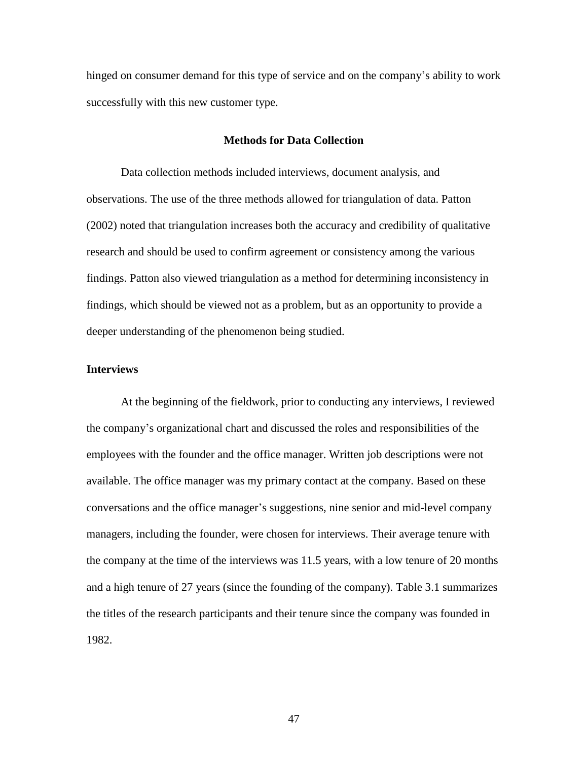hinged on consumer demand for this type of service and on the company's ability to work successfully with this new customer type.

### **Methods for Data Collection**

Data collection methods included interviews, document analysis, and observations. The use of the three methods allowed for triangulation of data. Patton (2002) noted that triangulation increases both the accuracy and credibility of qualitative research and should be used to confirm agreement or consistency among the various findings. Patton also viewed triangulation as a method for determining inconsistency in findings, which should be viewed not as a problem, but as an opportunity to provide a deeper understanding of the phenomenon being studied.

# **Interviews**

At the beginning of the fieldwork, prior to conducting any interviews, I reviewed the company's organizational chart and discussed the roles and responsibilities of the employees with the founder and the office manager. Written job descriptions were not available. The office manager was my primary contact at the company. Based on these conversations and the office manager's suggestions, nine senior and mid-level company managers, including the founder, were chosen for interviews. Their average tenure with the company at the time of the interviews was 11.5 years, with a low tenure of 20 months and a high tenure of 27 years (since the founding of the company). Table 3.1 summarizes the titles of the research participants and their tenure since the company was founded in 1982.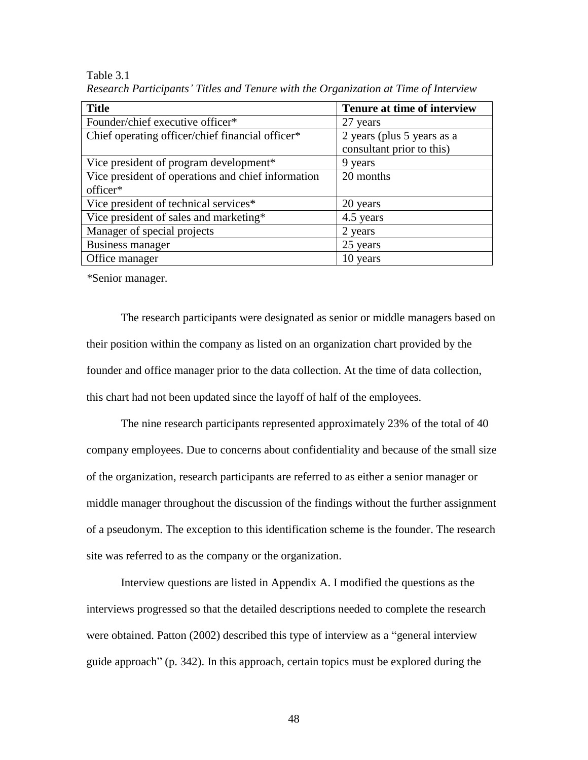| <b>Title</b>                                       | Tenure at time of interview |
|----------------------------------------------------|-----------------------------|
| Founder/chief executive officer*                   | 27 years                    |
| Chief operating officer/chief financial officer*   | 2 years (plus 5 years as a  |
|                                                    | consultant prior to this)   |
| Vice president of program development*             | 9 years                     |
| Vice president of operations and chief information | 20 months                   |
| officer*                                           |                             |
| Vice president of technical services*              | 20 years                    |
| Vice president of sales and marketing*             | 4.5 years                   |
| Manager of special projects                        | 2 years                     |
| Business manager                                   | 25 years                    |
| Office manager                                     | 10 years                    |

Table 3.1 *Research Participants' Titles and Tenure with the Organization at Time of Interview*

*\**Senior manager.

The research participants were designated as senior or middle managers based on their position within the company as listed on an organization chart provided by the founder and office manager prior to the data collection. At the time of data collection, this chart had not been updated since the layoff of half of the employees.

The nine research participants represented approximately 23% of the total of 40 company employees. Due to concerns about confidentiality and because of the small size of the organization, research participants are referred to as either a senior manager or middle manager throughout the discussion of the findings without the further assignment of a pseudonym. The exception to this identification scheme is the founder. The research site was referred to as the company or the organization.

Interview questions are listed in Appendix A. I modified the questions as the interviews progressed so that the detailed descriptions needed to complete the research were obtained. Patton (2002) described this type of interview as a "general interview guide approach" (p. 342). In this approach, certain topics must be explored during the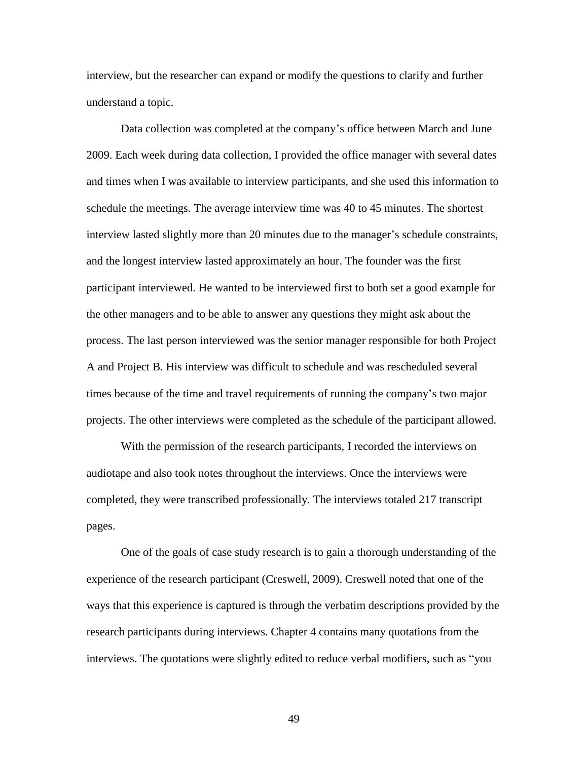interview, but the researcher can expand or modify the questions to clarify and further understand a topic.

Data collection was completed at the company's office between March and June 2009. Each week during data collection, I provided the office manager with several dates and times when I was available to interview participants, and she used this information to schedule the meetings. The average interview time was 40 to 45 minutes. The shortest interview lasted slightly more than 20 minutes due to the manager's schedule constraints, and the longest interview lasted approximately an hour. The founder was the first participant interviewed. He wanted to be interviewed first to both set a good example for the other managers and to be able to answer any questions they might ask about the process. The last person interviewed was the senior manager responsible for both Project A and Project B. His interview was difficult to schedule and was rescheduled several times because of the time and travel requirements of running the company's two major projects. The other interviews were completed as the schedule of the participant allowed.

With the permission of the research participants, I recorded the interviews on audiotape and also took notes throughout the interviews. Once the interviews were completed, they were transcribed professionally. The interviews totaled 217 transcript pages.

One of the goals of case study research is to gain a thorough understanding of the experience of the research participant (Creswell, 2009). Creswell noted that one of the ways that this experience is captured is through the verbatim descriptions provided by the research participants during interviews. Chapter 4 contains many quotations from the interviews. The quotations were slightly edited to reduce verbal modifiers, such as "you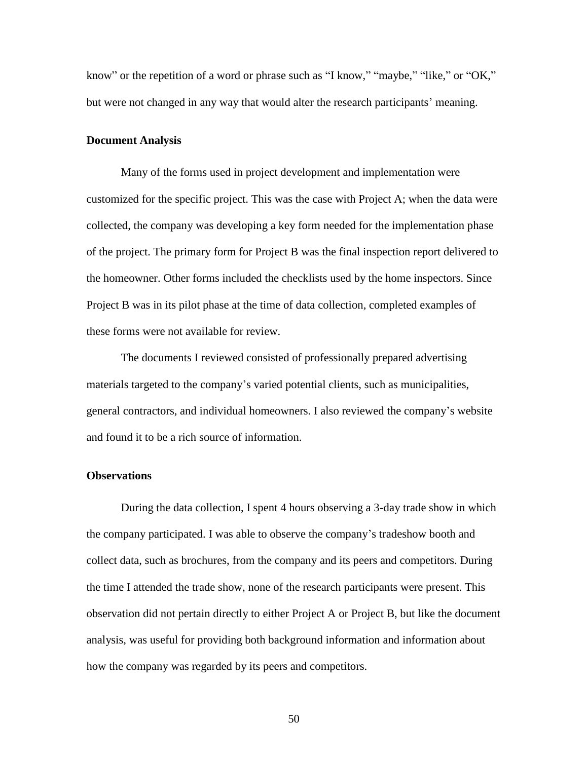know" or the repetition of a word or phrase such as "I know," "maybe," "like," or "OK," but were not changed in any way that would alter the research participants' meaning.

# **Document Analysis**

Many of the forms used in project development and implementation were customized for the specific project. This was the case with Project A; when the data were collected, the company was developing a key form needed for the implementation phase of the project. The primary form for Project B was the final inspection report delivered to the homeowner. Other forms included the checklists used by the home inspectors. Since Project B was in its pilot phase at the time of data collection, completed examples of these forms were not available for review.

The documents I reviewed consisted of professionally prepared advertising materials targeted to the company's varied potential clients, such as municipalities, general contractors, and individual homeowners. I also reviewed the company's website and found it to be a rich source of information.

# **Observations**

During the data collection, I spent 4 hours observing a 3-day trade show in which the company participated. I was able to observe the company's tradeshow booth and collect data, such as brochures, from the company and its peers and competitors. During the time I attended the trade show, none of the research participants were present. This observation did not pertain directly to either Project A or Project B, but like the document analysis, was useful for providing both background information and information about how the company was regarded by its peers and competitors.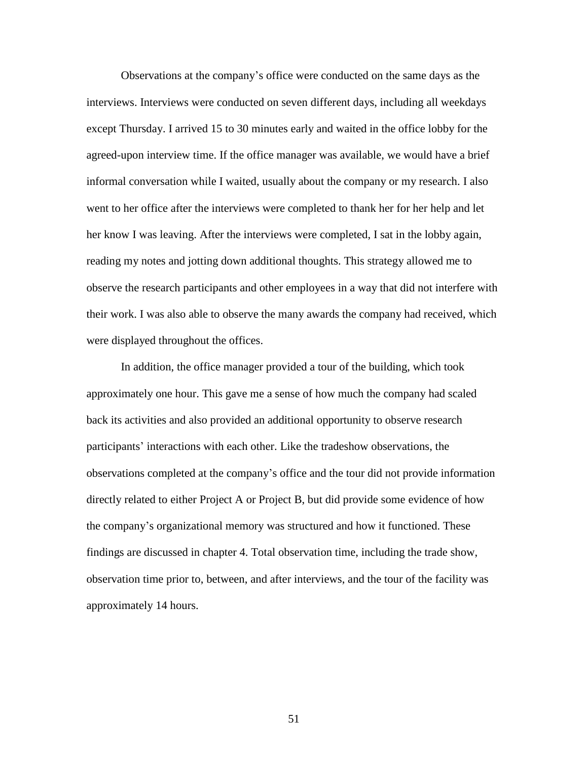Observations at the company's office were conducted on the same days as the interviews. Interviews were conducted on seven different days, including all weekdays except Thursday. I arrived 15 to 30 minutes early and waited in the office lobby for the agreed-upon interview time. If the office manager was available, we would have a brief informal conversation while I waited, usually about the company or my research. I also went to her office after the interviews were completed to thank her for her help and let her know I was leaving. After the interviews were completed, I sat in the lobby again, reading my notes and jotting down additional thoughts. This strategy allowed me to observe the research participants and other employees in a way that did not interfere with their work. I was also able to observe the many awards the company had received, which were displayed throughout the offices.

In addition, the office manager provided a tour of the building, which took approximately one hour. This gave me a sense of how much the company had scaled back its activities and also provided an additional opportunity to observe research participants' interactions with each other. Like the tradeshow observations, the observations completed at the company's office and the tour did not provide information directly related to either Project A or Project B, but did provide some evidence of how the company's organizational memory was structured and how it functioned. These findings are discussed in chapter 4. Total observation time, including the trade show, observation time prior to, between, and after interviews, and the tour of the facility was approximately 14 hours.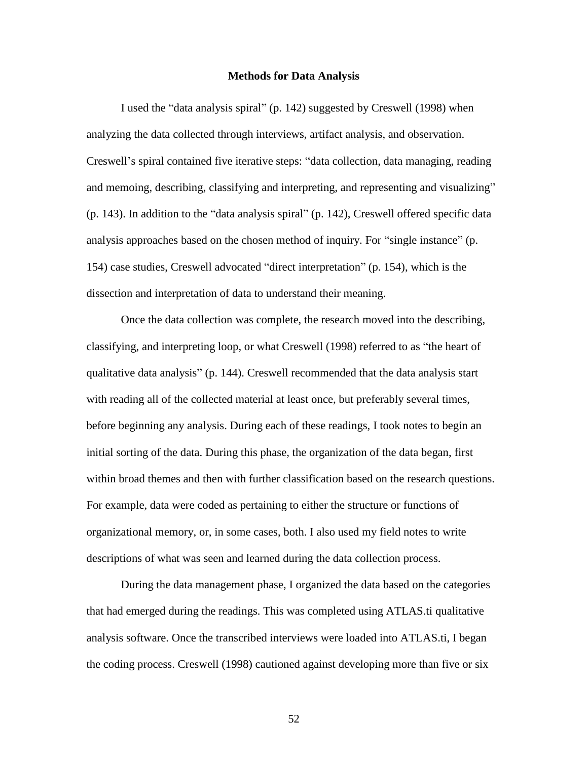#### **Methods for Data Analysis**

I used the "data analysis spiral" (p. 142) suggested by Creswell (1998) when analyzing the data collected through interviews, artifact analysis, and observation. Creswell's spiral contained five iterative steps: "data collection, data managing, reading and memoing, describing, classifying and interpreting, and representing and visualizing" (p. 143). In addition to the "data analysis spiral" (p. 142), Creswell offered specific data analysis approaches based on the chosen method of inquiry. For "single instance" (p. 154) case studies, Creswell advocated "direct interpretation" (p. 154), which is the dissection and interpretation of data to understand their meaning.

Once the data collection was complete, the research moved into the describing, classifying, and interpreting loop, or what Creswell (1998) referred to as "the heart of qualitative data analysis" (p. 144). Creswell recommended that the data analysis start with reading all of the collected material at least once, but preferably several times, before beginning any analysis. During each of these readings, I took notes to begin an initial sorting of the data. During this phase, the organization of the data began, first within broad themes and then with further classification based on the research questions. For example, data were coded as pertaining to either the structure or functions of organizational memory, or, in some cases, both. I also used my field notes to write descriptions of what was seen and learned during the data collection process.

During the data management phase, I organized the data based on the categories that had emerged during the readings. This was completed using ATLAS.ti qualitative analysis software. Once the transcribed interviews were loaded into ATLAS.ti, I began the coding process. Creswell (1998) cautioned against developing more than five or six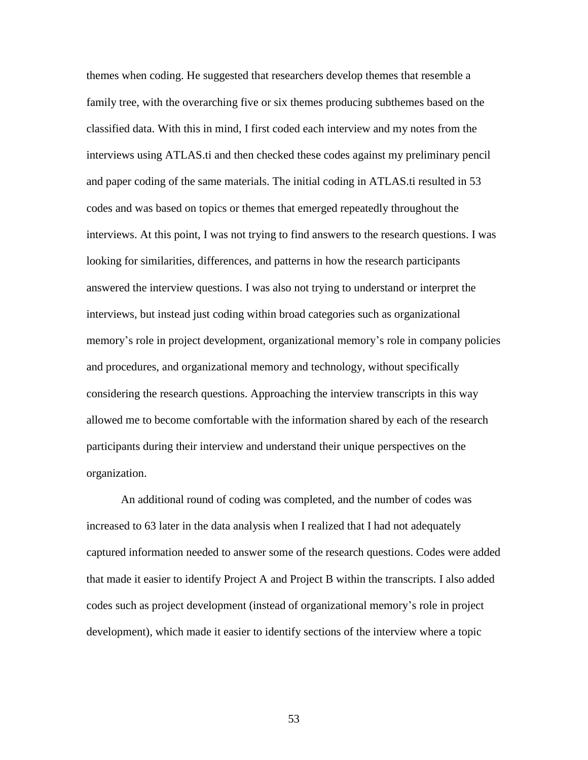themes when coding. He suggested that researchers develop themes that resemble a family tree, with the overarching five or six themes producing subthemes based on the classified data. With this in mind, I first coded each interview and my notes from the interviews using ATLAS.ti and then checked these codes against my preliminary pencil and paper coding of the same materials. The initial coding in ATLAS.ti resulted in 53 codes and was based on topics or themes that emerged repeatedly throughout the interviews. At this point, I was not trying to find answers to the research questions. I was looking for similarities, differences, and patterns in how the research participants answered the interview questions. I was also not trying to understand or interpret the interviews, but instead just coding within broad categories such as organizational memory's role in project development, organizational memory's role in company policies and procedures, and organizational memory and technology, without specifically considering the research questions. Approaching the interview transcripts in this way allowed me to become comfortable with the information shared by each of the research participants during their interview and understand their unique perspectives on the organization.

An additional round of coding was completed, and the number of codes was increased to 63 later in the data analysis when I realized that I had not adequately captured information needed to answer some of the research questions. Codes were added that made it easier to identify Project A and Project B within the transcripts. I also added codes such as project development (instead of organizational memory's role in project development), which made it easier to identify sections of the interview where a topic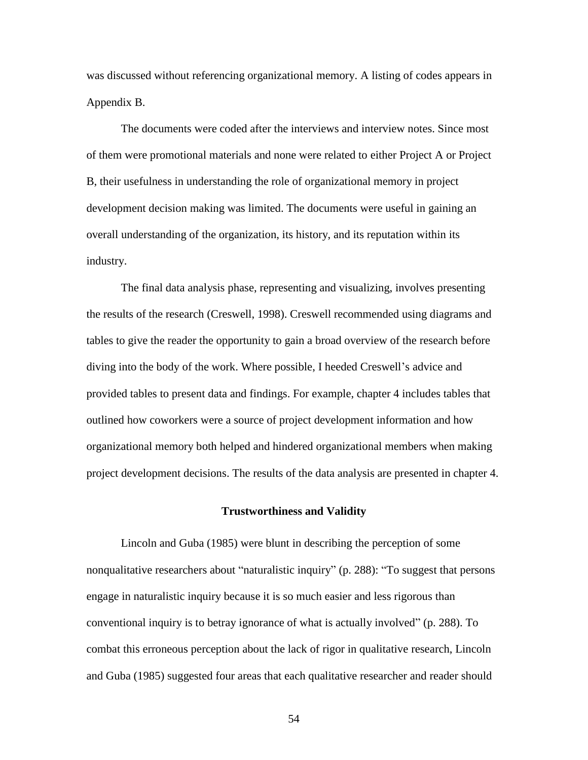was discussed without referencing organizational memory. A listing of codes appears in Appendix B.

The documents were coded after the interviews and interview notes. Since most of them were promotional materials and none were related to either Project A or Project B, their usefulness in understanding the role of organizational memory in project development decision making was limited. The documents were useful in gaining an overall understanding of the organization, its history, and its reputation within its industry.

The final data analysis phase, representing and visualizing, involves presenting the results of the research (Creswell, 1998). Creswell recommended using diagrams and tables to give the reader the opportunity to gain a broad overview of the research before diving into the body of the work. Where possible, I heeded Creswell's advice and provided tables to present data and findings. For example, chapter 4 includes tables that outlined how coworkers were a source of project development information and how organizational memory both helped and hindered organizational members when making project development decisions. The results of the data analysis are presented in chapter 4.

# **Trustworthiness and Validity**

Lincoln and Guba (1985) were blunt in describing the perception of some nonqualitative researchers about "naturalistic inquiry" (p. 288): "To suggest that persons engage in naturalistic inquiry because it is so much easier and less rigorous than conventional inquiry is to betray ignorance of what is actually involved" (p. 288). To combat this erroneous perception about the lack of rigor in qualitative research, Lincoln and Guba (1985) suggested four areas that each qualitative researcher and reader should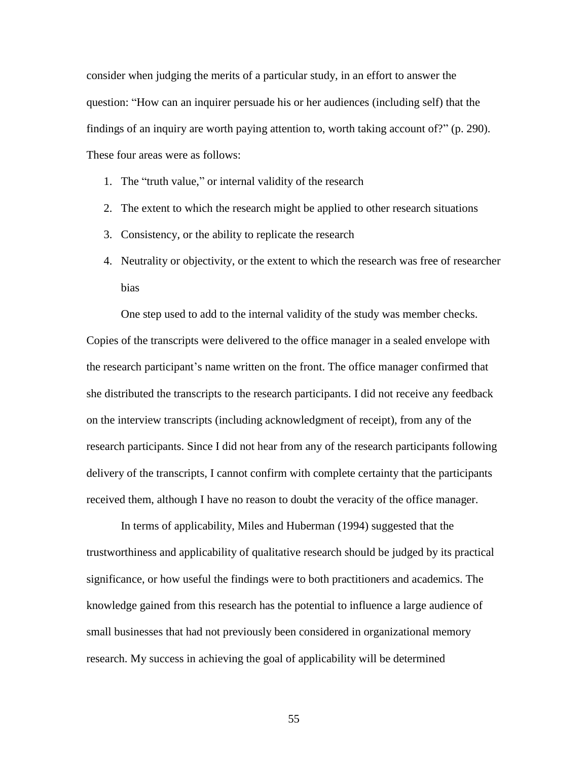consider when judging the merits of a particular study, in an effort to answer the question: "How can an inquirer persuade his or her audiences (including self) that the findings of an inquiry are worth paying attention to, worth taking account of?" (p. 290). These four areas were as follows:

- 1. The "truth value," or internal validity of the research
- 2. The extent to which the research might be applied to other research situations
- 3. Consistency, or the ability to replicate the research
- 4. Neutrality or objectivity, or the extent to which the research was free of researcher bias

One step used to add to the internal validity of the study was member checks. Copies of the transcripts were delivered to the office manager in a sealed envelope with the research participant's name written on the front. The office manager confirmed that she distributed the transcripts to the research participants. I did not receive any feedback on the interview transcripts (including acknowledgment of receipt), from any of the research participants. Since I did not hear from any of the research participants following delivery of the transcripts, I cannot confirm with complete certainty that the participants received them, although I have no reason to doubt the veracity of the office manager.

In terms of applicability, Miles and Huberman (1994) suggested that the trustworthiness and applicability of qualitative research should be judged by its practical significance, or how useful the findings were to both practitioners and academics. The knowledge gained from this research has the potential to influence a large audience of small businesses that had not previously been considered in organizational memory research. My success in achieving the goal of applicability will be determined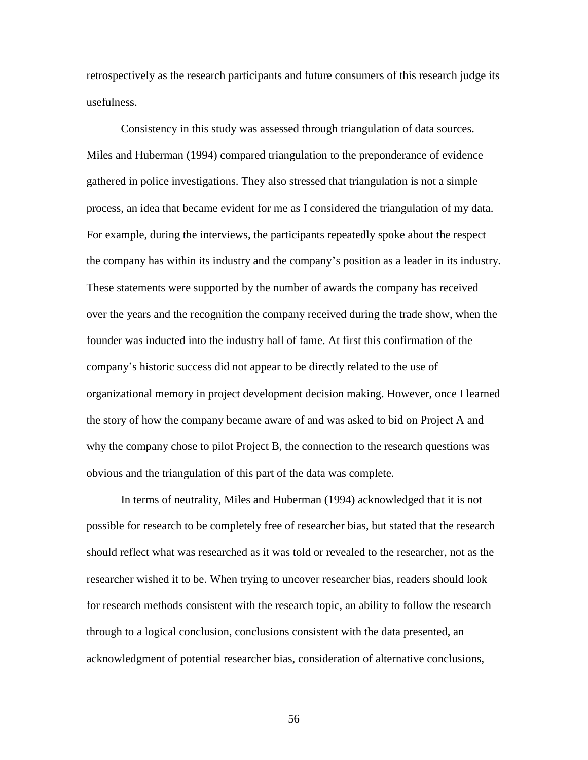retrospectively as the research participants and future consumers of this research judge its usefulness.

Consistency in this study was assessed through triangulation of data sources. Miles and Huberman (1994) compared triangulation to the preponderance of evidence gathered in police investigations. They also stressed that triangulation is not a simple process, an idea that became evident for me as I considered the triangulation of my data. For example, during the interviews, the participants repeatedly spoke about the respect the company has within its industry and the company's position as a leader in its industry. These statements were supported by the number of awards the company has received over the years and the recognition the company received during the trade show, when the founder was inducted into the industry hall of fame. At first this confirmation of the company's historic success did not appear to be directly related to the use of organizational memory in project development decision making. However, once I learned the story of how the company became aware of and was asked to bid on Project A and why the company chose to pilot Project B, the connection to the research questions was obvious and the triangulation of this part of the data was complete.

In terms of neutrality, Miles and Huberman (1994) acknowledged that it is not possible for research to be completely free of researcher bias, but stated that the research should reflect what was researched as it was told or revealed to the researcher, not as the researcher wished it to be. When trying to uncover researcher bias, readers should look for research methods consistent with the research topic, an ability to follow the research through to a logical conclusion, conclusions consistent with the data presented, an acknowledgment of potential researcher bias, consideration of alternative conclusions,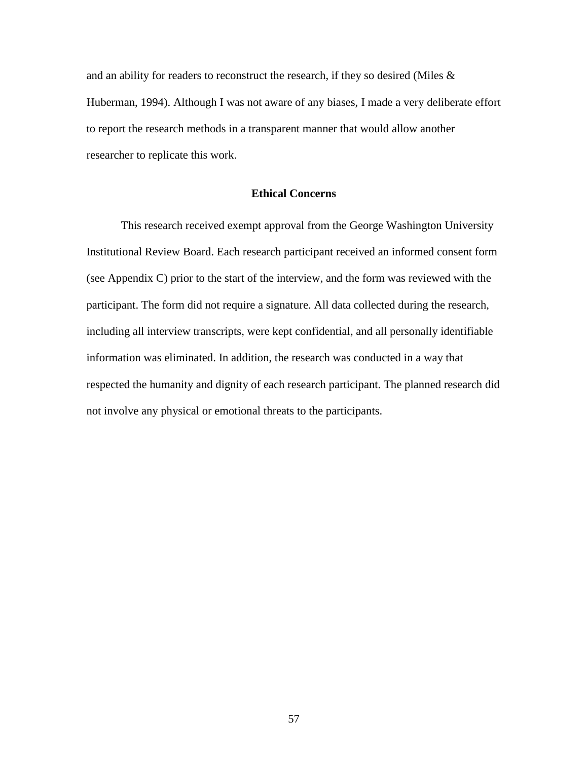and an ability for readers to reconstruct the research, if they so desired (Miles & Huberman, 1994). Although I was not aware of any biases, I made a very deliberate effort to report the research methods in a transparent manner that would allow another researcher to replicate this work.

# **Ethical Concerns**

This research received exempt approval from the George Washington University Institutional Review Board. Each research participant received an informed consent form (see Appendix C) prior to the start of the interview, and the form was reviewed with the participant. The form did not require a signature. All data collected during the research, including all interview transcripts, were kept confidential, and all personally identifiable information was eliminated. In addition, the research was conducted in a way that respected the humanity and dignity of each research participant. The planned research did not involve any physical or emotional threats to the participants.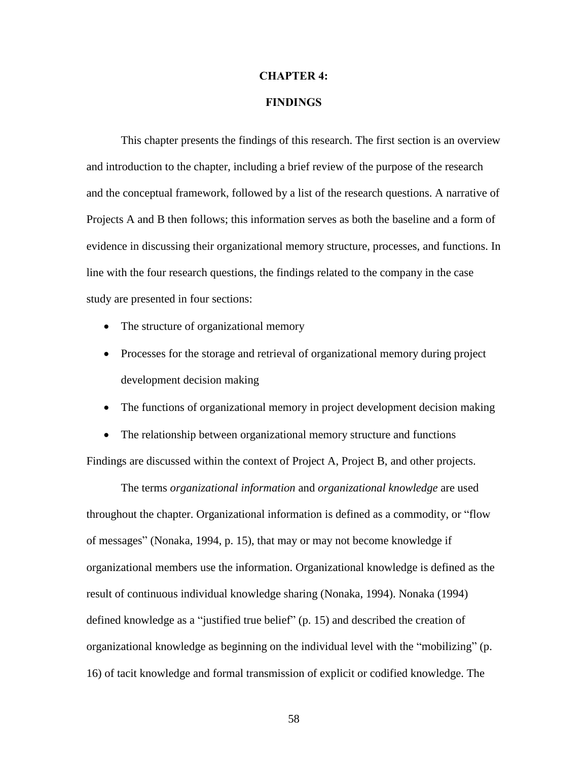#### **CHAPTER 4:**

### **FINDINGS**

This chapter presents the findings of this research. The first section is an overview and introduction to the chapter, including a brief review of the purpose of the research and the conceptual framework, followed by a list of the research questions. A narrative of Projects A and B then follows; this information serves as both the baseline and a form of evidence in discussing their organizational memory structure, processes, and functions. In line with the four research questions, the findings related to the company in the case study are presented in four sections:

- The structure of organizational memory
- Processes for the storage and retrieval of organizational memory during project development decision making
- The functions of organizational memory in project development decision making

• The relationship between organizational memory structure and functions Findings are discussed within the context of Project A, Project B, and other projects.

The terms *organizational information* and *organizational knowledge* are used throughout the chapter. Organizational information is defined as a commodity, or "flow of messages" (Nonaka, 1994, p. 15), that may or may not become knowledge if organizational members use the information. Organizational knowledge is defined as the result of continuous individual knowledge sharing (Nonaka, 1994). Nonaka (1994) defined knowledge as a "justified true belief" (p. 15) and described the creation of organizational knowledge as beginning on the individual level with the "mobilizing" (p. 16) of tacit knowledge and formal transmission of explicit or codified knowledge. The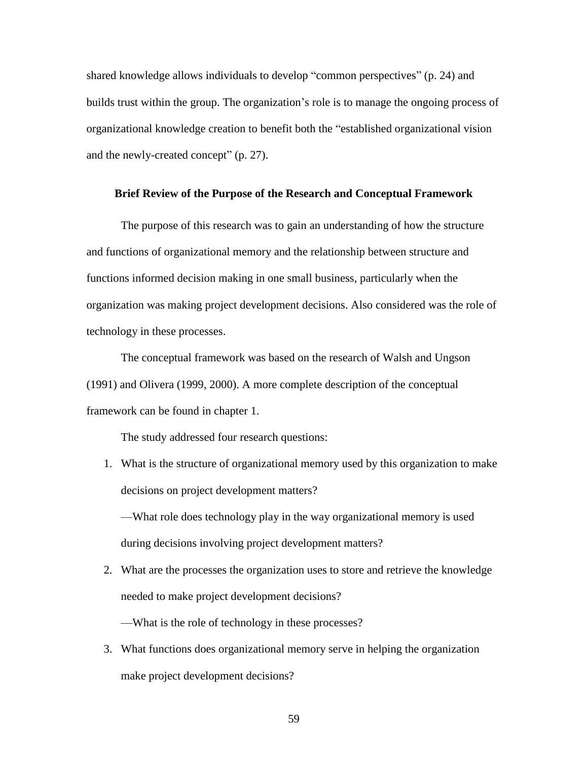shared knowledge allows individuals to develop "common perspectives" (p. 24) and builds trust within the group. The organization's role is to manage the ongoing process of organizational knowledge creation to benefit both the "established organizational vision and the newly-created concept" (p. 27).

# **Brief Review of the Purpose of the Research and Conceptual Framework**

The purpose of this research was to gain an understanding of how the structure and functions of organizational memory and the relationship between structure and functions informed decision making in one small business, particularly when the organization was making project development decisions. Also considered was the role of technology in these processes.

The conceptual framework was based on the research of Walsh and Ungson (1991) and Olivera (1999, 2000). A more complete description of the conceptual framework can be found in chapter 1.

The study addressed four research questions:

1. What is the structure of organizational memory used by this organization to make decisions on project development matters?

—What role does technology play in the way organizational memory is used during decisions involving project development matters?

2. What are the processes the organization uses to store and retrieve the knowledge needed to make project development decisions?

—What is the role of technology in these processes?

3. What functions does organizational memory serve in helping the organization make project development decisions?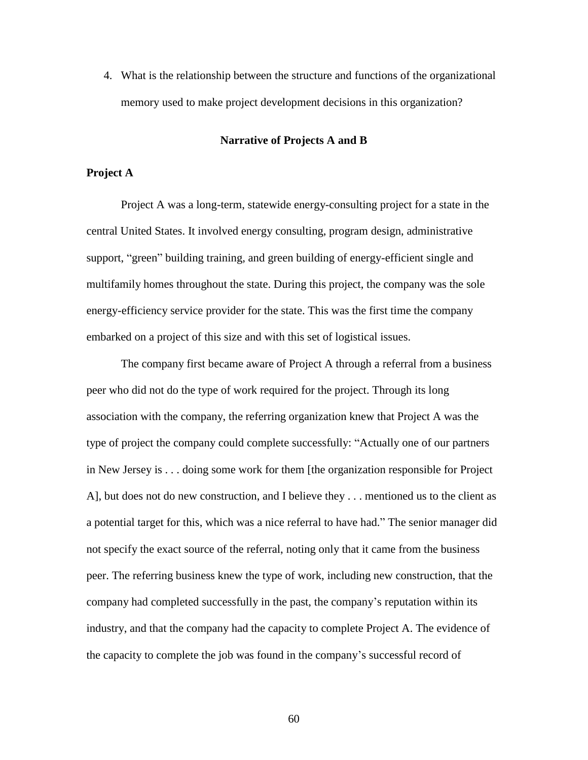4. What is the relationship between the structure and functions of the organizational memory used to make project development decisions in this organization?

#### **Narrative of Projects A and B**

# **Project A**

Project A was a long-term, statewide energy-consulting project for a state in the central United States. It involved energy consulting, program design, administrative support, "green" building training, and green building of energy-efficient single and multifamily homes throughout the state. During this project, the company was the sole energy-efficiency service provider for the state. This was the first time the company embarked on a project of this size and with this set of logistical issues.

The company first became aware of Project A through a referral from a business peer who did not do the type of work required for the project. Through its long association with the company, the referring organization knew that Project A was the type of project the company could complete successfully: "Actually one of our partners in New Jersey is . . . doing some work for them [the organization responsible for Project A], but does not do new construction, and I believe they . . . mentioned us to the client as a potential target for this, which was a nice referral to have had." The senior manager did not specify the exact source of the referral, noting only that it came from the business peer. The referring business knew the type of work, including new construction, that the company had completed successfully in the past, the company's reputation within its industry, and that the company had the capacity to complete Project A. The evidence of the capacity to complete the job was found in the company's successful record of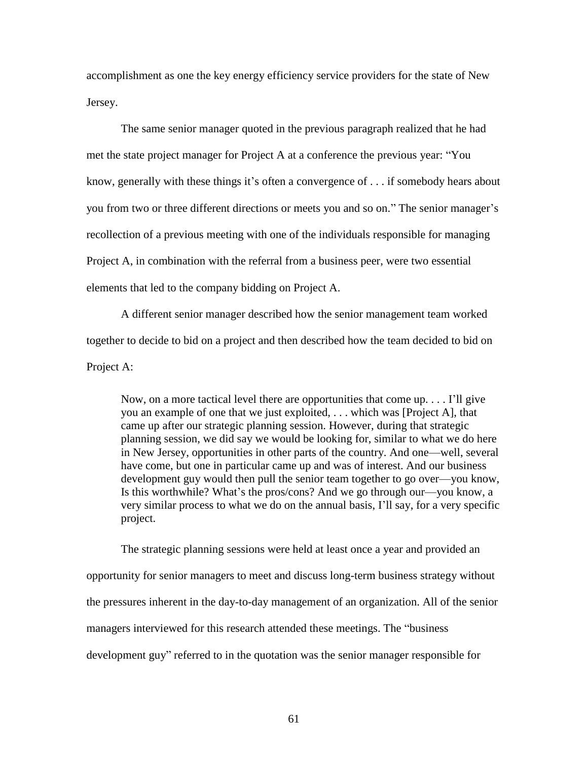accomplishment as one the key energy efficiency service providers for the state of New Jersey.

The same senior manager quoted in the previous paragraph realized that he had met the state project manager for Project A at a conference the previous year: "You know, generally with these things it's often a convergence of . . . if somebody hears about you from two or three different directions or meets you and so on." The senior manager's recollection of a previous meeting with one of the individuals responsible for managing Project A, in combination with the referral from a business peer, were two essential elements that led to the company bidding on Project A.

A different senior manager described how the senior management team worked together to decide to bid on a project and then described how the team decided to bid on Project A:

Now, on a more tactical level there are opportunities that come up. . . . I'll give you an example of one that we just exploited, . . . which was [Project A], that came up after our strategic planning session. However, during that strategic planning session, we did say we would be looking for, similar to what we do here in New Jersey, opportunities in other parts of the country. And one—well, several have come, but one in particular came up and was of interest. And our business development guy would then pull the senior team together to go over—you know, Is this worthwhile? What's the pros/cons? And we go through our—you know, a very similar process to what we do on the annual basis, I'll say, for a very specific project.

The strategic planning sessions were held at least once a year and provided an opportunity for senior managers to meet and discuss long-term business strategy without the pressures inherent in the day-to-day management of an organization. All of the senior managers interviewed for this research attended these meetings. The "business development guy" referred to in the quotation was the senior manager responsible for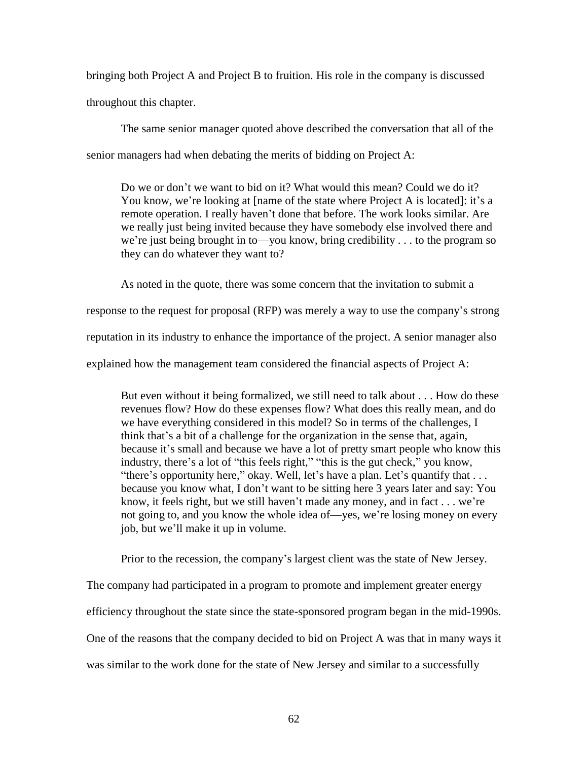bringing both Project A and Project B to fruition. His role in the company is discussed throughout this chapter.

The same senior manager quoted above described the conversation that all of the senior managers had when debating the merits of bidding on Project A:

Do we or don't we want to bid on it? What would this mean? Could we do it? You know, we're looking at [name of the state where Project A is located]: it's a remote operation. I really haven't done that before. The work looks similar. Are we really just being invited because they have somebody else involved there and we're just being brought in to—you know, bring credibility . . . to the program so they can do whatever they want to?

As noted in the quote, there was some concern that the invitation to submit a

response to the request for proposal (RFP) was merely a way to use the company's strong

reputation in its industry to enhance the importance of the project. A senior manager also

explained how the management team considered the financial aspects of Project A:

But even without it being formalized, we still need to talk about . . . How do these revenues flow? How do these expenses flow? What does this really mean, and do we have everything considered in this model? So in terms of the challenges, I think that's a bit of a challenge for the organization in the sense that, again, because it's small and because we have a lot of pretty smart people who know this industry, there's a lot of "this feels right," "this is the gut check," you know, "there's opportunity here," okay. Well, let's have a plan. Let's quantify that . . . because you know what, I don't want to be sitting here 3 years later and say: You know, it feels right, but we still haven't made any money, and in fact . . . we're not going to, and you know the whole idea of—yes, we're losing money on every job, but we'll make it up in volume.

Prior to the recession, the company's largest client was the state of New Jersey.

The company had participated in a program to promote and implement greater energy efficiency throughout the state since the state-sponsored program began in the mid-1990s. One of the reasons that the company decided to bid on Project A was that in many ways it was similar to the work done for the state of New Jersey and similar to a successfully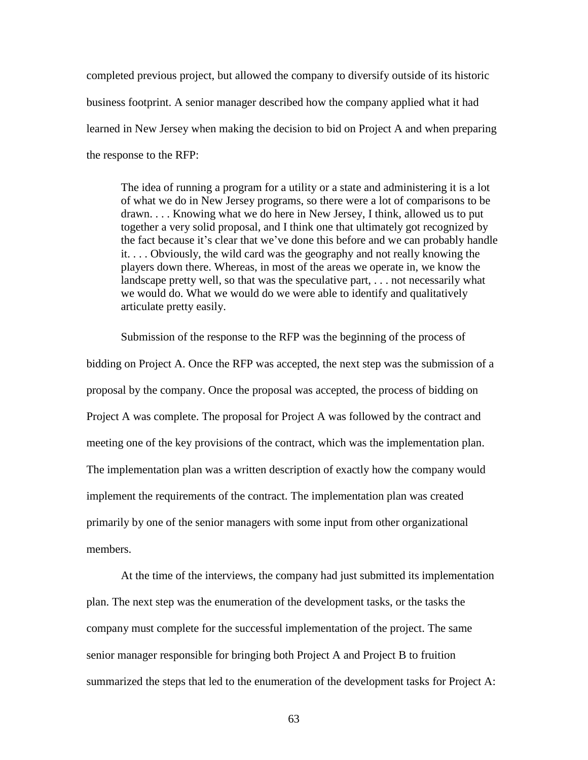completed previous project, but allowed the company to diversify outside of its historic business footprint. A senior manager described how the company applied what it had learned in New Jersey when making the decision to bid on Project A and when preparing the response to the RFP:

The idea of running a program for a utility or a state and administering it is a lot of what we do in New Jersey programs, so there were a lot of comparisons to be drawn. . . . Knowing what we do here in New Jersey, I think, allowed us to put together a very solid proposal, and I think one that ultimately got recognized by the fact because it's clear that we've done this before and we can probably handle it. . . . Obviously, the wild card was the geography and not really knowing the players down there. Whereas, in most of the areas we operate in, we know the landscape pretty well, so that was the speculative part, ... not necessarily what we would do. What we would do we were able to identify and qualitatively articulate pretty easily.

Submission of the response to the RFP was the beginning of the process of bidding on Project A. Once the RFP was accepted, the next step was the submission of a proposal by the company. Once the proposal was accepted, the process of bidding on Project A was complete. The proposal for Project A was followed by the contract and meeting one of the key provisions of the contract, which was the implementation plan. The implementation plan was a written description of exactly how the company would implement the requirements of the contract. The implementation plan was created primarily by one of the senior managers with some input from other organizational members.

At the time of the interviews, the company had just submitted its implementation plan. The next step was the enumeration of the development tasks, or the tasks the company must complete for the successful implementation of the project. The same senior manager responsible for bringing both Project A and Project B to fruition summarized the steps that led to the enumeration of the development tasks for Project A: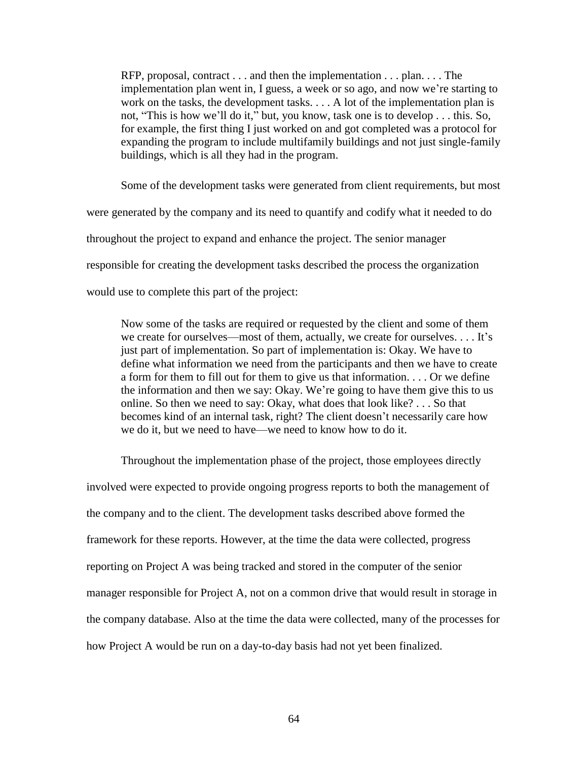RFP, proposal, contract . . . and then the implementation . . . plan. . . . The implementation plan went in, I guess, a week or so ago, and now we're starting to work on the tasks, the development tasks. . . . A lot of the implementation plan is not, "This is how we'll do it," but, you know, task one is to develop . . . this. So, for example, the first thing I just worked on and got completed was a protocol for expanding the program to include multifamily buildings and not just single-family buildings, which is all they had in the program.

Some of the development tasks were generated from client requirements, but most

were generated by the company and its need to quantify and codify what it needed to do

throughout the project to expand and enhance the project. The senior manager

responsible for creating the development tasks described the process the organization

would use to complete this part of the project:

Now some of the tasks are required or requested by the client and some of them we create for ourselves—most of them, actually, we create for ourselves. . . . It's just part of implementation. So part of implementation is: Okay. We have to define what information we need from the participants and then we have to create a form for them to fill out for them to give us that information. . . . Or we define the information and then we say: Okay. We're going to have them give this to us online. So then we need to say: Okay, what does that look like? . . . So that becomes kind of an internal task, right? The client doesn't necessarily care how we do it, but we need to have—we need to know how to do it.

Throughout the implementation phase of the project, those employees directly involved were expected to provide ongoing progress reports to both the management of the company and to the client. The development tasks described above formed the framework for these reports. However, at the time the data were collected, progress reporting on Project A was being tracked and stored in the computer of the senior manager responsible for Project A, not on a common drive that would result in storage in the company database. Also at the time the data were collected, many of the processes for how Project A would be run on a day-to-day basis had not yet been finalized.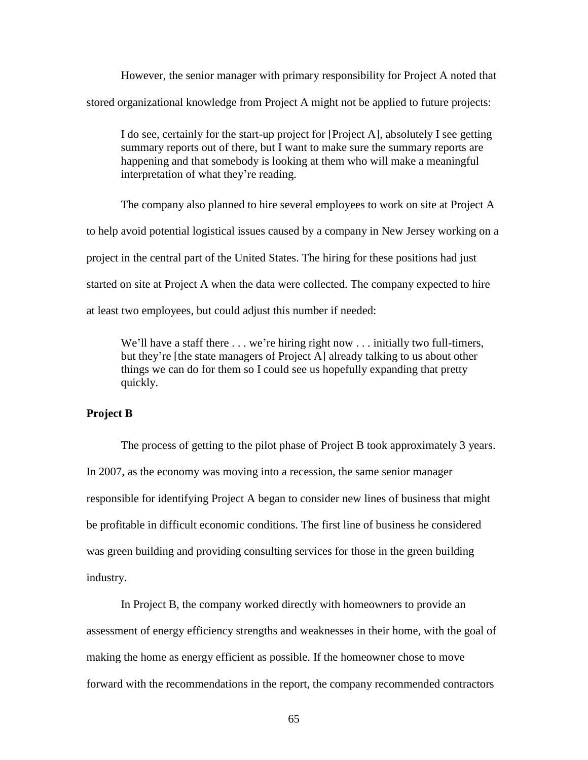However, the senior manager with primary responsibility for Project A noted that stored organizational knowledge from Project A might not be applied to future projects:

I do see, certainly for the start-up project for [Project A], absolutely I see getting summary reports out of there, but I want to make sure the summary reports are happening and that somebody is looking at them who will make a meaningful interpretation of what they're reading.

The company also planned to hire several employees to work on site at Project A to help avoid potential logistical issues caused by a company in New Jersey working on a project in the central part of the United States. The hiring for these positions had just started on site at Project A when the data were collected. The company expected to hire at least two employees, but could adjust this number if needed:

We'll have a staff there . . . we're hiring right now . . . initially two full-timers, but they're [the state managers of Project A] already talking to us about other things we can do for them so I could see us hopefully expanding that pretty quickly.

# **Project B**

The process of getting to the pilot phase of Project B took approximately 3 years. In 2007, as the economy was moving into a recession, the same senior manager responsible for identifying Project A began to consider new lines of business that might be profitable in difficult economic conditions. The first line of business he considered was green building and providing consulting services for those in the green building industry.

In Project B, the company worked directly with homeowners to provide an assessment of energy efficiency strengths and weaknesses in their home, with the goal of making the home as energy efficient as possible. If the homeowner chose to move forward with the recommendations in the report, the company recommended contractors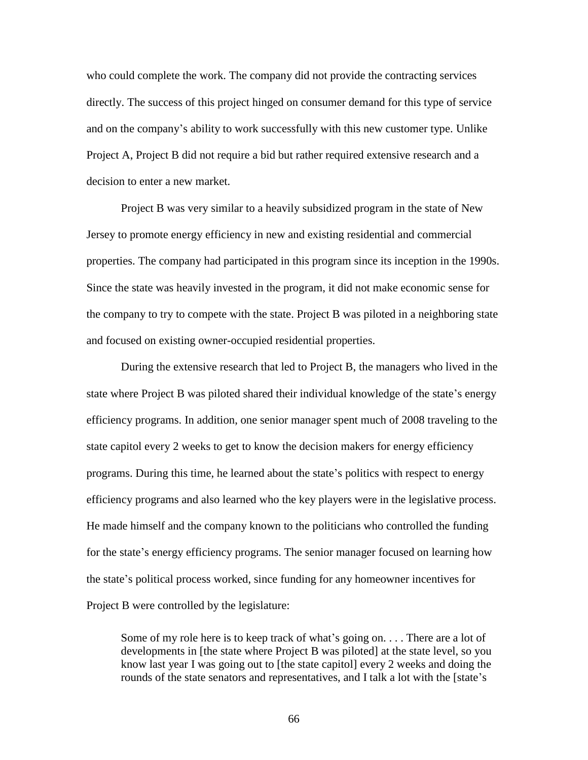who could complete the work. The company did not provide the contracting services directly. The success of this project hinged on consumer demand for this type of service and on the company's ability to work successfully with this new customer type. Unlike Project A, Project B did not require a bid but rather required extensive research and a decision to enter a new market.

Project B was very similar to a heavily subsidized program in the state of New Jersey to promote energy efficiency in new and existing residential and commercial properties. The company had participated in this program since its inception in the 1990s. Since the state was heavily invested in the program, it did not make economic sense for the company to try to compete with the state. Project B was piloted in a neighboring state and focused on existing owner-occupied residential properties.

During the extensive research that led to Project B, the managers who lived in the state where Project B was piloted shared their individual knowledge of the state's energy efficiency programs. In addition, one senior manager spent much of 2008 traveling to the state capitol every 2 weeks to get to know the decision makers for energy efficiency programs. During this time, he learned about the state's politics with respect to energy efficiency programs and also learned who the key players were in the legislative process. He made himself and the company known to the politicians who controlled the funding for the state's energy efficiency programs. The senior manager focused on learning how the state's political process worked, since funding for any homeowner incentives for Project B were controlled by the legislature:

Some of my role here is to keep track of what's going on. . . . There are a lot of developments in [the state where Project B was piloted] at the state level, so you know last year I was going out to [the state capitol] every 2 weeks and doing the rounds of the state senators and representatives, and I talk a lot with the [state's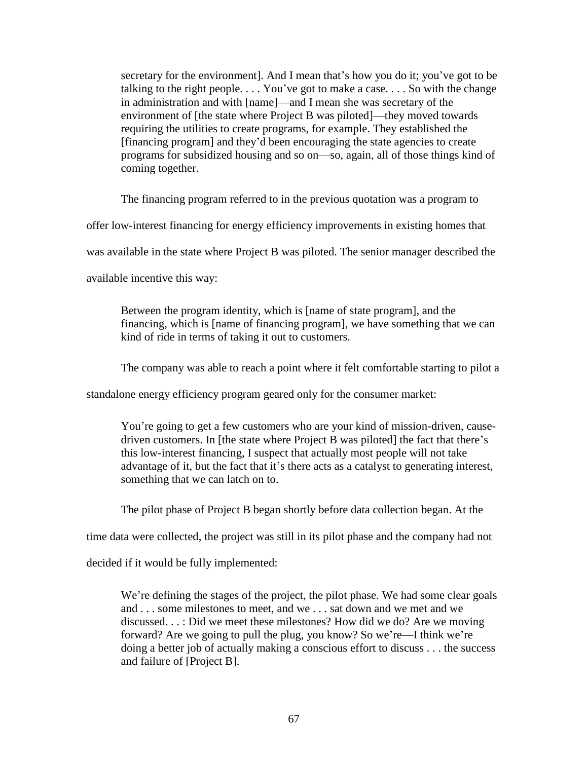secretary for the environment]. And I mean that's how you do it; you've got to be talking to the right people. . . . You've got to make a case. . . . So with the change in administration and with [name]—and I mean she was secretary of the environment of [the state where Project B was piloted]—they moved towards requiring the utilities to create programs, for example. They established the [financing program] and they'd been encouraging the state agencies to create programs for subsidized housing and so on—so, again, all of those things kind of coming together.

The financing program referred to in the previous quotation was a program to

offer low-interest financing for energy efficiency improvements in existing homes that

was available in the state where Project B was piloted. The senior manager described the

available incentive this way:

Between the program identity, which is [name of state program], and the financing, which is [name of financing program], we have something that we can kind of ride in terms of taking it out to customers.

The company was able to reach a point where it felt comfortable starting to pilot a

standalone energy efficiency program geared only for the consumer market:

You're going to get a few customers who are your kind of mission-driven, causedriven customers. In [the state where Project B was piloted] the fact that there's this low-interest financing, I suspect that actually most people will not take advantage of it, but the fact that it's there acts as a catalyst to generating interest, something that we can latch on to.

The pilot phase of Project B began shortly before data collection began. At the

time data were collected, the project was still in its pilot phase and the company had not

decided if it would be fully implemented:

We're defining the stages of the project, the pilot phase. We had some clear goals and . . . some milestones to meet, and we . . . sat down and we met and we discussed. . . : Did we meet these milestones? How did we do? Are we moving forward? Are we going to pull the plug, you know? So we're—I think we're doing a better job of actually making a conscious effort to discuss . . . the success and failure of [Project B].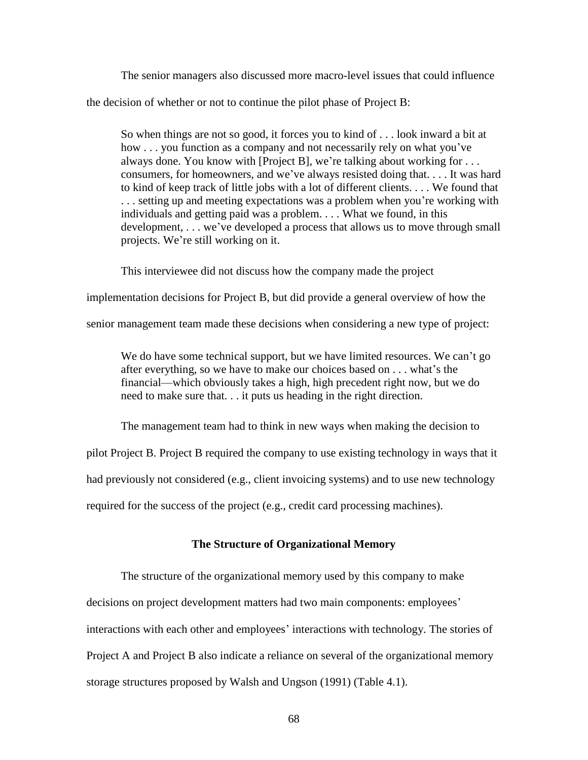The senior managers also discussed more macro-level issues that could influence the decision of whether or not to continue the pilot phase of Project B:

So when things are not so good, it forces you to kind of . . . look inward a bit at how . . . you function as a company and not necessarily rely on what you've always done. You know with [Project B], we're talking about working for . . . consumers, for homeowners, and we've always resisted doing that. . . . It was hard to kind of keep track of little jobs with a lot of different clients. . . . We found that . . . setting up and meeting expectations was a problem when you're working with individuals and getting paid was a problem. . . . What we found, in this development, . . . we've developed a process that allows us to move through small projects. We're still working on it.

This interviewee did not discuss how the company made the project

implementation decisions for Project B, but did provide a general overview of how the

senior management team made these decisions when considering a new type of project:

We do have some technical support, but we have limited resources. We can't go after everything, so we have to make our choices based on . . . what's the financial—which obviously takes a high, high precedent right now, but we do need to make sure that. . . it puts us heading in the right direction.

The management team had to think in new ways when making the decision to

pilot Project B. Project B required the company to use existing technology in ways that it

had previously not considered (e.g., client invoicing systems) and to use new technology

required for the success of the project (e.g., credit card processing machines).

# **The Structure of Organizational Memory**

The structure of the organizational memory used by this company to make decisions on project development matters had two main components: employees' interactions with each other and employees' interactions with technology. The stories of Project A and Project B also indicate a reliance on several of the organizational memory storage structures proposed by Walsh and Ungson (1991) (Table 4.1).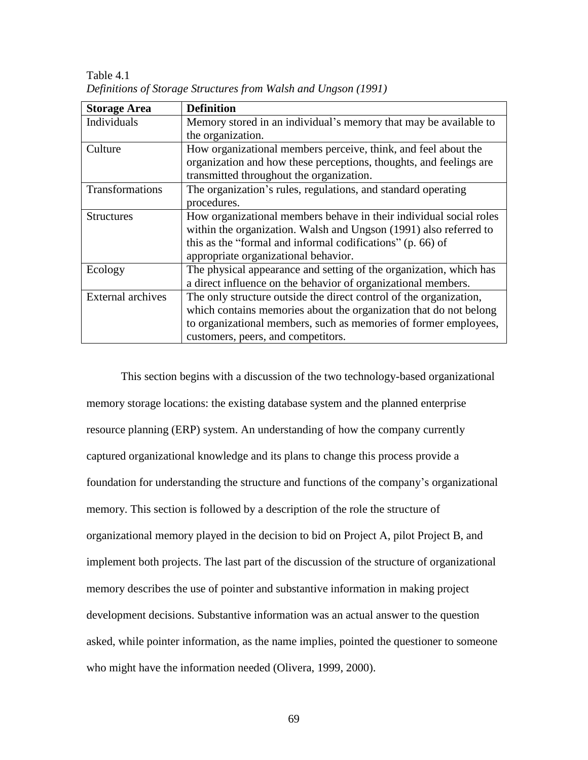Table 4.1 *Definitions of Storage Structures from Walsh and Ungson (1991)*

| <b>Storage Area</b>      | <b>Definition</b>                                                  |
|--------------------------|--------------------------------------------------------------------|
| Individuals              | Memory stored in an individual's memory that may be available to   |
|                          | the organization.                                                  |
| Culture                  | How organizational members perceive, think, and feel about the     |
|                          | organization and how these perceptions, thoughts, and feelings are |
|                          | transmitted throughout the organization.                           |
| Transformations          | The organization's rules, regulations, and standard operating      |
|                          | procedures.                                                        |
| <b>Structures</b>        | How organizational members behave in their individual social roles |
|                          | within the organization. Walsh and Ungson (1991) also referred to  |
|                          | this as the "formal and informal codifications" (p. 66) of         |
|                          | appropriate organizational behavior.                               |
| Ecology                  | The physical appearance and setting of the organization, which has |
|                          | a direct influence on the behavior of organizational members.      |
| <b>External archives</b> | The only structure outside the direct control of the organization, |
|                          | which contains memories about the organization that do not belong  |
|                          | to organizational members, such as memories of former employees,   |
|                          | customers, peers, and competitors.                                 |

This section begins with a discussion of the two technology-based organizational memory storage locations: the existing database system and the planned enterprise resource planning (ERP) system. An understanding of how the company currently captured organizational knowledge and its plans to change this process provide a foundation for understanding the structure and functions of the company's organizational memory. This section is followed by a description of the role the structure of organizational memory played in the decision to bid on Project A, pilot Project B, and implement both projects. The last part of the discussion of the structure of organizational memory describes the use of pointer and substantive information in making project development decisions. Substantive information was an actual answer to the question asked, while pointer information, as the name implies, pointed the questioner to someone who might have the information needed (Olivera, 1999, 2000).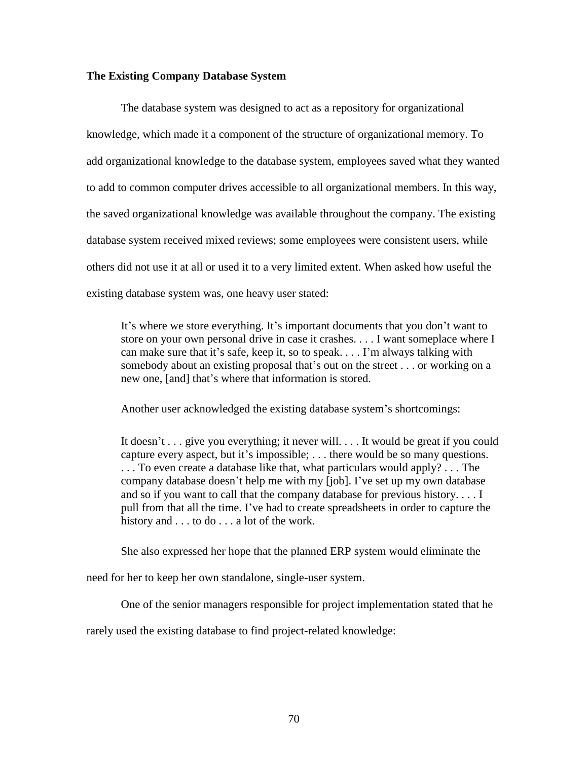# **The Existing Company Database System**

The database system was designed to act as a repository for organizational knowledge, which made it a component of the structure of organizational memory. To add organizational knowledge to the database system, employees saved what they wanted to add to common computer drives accessible to all organizational members. In this way, the saved organizational knowledge was available throughout the company. The existing database system received mixed reviews; some employees were consistent users, while others did not use it at all or used it to a very limited extent. When asked how useful the existing database system was, one heavy user stated:

It's where we store everything. It's important documents that you don't want to store on your own personal drive in case it crashes. . . . I want someplace where I can make sure that it's safe, keep it, so to speak. . . . I'm always talking with somebody about an existing proposal that's out on the street . . . or working on a new one, [and] that's where that information is stored.

Another user acknowledged the existing database system's shortcomings:

It doesn't . . . give you everything; it never will. . . . It would be great if you could capture every aspect, but it's impossible; . . . there would be so many questions. . . . To even create a database like that, what particulars would apply? . . . The company database doesn't help me with my [job]. I've set up my own database and so if you want to call that the company database for previous history. . . . I pull from that all the time. I've had to create spreadsheets in order to capture the history and . . . to do . . . a lot of the work.

She also expressed her hope that the planned ERP system would eliminate the

need for her to keep her own standalone, single-user system.

One of the senior managers responsible for project implementation stated that he

rarely used the existing database to find project-related knowledge: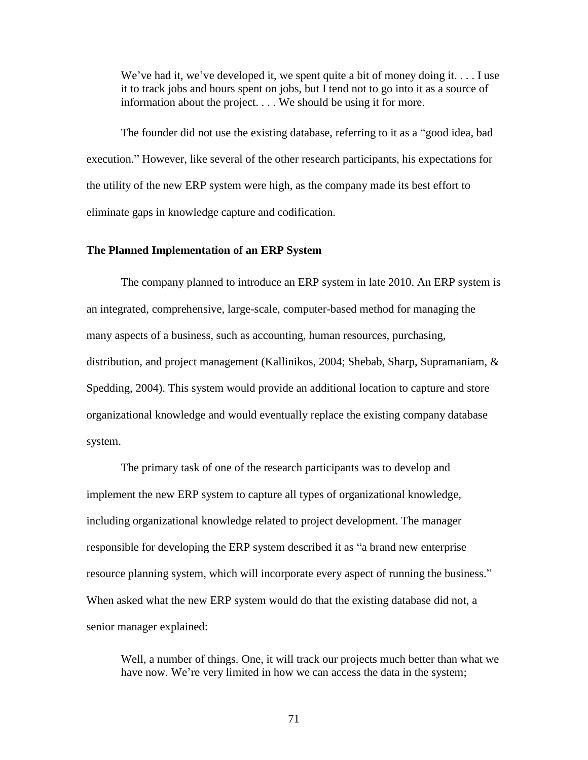We've had it, we've developed it, we spent quite a bit of money doing it. . . . I use it to track jobs and hours spent on jobs, but I tend not to go into it as a source of information about the project. . . . We should be using it for more.

The founder did not use the existing database, referring to it as a "good idea, bad execution." However, like several of the other research participants, his expectations for the utility of the new ERP system were high, as the company made its best effort to eliminate gaps in knowledge capture and codification.

# **The Planned Implementation of an ERP System**

The company planned to introduce an ERP system in late 2010. An ERP system is an integrated, comprehensive, large-scale, computer-based method for managing the many aspects of a business, such as accounting, human resources, purchasing, distribution, and project management (Kallinikos, 2004; Shebab, Sharp, Supramaniam, & Spedding, 2004). This system would provide an additional location to capture and store organizational knowledge and would eventually replace the existing company database system.

The primary task of one of the research participants was to develop and implement the new ERP system to capture all types of organizational knowledge, including organizational knowledge related to project development. The manager responsible for developing the ERP system described it as "a brand new enterprise resource planning system, which will incorporate every aspect of running the business." When asked what the new ERP system would do that the existing database did not, a senior manager explained:

Well, a number of things. One, it will track our projects much better than what we have now. We're very limited in how we can access the data in the system;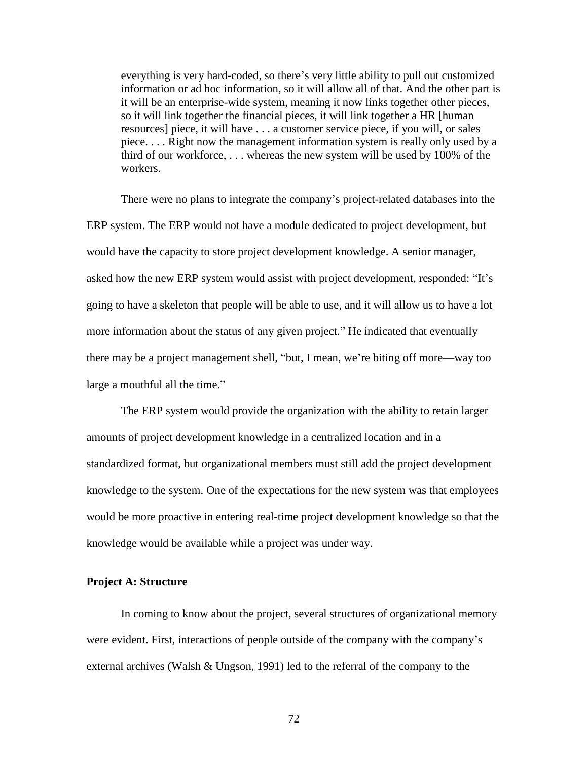everything is very hard-coded, so there's very little ability to pull out customized information or ad hoc information, so it will allow all of that. And the other part is it will be an enterprise-wide system, meaning it now links together other pieces, so it will link together the financial pieces, it will link together a HR [human resources] piece, it will have . . . a customer service piece, if you will, or sales piece. . . . Right now the management information system is really only used by a third of our workforce, . . . whereas the new system will be used by 100% of the workers.

There were no plans to integrate the company's project-related databases into the ERP system. The ERP would not have a module dedicated to project development, but would have the capacity to store project development knowledge. A senior manager, asked how the new ERP system would assist with project development, responded: "It's going to have a skeleton that people will be able to use, and it will allow us to have a lot more information about the status of any given project." He indicated that eventually there may be a project management shell, "but, I mean, we're biting off more—way too large a mouthful all the time."

The ERP system would provide the organization with the ability to retain larger amounts of project development knowledge in a centralized location and in a standardized format, but organizational members must still add the project development knowledge to the system. One of the expectations for the new system was that employees would be more proactive in entering real-time project development knowledge so that the knowledge would be available while a project was under way.

# **Project A: Structure**

In coming to know about the project, several structures of organizational memory were evident. First, interactions of people outside of the company with the company's external archives (Walsh & Ungson, 1991) led to the referral of the company to the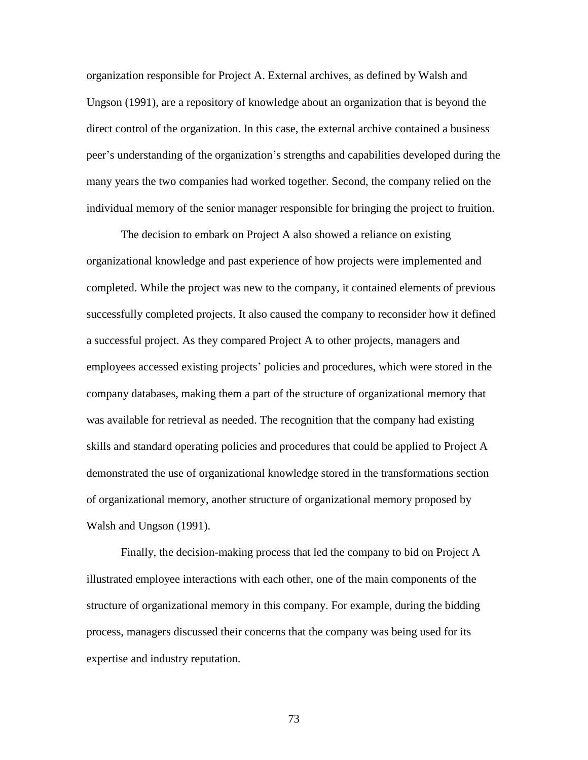organization responsible for Project A. External archives, as defined by Walsh and Ungson (1991), are a repository of knowledge about an organization that is beyond the direct control of the organization. In this case, the external archive contained a business peer's understanding of the organization's strengths and capabilities developed during the many years the two companies had worked together. Second, the company relied on the individual memory of the senior manager responsible for bringing the project to fruition.

The decision to embark on Project A also showed a reliance on existing organizational knowledge and past experience of how projects were implemented and completed. While the project was new to the company, it contained elements of previous successfully completed projects. It also caused the company to reconsider how it defined a successful project. As they compared Project A to other projects, managers and employees accessed existing projects' policies and procedures, which were stored in the company databases, making them a part of the structure of organizational memory that was available for retrieval as needed. The recognition that the company had existing skills and standard operating policies and procedures that could be applied to Project A demonstrated the use of organizational knowledge stored in the transformations section of organizational memory, another structure of organizational memory proposed by Walsh and Ungson (1991).

Finally, the decision-making process that led the company to bid on Project A illustrated employee interactions with each other, one of the main components of the structure of organizational memory in this company. For example, during the bidding process, managers discussed their concerns that the company was being used for its expertise and industry reputation.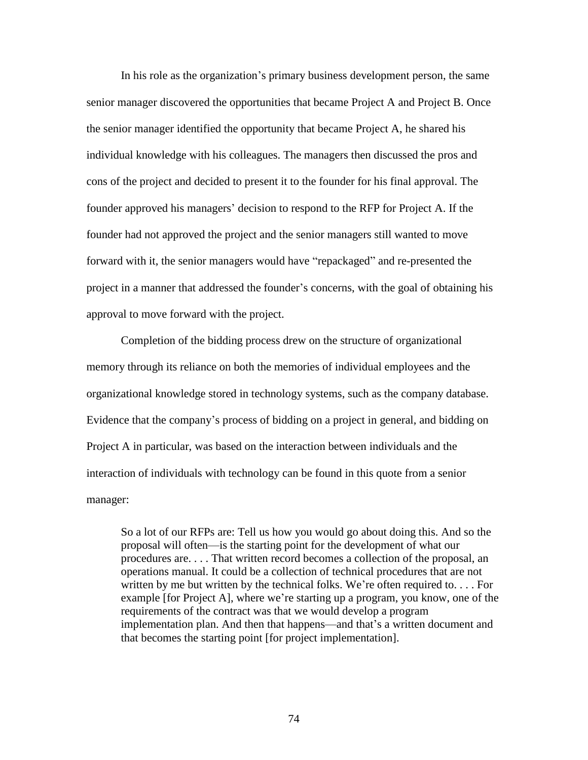In his role as the organization's primary business development person, the same senior manager discovered the opportunities that became Project A and Project B. Once the senior manager identified the opportunity that became Project A, he shared his individual knowledge with his colleagues. The managers then discussed the pros and cons of the project and decided to present it to the founder for his final approval. The founder approved his managers' decision to respond to the RFP for Project A. If the founder had not approved the project and the senior managers still wanted to move forward with it, the senior managers would have "repackaged" and re-presented the project in a manner that addressed the founder's concerns, with the goal of obtaining his approval to move forward with the project.

Completion of the bidding process drew on the structure of organizational memory through its reliance on both the memories of individual employees and the organizational knowledge stored in technology systems, such as the company database. Evidence that the company's process of bidding on a project in general, and bidding on Project A in particular, was based on the interaction between individuals and the interaction of individuals with technology can be found in this quote from a senior manager:

So a lot of our RFPs are: Tell us how you would go about doing this. And so the proposal will often—is the starting point for the development of what our procedures are. . . . That written record becomes a collection of the proposal, an operations manual. It could be a collection of technical procedures that are not written by me but written by the technical folks. We're often required to. . . . For example [for Project A], where we're starting up a program, you know, one of the requirements of the contract was that we would develop a program implementation plan. And then that happens—and that's a written document and that becomes the starting point [for project implementation].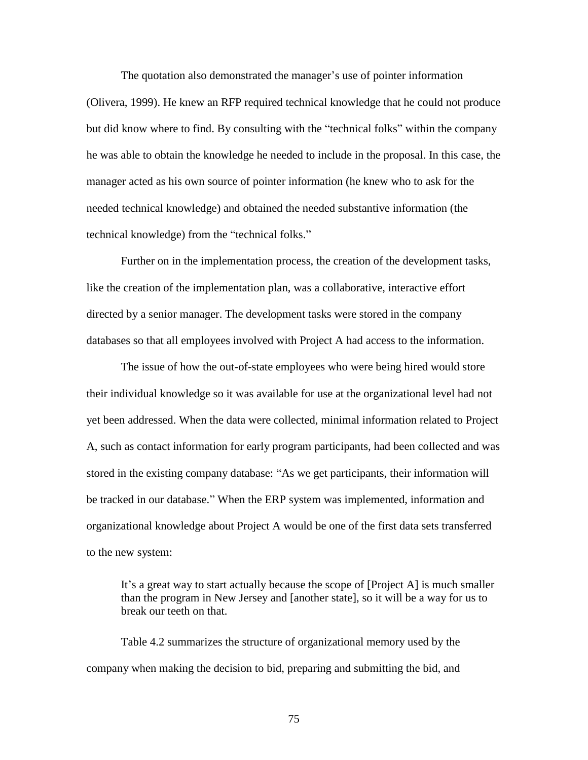The quotation also demonstrated the manager's use of pointer information (Olivera, 1999). He knew an RFP required technical knowledge that he could not produce but did know where to find. By consulting with the "technical folks" within the company he was able to obtain the knowledge he needed to include in the proposal. In this case, the manager acted as his own source of pointer information (he knew who to ask for the needed technical knowledge) and obtained the needed substantive information (the technical knowledge) from the "technical folks."

Further on in the implementation process, the creation of the development tasks, like the creation of the implementation plan, was a collaborative, interactive effort directed by a senior manager. The development tasks were stored in the company databases so that all employees involved with Project A had access to the information.

The issue of how the out-of-state employees who were being hired would store their individual knowledge so it was available for use at the organizational level had not yet been addressed. When the data were collected, minimal information related to Project A, such as contact information for early program participants, had been collected and was stored in the existing company database: "As we get participants, their information will be tracked in our database." When the ERP system was implemented, information and organizational knowledge about Project A would be one of the first data sets transferred to the new system:

It's a great way to start actually because the scope of [Project A] is much smaller than the program in New Jersey and [another state], so it will be a way for us to break our teeth on that.

Table 4.2 summarizes the structure of organizational memory used by the company when making the decision to bid, preparing and submitting the bid, and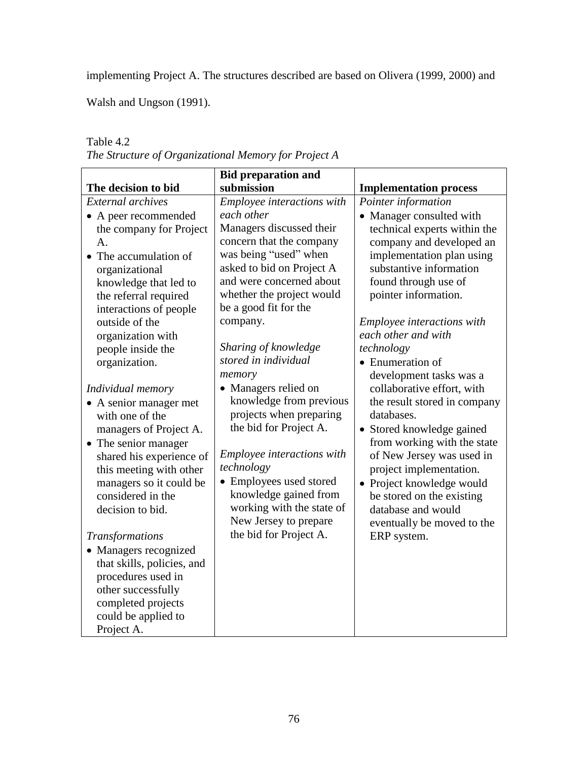implementing Project A. The structures described are based on Olivera (1999, 2000) and

Walsh and Ungson (1991).

|                            | <b>Bid preparation and</b>        |                               |
|----------------------------|-----------------------------------|-------------------------------|
| The decision to bid        | submission                        | <b>Implementation process</b> |
| External archives          | Employee interactions with        | Pointer information           |
| • A peer recommended       | each other                        | • Manager consulted with      |
| the company for Project    | Managers discussed their          | technical experts within the  |
| A.                         | concern that the company          | company and developed an      |
| • The accumulation of      | was being "used" when             | implementation plan using     |
| organizational             | asked to bid on Project A         | substantive information       |
| knowledge that led to      | and were concerned about          | found through use of          |
| the referral required      | whether the project would         | pointer information.          |
| interactions of people     | be a good fit for the             |                               |
| outside of the             | company.                          | Employee interactions with    |
| organization with          |                                   | each other and with           |
| people inside the          | Sharing of knowledge              | technology                    |
| organization.              | stored in individual              | • Enumeration of              |
|                            | memory                            | development tasks was a       |
|                            | • Managers relied on              | collaborative effort, with    |
| Individual memory          | knowledge from previous           |                               |
| • A senior manager met     |                                   | the result stored in company  |
| with one of the            | projects when preparing           | databases.                    |
| managers of Project A.     | the bid for Project A.            | • Stored knowledge gained     |
| • The senior manager       |                                   | from working with the state   |
| shared his experience of   | <i>Employee interactions with</i> | of New Jersey was used in     |
| this meeting with other    | technology                        | project implementation.       |
| managers so it could be    | • Employees used stored           | • Project knowledge would     |
| considered in the          | knowledge gained from             | be stored on the existing     |
| decision to bid.           | working with the state of         | database and would            |
|                            | New Jersey to prepare             | eventually be moved to the    |
| <b>Transformations</b>     | the bid for Project A.            | ERP system.                   |
| • Managers recognized      |                                   |                               |
| that skills, policies, and |                                   |                               |
| procedures used in         |                                   |                               |
| other successfully         |                                   |                               |
| completed projects         |                                   |                               |
| could be applied to        |                                   |                               |
|                            |                                   |                               |
| Project A.                 |                                   |                               |

# Table 4.2 *The Structure of Organizational Memory for Project A*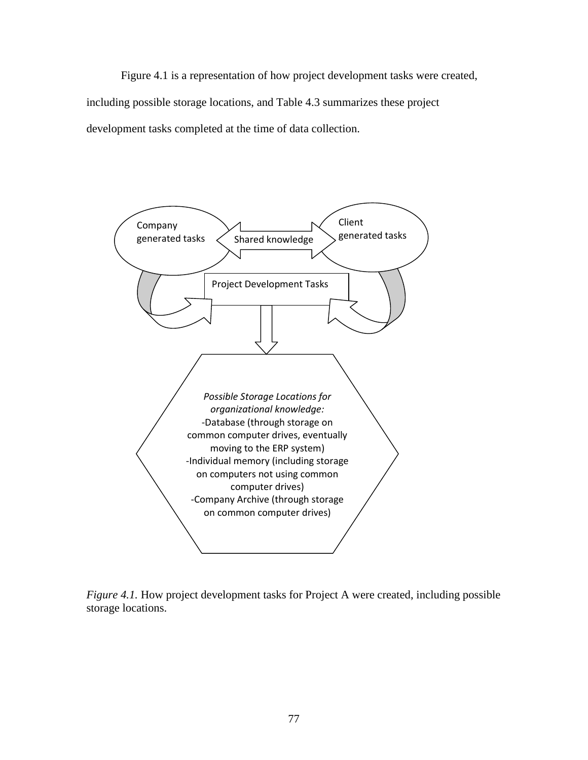Figure 4.1 is a representation of how project development tasks were created, including possible storage locations, and Table 4.3 summarizes these project development tasks completed at the time of data collection.



*Figure 4.1.* How project development tasks for Project A were created, including possible storage locations.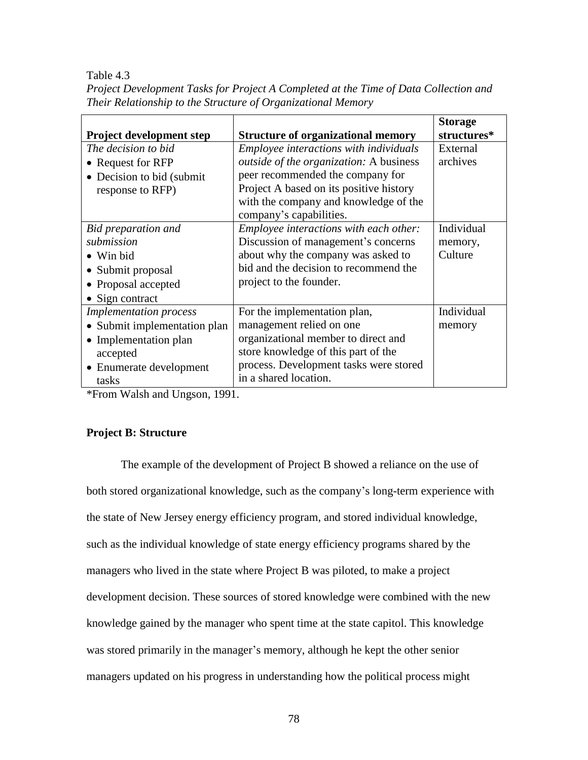Table 4.3

| Project Development Tasks for Project A Completed at the Time of Data Collection and |
|--------------------------------------------------------------------------------------|
| Their Relationship to the Structure of Organizational Memory                         |

|                                 |                                           | <b>Storage</b> |
|---------------------------------|-------------------------------------------|----------------|
| <b>Project development step</b> | <b>Structure of organizational memory</b> | structures*    |
| The decision to bid             | Employee interactions with individuals    | External       |
| • Request for RFP               | outside of the organization: A business   | archives       |
| • Decision to bid (submit)      | peer recommended the company for          |                |
| response to RFP)                | Project A based on its positive history   |                |
|                                 | with the company and knowledge of the     |                |
|                                 | company's capabilities.                   |                |
| <b>Bid</b> preparation and      | Employee interactions with each other:    | Individual     |
| submission                      | Discussion of management's concerns       | memory,        |
| • Win bid                       | about why the company was asked to        | Culture        |
| • Submit proposal               | bid and the decision to recommend the     |                |
| • Proposal accepted             | project to the founder.                   |                |
| $\bullet$ Sign contract         |                                           |                |
| <b>Implementation</b> process   | For the implementation plan,              | Individual     |
| • Submit implementation plan    | management relied on one                  | memory         |
| • Implementation plan           | organizational member to direct and       |                |
| accepted                        | store knowledge of this part of the       |                |
| • Enumerate development         | process. Development tasks were stored    |                |
| tasks                           | in a shared location.                     |                |

\*From Walsh and Ungson, 1991.

# **Project B: Structure**

The example of the development of Project B showed a reliance on the use of both stored organizational knowledge, such as the company's long-term experience with the state of New Jersey energy efficiency program, and stored individual knowledge, such as the individual knowledge of state energy efficiency programs shared by the managers who lived in the state where Project B was piloted, to make a project development decision. These sources of stored knowledge were combined with the new knowledge gained by the manager who spent time at the state capitol. This knowledge was stored primarily in the manager's memory, although he kept the other senior managers updated on his progress in understanding how the political process might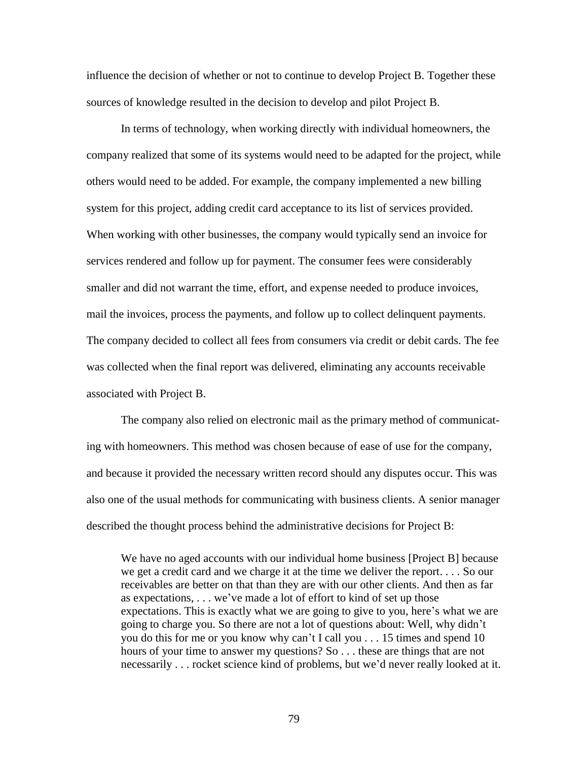influence the decision of whether or not to continue to develop Project B. Together these sources of knowledge resulted in the decision to develop and pilot Project B.

In terms of technology, when working directly with individual homeowners, the company realized that some of its systems would need to be adapted for the project, while others would need to be added. For example, the company implemented a new billing system for this project, adding credit card acceptance to its list of services provided. When working with other businesses, the company would typically send an invoice for services rendered and follow up for payment. The consumer fees were considerably smaller and did not warrant the time, effort, and expense needed to produce invoices, mail the invoices, process the payments, and follow up to collect delinquent payments. The company decided to collect all fees from consumers via credit or debit cards. The fee was collected when the final report was delivered, eliminating any accounts receivable associated with Project B.

The company also relied on electronic mail as the primary method of communicating with homeowners. This method was chosen because of ease of use for the company, and because it provided the necessary written record should any disputes occur. This was also one of the usual methods for communicating with business clients. A senior manager described the thought process behind the administrative decisions for Project B:

We have no aged accounts with our individual home business [Project B] because we get a credit card and we charge it at the time we deliver the report. . . . So our receivables are better on that than they are with our other clients. And then as far as expectations, . . . we've made a lot of effort to kind of set up those expectations. This is exactly what we are going to give to you, here's what we are going to charge you. So there are not a lot of questions about: Well, why didn't you do this for me or you know why can't I call you . . . 15 times and spend 10 hours of your time to answer my questions? So . . . these are things that are not necessarily . . . rocket science kind of problems, but we'd never really looked at it.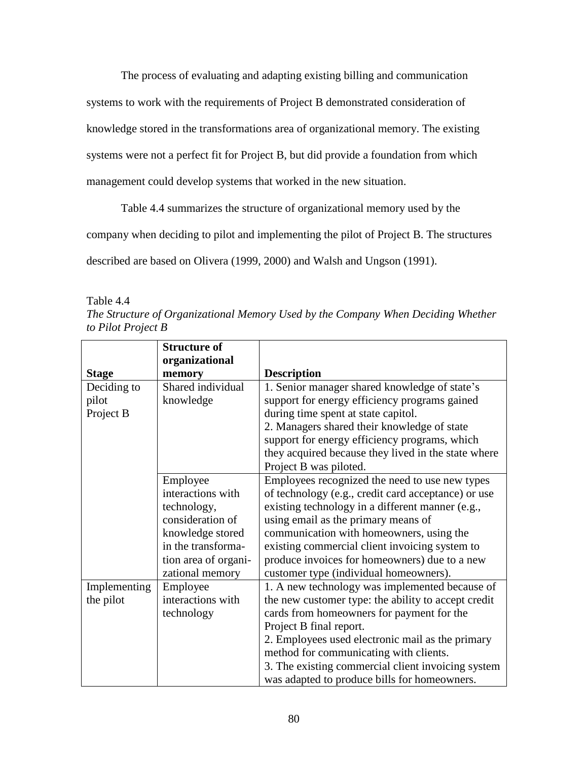The process of evaluating and adapting existing billing and communication systems to work with the requirements of Project B demonstrated consideration of knowledge stored in the transformations area of organizational memory. The existing systems were not a perfect fit for Project B, but did provide a foundation from which management could develop systems that worked in the new situation.

Table 4.4 summarizes the structure of organizational memory used by the

company when deciding to pilot and implementing the pilot of Project B. The structures

described are based on Olivera (1999, 2000) and Walsh and Ungson (1991).

Table 4.4

*The Structure of Organizational Memory Used by the Company When Deciding Whether to Pilot Project B*

|              | <b>Structure of</b>  |                                                     |
|--------------|----------------------|-----------------------------------------------------|
|              | organizational       |                                                     |
| <b>Stage</b> | memory               | <b>Description</b>                                  |
| Deciding to  | Shared individual    | 1. Senior manager shared knowledge of state's       |
| pilot        | knowledge            | support for energy efficiency programs gained       |
| Project B    |                      | during time spent at state capitol.                 |
|              |                      | 2. Managers shared their knowledge of state         |
|              |                      | support for energy efficiency programs, which       |
|              |                      | they acquired because they lived in the state where |
|              |                      | Project B was piloted.                              |
|              | Employee             | Employees recognized the need to use new types      |
|              | interactions with    | of technology (e.g., credit card acceptance) or use |
|              | technology,          | existing technology in a different manner (e.g.,    |
|              | consideration of     | using email as the primary means of                 |
|              | knowledge stored     | communication with homeowners, using the            |
|              | in the transforma-   | existing commercial client invoicing system to      |
|              | tion area of organi- | produce invoices for homeowners) due to a new       |
|              | zational memory      | customer type (individual homeowners).              |
| Implementing | Employee             | 1. A new technology was implemented because of      |
| the pilot    | interactions with    | the new customer type: the ability to accept credit |
|              | technology           | cards from homeowners for payment for the           |
|              |                      | Project B final report.                             |
|              |                      | 2. Employees used electronic mail as the primary    |
|              |                      | method for communicating with clients.              |
|              |                      | 3. The existing commercial client invoicing system  |
|              |                      | was adapted to produce bills for homeowners.        |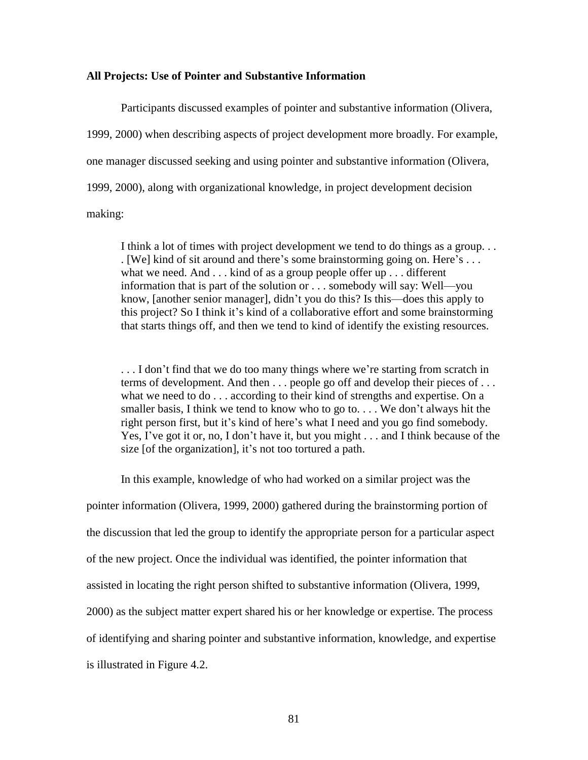#### **All Projects: Use of Pointer and Substantive Information**

Participants discussed examples of pointer and substantive information (Olivera, 1999, 2000) when describing aspects of project development more broadly. For example, one manager discussed seeking and using pointer and substantive information (Olivera, 1999, 2000), along with organizational knowledge, in project development decision making:

I think a lot of times with project development we tend to do things as a group. . . . [We] kind of sit around and there's some brainstorming going on. Here's . . . what we need. And . . . kind of as a group people offer up . . . different information that is part of the solution or . . . somebody will say: Well—you know, [another senior manager], didn't you do this? Is this—does this apply to this project? So I think it's kind of a collaborative effort and some brainstorming that starts things off, and then we tend to kind of identify the existing resources.

... I don't find that we do too many things where we're starting from scratch in terms of development. And then . . . people go off and develop their pieces of . . . what we need to do . . . according to their kind of strengths and expertise. On a smaller basis, I think we tend to know who to go to. . . . We don't always hit the right person first, but it's kind of here's what I need and you go find somebody. Yes, I've got it or, no, I don't have it, but you might . . . and I think because of the size [of the organization], it's not too tortured a path.

In this example, knowledge of who had worked on a similar project was the pointer information (Olivera, 1999, 2000) gathered during the brainstorming portion of the discussion that led the group to identify the appropriate person for a particular aspect of the new project. Once the individual was identified, the pointer information that assisted in locating the right person shifted to substantive information (Olivera, 1999, 2000) as the subject matter expert shared his or her knowledge or expertise. The process of identifying and sharing pointer and substantive information, knowledge, and expertise is illustrated in Figure 4.2.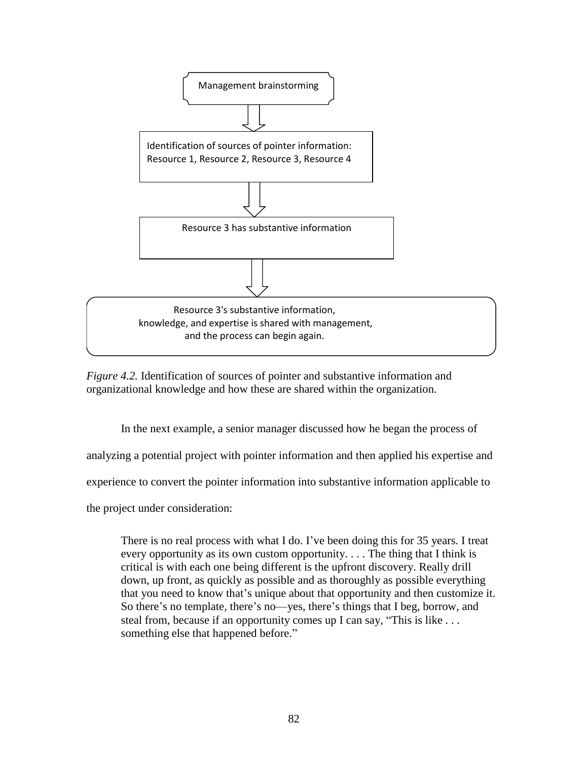

*Figure 4.2.* Identification of sources of pointer and substantive information and organizational knowledge and how these are shared within the organization.

In the next example, a senior manager discussed how he began the process of

analyzing a potential project with pointer information and then applied his expertise and

experience to convert the pointer information into substantive information applicable to

the project under consideration:

There is no real process with what I do. I've been doing this for 35 years. I treat every opportunity as its own custom opportunity. . . . The thing that I think is critical is with each one being different is the upfront discovery. Really drill down, up front, as quickly as possible and as thoroughly as possible everything that you need to know that's unique about that opportunity and then customize it. So there's no template, there's no—yes, there's things that I beg, borrow, and steal from, because if an opportunity comes up I can say, "This is like . . . something else that happened before."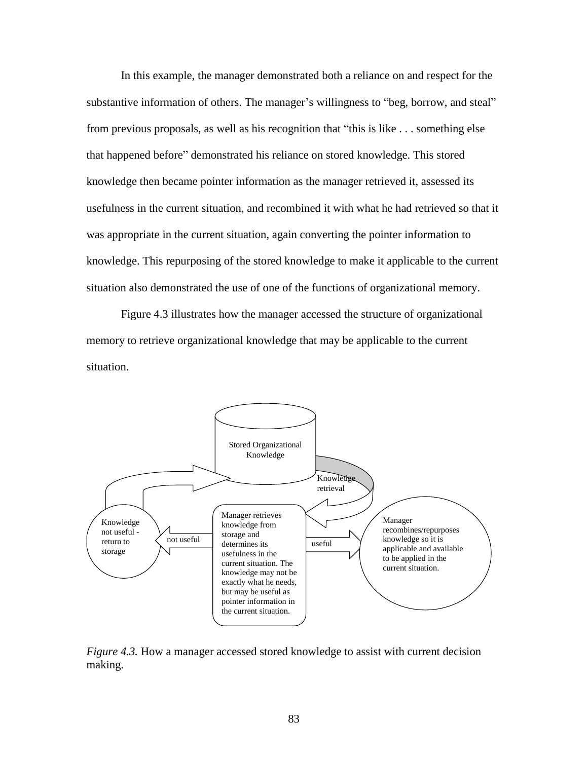In this example, the manager demonstrated both a reliance on and respect for the substantive information of others. The manager's willingness to "beg, borrow, and steal" from previous proposals, as well as his recognition that "this is like . . . something else that happened before" demonstrated his reliance on stored knowledge. This stored knowledge then became pointer information as the manager retrieved it, assessed its usefulness in the current situation, and recombined it with what he had retrieved so that it was appropriate in the current situation, again converting the pointer information to knowledge. This repurposing of the stored knowledge to make it applicable to the current situation also demonstrated the use of one of the functions of organizational memory.

Figure 4.3 illustrates how the manager accessed the structure of organizational memory to retrieve organizational knowledge that may be applicable to the current situation.



*Figure 4.3.* How a manager accessed stored knowledge to assist with current decision making.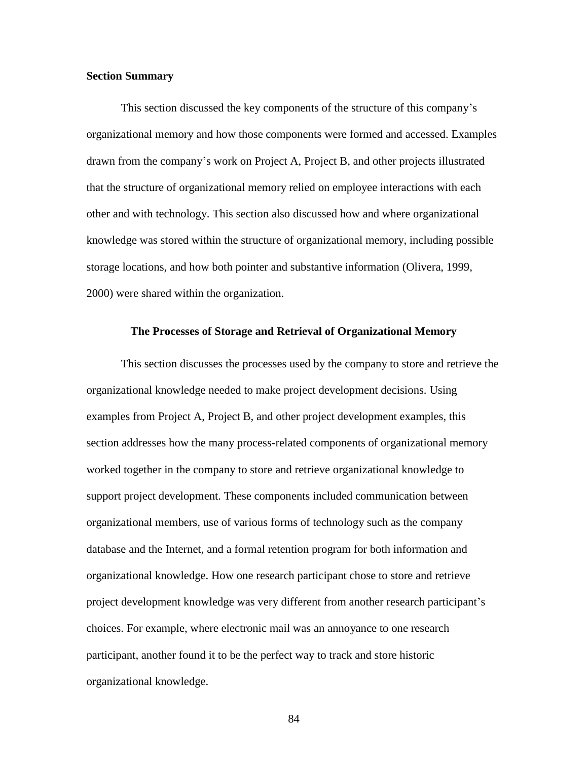#### **Section Summary**

This section discussed the key components of the structure of this company's organizational memory and how those components were formed and accessed. Examples drawn from the company's work on Project A, Project B, and other projects illustrated that the structure of organizational memory relied on employee interactions with each other and with technology. This section also discussed how and where organizational knowledge was stored within the structure of organizational memory, including possible storage locations, and how both pointer and substantive information (Olivera, 1999, 2000) were shared within the organization.

# **The Processes of Storage and Retrieval of Organizational Memory**

This section discusses the processes used by the company to store and retrieve the organizational knowledge needed to make project development decisions. Using examples from Project A, Project B, and other project development examples, this section addresses how the many process-related components of organizational memory worked together in the company to store and retrieve organizational knowledge to support project development. These components included communication between organizational members, use of various forms of technology such as the company database and the Internet, and a formal retention program for both information and organizational knowledge. How one research participant chose to store and retrieve project development knowledge was very different from another research participant's choices. For example, where electronic mail was an annoyance to one research participant, another found it to be the perfect way to track and store historic organizational knowledge.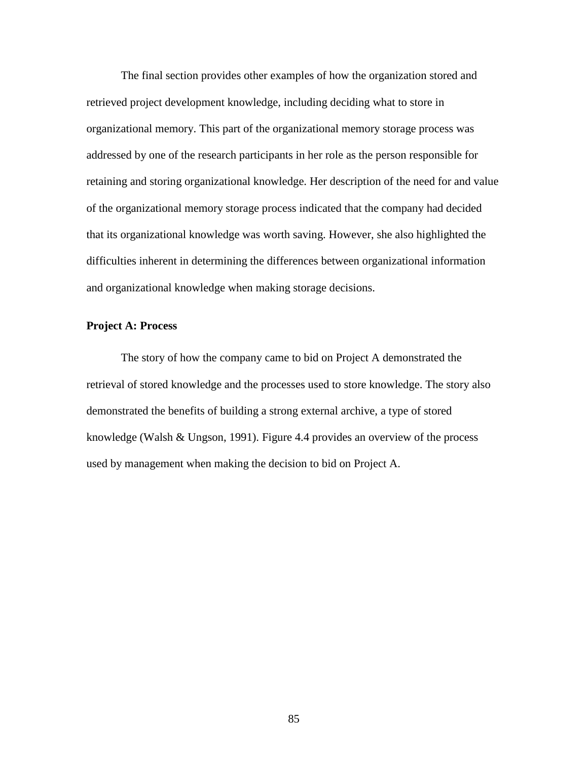The final section provides other examples of how the organization stored and retrieved project development knowledge, including deciding what to store in organizational memory. This part of the organizational memory storage process was addressed by one of the research participants in her role as the person responsible for retaining and storing organizational knowledge. Her description of the need for and value of the organizational memory storage process indicated that the company had decided that its organizational knowledge was worth saving. However, she also highlighted the difficulties inherent in determining the differences between organizational information and organizational knowledge when making storage decisions.

# **Project A: Process**

The story of how the company came to bid on Project A demonstrated the retrieval of stored knowledge and the processes used to store knowledge. The story also demonstrated the benefits of building a strong external archive, a type of stored knowledge (Walsh & Ungson, 1991). Figure 4.4 provides an overview of the process used by management when making the decision to bid on Project A.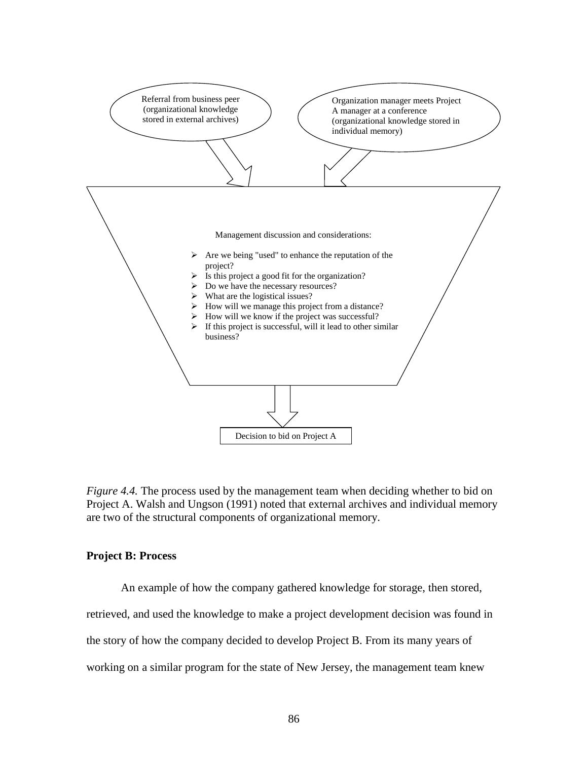

*Figure 4.4.* The process used by the management team when deciding whether to bid on Project A. Walsh and Ungson (1991) noted that external archives and individual memory are two of the structural components of organizational memory.

# **Project B: Process**

An example of how the company gathered knowledge for storage, then stored, retrieved, and used the knowledge to make a project development decision was found in the story of how the company decided to develop Project B. From its many years of working on a similar program for the state of New Jersey, the management team knew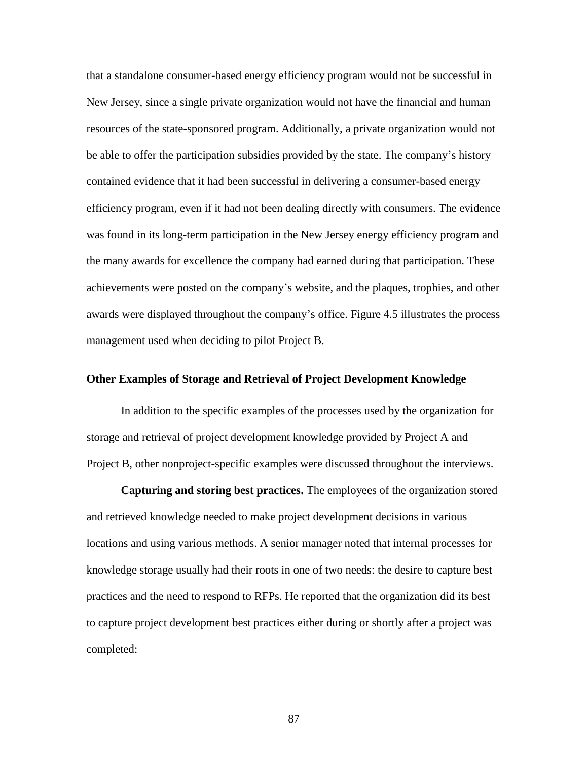that a standalone consumer-based energy efficiency program would not be successful in New Jersey, since a single private organization would not have the financial and human resources of the state-sponsored program. Additionally, a private organization would not be able to offer the participation subsidies provided by the state. The company's history contained evidence that it had been successful in delivering a consumer-based energy efficiency program, even if it had not been dealing directly with consumers. The evidence was found in its long-term participation in the New Jersey energy efficiency program and the many awards for excellence the company had earned during that participation. These achievements were posted on the company's website, and the plaques, trophies, and other awards were displayed throughout the company's office. Figure 4.5 illustrates the process management used when deciding to pilot Project B.

#### **Other Examples of Storage and Retrieval of Project Development Knowledge**

In addition to the specific examples of the processes used by the organization for storage and retrieval of project development knowledge provided by Project A and Project B, other nonproject-specific examples were discussed throughout the interviews.

**Capturing and storing best practices.** The employees of the organization stored and retrieved knowledge needed to make project development decisions in various locations and using various methods. A senior manager noted that internal processes for knowledge storage usually had their roots in one of two needs: the desire to capture best practices and the need to respond to RFPs. He reported that the organization did its best to capture project development best practices either during or shortly after a project was completed: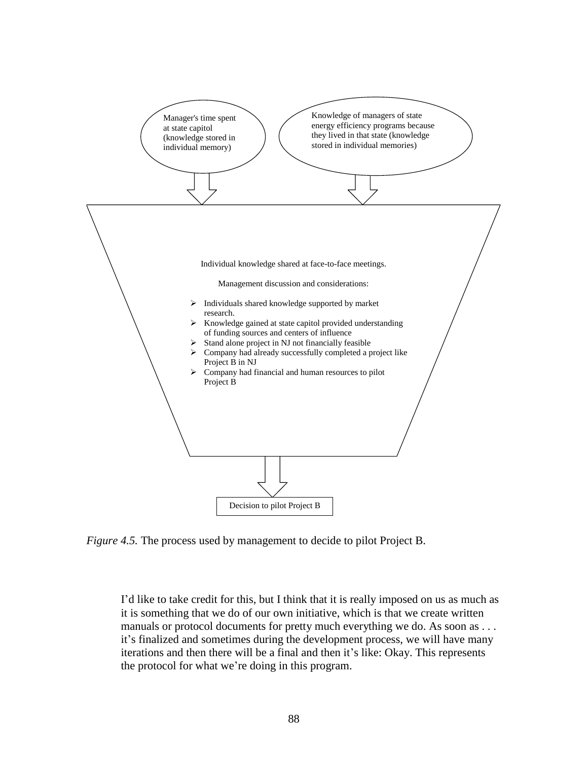

*Figure 4.5.* The process used by management to decide to pilot Project B.

I'd like to take credit for this, but I think that it is really imposed on us as much as it is something that we do of our own initiative, which is that we create written manuals or protocol documents for pretty much everything we do. As soon as . . . it's finalized and sometimes during the development process, we will have many iterations and then there will be a final and then it's like: Okay. This represents the protocol for what we're doing in this program.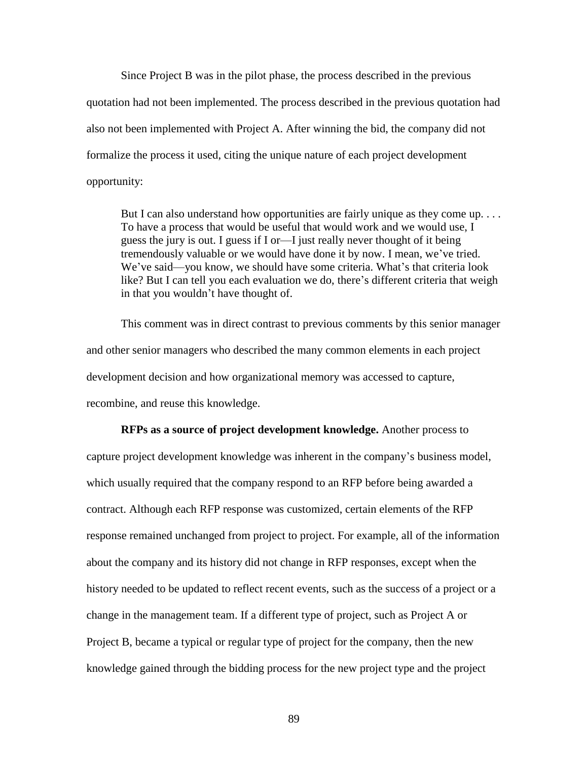Since Project B was in the pilot phase, the process described in the previous quotation had not been implemented. The process described in the previous quotation had also not been implemented with Project A. After winning the bid, the company did not formalize the process it used, citing the unique nature of each project development opportunity:

But I can also understand how opportunities are fairly unique as they come up.... To have a process that would be useful that would work and we would use, I guess the jury is out. I guess if I or—I just really never thought of it being tremendously valuable or we would have done it by now. I mean, we've tried. We've said—you know, we should have some criteria. What's that criteria look like? But I can tell you each evaluation we do, there's different criteria that weigh in that you wouldn't have thought of.

This comment was in direct contrast to previous comments by this senior manager and other senior managers who described the many common elements in each project development decision and how organizational memory was accessed to capture, recombine, and reuse this knowledge.

**RFPs as a source of project development knowledge.** Another process to capture project development knowledge was inherent in the company's business model, which usually required that the company respond to an RFP before being awarded a contract. Although each RFP response was customized, certain elements of the RFP response remained unchanged from project to project. For example, all of the information about the company and its history did not change in RFP responses, except when the history needed to be updated to reflect recent events, such as the success of a project or a change in the management team. If a different type of project, such as Project A or Project B, became a typical or regular type of project for the company, then the new knowledge gained through the bidding process for the new project type and the project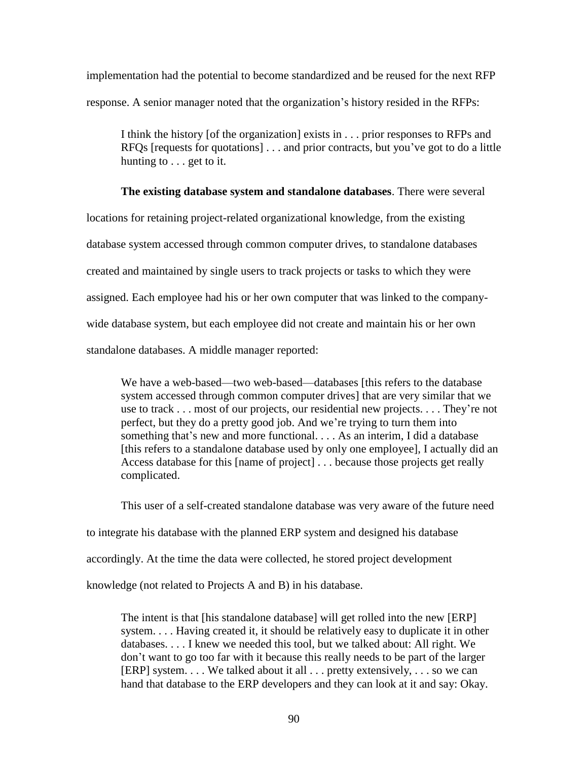implementation had the potential to become standardized and be reused for the next RFP response. A senior manager noted that the organization's history resided in the RFPs:

I think the history [of the organization] exists in . . . prior responses to RFPs and RFQs [requests for quotations] . . . and prior contracts, but you've got to do a little hunting to . . . get to it.

# **The existing database system and standalone databases**. There were several

locations for retaining project-related organizational knowledge, from the existing database system accessed through common computer drives, to standalone databases created and maintained by single users to track projects or tasks to which they were assigned. Each employee had his or her own computer that was linked to the companywide database system, but each employee did not create and maintain his or her own standalone databases. A middle manager reported:

We have a web-based—two web-based—databases [this refers to the database system accessed through common computer drives] that are very similar that we use to track . . . most of our projects, our residential new projects. . . . They're not perfect, but they do a pretty good job. And we're trying to turn them into something that's new and more functional. . . . As an interim, I did a database [this refers to a standalone database used by only one employee], I actually did an Access database for this [name of project] . . . because those projects get really complicated.

This user of a self-created standalone database was very aware of the future need to integrate his database with the planned ERP system and designed his database

accordingly. At the time the data were collected, he stored project development

knowledge (not related to Projects A and B) in his database.

The intent is that [his standalone database] will get rolled into the new [ERP] system. . . . Having created it, it should be relatively easy to duplicate it in other databases. . . . I knew we needed this tool, but we talked about: All right. We don't want to go too far with it because this really needs to be part of the larger [ERP] system. . . . We talked about it all . . . pretty extensively, . . . so we can hand that database to the ERP developers and they can look at it and say: Okay.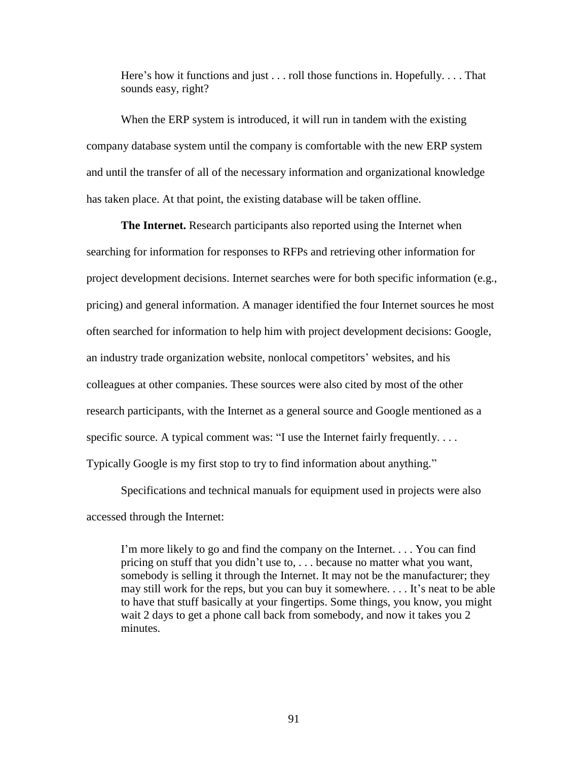Here's how it functions and just . . . roll those functions in. Hopefully. . . . That sounds easy, right?

When the ERP system is introduced, it will run in tandem with the existing company database system until the company is comfortable with the new ERP system and until the transfer of all of the necessary information and organizational knowledge has taken place. At that point, the existing database will be taken offline.

**The Internet.** Research participants also reported using the Internet when searching for information for responses to RFPs and retrieving other information for project development decisions. Internet searches were for both specific information (e.g., pricing) and general information. A manager identified the four Internet sources he most often searched for information to help him with project development decisions: Google, an industry trade organization website, nonlocal competitors' websites, and his colleagues at other companies. These sources were also cited by most of the other research participants, with the Internet as a general source and Google mentioned as a specific source. A typical comment was: "I use the Internet fairly frequently.... Typically Google is my first stop to try to find information about anything."

Specifications and technical manuals for equipment used in projects were also accessed through the Internet:

I'm more likely to go and find the company on the Internet. . . . You can find pricing on stuff that you didn't use to, . . . because no matter what you want, somebody is selling it through the Internet. It may not be the manufacturer; they may still work for the reps, but you can buy it somewhere. . . . It's neat to be able to have that stuff basically at your fingertips. Some things, you know, you might wait 2 days to get a phone call back from somebody, and now it takes you 2 minutes.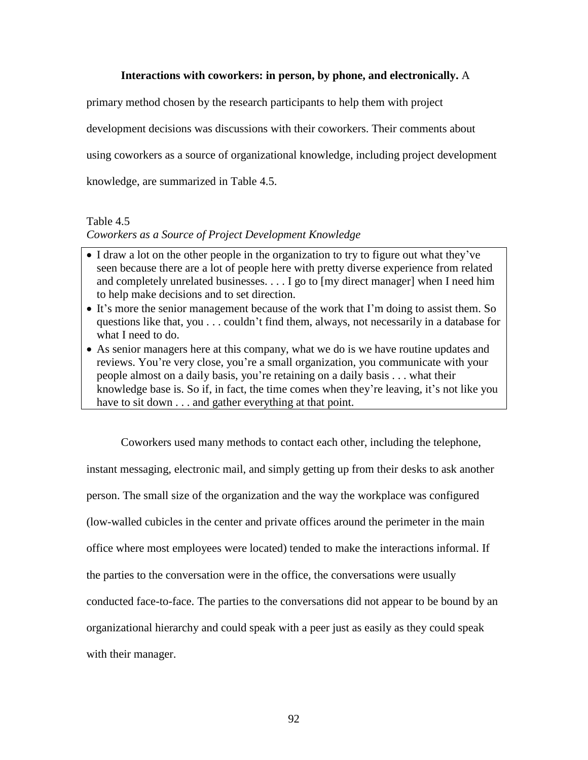# **Interactions with coworkers: in person, by phone, and electronically.** A

primary method chosen by the research participants to help them with project

development decisions was discussions with their coworkers. Their comments about

using coworkers as a source of organizational knowledge, including project development

knowledge, are summarized in Table 4.5.

#### Table 4.5

*Coworkers as a Source of Project Development Knowledge*

- I draw a lot on the other people in the organization to try to figure out what they've seen because there are a lot of people here with pretty diverse experience from related and completely unrelated businesses. . . . I go to [my direct manager] when I need him to help make decisions and to set direction.
- It's more the senior management because of the work that I'm doing to assist them. So questions like that, you . . . couldn't find them, always, not necessarily in a database for what I need to do.
- As senior managers here at this company, what we do is we have routine updates and reviews. You're very close, you're a small organization, you communicate with your people almost on a daily basis, you're retaining on a daily basis . . . what their knowledge base is. So if, in fact, the time comes when they're leaving, it's not like you have to sit down . . . and gather everything at that point.

Coworkers used many methods to contact each other, including the telephone, instant messaging, electronic mail, and simply getting up from their desks to ask another person. The small size of the organization and the way the workplace was configured (low-walled cubicles in the center and private offices around the perimeter in the main office where most employees were located) tended to make the interactions informal. If the parties to the conversation were in the office, the conversations were usually conducted face-to-face. The parties to the conversations did not appear to be bound by an organizational hierarchy and could speak with a peer just as easily as they could speak with their manager.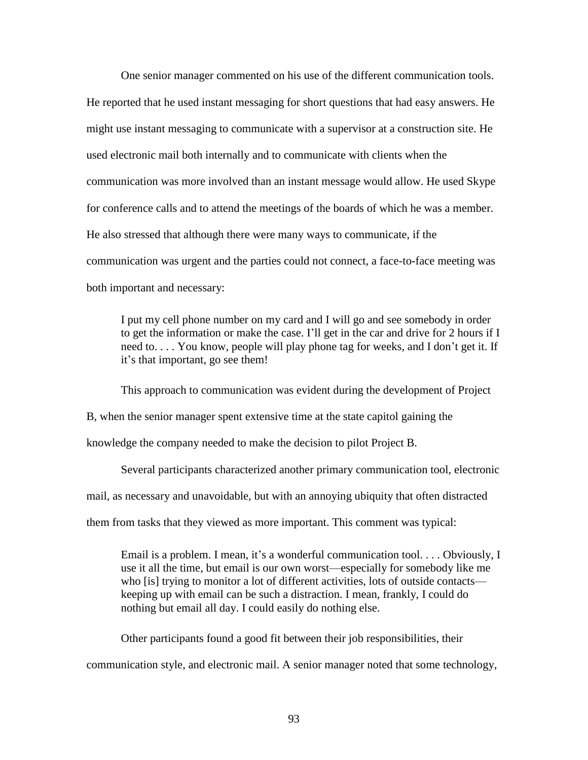One senior manager commented on his use of the different communication tools.

He reported that he used instant messaging for short questions that had easy answers. He might use instant messaging to communicate with a supervisor at a construction site. He used electronic mail both internally and to communicate with clients when the communication was more involved than an instant message would allow. He used Skype for conference calls and to attend the meetings of the boards of which he was a member. He also stressed that although there were many ways to communicate, if the communication was urgent and the parties could not connect, a face-to-face meeting was both important and necessary:

I put my cell phone number on my card and I will go and see somebody in order to get the information or make the case. I'll get in the car and drive for 2 hours if I need to. . . . You know, people will play phone tag for weeks, and I don't get it. If it's that important, go see them!

This approach to communication was evident during the development of Project B, when the senior manager spent extensive time at the state capitol gaining the knowledge the company needed to make the decision to pilot Project B.

Several participants characterized another primary communication tool, electronic mail, as necessary and unavoidable, but with an annoying ubiquity that often distracted them from tasks that they viewed as more important. This comment was typical:

Email is a problem. I mean, it's a wonderful communication tool. . . . Obviously, I use it all the time, but email is our own worst—especially for somebody like me who [is] trying to monitor a lot of different activities, lots of outside contacts keeping up with email can be such a distraction. I mean, frankly, I could do nothing but email all day. I could easily do nothing else.

Other participants found a good fit between their job responsibilities, their communication style, and electronic mail. A senior manager noted that some technology,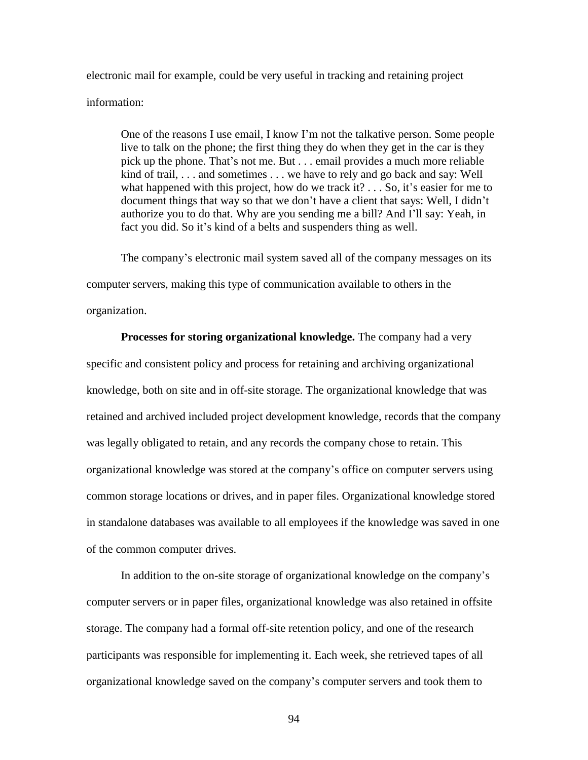electronic mail for example, could be very useful in tracking and retaining project information:

One of the reasons I use email, I know I'm not the talkative person. Some people live to talk on the phone; the first thing they do when they get in the car is they pick up the phone. That's not me. But . . . email provides a much more reliable kind of trail, . . . and sometimes . . . we have to rely and go back and say: Well what happened with this project, how do we track it?  $\ldots$  So, it's easier for me to document things that way so that we don't have a client that says: Well, I didn't authorize you to do that. Why are you sending me a bill? And I'll say: Yeah, in fact you did. So it's kind of a belts and suspenders thing as well.

The company's electronic mail system saved all of the company messages on its computer servers, making this type of communication available to others in the organization.

**Processes for storing organizational knowledge.** The company had a very specific and consistent policy and process for retaining and archiving organizational knowledge, both on site and in off-site storage. The organizational knowledge that was retained and archived included project development knowledge, records that the company was legally obligated to retain, and any records the company chose to retain. This organizational knowledge was stored at the company's office on computer servers using common storage locations or drives, and in paper files. Organizational knowledge stored in standalone databases was available to all employees if the knowledge was saved in one of the common computer drives.

In addition to the on-site storage of organizational knowledge on the company's computer servers or in paper files, organizational knowledge was also retained in offsite storage. The company had a formal off-site retention policy, and one of the research participants was responsible for implementing it. Each week, she retrieved tapes of all organizational knowledge saved on the company's computer servers and took them to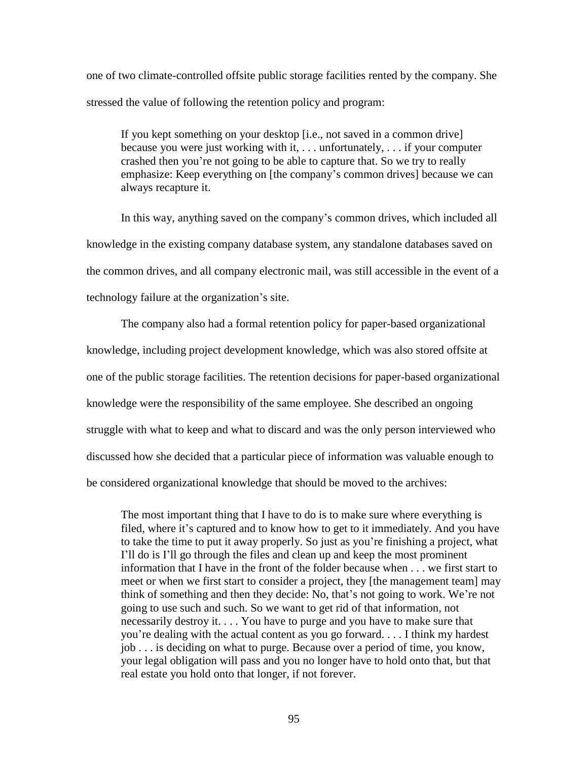one of two climate-controlled offsite public storage facilities rented by the company. She stressed the value of following the retention policy and program:

If you kept something on your desktop [i.e., not saved in a common drive] because you were just working with it, . . . unfortunately, . . . if your computer crashed then you're not going to be able to capture that. So we try to really emphasize: Keep everything on [the company's common drives] because we can always recapture it.

In this way, anything saved on the company's common drives, which included all knowledge in the existing company database system, any standalone databases saved on the common drives, and all company electronic mail, was still accessible in the event of a technology failure at the organization's site.

The company also had a formal retention policy for paper-based organizational knowledge, including project development knowledge, which was also stored offsite at one of the public storage facilities. The retention decisions for paper-based organizational knowledge were the responsibility of the same employee. She described an ongoing struggle with what to keep and what to discard and was the only person interviewed who discussed how she decided that a particular piece of information was valuable enough to be considered organizational knowledge that should be moved to the archives:

The most important thing that I have to do is to make sure where everything is filed, where it's captured and to know how to get to it immediately. And you have to take the time to put it away properly. So just as you're finishing a project, what I'll do is I'll go through the files and clean up and keep the most prominent information that I have in the front of the folder because when . . . we first start to meet or when we first start to consider a project, they [the management team] may think of something and then they decide: No, that's not going to work. We're not going to use such and such. So we want to get rid of that information, not necessarily destroy it. . . . You have to purge and you have to make sure that you're dealing with the actual content as you go forward. . . . I think my hardest job . . . is deciding on what to purge. Because over a period of time, you know, your legal obligation will pass and you no longer have to hold onto that, but that real estate you hold onto that longer, if not forever.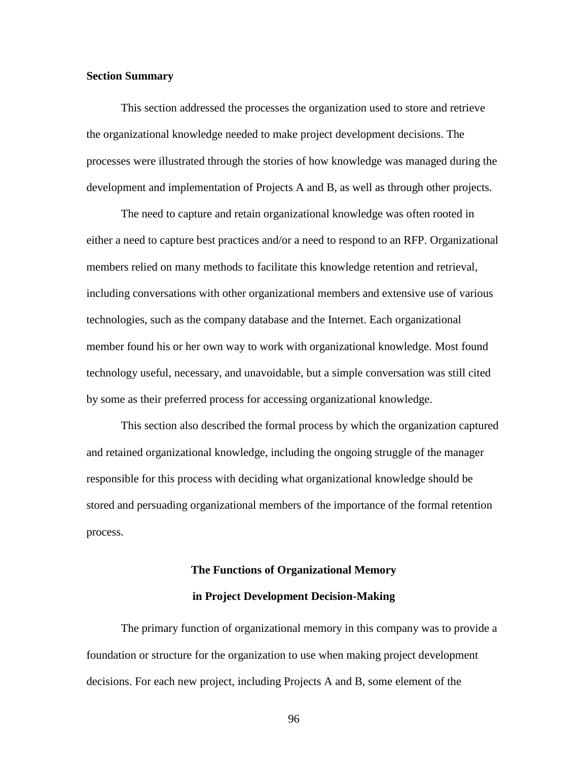#### **Section Summary**

This section addressed the processes the organization used to store and retrieve the organizational knowledge needed to make project development decisions. The processes were illustrated through the stories of how knowledge was managed during the development and implementation of Projects A and B, as well as through other projects.

The need to capture and retain organizational knowledge was often rooted in either a need to capture best practices and/or a need to respond to an RFP. Organizational members relied on many methods to facilitate this knowledge retention and retrieval, including conversations with other organizational members and extensive use of various technologies, such as the company database and the Internet. Each organizational member found his or her own way to work with organizational knowledge. Most found technology useful, necessary, and unavoidable, but a simple conversation was still cited by some as their preferred process for accessing organizational knowledge.

This section also described the formal process by which the organization captured and retained organizational knowledge, including the ongoing struggle of the manager responsible for this process with deciding what organizational knowledge should be stored and persuading organizational members of the importance of the formal retention process.

# **The Functions of Organizational Memory**

### **in Project Development Decision-Making**

The primary function of organizational memory in this company was to provide a foundation or structure for the organization to use when making project development decisions. For each new project, including Projects A and B, some element of the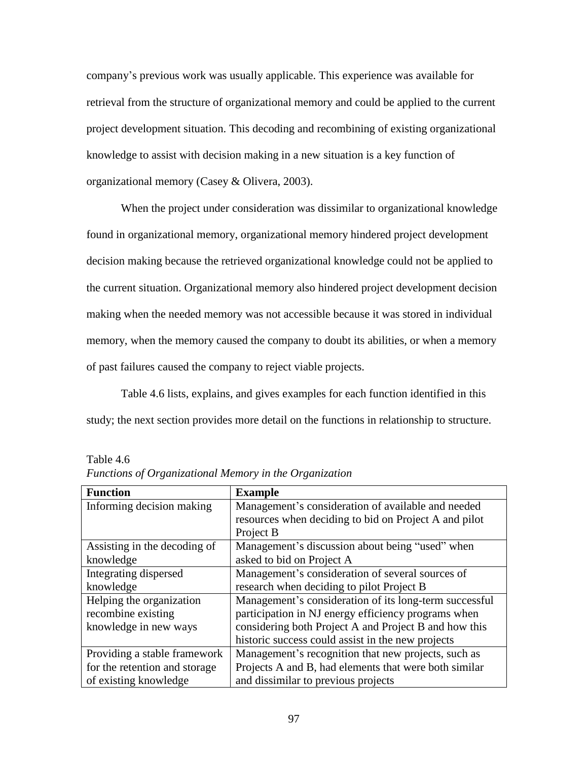company's previous work was usually applicable. This experience was available for retrieval from the structure of organizational memory and could be applied to the current project development situation. This decoding and recombining of existing organizational knowledge to assist with decision making in a new situation is a key function of organizational memory (Casey & Olivera, 2003).

When the project under consideration was dissimilar to organizational knowledge found in organizational memory, organizational memory hindered project development decision making because the retrieved organizational knowledge could not be applied to the current situation. Organizational memory also hindered project development decision making when the needed memory was not accessible because it was stored in individual memory, when the memory caused the company to doubt its abilities, or when a memory of past failures caused the company to reject viable projects.

Table 4.6 lists, explains, and gives examples for each function identified in this study; the next section provides more detail on the functions in relationship to structure.

| <b>Function</b>               | <b>Example</b>                                         |  |
|-------------------------------|--------------------------------------------------------|--|
| Informing decision making     | Management's consideration of available and needed     |  |
|                               | resources when deciding to bid on Project A and pilot  |  |
|                               | Project B                                              |  |
| Assisting in the decoding of  | Management's discussion about being "used" when        |  |
| knowledge                     | asked to bid on Project A                              |  |
| Integrating dispersed         | Management's consideration of several sources of       |  |
| knowledge                     | research when deciding to pilot Project B              |  |
| Helping the organization      | Management's consideration of its long-term successful |  |
| recombine existing            | participation in NJ energy efficiency programs when    |  |
| knowledge in new ways         | considering both Project A and Project B and how this  |  |
|                               | historic success could assist in the new projects      |  |
| Providing a stable framework  | Management's recognition that new projects, such as    |  |
| for the retention and storage | Projects A and B, had elements that were both similar  |  |
| of existing knowledge         | and dissimilar to previous projects                    |  |

Table 4.6

| Functions of Organizational Memory in the Organization |  |
|--------------------------------------------------------|--|
|                                                        |  |
|                                                        |  |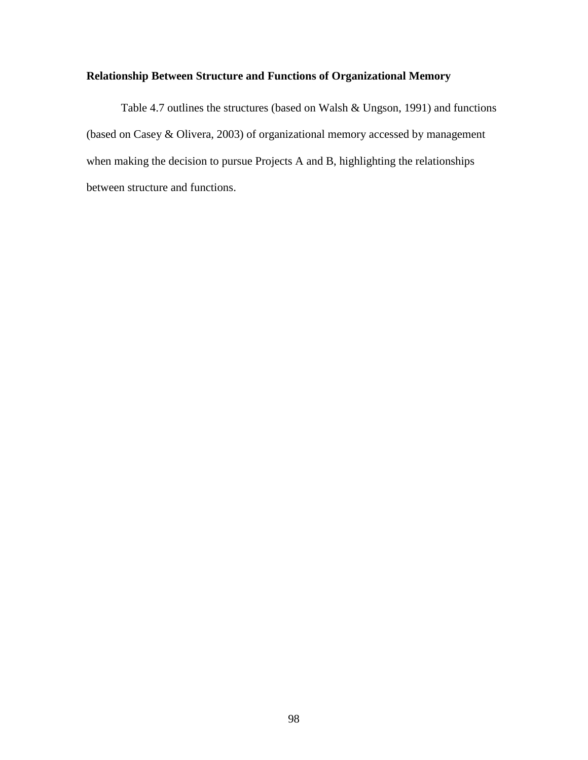## **Relationship Between Structure and Functions of Organizational Memory**

Table 4.7 outlines the structures (based on Walsh & Ungson, 1991) and functions (based on Casey & Olivera, 2003) of organizational memory accessed by management when making the decision to pursue Projects A and B, highlighting the relationships between structure and functions.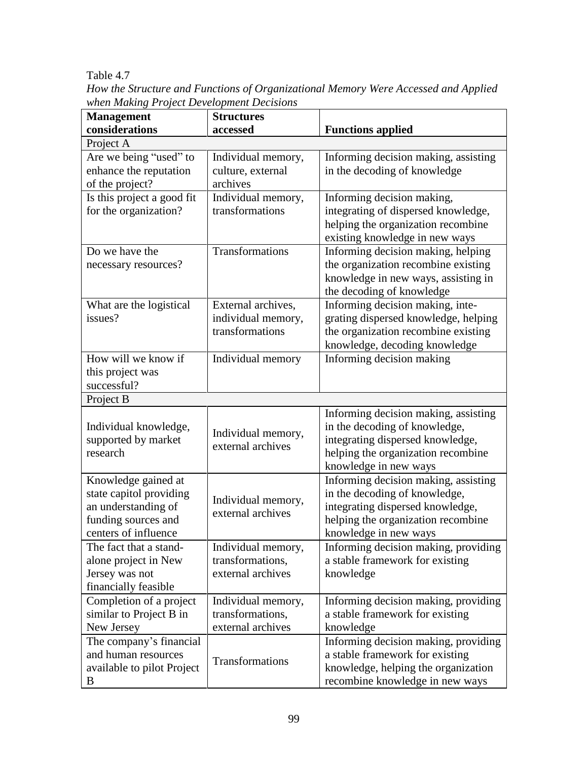Table 4.7

| How the Structure and Functions of Organizational Memory Were Accessed and Applied |
|------------------------------------------------------------------------------------|
| when Making Project Development Decisions                                          |

| <b>Structures</b><br><b>Management</b> |                    |                                      |  |  |
|----------------------------------------|--------------------|--------------------------------------|--|--|
| considerations                         | accessed           | <b>Functions applied</b>             |  |  |
| Project A                              |                    |                                      |  |  |
| Are we being "used" to                 | Individual memory, | Informing decision making, assisting |  |  |
| enhance the reputation                 | culture, external  | in the decoding of knowledge         |  |  |
| of the project?                        | archives           |                                      |  |  |
| Is this project a good fit             | Individual memory, | Informing decision making,           |  |  |
| for the organization?                  | transformations    | integrating of dispersed knowledge,  |  |  |
|                                        |                    | helping the organization recombine   |  |  |
|                                        |                    | existing knowledge in new ways       |  |  |
| Do we have the                         | Transformations    | Informing decision making, helping   |  |  |
| necessary resources?                   |                    | the organization recombine existing  |  |  |
|                                        |                    | knowledge in new ways, assisting in  |  |  |
|                                        |                    | the decoding of knowledge            |  |  |
| What are the logistical                | External archives, | Informing decision making, inte-     |  |  |
| issues?                                | individual memory, | grating dispersed knowledge, helping |  |  |
|                                        | transformations    | the organization recombine existing  |  |  |
|                                        |                    | knowledge, decoding knowledge        |  |  |
| How will we know if                    | Individual memory  | Informing decision making            |  |  |
| this project was                       |                    |                                      |  |  |
| successful?                            |                    |                                      |  |  |
| Project B                              |                    |                                      |  |  |
|                                        |                    | Informing decision making, assisting |  |  |
| Individual knowledge,                  | Individual memory, | in the decoding of knowledge,        |  |  |
| supported by market                    | external archives  | integrating dispersed knowledge,     |  |  |
| research                               |                    | helping the organization recombine   |  |  |
|                                        |                    | knowledge in new ways                |  |  |
| Knowledge gained at                    |                    | Informing decision making, assisting |  |  |
| state capitol providing                | Individual memory, | in the decoding of knowledge,        |  |  |
| an understanding of                    | external archives  | integrating dispersed knowledge,     |  |  |
| funding sources and                    |                    | helping the organization recombine   |  |  |
| centers of influence                   |                    | knowledge in new ways                |  |  |
| The fact that a stand-                 | Individual memory, | Informing decision making, providing |  |  |
| alone project in New                   | transformations,   | a stable framework for existing      |  |  |
| Jersey was not                         | external archives  | knowledge                            |  |  |
| financially feasible                   |                    |                                      |  |  |
| Completion of a project                | Individual memory, | Informing decision making, providing |  |  |
| similar to Project B in                | transformations,   | a stable framework for existing      |  |  |
| New Jersey                             | external archives  | knowledge                            |  |  |
| The company's financial                |                    | Informing decision making, providing |  |  |
| and human resources                    | Transformations    | a stable framework for existing      |  |  |
| available to pilot Project             |                    | knowledge, helping the organization  |  |  |
| B                                      |                    | recombine knowledge in new ways      |  |  |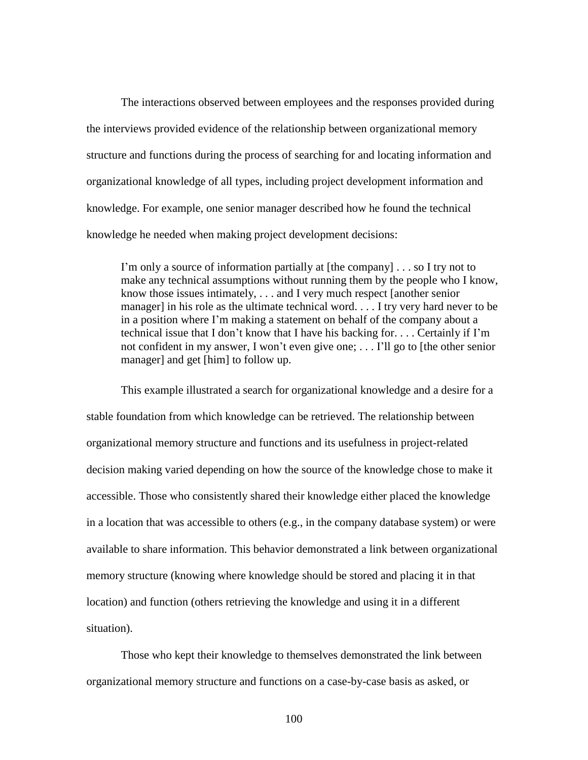The interactions observed between employees and the responses provided during the interviews provided evidence of the relationship between organizational memory structure and functions during the process of searching for and locating information and organizational knowledge of all types, including project development information and knowledge. For example, one senior manager described how he found the technical knowledge he needed when making project development decisions:

I'm only a source of information partially at [the company] . . . so I try not to make any technical assumptions without running them by the people who I know, know those issues intimately, . . . and I very much respect [another senior manager] in his role as the ultimate technical word. . . . I try very hard never to be in a position where I'm making a statement on behalf of the company about a technical issue that I don't know that I have his backing for. . . . Certainly if I'm not confident in my answer, I won't even give one; . . . I'll go to [the other senior manager] and get [him] to follow up.

This example illustrated a search for organizational knowledge and a desire for a stable foundation from which knowledge can be retrieved. The relationship between organizational memory structure and functions and its usefulness in project-related decision making varied depending on how the source of the knowledge chose to make it accessible. Those who consistently shared their knowledge either placed the knowledge in a location that was accessible to others (e.g., in the company database system) or were available to share information. This behavior demonstrated a link between organizational memory structure (knowing where knowledge should be stored and placing it in that location) and function (others retrieving the knowledge and using it in a different situation).

Those who kept their knowledge to themselves demonstrated the link between organizational memory structure and functions on a case-by-case basis as asked, or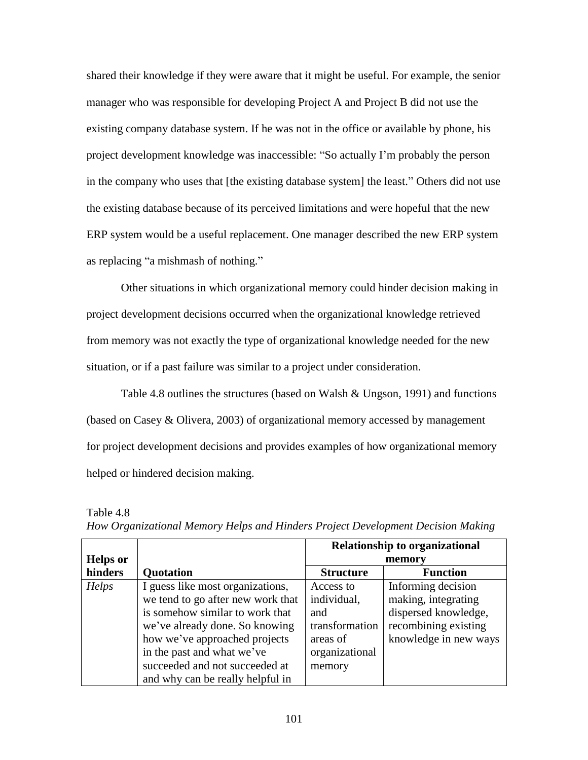shared their knowledge if they were aware that it might be useful. For example, the senior manager who was responsible for developing Project A and Project B did not use the existing company database system. If he was not in the office or available by phone, his project development knowledge was inaccessible: "So actually I'm probably the person in the company who uses that [the existing database system] the least." Others did not use the existing database because of its perceived limitations and were hopeful that the new ERP system would be a useful replacement. One manager described the new ERP system as replacing "a mishmash of nothing."

Other situations in which organizational memory could hinder decision making in project development decisions occurred when the organizational knowledge retrieved from memory was not exactly the type of organizational knowledge needed for the new situation, or if a past failure was similar to a project under consideration.

Table 4.8 outlines the structures (based on Walsh & Ungson, 1991) and functions (based on Casey & Olivera, 2003) of organizational memory accessed by management for project development decisions and provides examples of how organizational memory helped or hindered decision making.

|                 |                                   | <b>Relationship to organizational</b> |                       |  |  |
|-----------------|-----------------------------------|---------------------------------------|-----------------------|--|--|
| <b>Helps</b> or |                                   |                                       | memory                |  |  |
| hinders         | <b>Quotation</b>                  | <b>Structure</b>                      | <b>Function</b>       |  |  |
| Helps           | I guess like most organizations,  | Access to                             | Informing decision    |  |  |
|                 | we tend to go after new work that | individual,                           | making, integrating   |  |  |
|                 | is somehow similar to work that   | and                                   | dispersed knowledge,  |  |  |
|                 | we've already done. So knowing    | transformation                        | recombining existing  |  |  |
|                 | how we've approached projects     | areas of                              | knowledge in new ways |  |  |
|                 | in the past and what we've        | organizational                        |                       |  |  |
|                 | succeeded and not succeeded at    | memory                                |                       |  |  |
|                 | and why can be really helpful in  |                                       |                       |  |  |

Table 4.8 *How Organizational Memory Helps and Hinders Project Development Decision Making*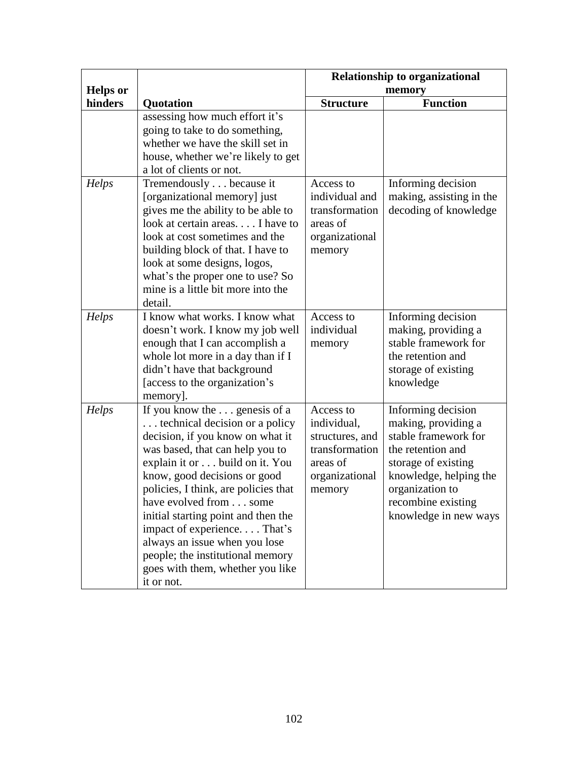|                 |                                                                                                                                                                                                                                                                                                                                                                                                                                                                         | <b>Relationship to organizational</b>                                                                 |                                                                                                                                                                                                           |
|-----------------|-------------------------------------------------------------------------------------------------------------------------------------------------------------------------------------------------------------------------------------------------------------------------------------------------------------------------------------------------------------------------------------------------------------------------------------------------------------------------|-------------------------------------------------------------------------------------------------------|-----------------------------------------------------------------------------------------------------------------------------------------------------------------------------------------------------------|
| <b>Helps</b> or |                                                                                                                                                                                                                                                                                                                                                                                                                                                                         | memory                                                                                                |                                                                                                                                                                                                           |
| hinders         | <b>Quotation</b>                                                                                                                                                                                                                                                                                                                                                                                                                                                        | <b>Structure</b>                                                                                      | <b>Function</b>                                                                                                                                                                                           |
|                 | assessing how much effort it's<br>going to take to do something,<br>whether we have the skill set in<br>house, whether we're likely to get<br>a lot of clients or not.                                                                                                                                                                                                                                                                                                  |                                                                                                       |                                                                                                                                                                                                           |
| Helps           | Tremendously because it<br>[organizational memory] just<br>gives me the ability to be able to<br>look at certain areas I have to<br>look at cost sometimes and the<br>building block of that. I have to<br>look at some designs, logos,<br>what's the proper one to use? So<br>mine is a little bit more into the<br>detail.                                                                                                                                            | Access to<br>individual and<br>transformation<br>areas of<br>organizational<br>memory                 | Informing decision<br>making, assisting in the<br>decoding of knowledge                                                                                                                                   |
| Helps           | I know what works. I know what<br>doesn't work. I know my job well<br>enough that I can accomplish a<br>whole lot more in a day than if I<br>didn't have that background<br>[access to the organization's<br>memory].                                                                                                                                                                                                                                                   | Access to<br>individual<br>memory                                                                     | Informing decision<br>making, providing a<br>stable framework for<br>the retention and<br>storage of existing<br>knowledge                                                                                |
| Helps           | If you know the genesis of a<br>technical decision or a policy<br>decision, if you know on what it<br>was based, that can help you to<br>explain it or build on it. You<br>know, good decisions or good<br>policies, I think, are policies that<br>have evolved from some<br>initial starting point and then the<br>impact of experience. That's<br>always an issue when you lose<br>people; the institutional memory<br>goes with them, whether you like<br>it or not. | Access to<br>individual,<br>structures, and<br>transformation<br>areas of<br>organizational<br>memory | Informing decision<br>making, providing a<br>stable framework for<br>the retention and<br>storage of existing<br>knowledge, helping the<br>organization to<br>recombine existing<br>knowledge in new ways |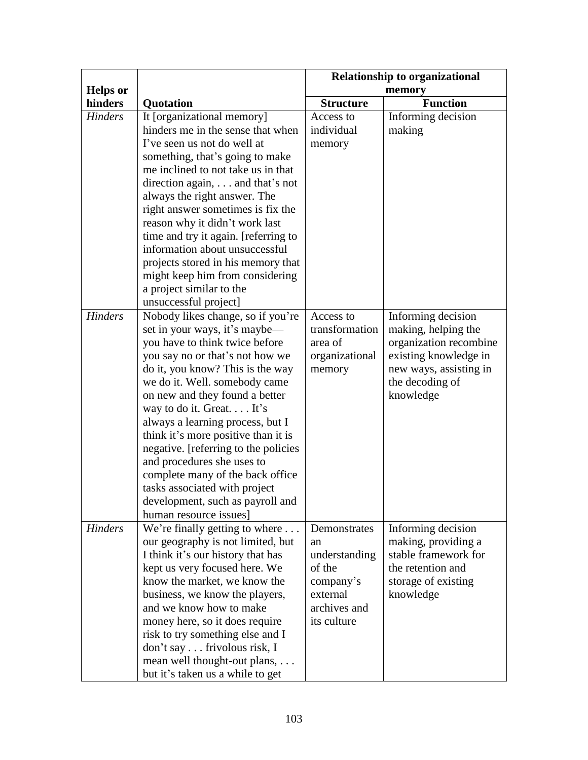|                 |                                                            | <b>Relationship to organizational</b> |                        |
|-----------------|------------------------------------------------------------|---------------------------------------|------------------------|
| <b>Helps</b> or |                                                            | memory                                |                        |
| hinders         | <b>Quotation</b>                                           | <b>Structure</b>                      | <b>Function</b>        |
| <b>Hinders</b>  | It [organizational memory]                                 | Access to                             | Informing decision     |
|                 | hinders me in the sense that when                          | individual                            | making                 |
|                 | I've seen us not do well at                                | memory                                |                        |
|                 | something, that's going to make                            |                                       |                        |
|                 | me inclined to not take us in that                         |                                       |                        |
|                 | direction again, $\dots$ and that's not                    |                                       |                        |
|                 | always the right answer. The                               |                                       |                        |
|                 | right answer sometimes is fix the                          |                                       |                        |
|                 | reason why it didn't work last                             |                                       |                        |
|                 | time and try it again. [referring to                       |                                       |                        |
|                 | information about unsuccessful                             |                                       |                        |
|                 | projects stored in his memory that                         |                                       |                        |
|                 | might keep him from considering                            |                                       |                        |
|                 | a project similar to the                                   |                                       |                        |
| <b>Hinders</b>  | unsuccessful project]<br>Nobody likes change, so if you're | Access to                             | Informing decision     |
|                 | set in your ways, it's maybe—                              | transformation                        | making, helping the    |
|                 | you have to think twice before                             | area of                               | organization recombine |
|                 | you say no or that's not how we                            | organizational                        | existing knowledge in  |
|                 | do it, you know? This is the way                           | memory                                | new ways, assisting in |
|                 | we do it. Well. somebody came                              |                                       | the decoding of        |
|                 | on new and they found a better                             |                                       | knowledge              |
|                 | way to do it. Great. It's                                  |                                       |                        |
|                 | always a learning process, but I                           |                                       |                        |
|                 | think it's more positive than it is                        |                                       |                        |
|                 | negative. [referring to the policies                       |                                       |                        |
|                 | and procedures she uses to                                 |                                       |                        |
|                 | complete many of the back office                           |                                       |                        |
|                 | tasks associated with project                              |                                       |                        |
|                 | development, such as payroll and                           |                                       |                        |
|                 | human resource issues]                                     |                                       |                        |
| Hinders         | We're finally getting to where $\dots$                     | Demonstrates                          | Informing decision     |
|                 | our geography is not limited, but                          | an                                    | making, providing a    |
|                 | I think it's our history that has                          | understanding                         | stable framework for   |
|                 | kept us very focused here. We                              | of the                                | the retention and      |
|                 | know the market, we know the                               | company's                             | storage of existing    |
|                 | business, we know the players,                             | external                              | knowledge              |
|                 | and we know how to make                                    | archives and                          |                        |
|                 | money here, so it does require                             | its culture                           |                        |
|                 | risk to try something else and I                           |                                       |                        |
|                 | don't say frivolous risk, I                                |                                       |                        |
|                 | mean well thought-out plans,                               |                                       |                        |
|                 | but it's taken us a while to get                           |                                       |                        |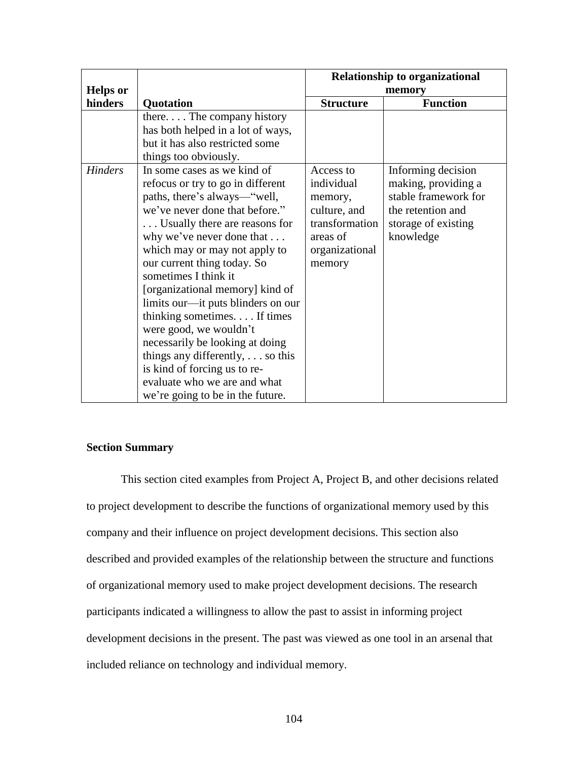|                 |                                                                                                                                                                                                                                                                                                                                                                                                                                                                                                                                                                                                                                                | <b>Relationship to organizational</b>                                                                        |                                                                                                                            |
|-----------------|------------------------------------------------------------------------------------------------------------------------------------------------------------------------------------------------------------------------------------------------------------------------------------------------------------------------------------------------------------------------------------------------------------------------------------------------------------------------------------------------------------------------------------------------------------------------------------------------------------------------------------------------|--------------------------------------------------------------------------------------------------------------|----------------------------------------------------------------------------------------------------------------------------|
| <b>Helps</b> or |                                                                                                                                                                                                                                                                                                                                                                                                                                                                                                                                                                                                                                                | memory                                                                                                       |                                                                                                                            |
| hinders         | Quotation                                                                                                                                                                                                                                                                                                                                                                                                                                                                                                                                                                                                                                      | <b>Structure</b>                                                                                             | <b>Function</b>                                                                                                            |
|                 | there The company history<br>has both helped in a lot of ways,<br>but it has also restricted some                                                                                                                                                                                                                                                                                                                                                                                                                                                                                                                                              |                                                                                                              |                                                                                                                            |
| <b>Hinders</b>  | things too obviously.<br>In some cases as we kind of<br>refocus or try to go in different<br>paths, there's always—"well,<br>we've never done that before."<br>Usually there are reasons for<br>why we've never done that<br>which may or may not apply to<br>our current thing today. So<br>sometimes I think it<br>[organizational memory] kind of<br>limits our—it puts blinders on our<br>thinking sometimes. $\dots$ If times<br>were good, we wouldn't<br>necessarily be looking at doing<br>things any differently, $\dots$ so this<br>is kind of forcing us to re-<br>evaluate who we are and what<br>we're going to be in the future. | Access to<br>individual<br>memory,<br>culture, and<br>transformation<br>areas of<br>organizational<br>memory | Informing decision<br>making, providing a<br>stable framework for<br>the retention and<br>storage of existing<br>knowledge |

#### **Section Summary**

This section cited examples from Project A, Project B, and other decisions related to project development to describe the functions of organizational memory used by this company and their influence on project development decisions. This section also described and provided examples of the relationship between the structure and functions of organizational memory used to make project development decisions. The research participants indicated a willingness to allow the past to assist in informing project development decisions in the present. The past was viewed as one tool in an arsenal that included reliance on technology and individual memory.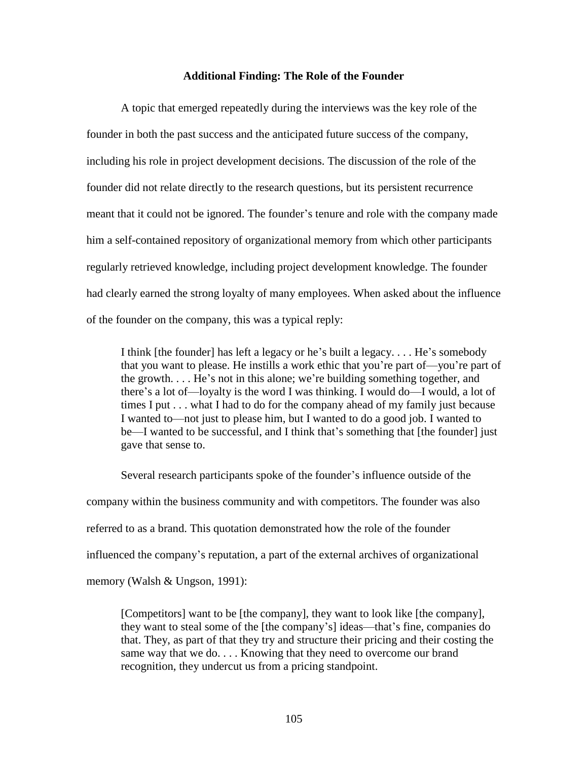#### **Additional Finding: The Role of the Founder**

A topic that emerged repeatedly during the interviews was the key role of the founder in both the past success and the anticipated future success of the company, including his role in project development decisions. The discussion of the role of the founder did not relate directly to the research questions, but its persistent recurrence meant that it could not be ignored. The founder's tenure and role with the company made him a self-contained repository of organizational memory from which other participants regularly retrieved knowledge, including project development knowledge. The founder had clearly earned the strong loyalty of many employees. When asked about the influence of the founder on the company, this was a typical reply:

I think [the founder] has left a legacy or he's built a legacy. . . . He's somebody that you want to please. He instills a work ethic that you're part of—you're part of the growth. . . . He's not in this alone; we're building something together, and there's a lot of—loyalty is the word I was thinking. I would do—I would, a lot of times I put . . . what I had to do for the company ahead of my family just because I wanted to—not just to please him, but I wanted to do a good job. I wanted to be—I wanted to be successful, and I think that's something that [the founder] just gave that sense to.

Several research participants spoke of the founder's influence outside of the company within the business community and with competitors. The founder was also referred to as a brand. This quotation demonstrated how the role of the founder influenced the company's reputation, a part of the external archives of organizational memory (Walsh & Ungson, 1991):

[Competitors] want to be [the company], they want to look like [the company], they want to steal some of the [the company's] ideas—that's fine, companies do that. They, as part of that they try and structure their pricing and their costing the same way that we do. . . . Knowing that they need to overcome our brand recognition, they undercut us from a pricing standpoint.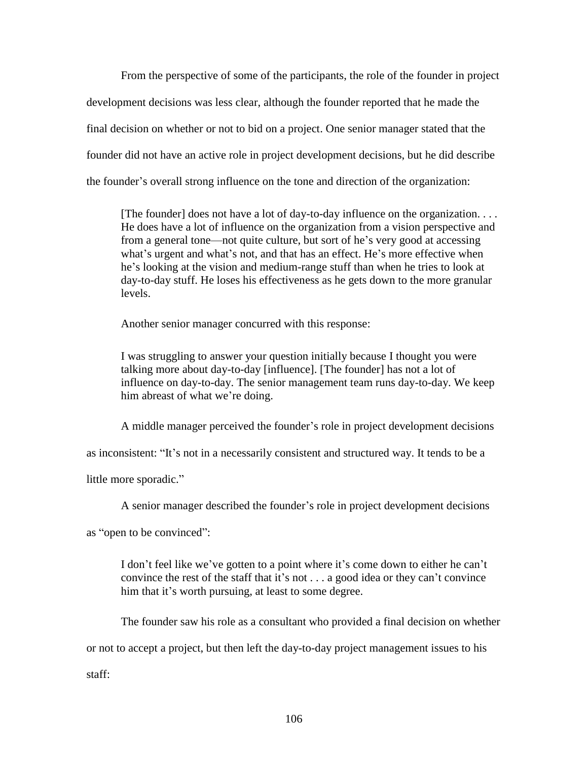From the perspective of some of the participants, the role of the founder in project development decisions was less clear, although the founder reported that he made the final decision on whether or not to bid on a project. One senior manager stated that the founder did not have an active role in project development decisions, but he did describe the founder's overall strong influence on the tone and direction of the organization:

[The founder] does not have a lot of day-to-day influence on the organization. . . . He does have a lot of influence on the organization from a vision perspective and from a general tone—not quite culture, but sort of he's very good at accessing what's urgent and what's not, and that has an effect. He's more effective when he's looking at the vision and medium-range stuff than when he tries to look at day-to-day stuff. He loses his effectiveness as he gets down to the more granular levels.

Another senior manager concurred with this response:

I was struggling to answer your question initially because I thought you were talking more about day-to-day [influence]. [The founder] has not a lot of influence on day-to-day. The senior management team runs day-to-day. We keep him abreast of what we're doing.

A middle manager perceived the founder's role in project development decisions

as inconsistent: "It's not in a necessarily consistent and structured way. It tends to be a

little more sporadic."

A senior manager described the founder's role in project development decisions

as "open to be convinced":

I don't feel like we've gotten to a point where it's come down to either he can't convince the rest of the staff that it's not . . . a good idea or they can't convince him that it's worth pursuing, at least to some degree.

The founder saw his role as a consultant who provided a final decision on whether

or not to accept a project, but then left the day-to-day project management issues to his

staff: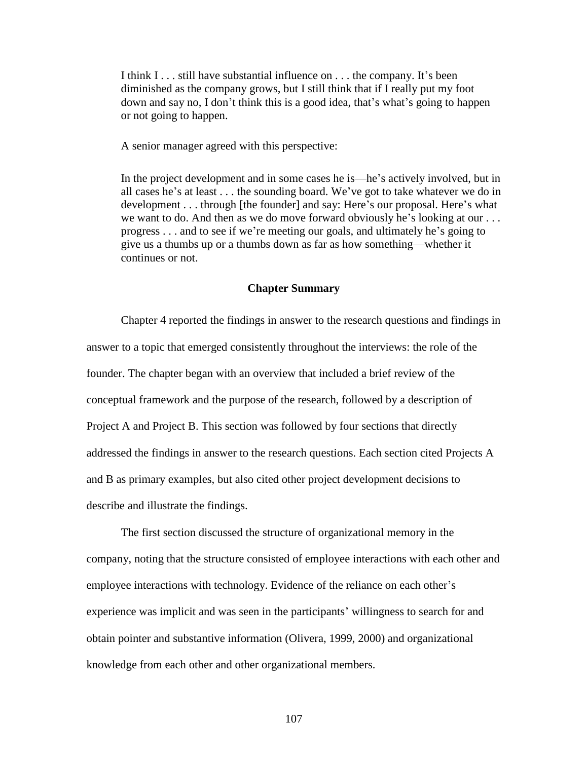I think I . . . still have substantial influence on . . . the company. It's been diminished as the company grows, but I still think that if I really put my foot down and say no, I don't think this is a good idea, that's what's going to happen or not going to happen.

A senior manager agreed with this perspective:

In the project development and in some cases he is—he's actively involved, but in all cases he's at least . . . the sounding board. We've got to take whatever we do in development . . . through [the founder] and say: Here's our proposal. Here's what we want to do. And then as we do move forward obviously he's looking at our . . . progress . . . and to see if we're meeting our goals, and ultimately he's going to give us a thumbs up or a thumbs down as far as how something—whether it continues or not.

#### **Chapter Summary**

Chapter 4 reported the findings in answer to the research questions and findings in answer to a topic that emerged consistently throughout the interviews: the role of the founder. The chapter began with an overview that included a brief review of the conceptual framework and the purpose of the research, followed by a description of Project A and Project B. This section was followed by four sections that directly addressed the findings in answer to the research questions. Each section cited Projects A and B as primary examples, but also cited other project development decisions to describe and illustrate the findings.

The first section discussed the structure of organizational memory in the company, noting that the structure consisted of employee interactions with each other and employee interactions with technology. Evidence of the reliance on each other's experience was implicit and was seen in the participants' willingness to search for and obtain pointer and substantive information (Olivera, 1999, 2000) and organizational knowledge from each other and other organizational members.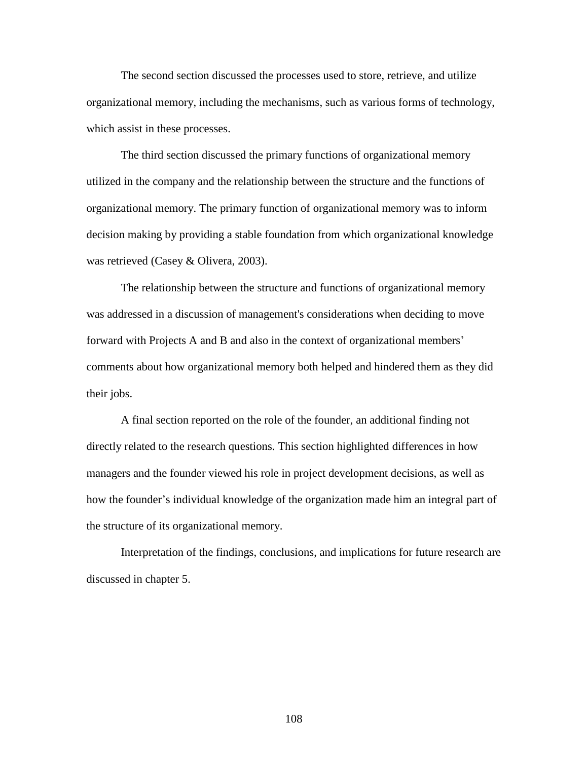The second section discussed the processes used to store, retrieve, and utilize organizational memory, including the mechanisms, such as various forms of technology, which assist in these processes.

The third section discussed the primary functions of organizational memory utilized in the company and the relationship between the structure and the functions of organizational memory. The primary function of organizational memory was to inform decision making by providing a stable foundation from which organizational knowledge was retrieved (Casey & Olivera, 2003).

The relationship between the structure and functions of organizational memory was addressed in a discussion of management's considerations when deciding to move forward with Projects A and B and also in the context of organizational members' comments about how organizational memory both helped and hindered them as they did their jobs.

A final section reported on the role of the founder, an additional finding not directly related to the research questions. This section highlighted differences in how managers and the founder viewed his role in project development decisions, as well as how the founder's individual knowledge of the organization made him an integral part of the structure of its organizational memory.

Interpretation of the findings, conclusions, and implications for future research are discussed in chapter 5.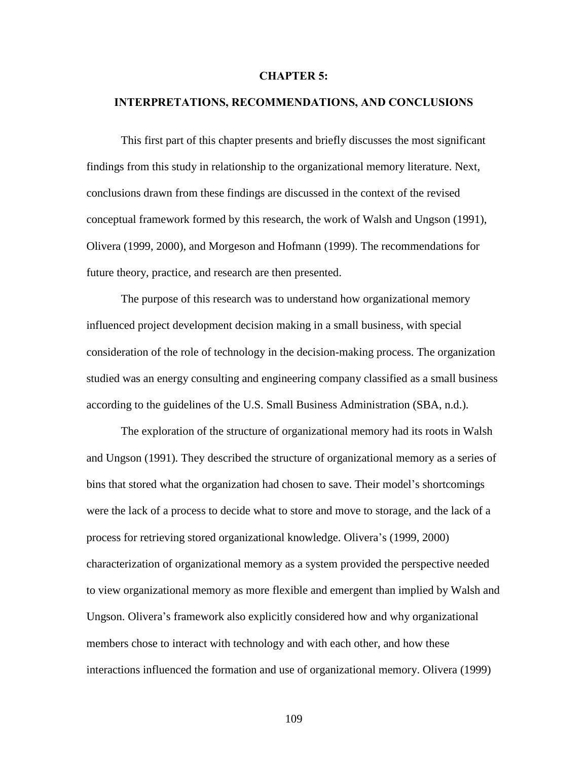#### **CHAPTER 5:**

#### **INTERPRETATIONS, RECOMMENDATIONS, AND CONCLUSIONS**

This first part of this chapter presents and briefly discusses the most significant findings from this study in relationship to the organizational memory literature. Next, conclusions drawn from these findings are discussed in the context of the revised conceptual framework formed by this research, the work of Walsh and Ungson (1991), Olivera (1999, 2000), and Morgeson and Hofmann (1999). The recommendations for future theory, practice, and research are then presented.

The purpose of this research was to understand how organizational memory influenced project development decision making in a small business, with special consideration of the role of technology in the decision-making process. The organization studied was an energy consulting and engineering company classified as a small business according to the guidelines of the U.S. Small Business Administration (SBA, n.d.).

The exploration of the structure of organizational memory had its roots in Walsh and Ungson (1991). They described the structure of organizational memory as a series of bins that stored what the organization had chosen to save. Their model's shortcomings were the lack of a process to decide what to store and move to storage, and the lack of a process for retrieving stored organizational knowledge. Olivera's (1999, 2000) characterization of organizational memory as a system provided the perspective needed to view organizational memory as more flexible and emergent than implied by Walsh and Ungson. Olivera's framework also explicitly considered how and why organizational members chose to interact with technology and with each other, and how these interactions influenced the formation and use of organizational memory. Olivera (1999)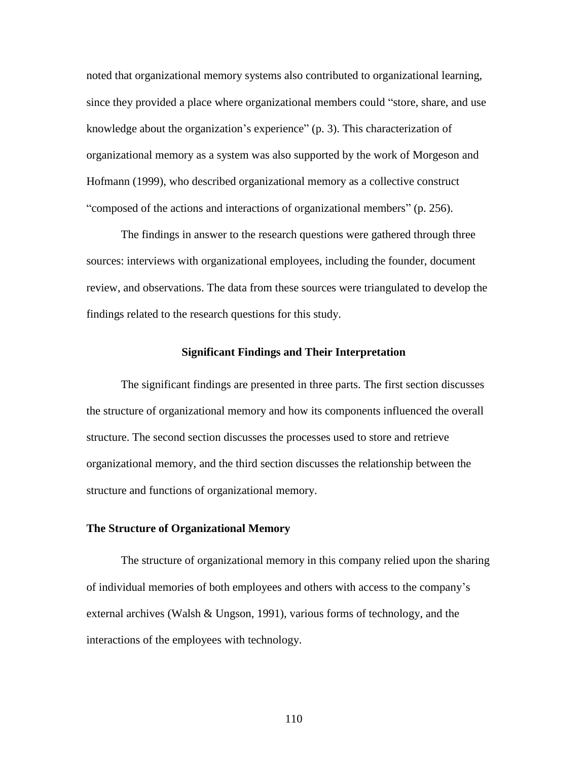noted that organizational memory systems also contributed to organizational learning, since they provided a place where organizational members could "store, share, and use knowledge about the organization's experience" (p. 3). This characterization of organizational memory as a system was also supported by the work of Morgeson and Hofmann (1999), who described organizational memory as a collective construct "composed of the actions and interactions of organizational members" (p. 256).

The findings in answer to the research questions were gathered through three sources: interviews with organizational employees, including the founder, document review, and observations. The data from these sources were triangulated to develop the findings related to the research questions for this study.

#### **Significant Findings and Their Interpretation**

The significant findings are presented in three parts. The first section discusses the structure of organizational memory and how its components influenced the overall structure. The second section discusses the processes used to store and retrieve organizational memory, and the third section discusses the relationship between the structure and functions of organizational memory.

#### **The Structure of Organizational Memory**

The structure of organizational memory in this company relied upon the sharing of individual memories of both employees and others with access to the company's external archives (Walsh & Ungson, 1991), various forms of technology, and the interactions of the employees with technology.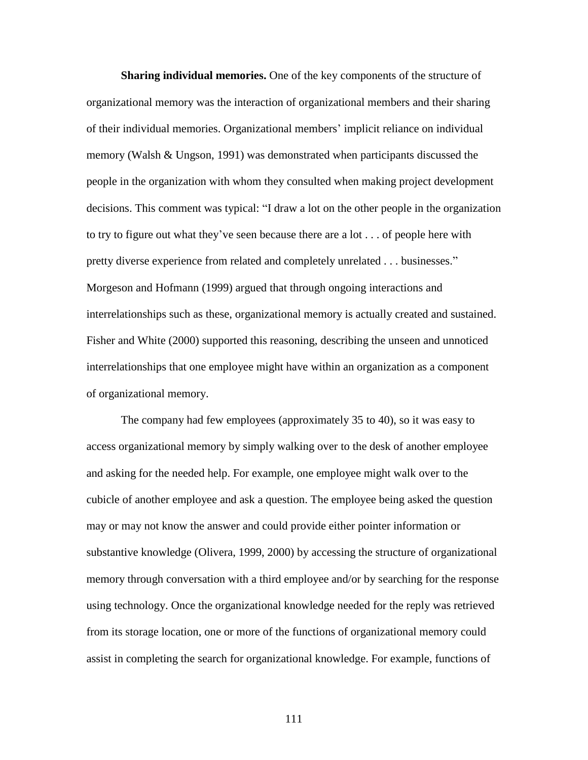**Sharing individual memories.** One of the key components of the structure of organizational memory was the interaction of organizational members and their sharing of their individual memories. Organizational members' implicit reliance on individual memory (Walsh & Ungson, 1991) was demonstrated when participants discussed the people in the organization with whom they consulted when making project development decisions. This comment was typical: "I draw a lot on the other people in the organization to try to figure out what they've seen because there are a lot . . . of people here with pretty diverse experience from related and completely unrelated . . . businesses." Morgeson and Hofmann (1999) argued that through ongoing interactions and interrelationships such as these, organizational memory is actually created and sustained. Fisher and White (2000) supported this reasoning, describing the unseen and unnoticed interrelationships that one employee might have within an organization as a component of organizational memory.

The company had few employees (approximately 35 to 40), so it was easy to access organizational memory by simply walking over to the desk of another employee and asking for the needed help. For example, one employee might walk over to the cubicle of another employee and ask a question. The employee being asked the question may or may not know the answer and could provide either pointer information or substantive knowledge (Olivera, 1999, 2000) by accessing the structure of organizational memory through conversation with a third employee and/or by searching for the response using technology. Once the organizational knowledge needed for the reply was retrieved from its storage location, one or more of the functions of organizational memory could assist in completing the search for organizational knowledge. For example, functions of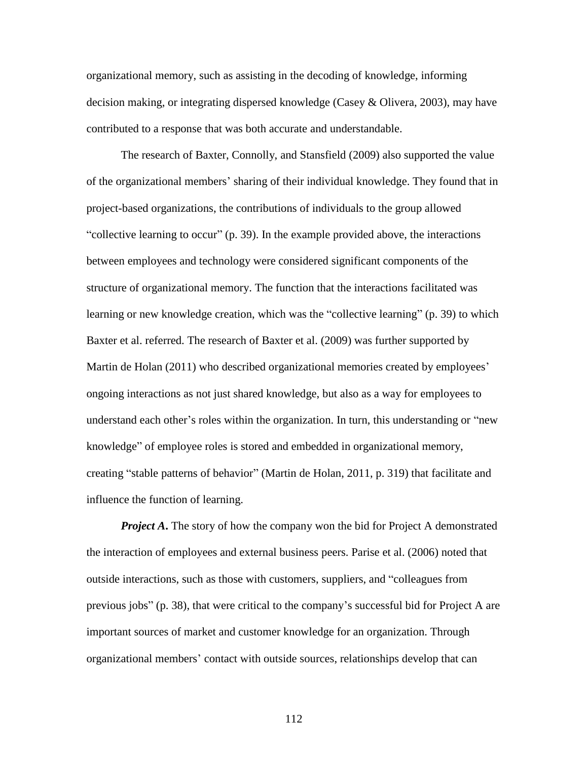organizational memory, such as assisting in the decoding of knowledge, informing decision making, or integrating dispersed knowledge (Casey & Olivera, 2003), may have contributed to a response that was both accurate and understandable.

The research of Baxter, Connolly, and Stansfield (2009) also supported the value of the organizational members' sharing of their individual knowledge. They found that in project-based organizations, the contributions of individuals to the group allowed "collective learning to occur" (p. 39). In the example provided above, the interactions between employees and technology were considered significant components of the structure of organizational memory. The function that the interactions facilitated was learning or new knowledge creation, which was the "collective learning" (p. 39) to which Baxter et al. referred. The research of Baxter et al. (2009) was further supported by Martin de Holan (2011) who described organizational memories created by employees' ongoing interactions as not just shared knowledge, but also as a way for employees to understand each other's roles within the organization. In turn, this understanding or "new knowledge" of employee roles is stored and embedded in organizational memory, creating "stable patterns of behavior" (Martin de Holan, 2011, p. 319) that facilitate and influence the function of learning.

*Project A***.** The story of how the company won the bid for Project A demonstrated the interaction of employees and external business peers. Parise et al. (2006) noted that outside interactions, such as those with customers, suppliers, and "colleagues from previous jobs" (p. 38), that were critical to the company's successful bid for Project A are important sources of market and customer knowledge for an organization. Through organizational members' contact with outside sources, relationships develop that can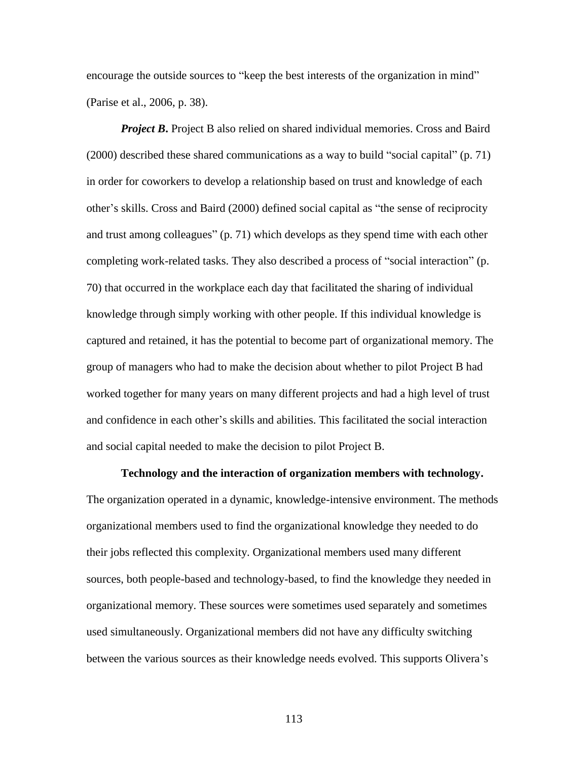encourage the outside sources to "keep the best interests of the organization in mind" (Parise et al., 2006, p. 38).

*Project B*. Project B also relied on shared individual memories. Cross and Baird (2000) described these shared communications as a way to build "social capital" (p. 71) in order for coworkers to develop a relationship based on trust and knowledge of each other's skills. Cross and Baird (2000) defined social capital as "the sense of reciprocity and trust among colleagues" (p. 71) which develops as they spend time with each other completing work-related tasks. They also described a process of "social interaction" (p. 70) that occurred in the workplace each day that facilitated the sharing of individual knowledge through simply working with other people. If this individual knowledge is captured and retained, it has the potential to become part of organizational memory. The group of managers who had to make the decision about whether to pilot Project B had worked together for many years on many different projects and had a high level of trust and confidence in each other's skills and abilities. This facilitated the social interaction and social capital needed to make the decision to pilot Project B.

#### **Technology and the interaction of organization members with technology.**

The organization operated in a dynamic, knowledge-intensive environment. The methods organizational members used to find the organizational knowledge they needed to do their jobs reflected this complexity. Organizational members used many different sources, both people-based and technology-based, to find the knowledge they needed in organizational memory. These sources were sometimes used separately and sometimes used simultaneously. Organizational members did not have any difficulty switching between the various sources as their knowledge needs evolved. This supports Olivera's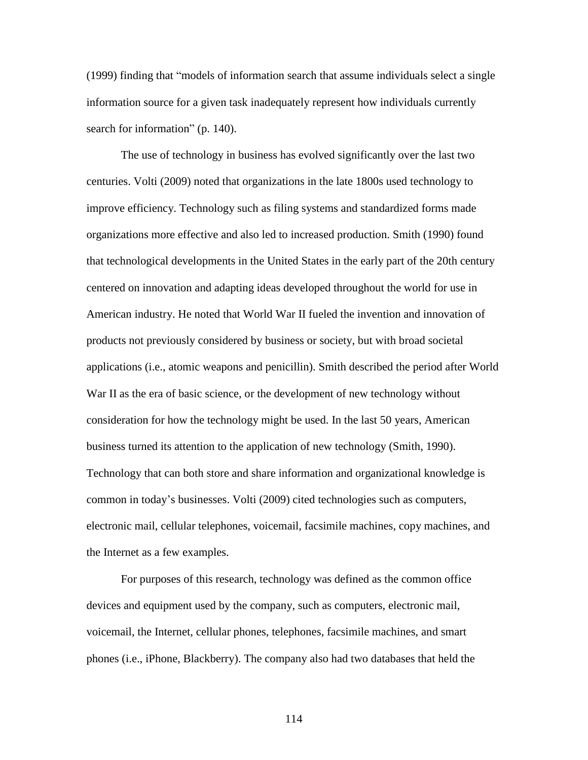(1999) finding that "models of information search that assume individuals select a single information source for a given task inadequately represent how individuals currently search for information" (p. 140).

The use of technology in business has evolved significantly over the last two centuries. Volti (2009) noted that organizations in the late 1800s used technology to improve efficiency. Technology such as filing systems and standardized forms made organizations more effective and also led to increased production. Smith (1990) found that technological developments in the United States in the early part of the 20th century centered on innovation and adapting ideas developed throughout the world for use in American industry. He noted that World War II fueled the invention and innovation of products not previously considered by business or society, but with broad societal applications (i.e., atomic weapons and penicillin). Smith described the period after World War II as the era of basic science, or the development of new technology without consideration for how the technology might be used. In the last 50 years, American business turned its attention to the application of new technology (Smith, 1990). Technology that can both store and share information and organizational knowledge is common in today's businesses. Volti (2009) cited technologies such as computers, electronic mail, cellular telephones, voicemail, facsimile machines, copy machines, and the Internet as a few examples.

For purposes of this research, technology was defined as the common office devices and equipment used by the company, such as computers, electronic mail, voicemail, the Internet, cellular phones, telephones, facsimile machines, and smart phones (i.e., iPhone, Blackberry). The company also had two databases that held the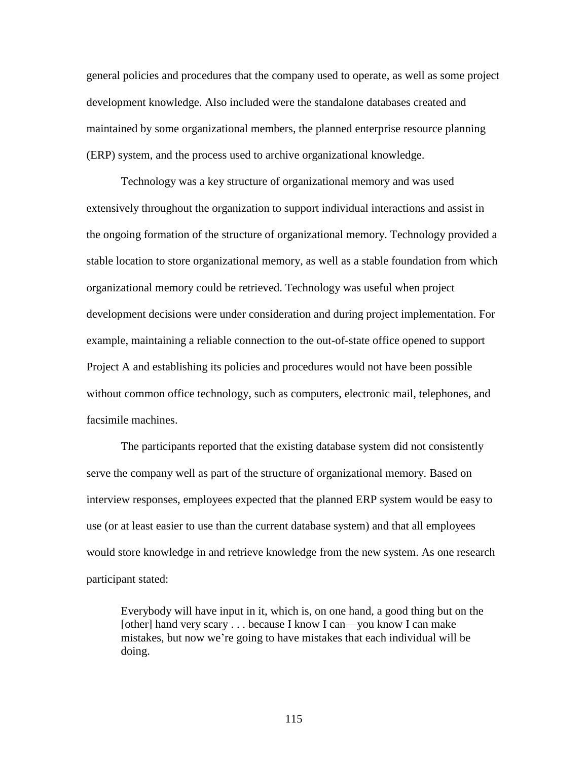general policies and procedures that the company used to operate, as well as some project development knowledge. Also included were the standalone databases created and maintained by some organizational members, the planned enterprise resource planning (ERP) system, and the process used to archive organizational knowledge.

Technology was a key structure of organizational memory and was used extensively throughout the organization to support individual interactions and assist in the ongoing formation of the structure of organizational memory. Technology provided a stable location to store organizational memory, as well as a stable foundation from which organizational memory could be retrieved. Technology was useful when project development decisions were under consideration and during project implementation. For example, maintaining a reliable connection to the out-of-state office opened to support Project A and establishing its policies and procedures would not have been possible without common office technology, such as computers, electronic mail, telephones, and facsimile machines.

The participants reported that the existing database system did not consistently serve the company well as part of the structure of organizational memory. Based on interview responses, employees expected that the planned ERP system would be easy to use (or at least easier to use than the current database system) and that all employees would store knowledge in and retrieve knowledge from the new system. As one research participant stated:

Everybody will have input in it, which is, on one hand, a good thing but on the [other] hand very scary . . . because I know I can—you know I can make mistakes, but now we're going to have mistakes that each individual will be doing.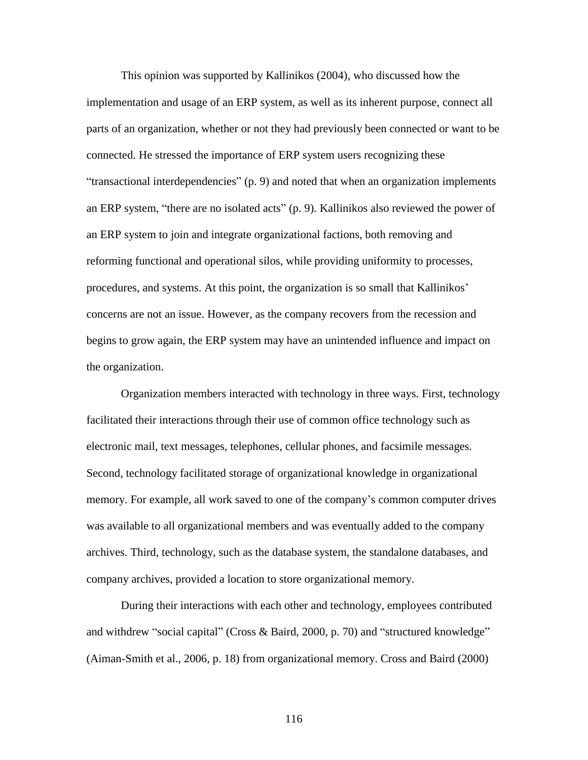This opinion was supported by Kallinikos (2004), who discussed how the implementation and usage of an ERP system, as well as its inherent purpose, connect all parts of an organization, whether or not they had previously been connected or want to be connected. He stressed the importance of ERP system users recognizing these "transactional interdependencies" (p. 9) and noted that when an organization implements an ERP system, "there are no isolated acts" (p. 9). Kallinikos also reviewed the power of an ERP system to join and integrate organizational factions, both removing and reforming functional and operational silos, while providing uniformity to processes, procedures, and systems. At this point, the organization is so small that Kallinikos' concerns are not an issue. However, as the company recovers from the recession and begins to grow again, the ERP system may have an unintended influence and impact on the organization.

Organization members interacted with technology in three ways. First, technology facilitated their interactions through their use of common office technology such as electronic mail, text messages, telephones, cellular phones, and facsimile messages. Second, technology facilitated storage of organizational knowledge in organizational memory. For example, all work saved to one of the company's common computer drives was available to all organizational members and was eventually added to the company archives. Third, technology, such as the database system, the standalone databases, and company archives, provided a location to store organizational memory.

During their interactions with each other and technology, employees contributed and withdrew "social capital" (Cross & Baird, 2000, p. 70) and "structured knowledge" (Aiman-Smith et al., 2006, p. 18) from organizational memory. Cross and Baird (2000)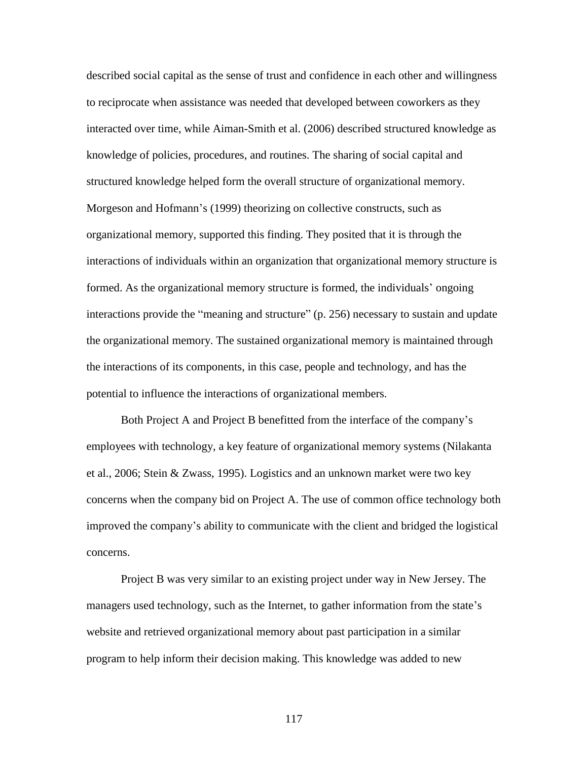described social capital as the sense of trust and confidence in each other and willingness to reciprocate when assistance was needed that developed between coworkers as they interacted over time, while Aiman-Smith et al. (2006) described structured knowledge as knowledge of policies, procedures, and routines. The sharing of social capital and structured knowledge helped form the overall structure of organizational memory. Morgeson and Hofmann's (1999) theorizing on collective constructs, such as organizational memory, supported this finding. They posited that it is through the interactions of individuals within an organization that organizational memory structure is formed. As the organizational memory structure is formed, the individuals' ongoing interactions provide the "meaning and structure" (p. 256) necessary to sustain and update the organizational memory. The sustained organizational memory is maintained through the interactions of its components, in this case, people and technology, and has the potential to influence the interactions of organizational members.

Both Project A and Project B benefitted from the interface of the company's employees with technology, a key feature of organizational memory systems (Nilakanta et al., 2006; Stein & Zwass, 1995). Logistics and an unknown market were two key concerns when the company bid on Project A. The use of common office technology both improved the company's ability to communicate with the client and bridged the logistical concerns.

Project B was very similar to an existing project under way in New Jersey. The managers used technology, such as the Internet, to gather information from the state's website and retrieved organizational memory about past participation in a similar program to help inform their decision making. This knowledge was added to new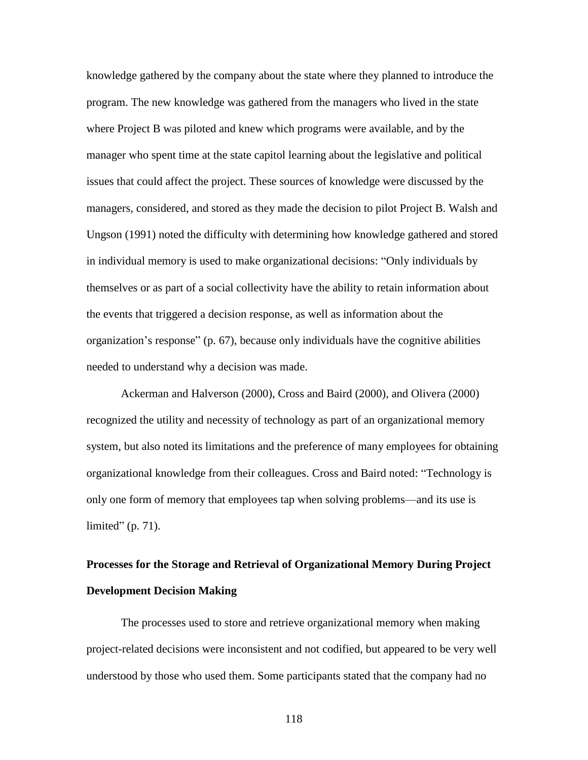knowledge gathered by the company about the state where they planned to introduce the program. The new knowledge was gathered from the managers who lived in the state where Project B was piloted and knew which programs were available, and by the manager who spent time at the state capitol learning about the legislative and political issues that could affect the project. These sources of knowledge were discussed by the managers, considered, and stored as they made the decision to pilot Project B. Walsh and Ungson (1991) noted the difficulty with determining how knowledge gathered and stored in individual memory is used to make organizational decisions: "Only individuals by themselves or as part of a social collectivity have the ability to retain information about the events that triggered a decision response, as well as information about the organization's response" (p. 67), because only individuals have the cognitive abilities needed to understand why a decision was made.

Ackerman and Halverson (2000), Cross and Baird (2000), and Olivera (2000) recognized the utility and necessity of technology as part of an organizational memory system, but also noted its limitations and the preference of many employees for obtaining organizational knowledge from their colleagues. Cross and Baird noted: "Technology is only one form of memory that employees tap when solving problems—and its use is limited"  $(p. 71)$ .

# **Processes for the Storage and Retrieval of Organizational Memory During Project Development Decision Making**

The processes used to store and retrieve organizational memory when making project-related decisions were inconsistent and not codified, but appeared to be very well understood by those who used them. Some participants stated that the company had no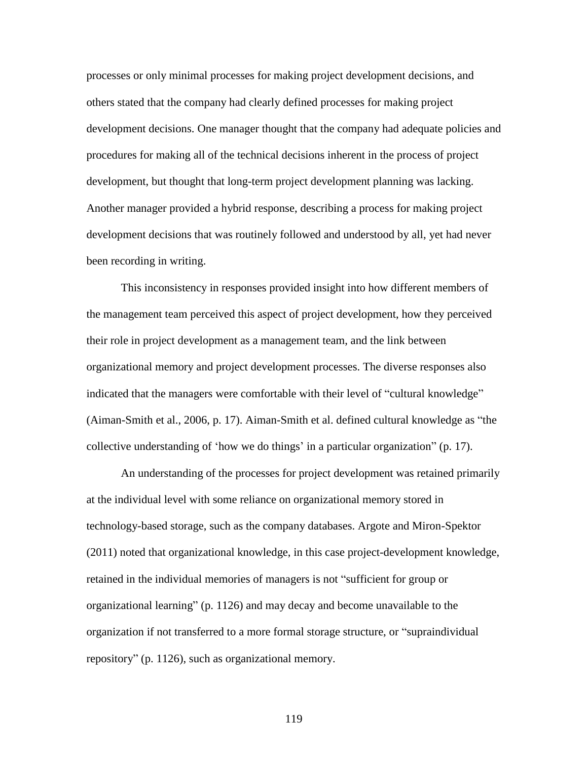processes or only minimal processes for making project development decisions, and others stated that the company had clearly defined processes for making project development decisions. One manager thought that the company had adequate policies and procedures for making all of the technical decisions inherent in the process of project development, but thought that long-term project development planning was lacking. Another manager provided a hybrid response, describing a process for making project development decisions that was routinely followed and understood by all, yet had never been recording in writing.

This inconsistency in responses provided insight into how different members of the management team perceived this aspect of project development, how they perceived their role in project development as a management team, and the link between organizational memory and project development processes. The diverse responses also indicated that the managers were comfortable with their level of "cultural knowledge" (Aiman-Smith et al., 2006, p. 17). Aiman-Smith et al. defined cultural knowledge as "the collective understanding of 'how we do things' in a particular organization" (p. 17).

An understanding of the processes for project development was retained primarily at the individual level with some reliance on organizational memory stored in technology-based storage, such as the company databases. Argote and Miron-Spektor (2011) noted that organizational knowledge, in this case project-development knowledge, retained in the individual memories of managers is not "sufficient for group or organizational learning" (p. 1126) and may decay and become unavailable to the organization if not transferred to a more formal storage structure, or "supraindividual repository" (p. 1126), such as organizational memory.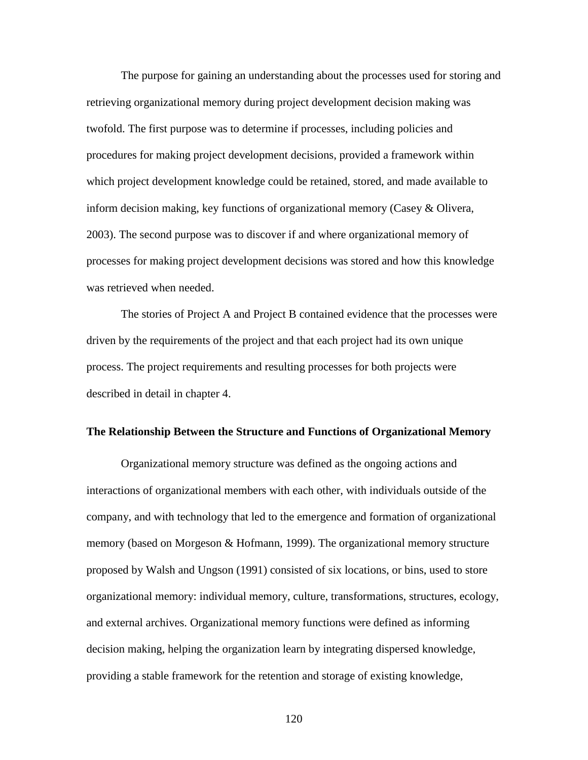The purpose for gaining an understanding about the processes used for storing and retrieving organizational memory during project development decision making was twofold. The first purpose was to determine if processes, including policies and procedures for making project development decisions, provided a framework within which project development knowledge could be retained, stored, and made available to inform decision making, key functions of organizational memory (Casey & Olivera, 2003). The second purpose was to discover if and where organizational memory of processes for making project development decisions was stored and how this knowledge was retrieved when needed.

The stories of Project A and Project B contained evidence that the processes were driven by the requirements of the project and that each project had its own unique process. The project requirements and resulting processes for both projects were described in detail in chapter 4.

#### **The Relationship Between the Structure and Functions of Organizational Memory**

Organizational memory structure was defined as the ongoing actions and interactions of organizational members with each other, with individuals outside of the company, and with technology that led to the emergence and formation of organizational memory (based on Morgeson & Hofmann, 1999). The organizational memory structure proposed by Walsh and Ungson (1991) consisted of six locations, or bins, used to store organizational memory: individual memory, culture, transformations, structures, ecology, and external archives. Organizational memory functions were defined as informing decision making, helping the organization learn by integrating dispersed knowledge, providing a stable framework for the retention and storage of existing knowledge,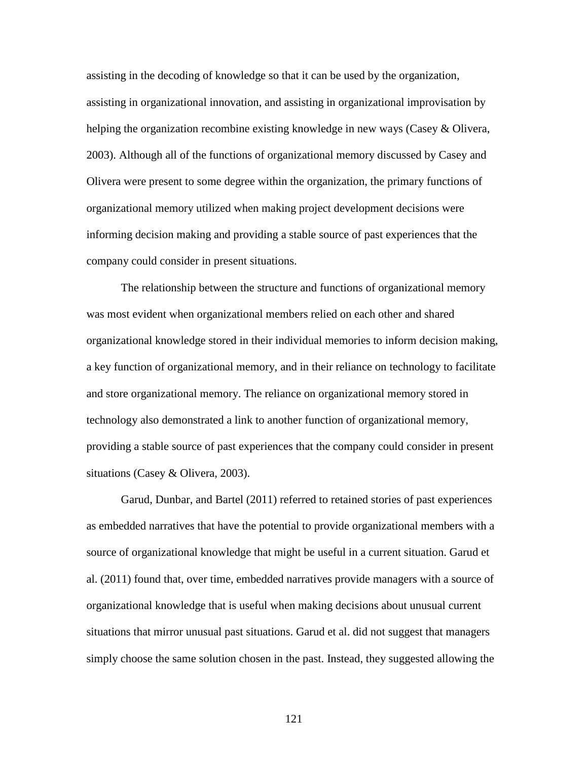assisting in the decoding of knowledge so that it can be used by the organization, assisting in organizational innovation, and assisting in organizational improvisation by helping the organization recombine existing knowledge in new ways (Casey & Olivera, 2003). Although all of the functions of organizational memory discussed by Casey and Olivera were present to some degree within the organization, the primary functions of organizational memory utilized when making project development decisions were informing decision making and providing a stable source of past experiences that the company could consider in present situations.

The relationship between the structure and functions of organizational memory was most evident when organizational members relied on each other and shared organizational knowledge stored in their individual memories to inform decision making, a key function of organizational memory, and in their reliance on technology to facilitate and store organizational memory. The reliance on organizational memory stored in technology also demonstrated a link to another function of organizational memory, providing a stable source of past experiences that the company could consider in present situations (Casey & Olivera, 2003).

Garud, Dunbar, and Bartel (2011) referred to retained stories of past experiences as embedded narratives that have the potential to provide organizational members with a source of organizational knowledge that might be useful in a current situation. Garud et al. (2011) found that, over time, embedded narratives provide managers with a source of organizational knowledge that is useful when making decisions about unusual current situations that mirror unusual past situations. Garud et al. did not suggest that managers simply choose the same solution chosen in the past. Instead, they suggested allowing the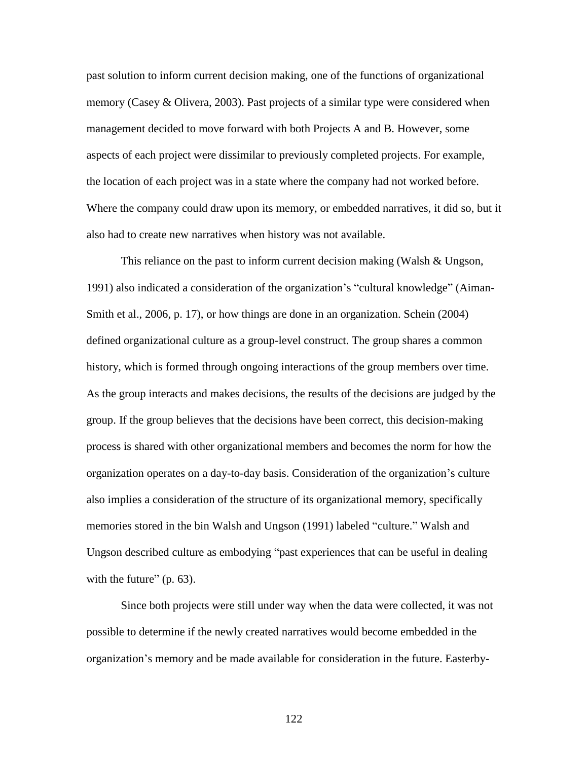past solution to inform current decision making, one of the functions of organizational memory (Casey & Olivera, 2003). Past projects of a similar type were considered when management decided to move forward with both Projects A and B. However, some aspects of each project were dissimilar to previously completed projects. For example, the location of each project was in a state where the company had not worked before. Where the company could draw upon its memory, or embedded narratives, it did so, but it also had to create new narratives when history was not available.

This reliance on the past to inform current decision making (Walsh & Ungson, 1991) also indicated a consideration of the organization's "cultural knowledge" (Aiman-Smith et al., 2006, p. 17), or how things are done in an organization. Schein (2004) defined organizational culture as a group-level construct. The group shares a common history, which is formed through ongoing interactions of the group members over time. As the group interacts and makes decisions, the results of the decisions are judged by the group. If the group believes that the decisions have been correct, this decision-making process is shared with other organizational members and becomes the norm for how the organization operates on a day-to-day basis. Consideration of the organization's culture also implies a consideration of the structure of its organizational memory, specifically memories stored in the bin Walsh and Ungson (1991) labeled "culture." Walsh and Ungson described culture as embodying "past experiences that can be useful in dealing with the future" (p. 63).

Since both projects were still under way when the data were collected, it was not possible to determine if the newly created narratives would become embedded in the organization's memory and be made available for consideration in the future. Easterby-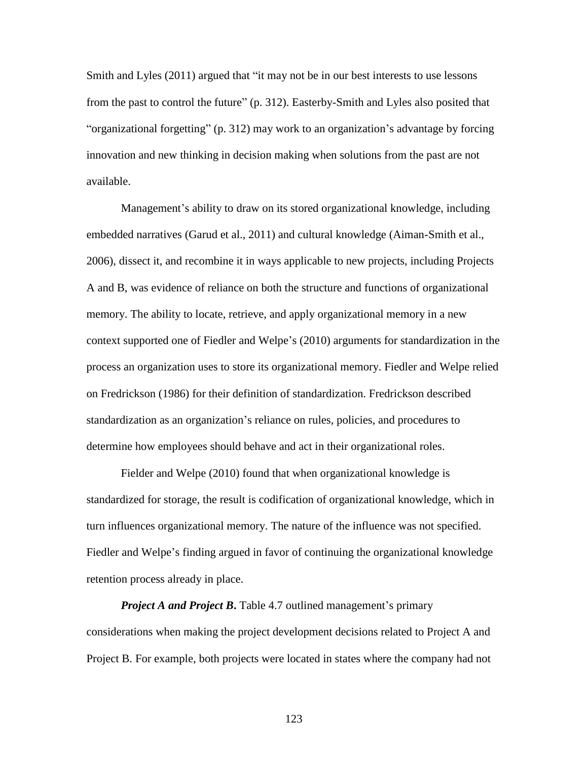Smith and Lyles (2011) argued that "it may not be in our best interests to use lessons from the past to control the future" (p. 312). Easterby-Smith and Lyles also posited that "organizational forgetting" (p. 312) may work to an organization's advantage by forcing innovation and new thinking in decision making when solutions from the past are not available.

Management's ability to draw on its stored organizational knowledge, including embedded narratives (Garud et al., 2011) and cultural knowledge (Aiman-Smith et al., 2006), dissect it, and recombine it in ways applicable to new projects, including Projects A and B, was evidence of reliance on both the structure and functions of organizational memory. The ability to locate, retrieve, and apply organizational memory in a new context supported one of Fiedler and Welpe's (2010) arguments for standardization in the process an organization uses to store its organizational memory. Fiedler and Welpe relied on Fredrickson (1986) for their definition of standardization. Fredrickson described standardization as an organization's reliance on rules, policies, and procedures to determine how employees should behave and act in their organizational roles.

Fielder and Welpe (2010) found that when organizational knowledge is standardized for storage, the result is codification of organizational knowledge, which in turn influences organizational memory. The nature of the influence was not specified. Fiedler and Welpe's finding argued in favor of continuing the organizational knowledge retention process already in place.

*Project A and Project B***.** Table 4.7 outlined management's primary considerations when making the project development decisions related to Project A and Project B. For example, both projects were located in states where the company had not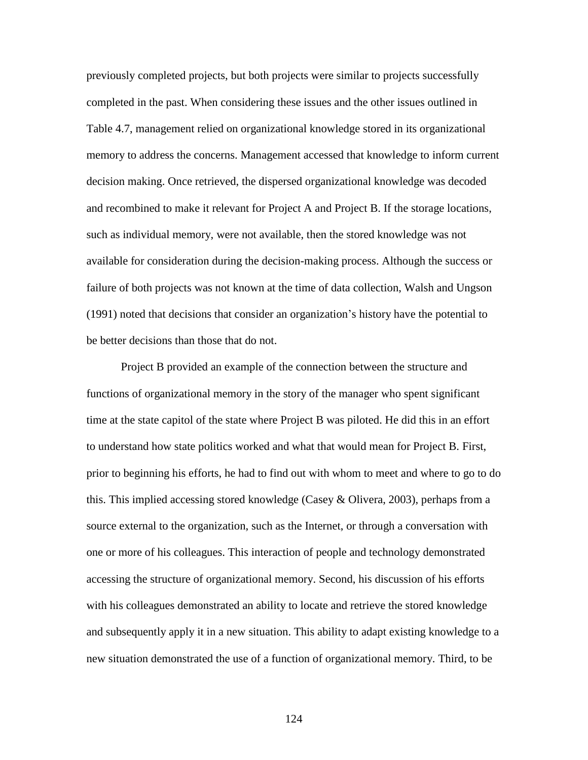previously completed projects, but both projects were similar to projects successfully completed in the past. When considering these issues and the other issues outlined in Table 4.7, management relied on organizational knowledge stored in its organizational memory to address the concerns. Management accessed that knowledge to inform current decision making. Once retrieved, the dispersed organizational knowledge was decoded and recombined to make it relevant for Project A and Project B. If the storage locations, such as individual memory, were not available, then the stored knowledge was not available for consideration during the decision-making process. Although the success or failure of both projects was not known at the time of data collection, Walsh and Ungson (1991) noted that decisions that consider an organization's history have the potential to be better decisions than those that do not.

Project B provided an example of the connection between the structure and functions of organizational memory in the story of the manager who spent significant time at the state capitol of the state where Project B was piloted. He did this in an effort to understand how state politics worked and what that would mean for Project B. First, prior to beginning his efforts, he had to find out with whom to meet and where to go to do this. This implied accessing stored knowledge (Casey & Olivera, 2003), perhaps from a source external to the organization, such as the Internet, or through a conversation with one or more of his colleagues. This interaction of people and technology demonstrated accessing the structure of organizational memory. Second, his discussion of his efforts with his colleagues demonstrated an ability to locate and retrieve the stored knowledge and subsequently apply it in a new situation. This ability to adapt existing knowledge to a new situation demonstrated the use of a function of organizational memory. Third, to be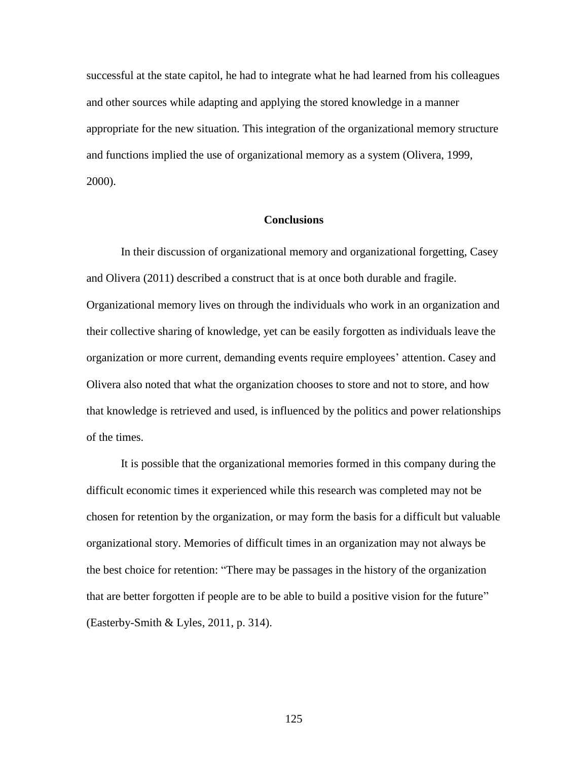successful at the state capitol, he had to integrate what he had learned from his colleagues and other sources while adapting and applying the stored knowledge in a manner appropriate for the new situation. This integration of the organizational memory structure and functions implied the use of organizational memory as a system (Olivera, 1999, 2000).

#### **Conclusions**

In their discussion of organizational memory and organizational forgetting, Casey and Olivera (2011) described a construct that is at once both durable and fragile. Organizational memory lives on through the individuals who work in an organization and their collective sharing of knowledge, yet can be easily forgotten as individuals leave the organization or more current, demanding events require employees' attention. Casey and Olivera also noted that what the organization chooses to store and not to store, and how that knowledge is retrieved and used, is influenced by the politics and power relationships of the times.

It is possible that the organizational memories formed in this company during the difficult economic times it experienced while this research was completed may not be chosen for retention by the organization, or may form the basis for a difficult but valuable organizational story. Memories of difficult times in an organization may not always be the best choice for retention: "There may be passages in the history of the organization that are better forgotten if people are to be able to build a positive vision for the future" (Easterby-Smith & Lyles, 2011, p. 314).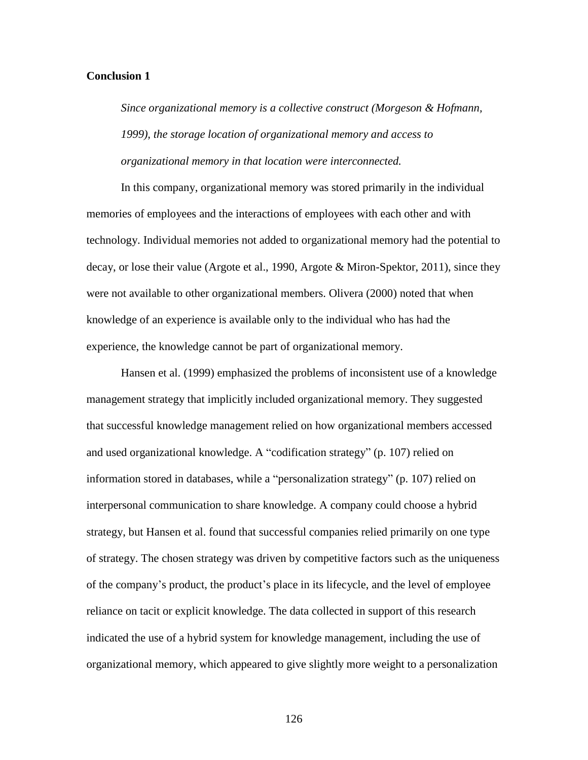#### **Conclusion 1**

*Since organizational memory is a collective construct (Morgeson & Hofmann, 1999), the storage location of organizational memory and access to organizational memory in that location were interconnected.* 

In this company, organizational memory was stored primarily in the individual memories of employees and the interactions of employees with each other and with technology. Individual memories not added to organizational memory had the potential to decay, or lose their value (Argote et al., 1990, Argote & Miron-Spektor, 2011), since they were not available to other organizational members. Olivera (2000) noted that when knowledge of an experience is available only to the individual who has had the experience, the knowledge cannot be part of organizational memory.

Hansen et al. (1999) emphasized the problems of inconsistent use of a knowledge management strategy that implicitly included organizational memory. They suggested that successful knowledge management relied on how organizational members accessed and used organizational knowledge. A "codification strategy" (p. 107) relied on information stored in databases, while a "personalization strategy" (p. 107) relied on interpersonal communication to share knowledge. A company could choose a hybrid strategy, but Hansen et al. found that successful companies relied primarily on one type of strategy. The chosen strategy was driven by competitive factors such as the uniqueness of the company's product, the product's place in its lifecycle, and the level of employee reliance on tacit or explicit knowledge. The data collected in support of this research indicated the use of a hybrid system for knowledge management, including the use of organizational memory, which appeared to give slightly more weight to a personalization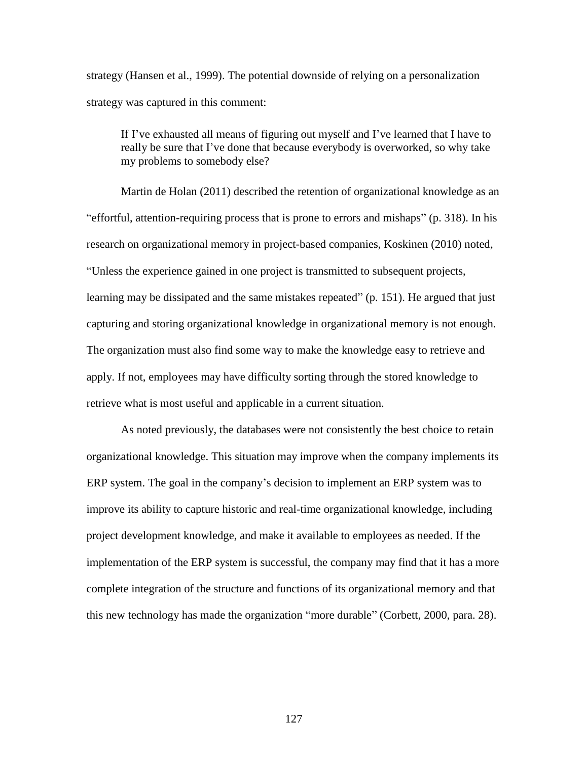strategy (Hansen et al., 1999). The potential downside of relying on a personalization strategy was captured in this comment:

If I've exhausted all means of figuring out myself and I've learned that I have to really be sure that I've done that because everybody is overworked, so why take my problems to somebody else?

Martin de Holan (2011) described the retention of organizational knowledge as an "effortful, attention-requiring process that is prone to errors and mishaps" (p. 318). In his research on organizational memory in project-based companies, Koskinen (2010) noted, "Unless the experience gained in one project is transmitted to subsequent projects, learning may be dissipated and the same mistakes repeated" (p. 151). He argued that just capturing and storing organizational knowledge in organizational memory is not enough. The organization must also find some way to make the knowledge easy to retrieve and apply. If not, employees may have difficulty sorting through the stored knowledge to retrieve what is most useful and applicable in a current situation.

As noted previously, the databases were not consistently the best choice to retain organizational knowledge. This situation may improve when the company implements its ERP system. The goal in the company's decision to implement an ERP system was to improve its ability to capture historic and real-time organizational knowledge, including project development knowledge, and make it available to employees as needed. If the implementation of the ERP system is successful, the company may find that it has a more complete integration of the structure and functions of its organizational memory and that this new technology has made the organization "more durable" (Corbett, 2000, para. 28).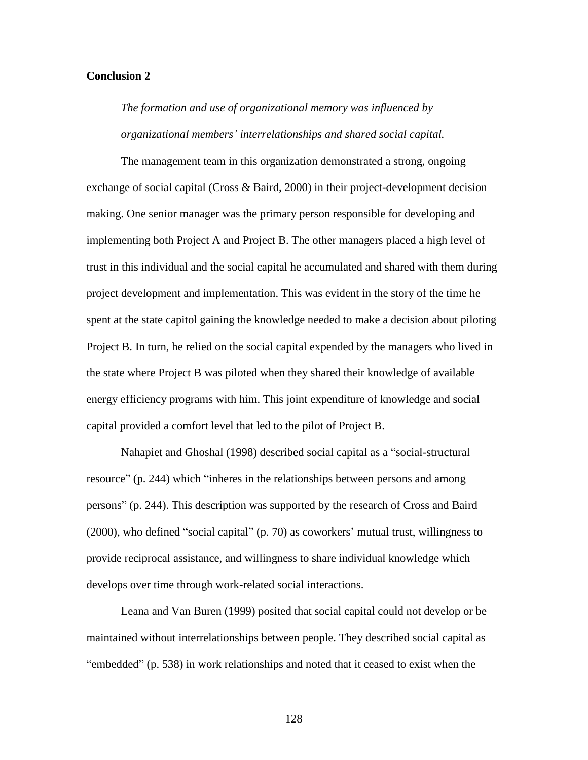#### **Conclusion 2**

*The formation and use of organizational memory was influenced by organizational members' interrelationships and shared social capital.*

The management team in this organization demonstrated a strong, ongoing exchange of social capital (Cross & Baird, 2000) in their project-development decision making. One senior manager was the primary person responsible for developing and implementing both Project A and Project B. The other managers placed a high level of trust in this individual and the social capital he accumulated and shared with them during project development and implementation. This was evident in the story of the time he spent at the state capitol gaining the knowledge needed to make a decision about piloting Project B. In turn, he relied on the social capital expended by the managers who lived in the state where Project B was piloted when they shared their knowledge of available energy efficiency programs with him. This joint expenditure of knowledge and social capital provided a comfort level that led to the pilot of Project B.

Nahapiet and Ghoshal (1998) described social capital as a "social-structural resource" (p. 244) which "inheres in the relationships between persons and among persons" (p. 244). This description was supported by the research of Cross and Baird (2000), who defined "social capital" (p. 70) as coworkers' mutual trust, willingness to provide reciprocal assistance, and willingness to share individual knowledge which develops over time through work-related social interactions.

Leana and Van Buren (1999) posited that social capital could not develop or be maintained without interrelationships between people. They described social capital as "embedded" (p. 538) in work relationships and noted that it ceased to exist when the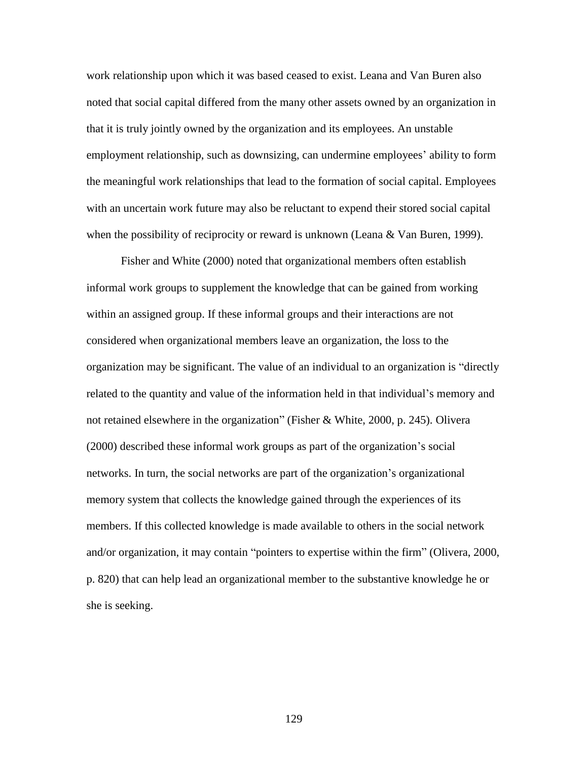work relationship upon which it was based ceased to exist. Leana and Van Buren also noted that social capital differed from the many other assets owned by an organization in that it is truly jointly owned by the organization and its employees. An unstable employment relationship, such as downsizing, can undermine employees' ability to form the meaningful work relationships that lead to the formation of social capital. Employees with an uncertain work future may also be reluctant to expend their stored social capital when the possibility of reciprocity or reward is unknown (Leana & Van Buren, 1999).

Fisher and White (2000) noted that organizational members often establish informal work groups to supplement the knowledge that can be gained from working within an assigned group. If these informal groups and their interactions are not considered when organizational members leave an organization, the loss to the organization may be significant. The value of an individual to an organization is "directly related to the quantity and value of the information held in that individual's memory and not retained elsewhere in the organization" (Fisher & White, 2000, p. 245). Olivera (2000) described these informal work groups as part of the organization's social networks. In turn, the social networks are part of the organization's organizational memory system that collects the knowledge gained through the experiences of its members. If this collected knowledge is made available to others in the social network and/or organization, it may contain "pointers to expertise within the firm" (Olivera, 2000, p. 820) that can help lead an organizational member to the substantive knowledge he or she is seeking.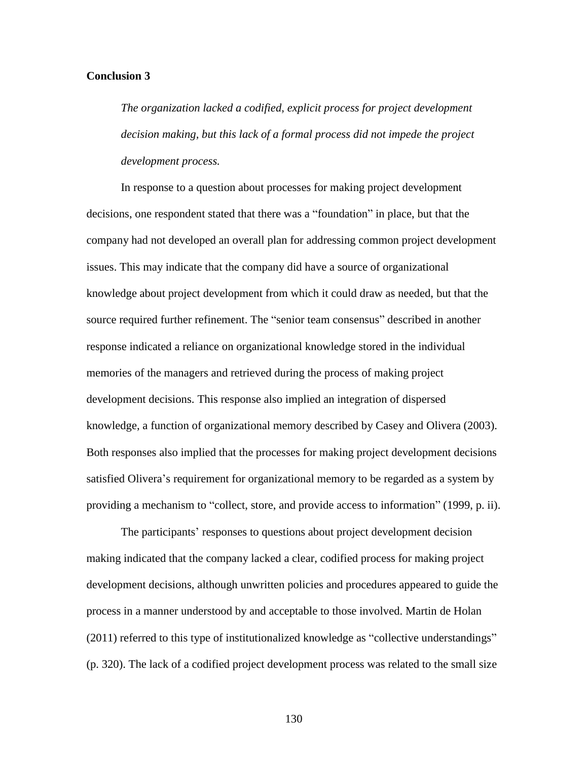#### **Conclusion 3**

*The organization lacked a codified, explicit process for project development decision making, but this lack of a formal process did not impede the project development process.*

In response to a question about processes for making project development decisions, one respondent stated that there was a "foundation" in place, but that the company had not developed an overall plan for addressing common project development issues. This may indicate that the company did have a source of organizational knowledge about project development from which it could draw as needed, but that the source required further refinement. The "senior team consensus" described in another response indicated a reliance on organizational knowledge stored in the individual memories of the managers and retrieved during the process of making project development decisions. This response also implied an integration of dispersed knowledge, a function of organizational memory described by Casey and Olivera (2003). Both responses also implied that the processes for making project development decisions satisfied Olivera's requirement for organizational memory to be regarded as a system by providing a mechanism to "collect, store, and provide access to information" (1999, p. ii).

The participants' responses to questions about project development decision making indicated that the company lacked a clear, codified process for making project development decisions, although unwritten policies and procedures appeared to guide the process in a manner understood by and acceptable to those involved. Martin de Holan (2011) referred to this type of institutionalized knowledge as "collective understandings" (p. 320). The lack of a codified project development process was related to the small size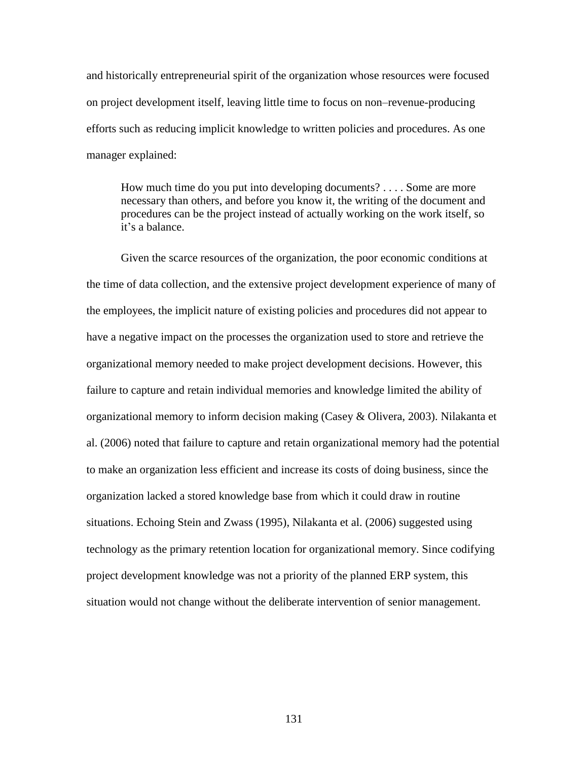and historically entrepreneurial spirit of the organization whose resources were focused on project development itself, leaving little time to focus on non–revenue-producing efforts such as reducing implicit knowledge to written policies and procedures. As one manager explained:

How much time do you put into developing documents? . . . . Some are more necessary than others, and before you know it, the writing of the document and procedures can be the project instead of actually working on the work itself, so it's a balance.

Given the scarce resources of the organization, the poor economic conditions at the time of data collection, and the extensive project development experience of many of the employees, the implicit nature of existing policies and procedures did not appear to have a negative impact on the processes the organization used to store and retrieve the organizational memory needed to make project development decisions. However, this failure to capture and retain individual memories and knowledge limited the ability of organizational memory to inform decision making (Casey & Olivera, 2003). Nilakanta et al. (2006) noted that failure to capture and retain organizational memory had the potential to make an organization less efficient and increase its costs of doing business, since the organization lacked a stored knowledge base from which it could draw in routine situations. Echoing Stein and Zwass (1995), Nilakanta et al. (2006) suggested using technology as the primary retention location for organizational memory. Since codifying project development knowledge was not a priority of the planned ERP system, this situation would not change without the deliberate intervention of senior management.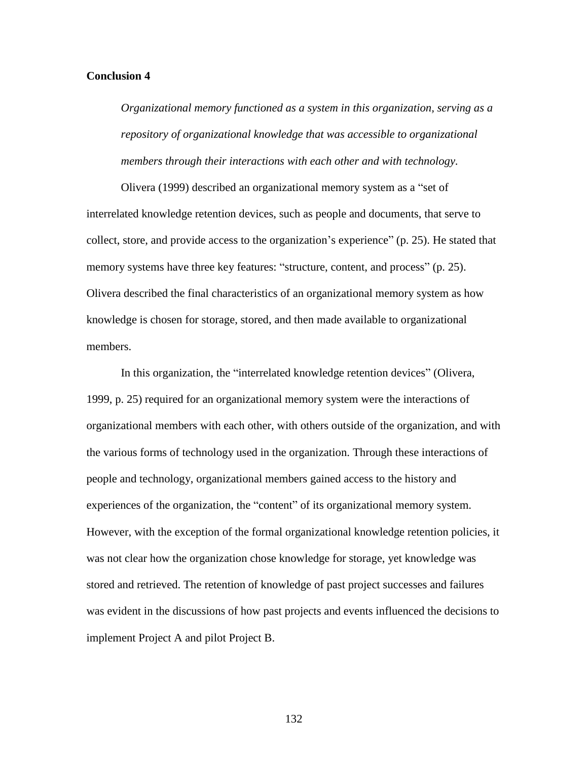### **Conclusion 4**

*Organizational memory functioned as a system in this organization, serving as a repository of organizational knowledge that was accessible to organizational members through their interactions with each other and with technology.*

Olivera (1999) described an organizational memory system as a "set of interrelated knowledge retention devices, such as people and documents, that serve to collect, store, and provide access to the organization's experience" (p. 25). He stated that memory systems have three key features: "structure, content, and process" (p. 25). Olivera described the final characteristics of an organizational memory system as how knowledge is chosen for storage, stored, and then made available to organizational members.

In this organization, the "interrelated knowledge retention devices" (Olivera, 1999, p. 25) required for an organizational memory system were the interactions of organizational members with each other, with others outside of the organization, and with the various forms of technology used in the organization. Through these interactions of people and technology, organizational members gained access to the history and experiences of the organization, the "content" of its organizational memory system. However, with the exception of the formal organizational knowledge retention policies, it was not clear how the organization chose knowledge for storage, yet knowledge was stored and retrieved. The retention of knowledge of past project successes and failures was evident in the discussions of how past projects and events influenced the decisions to implement Project A and pilot Project B.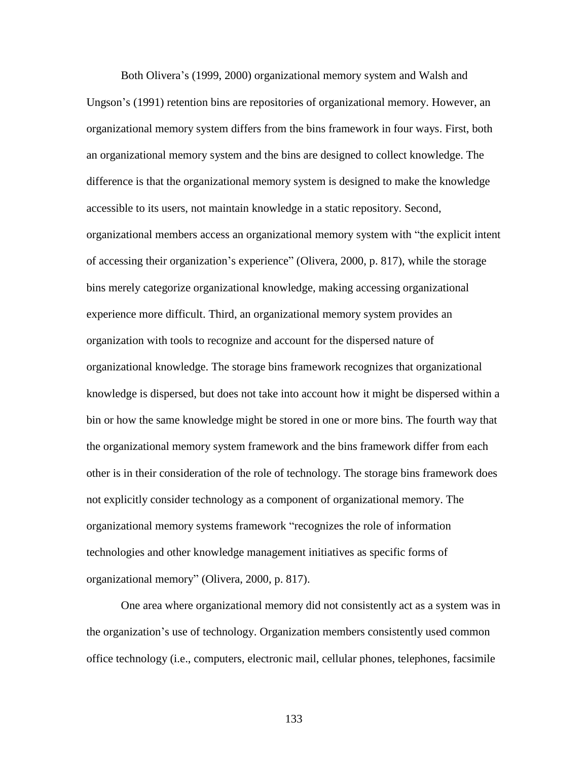Both Olivera's (1999, 2000) organizational memory system and Walsh and Ungson's (1991) retention bins are repositories of organizational memory. However, an organizational memory system differs from the bins framework in four ways. First, both an organizational memory system and the bins are designed to collect knowledge. The difference is that the organizational memory system is designed to make the knowledge accessible to its users, not maintain knowledge in a static repository. Second, organizational members access an organizational memory system with "the explicit intent of accessing their organization's experience" (Olivera, 2000, p. 817), while the storage bins merely categorize organizational knowledge, making accessing organizational experience more difficult. Third, an organizational memory system provides an organization with tools to recognize and account for the dispersed nature of organizational knowledge. The storage bins framework recognizes that organizational knowledge is dispersed, but does not take into account how it might be dispersed within a bin or how the same knowledge might be stored in one or more bins. The fourth way that the organizational memory system framework and the bins framework differ from each other is in their consideration of the role of technology. The storage bins framework does not explicitly consider technology as a component of organizational memory. The organizational memory systems framework "recognizes the role of information technologies and other knowledge management initiatives as specific forms of organizational memory" (Olivera, 2000, p. 817).

One area where organizational memory did not consistently act as a system was in the organization's use of technology. Organization members consistently used common office technology (i.e., computers, electronic mail, cellular phones, telephones, facsimile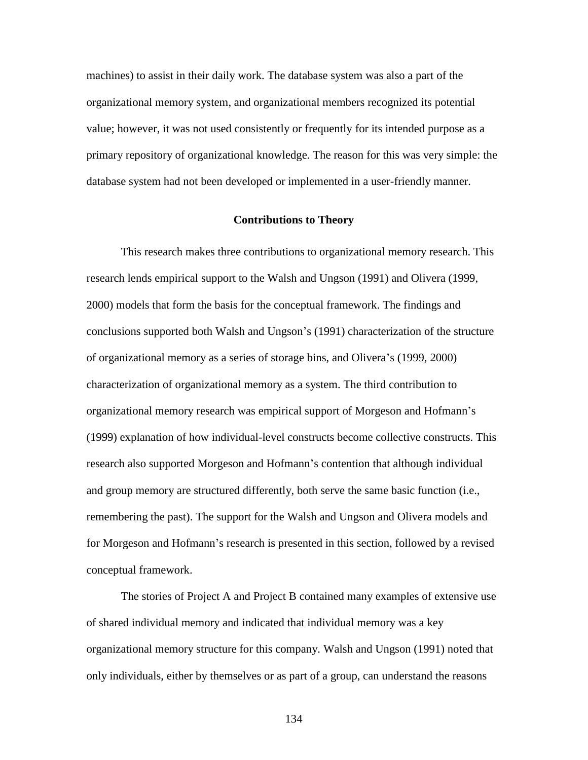machines) to assist in their daily work. The database system was also a part of the organizational memory system, and organizational members recognized its potential value; however, it was not used consistently or frequently for its intended purpose as a primary repository of organizational knowledge. The reason for this was very simple: the database system had not been developed or implemented in a user-friendly manner.

#### **Contributions to Theory**

This research makes three contributions to organizational memory research. This research lends empirical support to the Walsh and Ungson (1991) and Olivera (1999, 2000) models that form the basis for the conceptual framework. The findings and conclusions supported both Walsh and Ungson's (1991) characterization of the structure of organizational memory as a series of storage bins, and Olivera's (1999, 2000) characterization of organizational memory as a system. The third contribution to organizational memory research was empirical support of Morgeson and Hofmann's (1999) explanation of how individual-level constructs become collective constructs. This research also supported Morgeson and Hofmann's contention that although individual and group memory are structured differently, both serve the same basic function (i.e., remembering the past). The support for the Walsh and Ungson and Olivera models and for Morgeson and Hofmann's research is presented in this section, followed by a revised conceptual framework.

The stories of Project A and Project B contained many examples of extensive use of shared individual memory and indicated that individual memory was a key organizational memory structure for this company. Walsh and Ungson (1991) noted that only individuals, either by themselves or as part of a group, can understand the reasons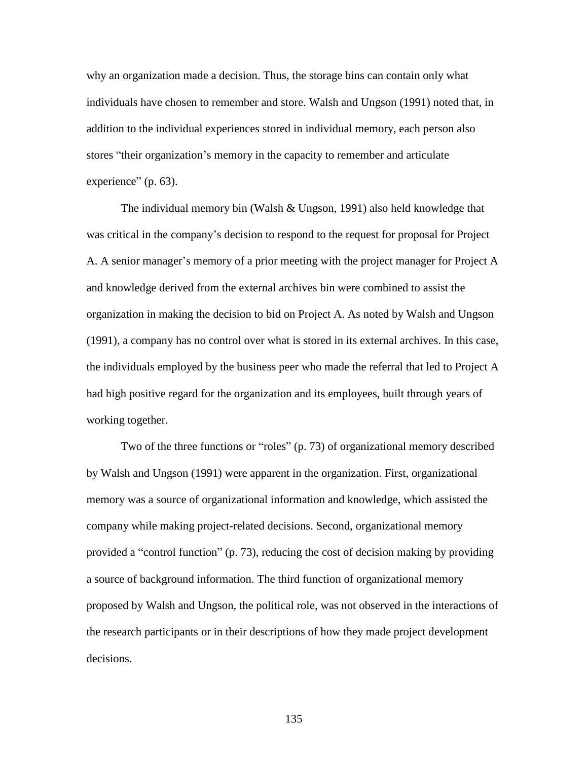why an organization made a decision. Thus, the storage bins can contain only what individuals have chosen to remember and store. Walsh and Ungson (1991) noted that, in addition to the individual experiences stored in individual memory, each person also stores "their organization's memory in the capacity to remember and articulate experience" (p. 63).

The individual memory bin (Walsh & Ungson, 1991) also held knowledge that was critical in the company's decision to respond to the request for proposal for Project A. A senior manager's memory of a prior meeting with the project manager for Project A and knowledge derived from the external archives bin were combined to assist the organization in making the decision to bid on Project A. As noted by Walsh and Ungson (1991), a company has no control over what is stored in its external archives. In this case, the individuals employed by the business peer who made the referral that led to Project A had high positive regard for the organization and its employees, built through years of working together.

Two of the three functions or "roles" (p. 73) of organizational memory described by Walsh and Ungson (1991) were apparent in the organization. First, organizational memory was a source of organizational information and knowledge, which assisted the company while making project-related decisions. Second, organizational memory provided a "control function" (p. 73), reducing the cost of decision making by providing a source of background information. The third function of organizational memory proposed by Walsh and Ungson, the political role, was not observed in the interactions of the research participants or in their descriptions of how they made project development decisions.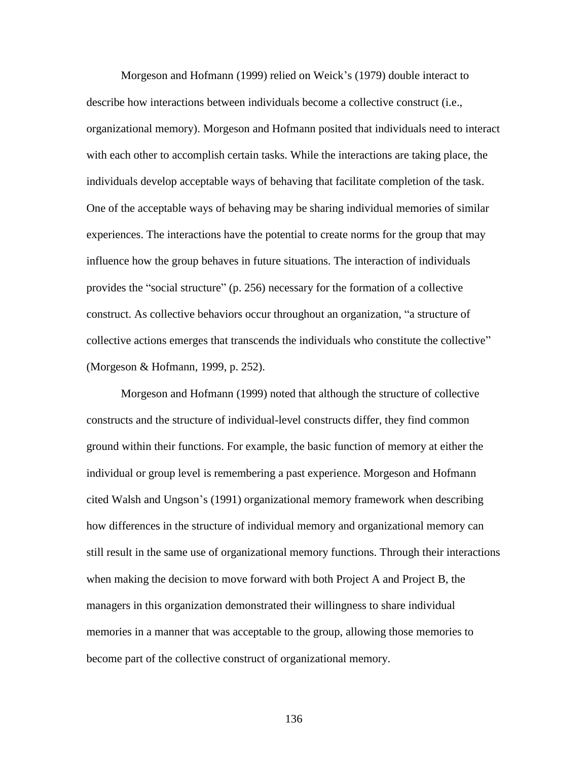Morgeson and Hofmann (1999) relied on Weick's (1979) double interact to describe how interactions between individuals become a collective construct (i.e., organizational memory). Morgeson and Hofmann posited that individuals need to interact with each other to accomplish certain tasks. While the interactions are taking place, the individuals develop acceptable ways of behaving that facilitate completion of the task. One of the acceptable ways of behaving may be sharing individual memories of similar experiences. The interactions have the potential to create norms for the group that may influence how the group behaves in future situations. The interaction of individuals provides the "social structure" (p. 256) necessary for the formation of a collective construct. As collective behaviors occur throughout an organization, "a structure of collective actions emerges that transcends the individuals who constitute the collective" (Morgeson & Hofmann, 1999, p. 252).

Morgeson and Hofmann (1999) noted that although the structure of collective constructs and the structure of individual-level constructs differ, they find common ground within their functions. For example, the basic function of memory at either the individual or group level is remembering a past experience. Morgeson and Hofmann cited Walsh and Ungson's (1991) organizational memory framework when describing how differences in the structure of individual memory and organizational memory can still result in the same use of organizational memory functions. Through their interactions when making the decision to move forward with both Project A and Project B, the managers in this organization demonstrated their willingness to share individual memories in a manner that was acceptable to the group, allowing those memories to become part of the collective construct of organizational memory.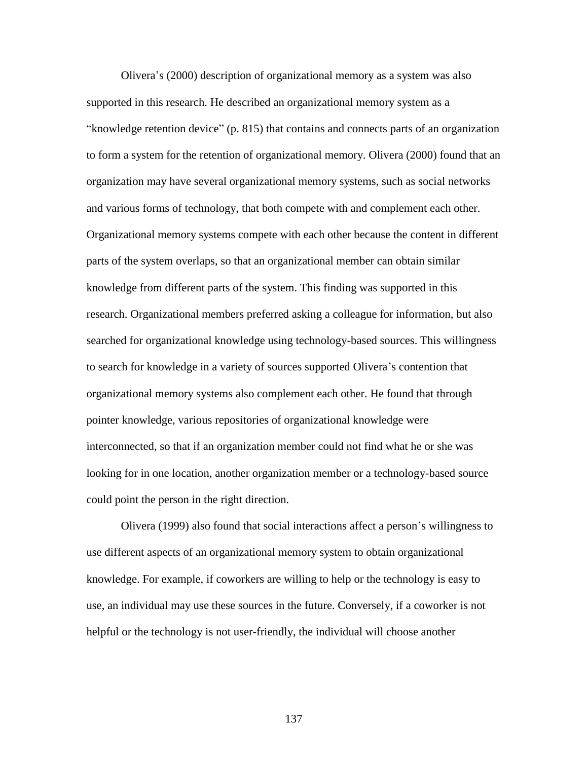Olivera's (2000) description of organizational memory as a system was also supported in this research. He described an organizational memory system as a "knowledge retention device" (p. 815) that contains and connects parts of an organization to form a system for the retention of organizational memory. Olivera (2000) found that an organization may have several organizational memory systems, such as social networks and various forms of technology, that both compete with and complement each other. Organizational memory systems compete with each other because the content in different parts of the system overlaps, so that an organizational member can obtain similar knowledge from different parts of the system. This finding was supported in this research. Organizational members preferred asking a colleague for information, but also searched for organizational knowledge using technology-based sources. This willingness to search for knowledge in a variety of sources supported Olivera's contention that organizational memory systems also complement each other. He found that through pointer knowledge, various repositories of organizational knowledge were interconnected, so that if an organization member could not find what he or she was looking for in one location, another organization member or a technology-based source could point the person in the right direction.

Olivera (1999) also found that social interactions affect a person's willingness to use different aspects of an organizational memory system to obtain organizational knowledge. For example, if coworkers are willing to help or the technology is easy to use, an individual may use these sources in the future. Conversely, if a coworker is not helpful or the technology is not user-friendly, the individual will choose another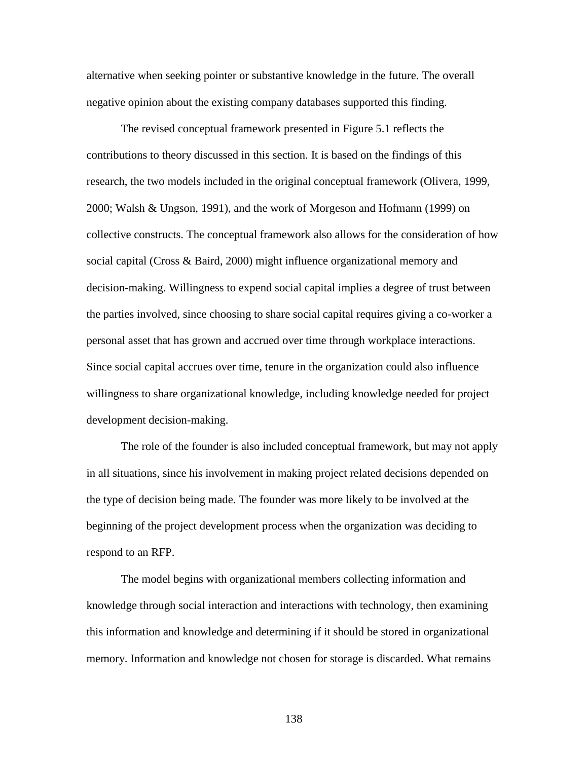alternative when seeking pointer or substantive knowledge in the future. The overall negative opinion about the existing company databases supported this finding.

The revised conceptual framework presented in Figure 5.1 reflects the contributions to theory discussed in this section. It is based on the findings of this research, the two models included in the original conceptual framework (Olivera, 1999, 2000; Walsh & Ungson, 1991), and the work of Morgeson and Hofmann (1999) on collective constructs. The conceptual framework also allows for the consideration of how social capital (Cross & Baird, 2000) might influence organizational memory and decision-making. Willingness to expend social capital implies a degree of trust between the parties involved, since choosing to share social capital requires giving a co-worker a personal asset that has grown and accrued over time through workplace interactions. Since social capital accrues over time, tenure in the organization could also influence willingness to share organizational knowledge, including knowledge needed for project development decision-making.

The role of the founder is also included conceptual framework, but may not apply in all situations, since his involvement in making project related decisions depended on the type of decision being made. The founder was more likely to be involved at the beginning of the project development process when the organization was deciding to respond to an RFP.

The model begins with organizational members collecting information and knowledge through social interaction and interactions with technology, then examining this information and knowledge and determining if it should be stored in organizational memory. Information and knowledge not chosen for storage is discarded. What remains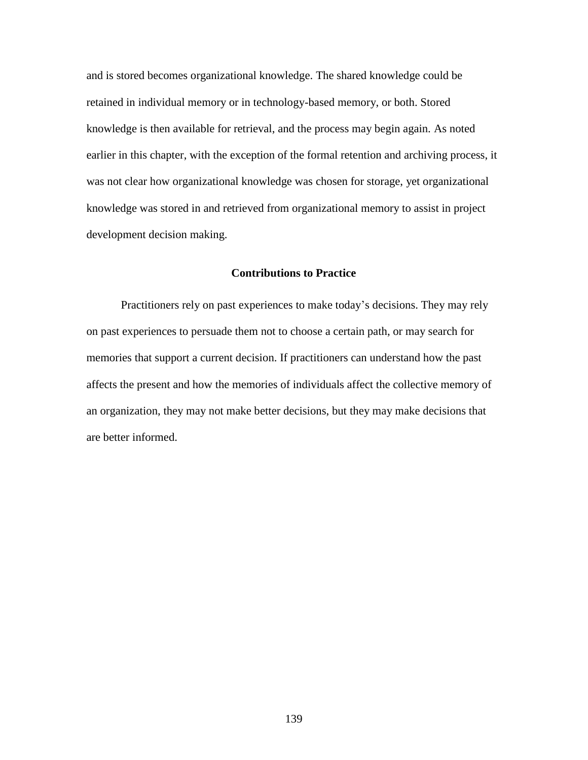and is stored becomes organizational knowledge. The shared knowledge could be retained in individual memory or in technology-based memory, or both. Stored knowledge is then available for retrieval, and the process may begin again. As noted earlier in this chapter, with the exception of the formal retention and archiving process, it was not clear how organizational knowledge was chosen for storage, yet organizational knowledge was stored in and retrieved from organizational memory to assist in project development decision making.

### **Contributions to Practice**

Practitioners rely on past experiences to make today's decisions. They may rely on past experiences to persuade them not to choose a certain path, or may search for memories that support a current decision. If practitioners can understand how the past affects the present and how the memories of individuals affect the collective memory of an organization, they may not make better decisions, but they may make decisions that are better informed.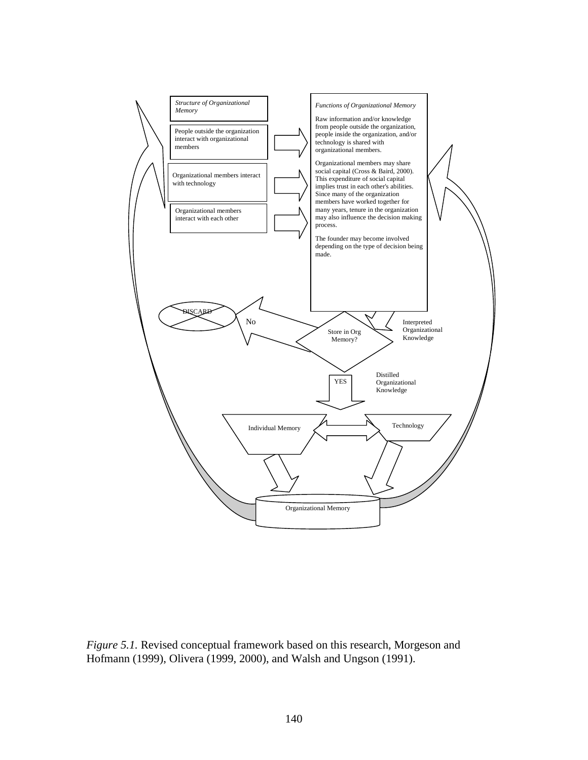

*Figure 5.1.* Revised conceptual framework based on this research, Morgeson and Hofmann (1999), Olivera (1999, 2000), and Walsh and Ungson (1991).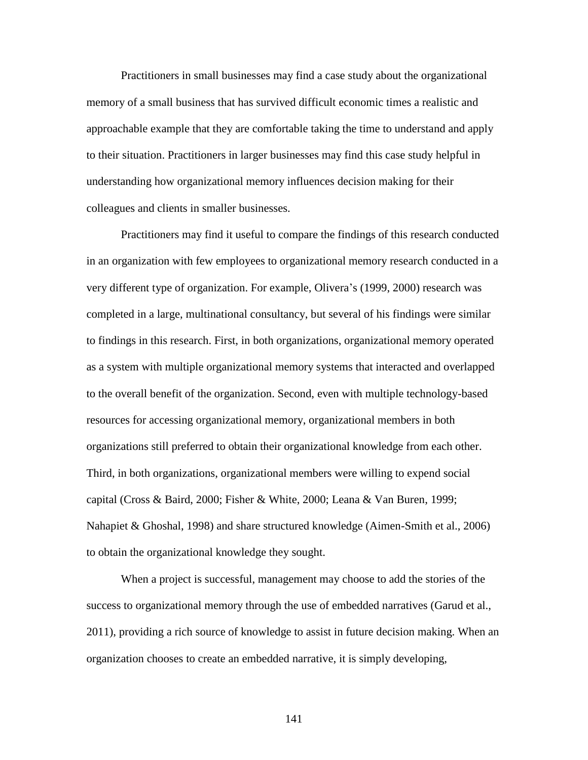Practitioners in small businesses may find a case study about the organizational memory of a small business that has survived difficult economic times a realistic and approachable example that they are comfortable taking the time to understand and apply to their situation. Practitioners in larger businesses may find this case study helpful in understanding how organizational memory influences decision making for their colleagues and clients in smaller businesses.

Practitioners may find it useful to compare the findings of this research conducted in an organization with few employees to organizational memory research conducted in a very different type of organization. For example, Olivera's (1999, 2000) research was completed in a large, multinational consultancy, but several of his findings were similar to findings in this research. First, in both organizations, organizational memory operated as a system with multiple organizational memory systems that interacted and overlapped to the overall benefit of the organization. Second, even with multiple technology-based resources for accessing organizational memory, organizational members in both organizations still preferred to obtain their organizational knowledge from each other. Third, in both organizations, organizational members were willing to expend social capital (Cross & Baird, 2000; Fisher & White, 2000; Leana & Van Buren, 1999; Nahapiet & Ghoshal, 1998) and share structured knowledge (Aimen-Smith et al., 2006) to obtain the organizational knowledge they sought.

When a project is successful, management may choose to add the stories of the success to organizational memory through the use of embedded narratives (Garud et al., 2011), providing a rich source of knowledge to assist in future decision making. When an organization chooses to create an embedded narrative, it is simply developing,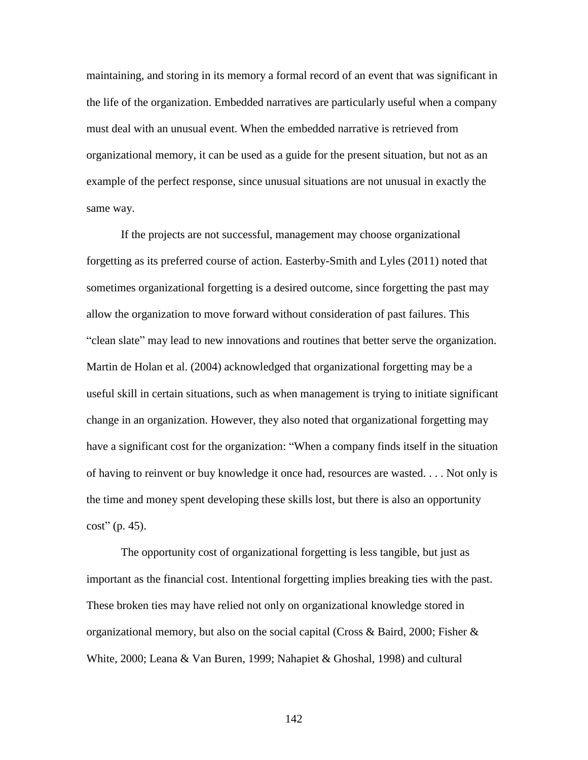maintaining, and storing in its memory a formal record of an event that was significant in the life of the organization. Embedded narratives are particularly useful when a company must deal with an unusual event. When the embedded narrative is retrieved from organizational memory, it can be used as a guide for the present situation, but not as an example of the perfect response, since unusual situations are not unusual in exactly the same way.

If the projects are not successful, management may choose organizational forgetting as its preferred course of action. Easterby-Smith and Lyles (2011) noted that sometimes organizational forgetting is a desired outcome, since forgetting the past may allow the organization to move forward without consideration of past failures. This "clean slate" may lead to new innovations and routines that better serve the organization. Martin de Holan et al. (2004) acknowledged that organizational forgetting may be a useful skill in certain situations, such as when management is trying to initiate significant change in an organization. However, they also noted that organizational forgetting may have a significant cost for the organization: "When a company finds itself in the situation of having to reinvent or buy knowledge it once had, resources are wasted. . . . Not only is the time and money spent developing these skills lost, but there is also an opportunity cost" (p. 45).

The opportunity cost of organizational forgetting is less tangible, but just as important as the financial cost. Intentional forgetting implies breaking ties with the past. These broken ties may have relied not only on organizational knowledge stored in organizational memory, but also on the social capital (Cross & Baird, 2000; Fisher  $\&$ White, 2000; Leana & Van Buren, 1999; Nahapiet & Ghoshal, 1998) and cultural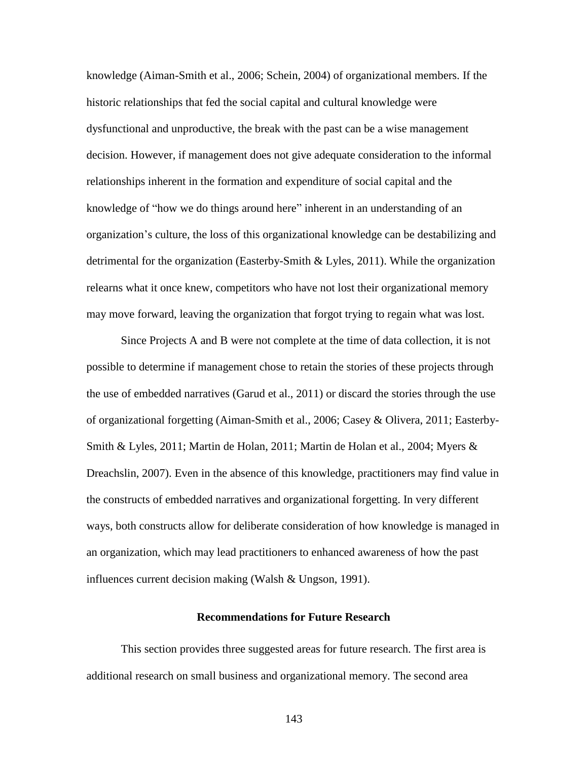knowledge (Aiman-Smith et al., 2006; Schein, 2004) of organizational members. If the historic relationships that fed the social capital and cultural knowledge were dysfunctional and unproductive, the break with the past can be a wise management decision. However, if management does not give adequate consideration to the informal relationships inherent in the formation and expenditure of social capital and the knowledge of "how we do things around here" inherent in an understanding of an organization's culture, the loss of this organizational knowledge can be destabilizing and detrimental for the organization (Easterby-Smith & Lyles, 2011). While the organization relearns what it once knew, competitors who have not lost their organizational memory may move forward, leaving the organization that forgot trying to regain what was lost.

Since Projects A and B were not complete at the time of data collection, it is not possible to determine if management chose to retain the stories of these projects through the use of embedded narratives (Garud et al., 2011) or discard the stories through the use of organizational forgetting (Aiman-Smith et al., 2006; Casey & Olivera, 2011; Easterby-Smith & Lyles, 2011; Martin de Holan, 2011; Martin de Holan et al., 2004; Myers & Dreachslin, 2007). Even in the absence of this knowledge, practitioners may find value in the constructs of embedded narratives and organizational forgetting. In very different ways, both constructs allow for deliberate consideration of how knowledge is managed in an organization, which may lead practitioners to enhanced awareness of how the past influences current decision making (Walsh & Ungson, 1991).

### **Recommendations for Future Research**

This section provides three suggested areas for future research. The first area is additional research on small business and organizational memory. The second area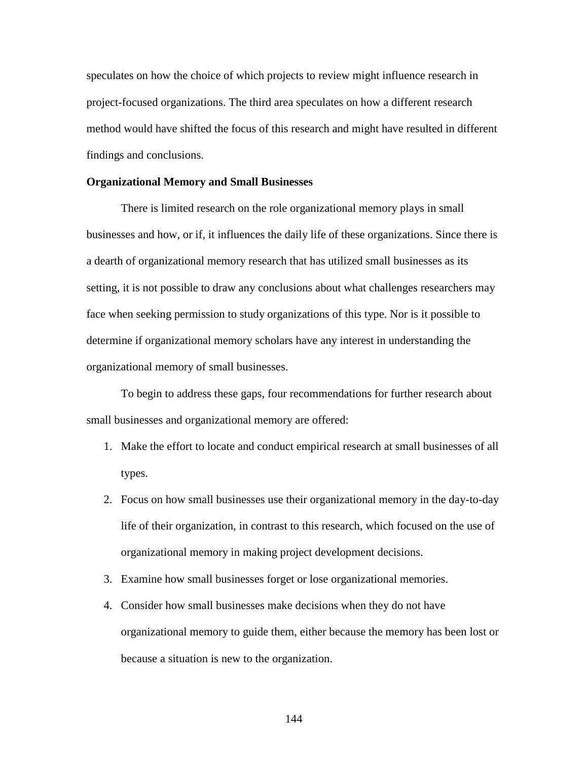speculates on how the choice of which projects to review might influence research in project-focused organizations. The third area speculates on how a different research method would have shifted the focus of this research and might have resulted in different findings and conclusions.

#### **Organizational Memory and Small Businesses**

There is limited research on the role organizational memory plays in small businesses and how, or if, it influences the daily life of these organizations. Since there is a dearth of organizational memory research that has utilized small businesses as its setting, it is not possible to draw any conclusions about what challenges researchers may face when seeking permission to study organizations of this type. Nor is it possible to determine if organizational memory scholars have any interest in understanding the organizational memory of small businesses.

To begin to address these gaps, four recommendations for further research about small businesses and organizational memory are offered:

- 1. Make the effort to locate and conduct empirical research at small businesses of all types.
- 2. Focus on how small businesses use their organizational memory in the day-to-day life of their organization, in contrast to this research, which focused on the use of organizational memory in making project development decisions.
- 3. Examine how small businesses forget or lose organizational memories.
- 4. Consider how small businesses make decisions when they do not have organizational memory to guide them, either because the memory has been lost or because a situation is new to the organization.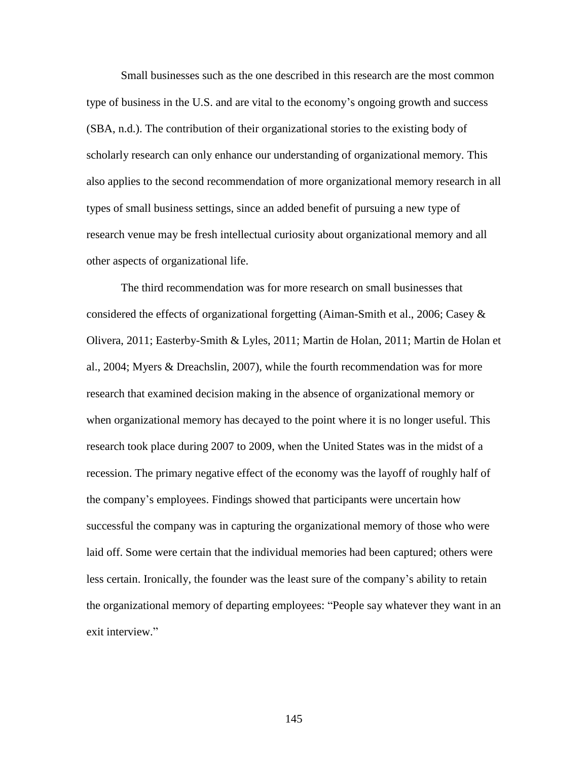Small businesses such as the one described in this research are the most common type of business in the U.S. and are vital to the economy's ongoing growth and success (SBA, n.d.). The contribution of their organizational stories to the existing body of scholarly research can only enhance our understanding of organizational memory. This also applies to the second recommendation of more organizational memory research in all types of small business settings, since an added benefit of pursuing a new type of research venue may be fresh intellectual curiosity about organizational memory and all other aspects of organizational life.

The third recommendation was for more research on small businesses that considered the effects of organizational forgetting (Aiman-Smith et al., 2006; Casey & Olivera, 2011; Easterby-Smith & Lyles, 2011; Martin de Holan, 2011; Martin de Holan et al., 2004; Myers & Dreachslin, 2007), while the fourth recommendation was for more research that examined decision making in the absence of organizational memory or when organizational memory has decayed to the point where it is no longer useful. This research took place during 2007 to 2009, when the United States was in the midst of a recession. The primary negative effect of the economy was the layoff of roughly half of the company's employees. Findings showed that participants were uncertain how successful the company was in capturing the organizational memory of those who were laid off. Some were certain that the individual memories had been captured; others were less certain. Ironically, the founder was the least sure of the company's ability to retain the organizational memory of departing employees: "People say whatever they want in an exit interview."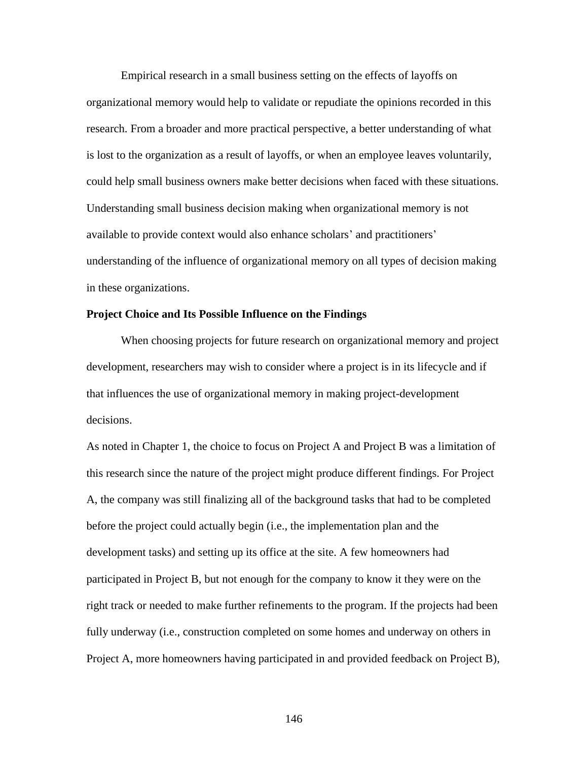Empirical research in a small business setting on the effects of layoffs on organizational memory would help to validate or repudiate the opinions recorded in this research. From a broader and more practical perspective, a better understanding of what is lost to the organization as a result of layoffs, or when an employee leaves voluntarily, could help small business owners make better decisions when faced with these situations. Understanding small business decision making when organizational memory is not available to provide context would also enhance scholars' and practitioners' understanding of the influence of organizational memory on all types of decision making in these organizations.

#### **Project Choice and Its Possible Influence on the Findings**

When choosing projects for future research on organizational memory and project development, researchers may wish to consider where a project is in its lifecycle and if that influences the use of organizational memory in making project-development decisions.

As noted in Chapter 1, the choice to focus on Project A and Project B was a limitation of this research since the nature of the project might produce different findings. For Project A, the company was still finalizing all of the background tasks that had to be completed before the project could actually begin (i.e., the implementation plan and the development tasks) and setting up its office at the site. A few homeowners had participated in Project B, but not enough for the company to know it they were on the right track or needed to make further refinements to the program. If the projects had been fully underway (i.e., construction completed on some homes and underway on others in Project A, more homeowners having participated in and provided feedback on Project B),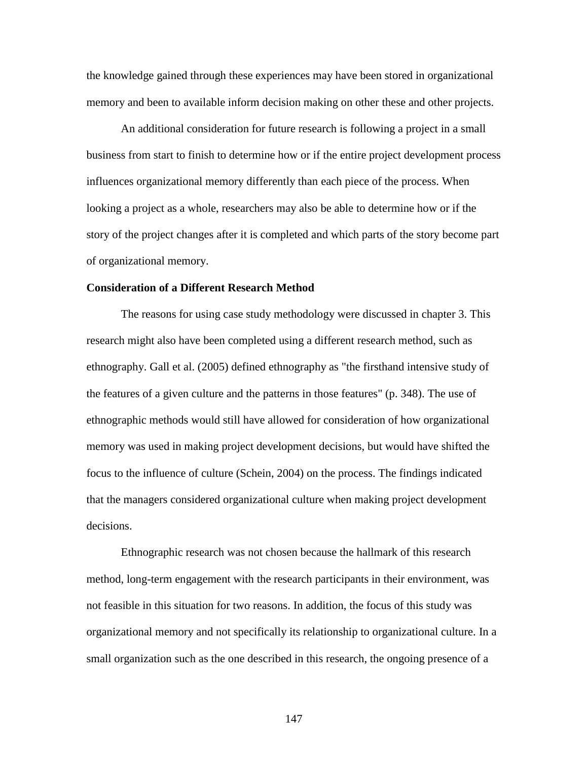the knowledge gained through these experiences may have been stored in organizational memory and been to available inform decision making on other these and other projects.

An additional consideration for future research is following a project in a small business from start to finish to determine how or if the entire project development process influences organizational memory differently than each piece of the process. When looking a project as a whole, researchers may also be able to determine how or if the story of the project changes after it is completed and which parts of the story become part of organizational memory.

#### **Consideration of a Different Research Method**

The reasons for using case study methodology were discussed in chapter 3. This research might also have been completed using a different research method, such as ethnography. Gall et al. (2005) defined ethnography as "the firsthand intensive study of the features of a given culture and the patterns in those features" (p. 348). The use of ethnographic methods would still have allowed for consideration of how organizational memory was used in making project development decisions, but would have shifted the focus to the influence of culture (Schein, 2004) on the process. The findings indicated that the managers considered organizational culture when making project development decisions.

Ethnographic research was not chosen because the hallmark of this research method, long-term engagement with the research participants in their environment, was not feasible in this situation for two reasons. In addition, the focus of this study was organizational memory and not specifically its relationship to organizational culture. In a small organization such as the one described in this research, the ongoing presence of a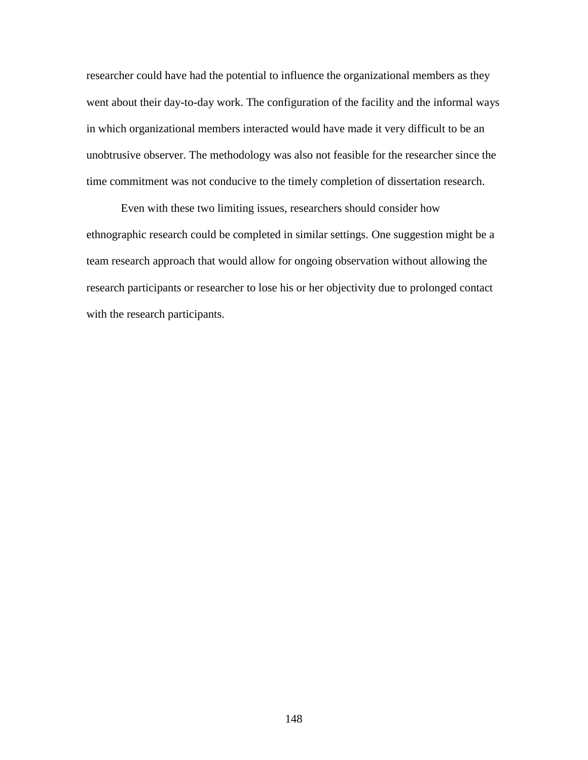researcher could have had the potential to influence the organizational members as they went about their day-to-day work. The configuration of the facility and the informal ways in which organizational members interacted would have made it very difficult to be an unobtrusive observer. The methodology was also not feasible for the researcher since the time commitment was not conducive to the timely completion of dissertation research.

Even with these two limiting issues, researchers should consider how ethnographic research could be completed in similar settings. One suggestion might be a team research approach that would allow for ongoing observation without allowing the research participants or researcher to lose his or her objectivity due to prolonged contact with the research participants.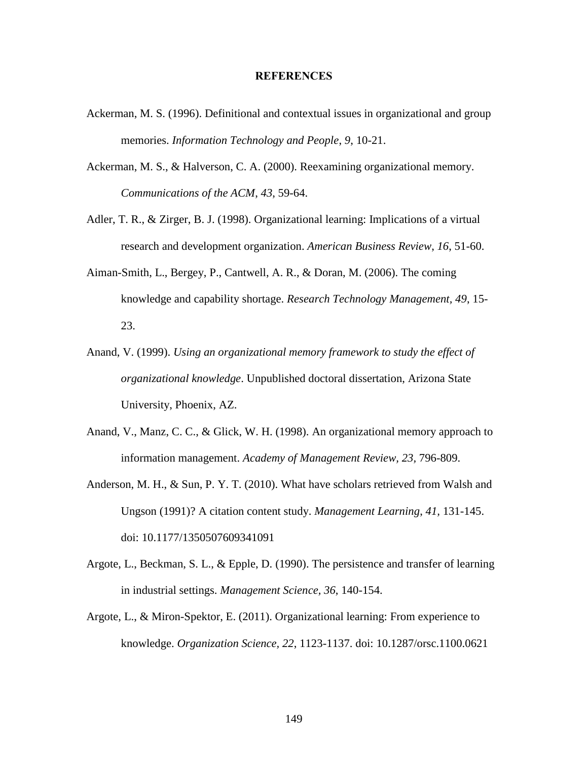#### **REFERENCES**

- Ackerman, M. S. (1996). Definitional and contextual issues in organizational and group memories. *Information Technology and People*, *9*, 10-21.
- Ackerman, M. S., & Halverson, C. A. (2000). Reexamining organizational memory. *Communications of the ACM*, *43*, 59-64.
- Adler, T. R., & Zirger, B. J. (1998). Organizational learning: Implications of a virtual research and development organization. *American Business Review*, *16*, 51-60.
- Aiman-Smith, L., Bergey, P., Cantwell, A. R., & Doran, M. (2006). The coming knowledge and capability shortage. *Research Technology Management, 49*, 15- 23.
- Anand, V. (1999). *Using an organizational memory framework to study the effect of organizational knowledge*. Unpublished doctoral dissertation, Arizona State University, Phoenix, AZ.
- Anand, V., Manz, C. C., & Glick, W. H. (1998). An organizational memory approach to information management. *Academy of Management Review, 23,* 796-809.
- Anderson, M. H., & Sun, P. Y. T. (2010). What have scholars retrieved from Walsh and Ungson (1991)? A citation content study. *Management Learning*, *41,* 131-145. doi: 10.1177/1350507609341091
- Argote, L., Beckman, S. L., & Epple, D. (1990). The persistence and transfer of learning in industrial settings. *Management Science, 36*, 140-154.
- Argote, L., & Miron-Spektor, E. (2011). Organizational learning: From experience to knowledge. *Organization Science, 22*, 1123-1137. doi: 10.1287/orsc.1100.0621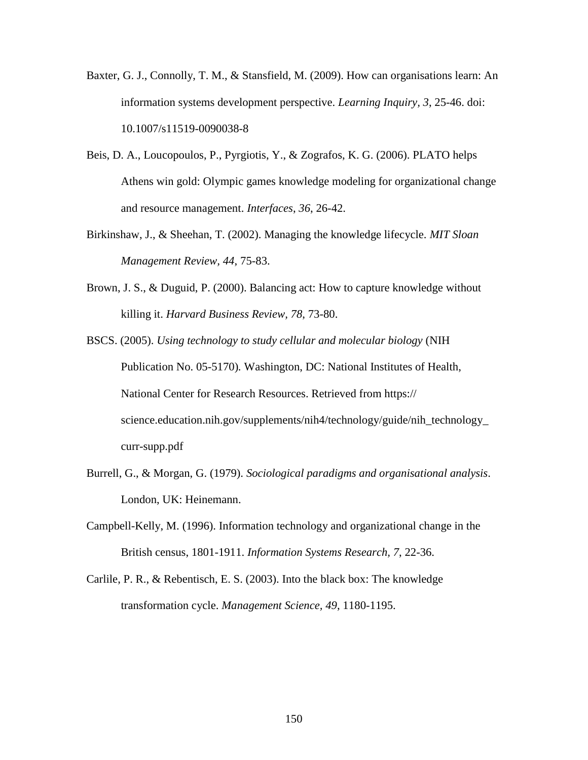- Baxter, G. J., Connolly, T. M., & Stansfield, M. (2009). How can organisations learn: An information systems development perspective. *Learning Inquiry, 3*, 25-46. doi: 10.1007/s11519-0090038-8
- Beis, D. A., Loucopoulos, P., Pyrgiotis, Y., & Zografos, K. G. (2006). PLATO helps Athens win gold: Olympic games knowledge modeling for organizational change and resource management. *Interfaces*, *36*, 26-42.
- Birkinshaw, J., & Sheehan, T. (2002). Managing the knowledge lifecycle. *MIT Sloan Management Review, 44*, 75-83.
- Brown, J. S., & Duguid, P. (2000). Balancing act: How to capture knowledge without killing it. *Harvard Business Review, 78*, 73-80.
- BSCS. (2005). *Using technology to study cellular and molecular biology* (NIH Publication No. 05-5170)*.* Washington, DC: National Institutes of Health, National Center for Research Resources. Retrieved from https:// science.education.nih.gov/supplements/nih4/technology/guide/nih\_technology\_ curr-supp.pdf
- Burrell, G., & Morgan, G. (1979). *Sociological paradigms and organisational analysis*. London, UK: Heinemann.
- Campbell-Kelly, M. (1996). Information technology and organizational change in the British census, 1801-1911. *Information Systems Research, 7*, 22-36.
- Carlile, P. R., & Rebentisch, E. S. (2003). Into the black box: The knowledge transformation cycle. *Management Science, 49*, 1180-1195.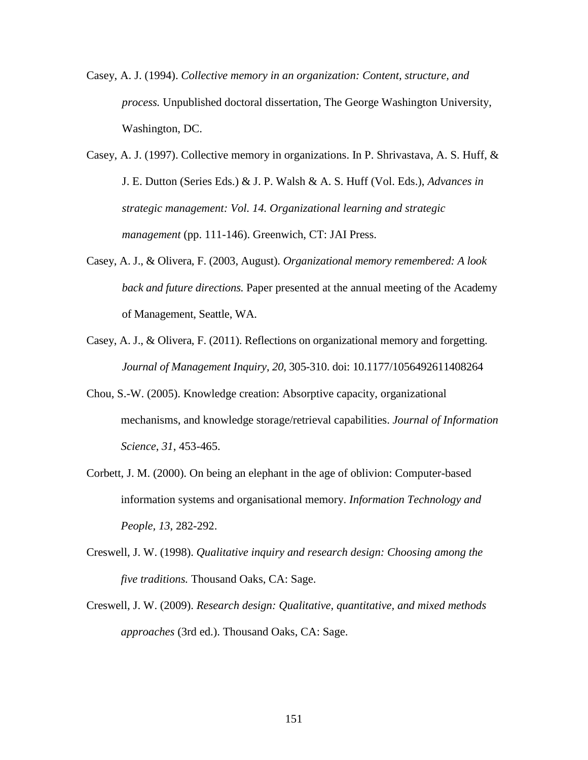- Casey, A. J. (1994). *Collective memory in an organization: Content, structure, and process.* Unpublished doctoral dissertation, The George Washington University, Washington, DC.
- Casey, A. J. (1997). Collective memory in organizations. In P. Shrivastava, A. S. Huff, & J. E. Dutton (Series Eds.) & J. P. Walsh & A. S. Huff (Vol. Eds.), *Advances in strategic management: Vol. 14. Organizational learning and strategic management* (pp. 111-146). Greenwich, CT: JAI Press.
- Casey, A. J., & Olivera, F. (2003, August). *Organizational memory remembered: A look back and future directions.* Paper presented at the annual meeting of the Academy of Management, Seattle, WA.
- Casey, A. J., & Olivera, F. (2011). Reflections on organizational memory and forgetting. *Journal of Management Inquiry*, *20*, 305-310. doi: 10.1177/1056492611408264
- Chou, S.-W. (2005). Knowledge creation: Absorptive capacity, organizational mechanisms, and knowledge storage/retrieval capabilities. *Journal of Information Science*, *31*, 453-465.
- Corbett, J. M. (2000). On being an elephant in the age of oblivion: Computer-based information systems and organisational memory. *Information Technology and People, 13*, 282-292.
- Creswell, J. W. (1998). *Qualitative inquiry and research design: Choosing among the five traditions.* Thousand Oaks, CA: Sage.
- Creswell, J. W. (2009). *Research design: Qualitative, quantitative, and mixed methods approaches* (3rd ed.). Thousand Oaks, CA: Sage.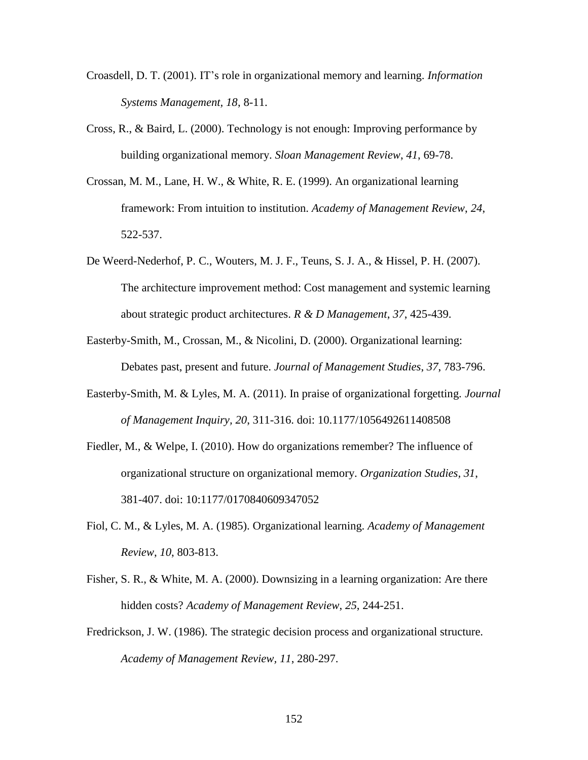- Croasdell, D. T. (2001). IT's role in organizational memory and learning. *Information Systems Management, 18*, 8-11.
- Cross, R., & Baird, L. (2000). Technology is not enough: Improving performance by building organizational memory. *Sloan Management Review*, *41*, 69-78.
- Crossan, M. M., Lane, H. W., & White, R. E. (1999). An organizational learning framework: From intuition to institution. *Academy of Management Review*, *24*, 522-537.
- De Weerd-Nederhof, P. C., Wouters, M. J. F., Teuns, S. J. A., & Hissel, P. H. (2007). The architecture improvement method: Cost management and systemic learning about strategic product architectures. *R & D Management*, *37*, 425-439.
- Easterby-Smith, M., Crossan, M., & Nicolini, D. (2000). Organizational learning: Debates past, present and future. *Journal of Management Studies*, *37*, 783-796.
- Easterby-Smith, M. & Lyles, M. A. (2011). In praise of organizational forgetting. *Journal of Management Inquiry, 20*, 311-316. doi: 10.1177/1056492611408508
- Fiedler, M., & Welpe, I. (2010). How do organizations remember? The influence of organizational structure on organizational memory. *Organization Studies, 31*, 381-407. doi: 10:1177/0170840609347052
- Fiol, C. M., & Lyles, M. A. (1985). Organizational learning. *Academy of Management Review*, *10*, 803-813.
- Fisher, S. R., & White, M. A. (2000). Downsizing in a learning organization: Are there hidden costs? *Academy of Management Review*, *25*, 244-251.
- Fredrickson, J. W. (1986). The strategic decision process and organizational structure. *Academy of Management Review, 11*, 280-297.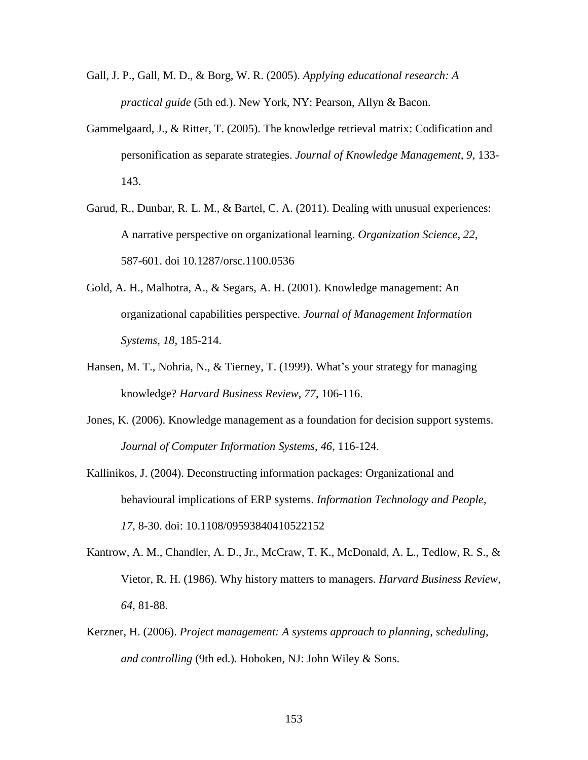- Gall, J. P., Gall, M. D., & Borg, W. R. (2005). *Applying educational research: A practical guide* (5th ed.). New York, NY: Pearson, Allyn & Bacon.
- Gammelgaard, J., & Ritter, T. (2005). The knowledge retrieval matrix: Codification and personification as separate strategies. *Journal of Knowledge Management, 9*, 133- 143.
- Garud, R., Dunbar, R. L. M., & Bartel, C. A. (2011). Dealing with unusual experiences: A narrative perspective on organizational learning. *Organization Science, 22*, 587-601. doi 10.1287/orsc.1100.0536
- Gold, A. H., Malhotra, A., & Segars, A. H. (2001). Knowledge management: An organizational capabilities perspective. *Journal of Management Information Systems, 18*, 185-214.
- Hansen, M. T., Nohria, N., & Tierney, T. (1999). What's your strategy for managing knowledge? *Harvard Business Review, 77*, 106-116.
- Jones, K. (2006). Knowledge management as a foundation for decision support systems. *Journal of Computer Information Systems*, *46*, 116-124.
- Kallinikos, J. (2004). Deconstructing information packages: Organizational and behavioural implications of ERP systems. *Information Technology and People, 17*, 8-30. doi: 10.1108/09593840410522152
- Kantrow, A. M., Chandler, A. D., Jr., McCraw, T. K., McDonald, A. L., Tedlow, R. S., & Vietor, R. H. (1986). Why history matters to managers. *Harvard Business Review, 64*, 81-88.
- Kerzner, H. (2006). *Project management: A systems approach to planning, scheduling, and controlling* (9th ed.). Hoboken, NJ: John Wiley & Sons.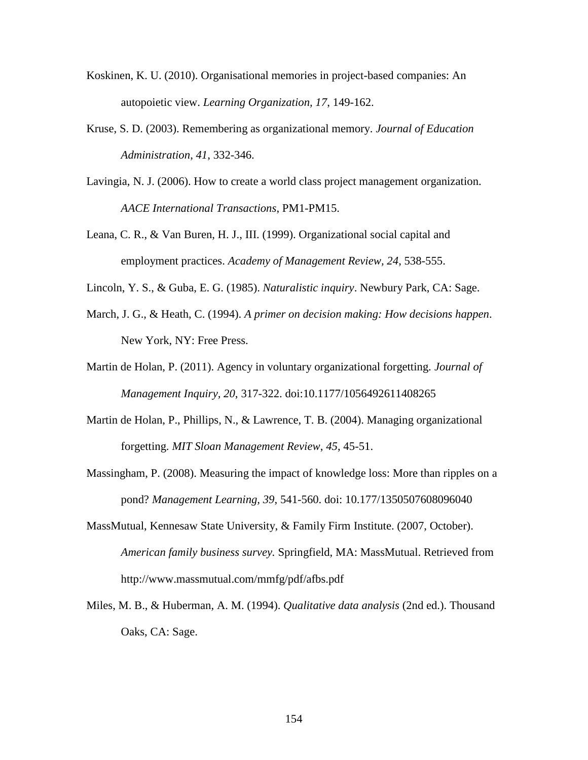- Koskinen, K. U. (2010). Organisational memories in project-based companies: An autopoietic view. *Learning Organization, 17*, 149-162.
- Kruse, S. D. (2003). Remembering as organizational memory. *Journal of Education Administration*, *41*, 332-346.
- Lavingia, N. J. (2006). How to create a world class project management organization. *AACE International Transactions*, PM1-PM15.
- Leana, C. R., & Van Buren, H. J., III. (1999). Organizational social capital and employment practices. *Academy of Management Review, 24*, 538-555.
- Lincoln, Y. S., & Guba, E. G. (1985). *Naturalistic inquiry*. Newbury Park, CA: Sage.
- March, J. G., & Heath, C. (1994). *A primer on decision making: How decisions happen*. New York, NY: Free Press.
- Martin de Holan, P. (2011). Agency in voluntary organizational forgetting. *Journal of Management Inquiry, 20*, 317-322. doi:10.1177/1056492611408265
- Martin de Holan, P., Phillips, N., & Lawrence, T. B. (2004). Managing organizational forgetting. *MIT Sloan Management Review*, *45*, 45-51.
- Massingham, P. (2008). Measuring the impact of knowledge loss: More than ripples on a pond? *Management Learning, 39*, 541-560. doi: 10.177/1350507608096040
- MassMutual, Kennesaw State University, & Family Firm Institute. (2007, October). *American family business survey.* Springfield, MA: MassMutual. Retrieved from http://www.massmutual.com/mmfg/pdf/afbs.pdf
- Miles, M. B., & Huberman, A. M. (1994). *Qualitative data analysis* (2nd ed.). Thousand Oaks, CA: Sage.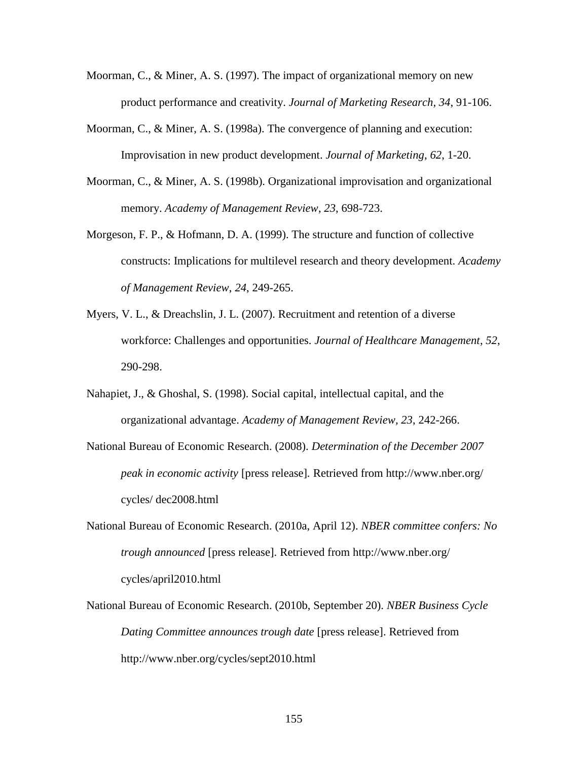- Moorman, C., & Miner, A. S. (1997). The impact of organizational memory on new product performance and creativity. *Journal of Marketing Research, 34*, 91-106.
- Moorman, C., & Miner, A. S. (1998a). The convergence of planning and execution: Improvisation in new product development. *Journal of Marketing*, *62*, 1-20.
- Moorman, C., & Miner, A. S. (1998b). Organizational improvisation and organizational memory. *Academy of Management Review*, *23*, 698-723.
- Morgeson, F. P., & Hofmann, D. A. (1999). The structure and function of collective constructs: Implications for multilevel research and theory development. *Academy of Management Review*, *24*, 249-265.
- Myers, V. L., & Dreachslin, J. L. (2007). Recruitment and retention of a diverse workforce: Challenges and opportunities. *Journal of Healthcare Management*, *52*, 290-298.
- Nahapiet, J., & Ghoshal, S. (1998). Social capital, intellectual capital, and the organizational advantage. *Academy of Management Review, 23*, 242-266.
- National Bureau of Economic Research. (2008). *Determination of the December 2007 peak in economic activity* [press release]*.* Retrieved from http://www.nber.org/ cycles/ dec2008.html
- National Bureau of Economic Research. (2010a, April 12). *NBER committee confers: No trough announced* [press release]*.* Retrieved from http://www.nber.org/ cycles/april2010.html
- National Bureau of Economic Research. (2010b, September 20). *NBER Business Cycle Dating Committee announces trough date* [press release]. Retrieved from http://www.nber.org/cycles/sept2010.html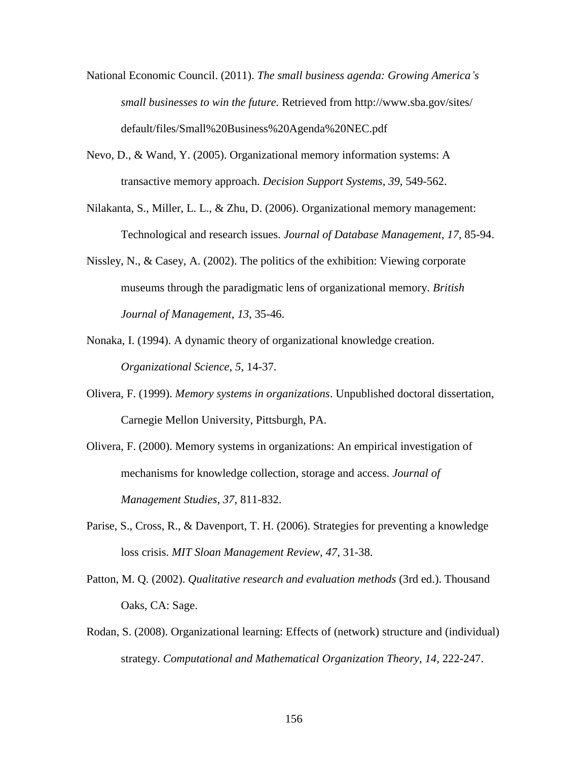- National Economic Council. (2011). *The small business agenda: Growing America's small businesses to win the future.* Retrieved from http://www.sba.gov/sites/ default/files/Small%20Business%20Agenda%20NEC.pdf
- Nevo, D., & Wand, Y. (2005). Organizational memory information systems: A transactive memory approach. *Decision Support Systems*, *39*, 549-562.
- Nilakanta, S., Miller, L. L., & Zhu, D. (2006). Organizational memory management: Technological and research issues. *Journal of Database Management*, *17*, 85-94.
- Nissley, N., & Casey, A. (2002). The politics of the exhibition: Viewing corporate museums through the paradigmatic lens of organizational memory. *British Journal of Management*, *13*, 35-46.
- Nonaka, I. (1994). A dynamic theory of organizational knowledge creation. *Organizational Science*, *5*, 14-37.
- Olivera, F. (1999). *Memory systems in organizations*. Unpublished doctoral dissertation, Carnegie Mellon University, Pittsburgh, PA.
- Olivera, F. (2000). Memory systems in organizations: An empirical investigation of mechanisms for knowledge collection, storage and access. *Journal of Management Studies*, *37*, 811-832.
- Parise, S., Cross, R., & Davenport, T. H. (2006). Strategies for preventing a knowledge loss crisis. *MIT Sloan Management Review*, *47*, 31-38.
- Patton, M. Q. (2002). *Qualitative research and evaluation methods* (3rd ed.). Thousand Oaks, CA: Sage.
- Rodan, S. (2008). Organizational learning: Effects of (network) structure and (individual) strategy. *Computational and Mathematical Organization Theory, 14,* 222-247.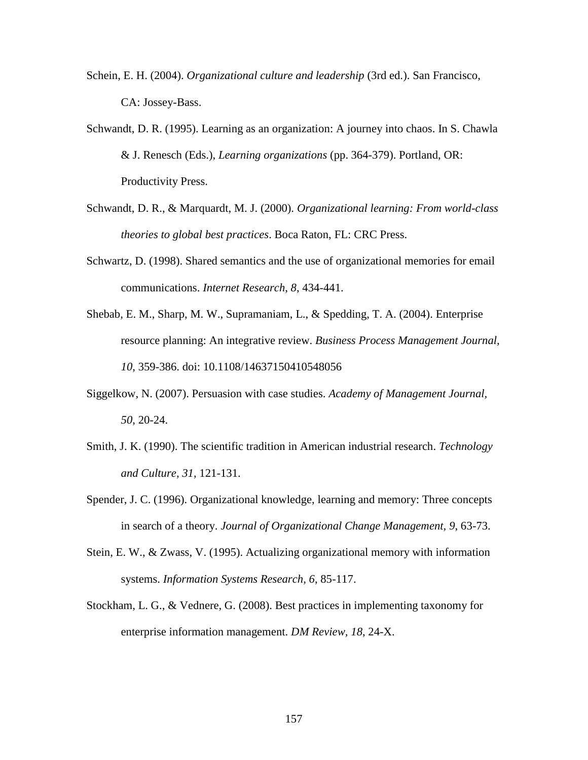- Schein, E. H. (2004). *Organizational culture and leadership* (3rd ed.). San Francisco, CA: Jossey-Bass.
- Schwandt, D. R. (1995). Learning as an organization: A journey into chaos. In S. Chawla & J. Renesch (Eds.), *Learning organizations* (pp. 364-379). Portland, OR: Productivity Press.
- Schwandt, D. R., & Marquardt, M. J. (2000). *Organizational learning: From world-class theories to global best practices*. Boca Raton, FL: CRC Press.
- Schwartz, D. (1998). Shared semantics and the use of organizational memories for email communications. *Internet Research*, *8*, 434-441.
- Shebab, E. M., Sharp, M. W., Supramaniam, L., & Spedding, T. A. (2004). Enterprise resource planning: An integrative review. *Business Process Management Journal, 10*, 359-386. doi: 10.1108/14637150410548056
- Siggelkow, N. (2007). Persuasion with case studies. *Academy of Management Journal, 50*, 20-24.
- Smith, J. K. (1990). The scientific tradition in American industrial research. *Technology and Culture, 31*, 121-131.
- Spender, J. C. (1996). Organizational knowledge, learning and memory: Three concepts in search of a theory. *Journal of Organizational Change Management, 9*, 63-73.
- Stein, E. W., & Zwass, V. (1995). Actualizing organizational memory with information systems. *Information Systems Research, 6*, 85-117.
- Stockham, L. G., & Vednere, G. (2008). Best practices in implementing taxonomy for enterprise information management. *DM Review, 18*, 24-X.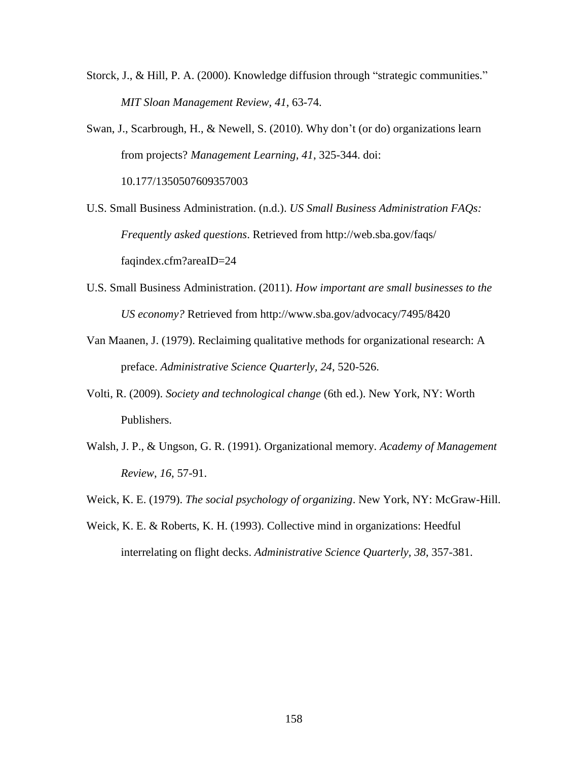- Storck, J., & Hill, P. A. (2000). Knowledge diffusion through "strategic communities." *MIT Sloan Management Review, 41*, 63-74.
- Swan, J., Scarbrough, H., & Newell, S. (2010). Why don't (or do) organizations learn from projects? *Management Learning, 41*, 325-344. doi: 10.177/1350507609357003
- U.S. Small Business Administration. (n.d.). *US Small Business Administration FAQs: Frequently asked questions*. Retrieved from http://web.sba.gov/faqs/ faqindex.cfm?areaID=24
- U.S. Small Business Administration. (2011). *How important are small businesses to the US economy?* Retrieved from http://www.sba.gov/advocacy/7495/8420
- Van Maanen, J. (1979). Reclaiming qualitative methods for organizational research: A preface. *Administrative Science Quarterly, 24*, 520-526.
- Volti, R. (2009). *Society and technological change* (6th ed.). New York, NY: Worth Publishers.
- Walsh, J. P., & Ungson, G. R. (1991). Organizational memory. *Academy of Management Review*, *16*, 57-91.
- Weick, K. E. (1979). *The social psychology of organizing*. New York, NY: McGraw-Hill.
- Weick, K. E. & Roberts, K. H. (1993). Collective mind in organizations: Heedful interrelating on flight decks. *Administrative Science Quarterly, 38*, 357-381.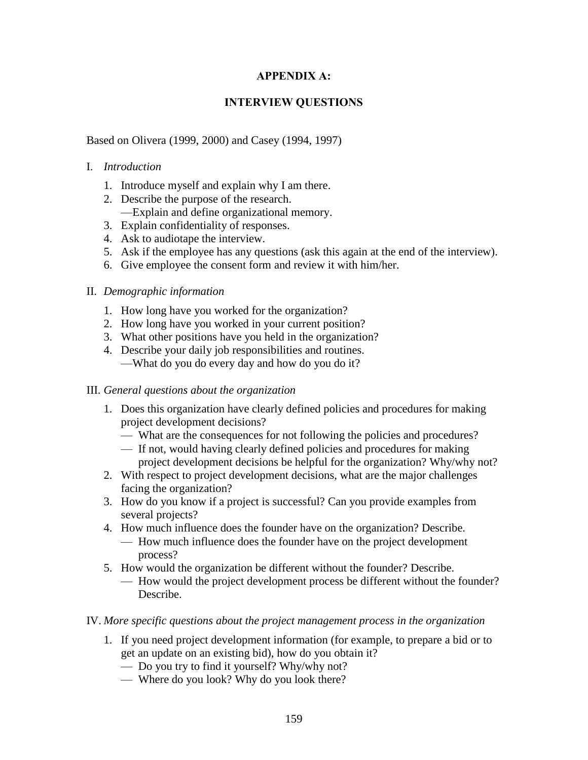# **APPENDIX A:**

# **INTERVIEW QUESTIONS**

Based on Olivera (1999, 2000) and Casey (1994, 1997)

## I. *Introduction*

- 1. Introduce myself and explain why I am there.
- 2. Describe the purpose of the research.
	- —Explain and define organizational memory.
- 3. Explain confidentiality of responses.
- 4. Ask to audiotape the interview.
- 5. Ask if the employee has any questions (ask this again at the end of the interview).
- 6. Give employee the consent form and review it with him/her.

## II. *Demographic information*

- 1. How long have you worked for the organization?
- 2. How long have you worked in your current position?
- 3. What other positions have you held in the organization?
- 4. Describe your daily job responsibilities and routines. —What do you do every day and how do you do it?

## III. *General questions about the organization*

- 1. Does this organization have clearly defined policies and procedures for making project development decisions?
	- What are the consequences for not following the policies and procedures?
	- If not, would having clearly defined policies and procedures for making project development decisions be helpful for the organization? Why/why not?
- 2. With respect to project development decisions, what are the major challenges facing the organization?
- 3. How do you know if a project is successful? Can you provide examples from several projects?
- 4. How much influence does the founder have on the organization? Describe.
	- How much influence does the founder have on the project development process?
- 5. How would the organization be different without the founder? Describe.
	- How would the project development process be different without the founder? Describe.

## IV. *More specific questions about the project management process in the organization*

- 1. If you need project development information (for example, to prepare a bid or to get an update on an existing bid), how do you obtain it?
	- Do you try to find it yourself? Why/why not?
	- Where do you look? Why do you look there?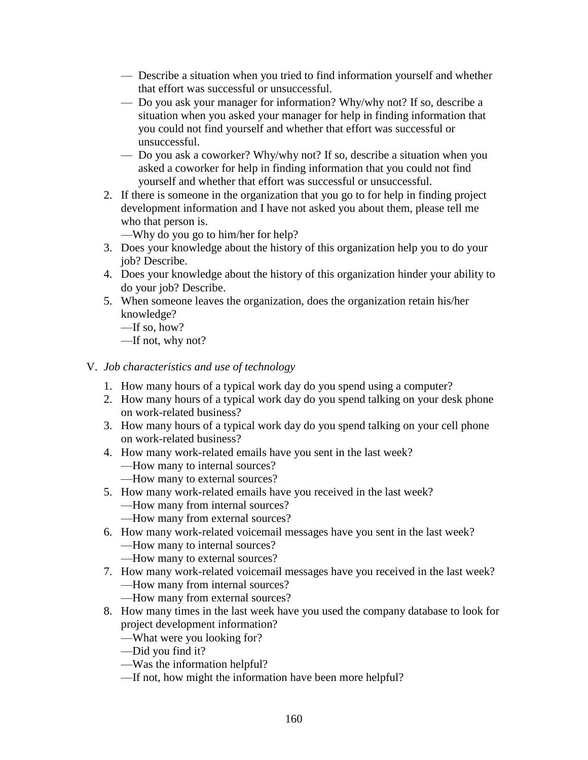- Describe a situation when you tried to find information yourself and whether that effort was successful or unsuccessful.
- Do you ask your manager for information? Why/why not? If so, describe a situation when you asked your manager for help in finding information that you could not find yourself and whether that effort was successful or unsuccessful.
- Do you ask a coworker? Why/why not? If so, describe a situation when you asked a coworker for help in finding information that you could not find yourself and whether that effort was successful or unsuccessful.
- 2. If there is someone in the organization that you go to for help in finding project development information and I have not asked you about them, please tell me who that person is.

—Why do you go to him/her for help?

- 3. Does your knowledge about the history of this organization help you to do your job? Describe.
- 4. Does your knowledge about the history of this organization hinder your ability to do your job? Describe.
- 5. When someone leaves the organization, does the organization retain his/her knowledge?
	- $\overline{-}$ If so, how?
	- —If not, why not?
- V. *Job characteristics and use of technology*
	- 1. How many hours of a typical work day do you spend using a computer?
	- 2. How many hours of a typical work day do you spend talking on your desk phone on work-related business?
	- 3. How many hours of a typical work day do you spend talking on your cell phone on work-related business?
	- 4. How many work-related emails have you sent in the last week?
		- —How many to internal sources?
		- —How many to external sources?
	- 5. How many work-related emails have you received in the last week?
		- —How many from internal sources?
		- —How many from external sources?
	- 6. How many work-related voicemail messages have you sent in the last week?
		- —How many to internal sources?
		- —How many to external sources?
	- 7. How many work-related voicemail messages have you received in the last week?
		- —How many from internal sources?
		- —How many from external sources?
	- 8. How many times in the last week have you used the company database to look for project development information?
		- —What were you looking for?
		- —Did you find it?
		- —Was the information helpful?
		- —If not, how might the information have been more helpful?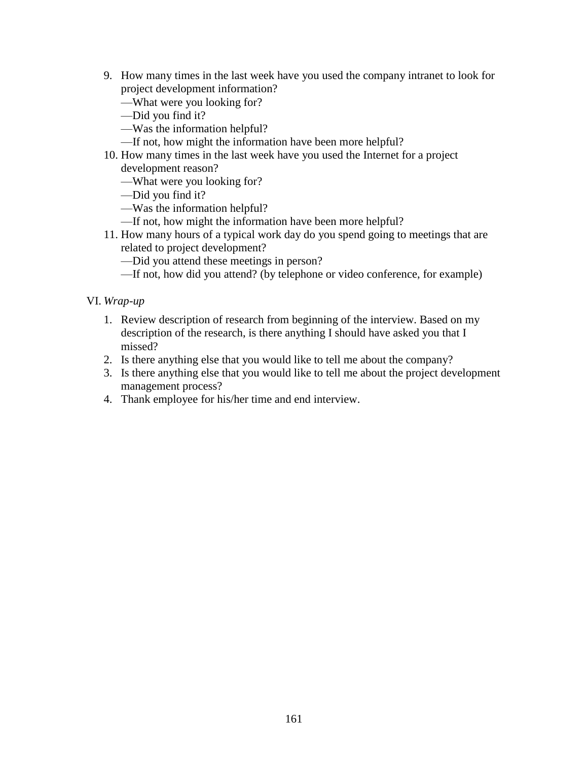- 9. How many times in the last week have you used the company intranet to look for project development information?
	- —What were you looking for?
	- —Did you find it?
	- —Was the information helpful?
	- —If not, how might the information have been more helpful?
- 10. How many times in the last week have you used the Internet for a project development reason?
	- —What were you looking for?
	- —Did you find it?
	- —Was the information helpful?
	- —If not, how might the information have been more helpful?
- 11. How many hours of a typical work day do you spend going to meetings that are related to project development?
	- —Did you attend these meetings in person?
	- —If not, how did you attend? (by telephone or video conference, for example)

VI. *Wrap-up*

- 1. Review description of research from beginning of the interview. Based on my description of the research, is there anything I should have asked you that I missed?
- 2. Is there anything else that you would like to tell me about the company?
- 3. Is there anything else that you would like to tell me about the project development management process?
- 4. Thank employee for his/her time and end interview.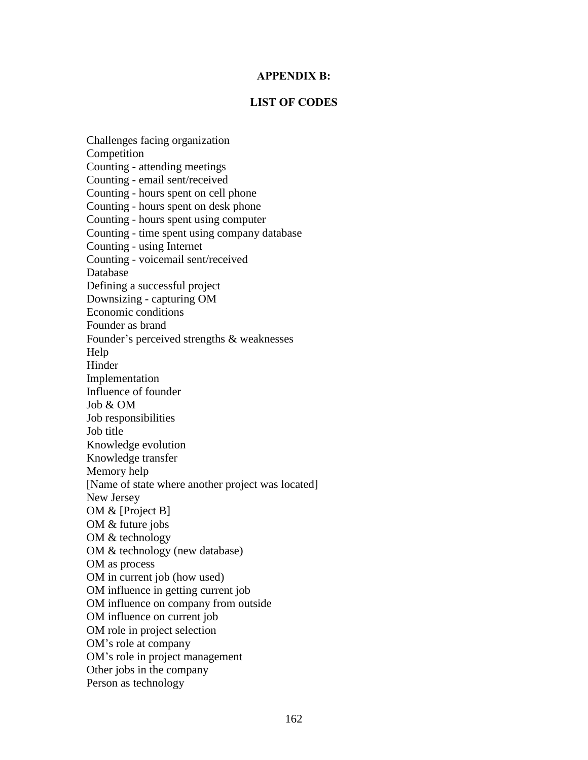### **APPENDIX B:**

### **LIST OF CODES**

Challenges facing organization Competition Counting - attending meetings Counting - email sent/received Counting - hours spent on cell phone Counting - hours spent on desk phone Counting - hours spent using computer Counting - time spent using company database Counting - using Internet Counting - voicemail sent/received Database Defining a successful project Downsizing - capturing OM Economic conditions Founder as brand Founder's perceived strengths & weaknesses Help Hinder Implementation Influence of founder Job & OM Job responsibilities Job title Knowledge evolution Knowledge transfer Memory help [Name of state where another project was located] New Jersey OM & [Project B] OM & future jobs OM & technology OM & technology (new database) OM as process OM in current job (how used) OM influence in getting current job OM influence on company from outside OM influence on current job OM role in project selection OM's role at company OM's role in project management Other jobs in the company Person as technology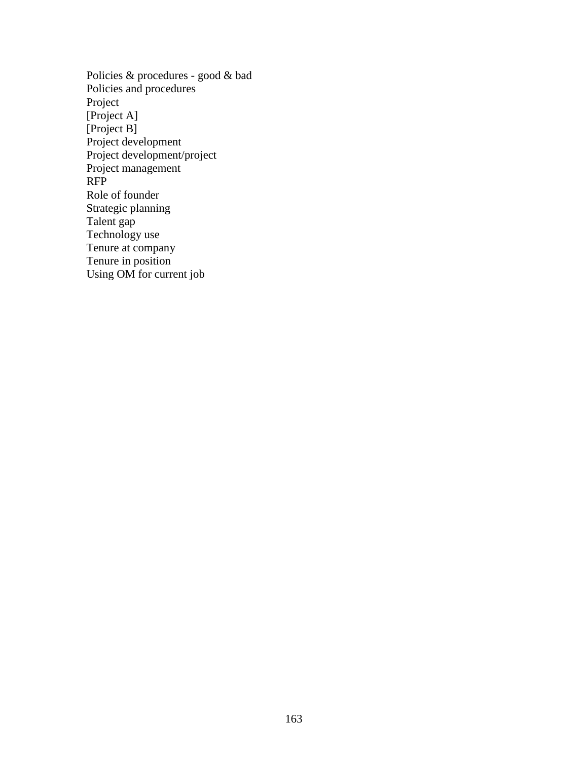Policies & procedures - good & bad Policies and procedures Project [Project A] [Project B] Project development Project development/project Project management RFP Role of founder Strategic planning Talent gap Technology use Tenure at company Tenure in position Using OM for current job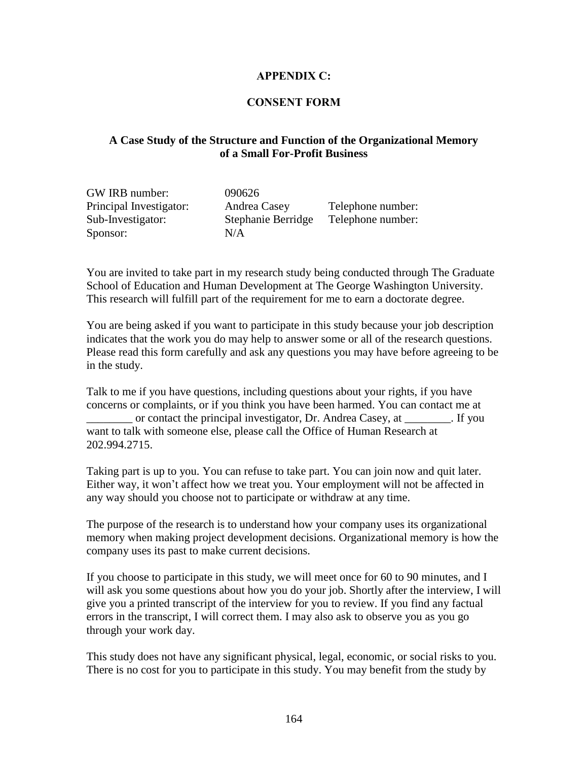# **APPENDIX C:**

# **CONSENT FORM**

# **A Case Study of the Structure and Function of the Organizational Memory of a Small For-Profit Business**

| GW IRB number:          | 090626             |                   |
|-------------------------|--------------------|-------------------|
| Principal Investigator: | Andrea Casey       | Telephone number: |
| Sub-Investigator:       | Stephanie Berridge | Telephone number: |
| Sponsor:                | N/A                |                   |

You are invited to take part in my research study being conducted through The Graduate School of Education and Human Development at The George Washington University. This research will fulfill part of the requirement for me to earn a doctorate degree.

You are being asked if you want to participate in this study because your job description indicates that the work you do may help to answer some or all of the research questions. Please read this form carefully and ask any questions you may have before agreeing to be in the study.

Talk to me if you have questions, including questions about your rights, if you have concerns or complaints, or if you think you have been harmed. You can contact me at or contact the principal investigator, Dr. Andrea Casey, at . If you want to talk with someone else, please call the Office of Human Research at 202.994.2715.

Taking part is up to you. You can refuse to take part. You can join now and quit later. Either way, it won't affect how we treat you. Your employment will not be affected in any way should you choose not to participate or withdraw at any time.

The purpose of the research is to understand how your company uses its organizational memory when making project development decisions. Organizational memory is how the company uses its past to make current decisions.

If you choose to participate in this study, we will meet once for 60 to 90 minutes, and I will ask you some questions about how you do your job. Shortly after the interview, I will give you a printed transcript of the interview for you to review. If you find any factual errors in the transcript, I will correct them. I may also ask to observe you as you go through your work day.

This study does not have any significant physical, legal, economic, or social risks to you. There is no cost for you to participate in this study. You may benefit from the study by